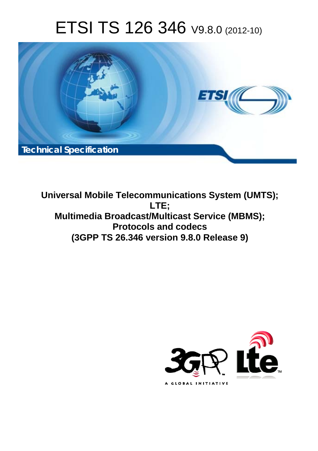# ETSI TS 126 346 V9.8.0 (2012-10)



**Universal Mobile Telecommunications System (UMTS); LTE; Multimedia Broadcast/Multicast Service (MBMS); Protocols and codecs (3GPP TS 26.346 version 9.8.0 Release 9)** 

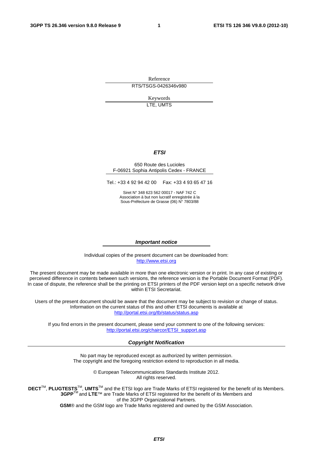Reference RTS/TSGS-0426346v980

> Keywords LTE, UMTS

#### *ETSI*

#### 650 Route des Lucioles F-06921 Sophia Antipolis Cedex - FRANCE

Tel.: +33 4 92 94 42 00 Fax: +33 4 93 65 47 16

Siret N° 348 623 562 00017 - NAF 742 C Association à but non lucratif enregistrée à la Sous-Préfecture de Grasse (06) N° 7803/88

#### *Important notice*

Individual copies of the present document can be downloaded from: http://www.etsi.org

The present document may be made available in more than one electronic version or in print. In any case of existing or perceived difference in contents between such versions, the reference version is the Portable Document Format (PDF). In case of dispute, the reference shall be the printing on ETSI printers of the PDF version kept on a specific network drive within ETSI Secretariat.

Users of the present document should be aware that the document may be subject to revision or change of status. Information on the current status of this and other ETSI documents is available at http://portal.etsi.org/tb/status/status.asp

If you find errors in the present document, please send your comment to one of the following services: http://portal.etsi.org/chaircor/ETSI\_support.asp

#### *Copyright Notification*

No part may be reproduced except as authorized by written permission. The copyright and the foregoing restriction extend to reproduction in all media.

> © European Telecommunications Standards Institute 2012. All rights reserved.

DECT<sup>™</sup>, PLUGTESTS<sup>™</sup>, UMTS<sup>™</sup> and the ETSI logo are Trade Marks of ETSI registered for the benefit of its Members. **3GPP**TM and **LTE**™ are Trade Marks of ETSI registered for the benefit of its Members and of the 3GPP Organizational Partners.

**GSM**® and the GSM logo are Trade Marks registered and owned by the GSM Association.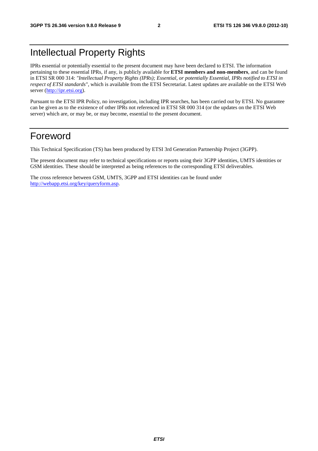### Intellectual Property Rights

IPRs essential or potentially essential to the present document may have been declared to ETSI. The information pertaining to these essential IPRs, if any, is publicly available for **ETSI members and non-members**, and can be found in ETSI SR 000 314: *"Intellectual Property Rights (IPRs); Essential, or potentially Essential, IPRs notified to ETSI in respect of ETSI standards"*, which is available from the ETSI Secretariat. Latest updates are available on the ETSI Web server (http://ipr.etsi.org).

Pursuant to the ETSI IPR Policy, no investigation, including IPR searches, has been carried out by ETSI. No guarantee can be given as to the existence of other IPRs not referenced in ETSI SR 000 314 (or the updates on the ETSI Web server) which are, or may be, or may become, essential to the present document.

### Foreword

This Technical Specification (TS) has been produced by ETSI 3rd Generation Partnership Project (3GPP).

The present document may refer to technical specifications or reports using their 3GPP identities, UMTS identities or GSM identities. These should be interpreted as being references to the corresponding ETSI deliverables.

The cross reference between GSM, UMTS, 3GPP and ETSI identities can be found under http://webapp.etsi.org/key/queryform.asp.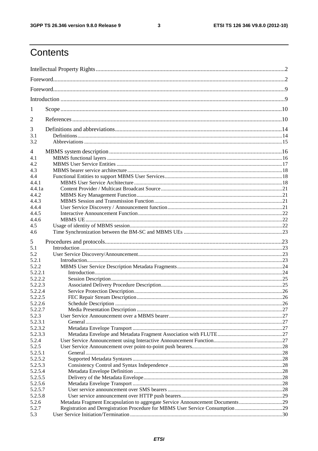$\mathbf{3}$ 

## Contents

| 1                                                                                                                                                                                                              |    |
|----------------------------------------------------------------------------------------------------------------------------------------------------------------------------------------------------------------|----|
| 2                                                                                                                                                                                                              |    |
| 3<br>3.1<br>3.2                                                                                                                                                                                                |    |
| 4<br>4.1<br>4.2<br>4.3<br>4.4<br>4.4.1                                                                                                                                                                         |    |
| 4.4.1a<br>4.4.2<br>4.4.3<br>4.4.4                                                                                                                                                                              |    |
| 4.4.5<br>4.4.6<br>4.5<br>4.6                                                                                                                                                                                   |    |
| 5<br>5.1<br>5.2<br>5.2.1                                                                                                                                                                                       |    |
| 5.2.2<br>5.2.2.1<br>5.2.2.2<br>5.2.2.3<br>5.2.2.4                                                                                                                                                              |    |
| 5.2.2.5<br>5.2.2.6<br>5.2.2.7<br>5.2.3                                                                                                                                                                         | 26 |
| 5.2.3.1<br>5.2.3.2<br>5.2.3.3<br>5.2.4                                                                                                                                                                         |    |
| 5.2.5<br>5.2.5.1<br>5.2.5.2                                                                                                                                                                                    |    |
| 5.2.5.3<br>5.2.5.4<br>5.2.5.5<br>5.2.5.6                                                                                                                                                                       |    |
| 5.2.5.7<br>5.2.5.8<br>Metadata Fragment Encapsulation to aggregate Service Announcement Documents29<br>5.2.6<br>Registration and Deregistration Procedure for MBMS User Service Consumption 29<br>5.2.7<br>5.3 |    |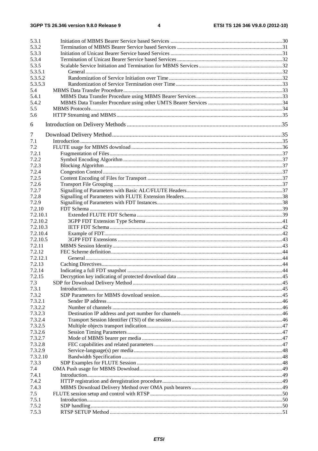| 5.3.1    |  |
|----------|--|
| 5.3.2    |  |
| 5.3.3    |  |
| 5.3.4    |  |
| 5.3.5    |  |
| 5.3.5.1  |  |
| 5.3.5.2  |  |
| 5.3.5.3  |  |
| 5.4      |  |
| 5.4.1    |  |
| 5.4.2    |  |
| 5.5      |  |
| 5.6      |  |
| 6        |  |
| 7        |  |
| 7.1      |  |
| 7.2      |  |
| 7.2.1    |  |
| 7.2.2    |  |
| 7.2.3    |  |
| 7.2.4    |  |
| 7.2.5    |  |
| 7.2.6    |  |
| 7.2.7    |  |
| 7.2.8    |  |
| 7.2.9    |  |
| 7.2.10   |  |
| 7.2.10.1 |  |
| 7.2.10.2 |  |
| 7.2.10.3 |  |
| 7.2.10.4 |  |
| 7.2.10.5 |  |
| 7.2.11   |  |
| 7.2.12   |  |
| 7.2.12.1 |  |
| 7.2.13   |  |
| 7.2.14   |  |
| 7.2.15   |  |
| 7.3      |  |
| 7.3.1    |  |
| 7.3.2    |  |
| 7.3.2.1  |  |
| 7.3.2.2  |  |
| 7.3.2.3  |  |
| 7.3.2.4  |  |
| 7.3.2.5  |  |
| 7.3.2.6  |  |
| 7.3.2.7  |  |
| 7.3.2.8  |  |
| 7.3.2.9  |  |
| 7.3.2.10 |  |
| 7.3.3    |  |
| 7.4      |  |
| 7.4.1    |  |
| 7.4.2    |  |
| 7.4.3    |  |
| 7.5      |  |
| 7.5.1    |  |
| 7.5.2    |  |
| 7.5.3    |  |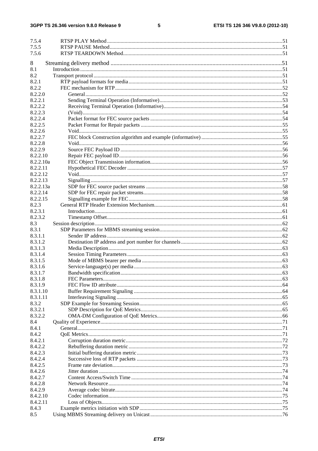#### $5\phantom{a}$

| 7.5.4              |  |
|--------------------|--|
| 7.5.5              |  |
| 7.5.6              |  |
|                    |  |
| 8                  |  |
| 8.1                |  |
| 8.2                |  |
| 8.2.1<br>8.2.2     |  |
| 8.2.2.0            |  |
| 8.2.2.1            |  |
| 8.2.2.2            |  |
| 8.2.2.3            |  |
| 8.2.2.4            |  |
| 8.2.2.5            |  |
| 8.2.2.6            |  |
| 8.2.2.7            |  |
| 8.2.2.8            |  |
| 8.2.2.9            |  |
| 8.2.2.10           |  |
| 8.2.2.10a          |  |
| 8.2.2.11           |  |
| 8.2.2.12           |  |
| 8.2.2.13           |  |
| 8.2.2.13a          |  |
| 8.2.2.14           |  |
| 8.2.2.15           |  |
| 8.2.3              |  |
| 8.2.3.1            |  |
| 8.2.3.2            |  |
| 8.3                |  |
| 8.3.1              |  |
| 8.3.1.1            |  |
| 8.3.1.2<br>8.3.1.3 |  |
| 8.3.1.4            |  |
| 8.3.1.5            |  |
| 8.3.1.6            |  |
| 8.3.1.7            |  |
| 8.3.1.8            |  |
| 8.3.1.9            |  |
| 8.3.1.10           |  |
| 8.3.1.11           |  |
| 8.3.2              |  |
| 8.3.2.1            |  |
| 8.3.2.2            |  |
| 8.4                |  |
| 8.4.1              |  |
| 8.4.2              |  |
| 8.4.2.1            |  |
| 8.4.2.2            |  |
| 8.4.2.3            |  |
| 8.4.2.4            |  |
| 8.4.2.5            |  |
| 8.4.2.6            |  |
| 8.4.2.7            |  |
| 8.4.2.8            |  |
| 8.4.2.9            |  |
| 8.4.2.10           |  |
| 8.4.2.11           |  |
| 8.4.3              |  |
| 8.5                |  |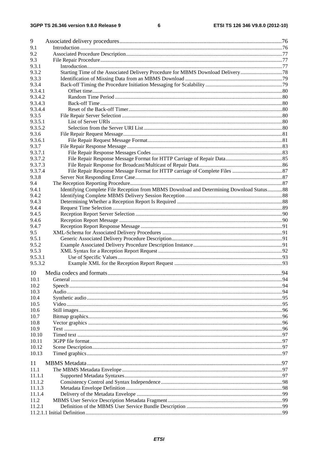#### $\bf 6$

| 9       |                                                                                          |  |
|---------|------------------------------------------------------------------------------------------|--|
| 9.1     |                                                                                          |  |
| 9.2     |                                                                                          |  |
| 9.3     |                                                                                          |  |
| 9.3.1   |                                                                                          |  |
| 9.3.2   |                                                                                          |  |
| 9.3.3   |                                                                                          |  |
| 9.3.4   |                                                                                          |  |
| 9.3.4.1 |                                                                                          |  |
| 9.3.4.2 |                                                                                          |  |
| 9.3.4.3 |                                                                                          |  |
| 9.3.4.4 |                                                                                          |  |
| 9.3.5   |                                                                                          |  |
| 9.3.5.1 |                                                                                          |  |
| 9.3.5.2 |                                                                                          |  |
| 9.3.6   |                                                                                          |  |
| 9.3.6.1 |                                                                                          |  |
| 9.3.7   |                                                                                          |  |
| 9.3.7.1 |                                                                                          |  |
| 9.3.7.2 |                                                                                          |  |
| 9.3.7.3 |                                                                                          |  |
| 9.3.7.4 |                                                                                          |  |
| 9.3.8   |                                                                                          |  |
| 9.4     |                                                                                          |  |
| 9.4.1   | Identifying Complete File Reception from MBMS Download and Determining Download Status88 |  |
| 9.4.2   |                                                                                          |  |
| 9.4.3   |                                                                                          |  |
| 9.4.4   |                                                                                          |  |
| 9.4.5   |                                                                                          |  |
| 9.4.6   |                                                                                          |  |
| 9.4.7   |                                                                                          |  |
| 9.5     |                                                                                          |  |
| 9.5.1   |                                                                                          |  |
| 9.5.2   |                                                                                          |  |
| 9.5.3   |                                                                                          |  |
| 9.5.3.1 |                                                                                          |  |
| 9.5.3.2 |                                                                                          |  |
| 10      |                                                                                          |  |
| 10.1    |                                                                                          |  |
| 10.2    |                                                                                          |  |
| 10.3    |                                                                                          |  |
| 10.4    |                                                                                          |  |
| 10.5    |                                                                                          |  |
| 10.6    |                                                                                          |  |
| 10.7    |                                                                                          |  |
| 10.8    |                                                                                          |  |
| 10.9    |                                                                                          |  |
| 10.10   |                                                                                          |  |
| 10.11   |                                                                                          |  |
| 10.12   |                                                                                          |  |
| 10.13   |                                                                                          |  |
|         |                                                                                          |  |
| 11      |                                                                                          |  |
| 11.1    |                                                                                          |  |
| 11.1.1  |                                                                                          |  |
| 11.1.2  |                                                                                          |  |
| 11.1.3  |                                                                                          |  |
| 11.1.4  |                                                                                          |  |
| 11.2    |                                                                                          |  |
| 11.2.1  |                                                                                          |  |
|         |                                                                                          |  |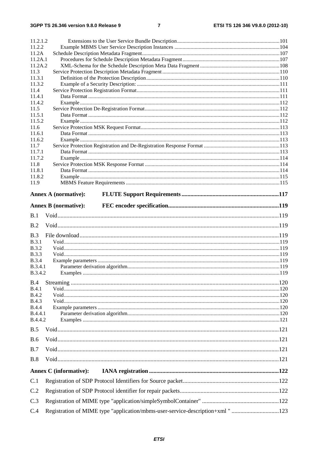| 11.2.1.2                     |                               |  |
|------------------------------|-------------------------------|--|
| 11.2.2                       |                               |  |
| 11.2A                        |                               |  |
| 11.2A.1                      |                               |  |
| 11.2A.2                      |                               |  |
| 11.3                         |                               |  |
| 11.3.1                       |                               |  |
| 11.3.2                       |                               |  |
| 11.4                         |                               |  |
| 11.4.1<br>11.4.2             |                               |  |
| 11.5                         |                               |  |
| 11.5.1                       |                               |  |
| 11.5.2                       |                               |  |
| 11.6                         |                               |  |
| 11.6.1                       |                               |  |
| 11.6.2                       |                               |  |
| 11.7                         |                               |  |
| 11.7.1                       |                               |  |
| 11.7.2                       |                               |  |
| 11.8                         |                               |  |
| 11.8.1                       |                               |  |
| 11.8.2<br>11.9               |                               |  |
|                              |                               |  |
|                              | <b>Annex A (normative):</b>   |  |
|                              |                               |  |
|                              | <b>Annex B</b> (normative):   |  |
| B.1                          |                               |  |
| B.2                          |                               |  |
|                              |                               |  |
| B.3                          |                               |  |
| <b>B.3.1</b>                 |                               |  |
| <b>B.3.2</b><br><b>B.3.3</b> |                               |  |
| <b>B.3.4</b>                 |                               |  |
| <b>B.3.4.1</b>               |                               |  |
| <b>B.3.4.2</b>               |                               |  |
|                              |                               |  |
| B.4<br>B.4.1                 |                               |  |
| <b>B.4.2</b>                 |                               |  |
| <b>B.4.3</b>                 |                               |  |
| <b>B.4.4</b>                 |                               |  |
| <b>B.4.4.1</b>               |                               |  |
|                              |                               |  |
| B.4.4.2                      |                               |  |
|                              |                               |  |
| B.5                          |                               |  |
| <b>B.6</b>                   |                               |  |
| B.7                          |                               |  |
|                              |                               |  |
| B.8                          |                               |  |
|                              | <b>Annex C</b> (informative): |  |
| C.1                          |                               |  |
| C.2                          |                               |  |
| C.3                          |                               |  |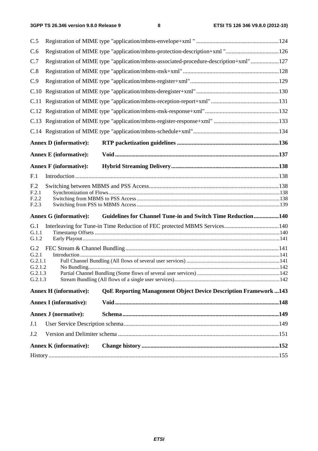| C.5              |                               |                                                                                      |  |
|------------------|-------------------------------|--------------------------------------------------------------------------------------|--|
| C.6              |                               | Registration of MIME type "application/mbms-protection-description+xml "126          |  |
| C.7              |                               | Registration of MIME type "application/mbms-associated-procedure-description+xml"127 |  |
| C.8              |                               |                                                                                      |  |
| C.9              |                               |                                                                                      |  |
| C.10             |                               |                                                                                      |  |
|                  |                               |                                                                                      |  |
|                  |                               |                                                                                      |  |
|                  |                               |                                                                                      |  |
|                  |                               |                                                                                      |  |
|                  | <b>Annex D</b> (informative): |                                                                                      |  |
|                  | <b>Annex E</b> (informative): |                                                                                      |  |
|                  | <b>Annex F</b> (informative): |                                                                                      |  |
| F.1              |                               |                                                                                      |  |
| F <sub>.2</sub>  |                               |                                                                                      |  |
| F.2.1            |                               |                                                                                      |  |
|                  |                               |                                                                                      |  |
| F.2.2<br>F.2.3   |                               |                                                                                      |  |
|                  | <b>Annex G (informative):</b> |                                                                                      |  |
| G.1              |                               | Guidelines for Channel Tune-in and Switch Time Reduction140                          |  |
| G.1.1            |                               |                                                                                      |  |
| G.1.2            |                               |                                                                                      |  |
| G.2              |                               |                                                                                      |  |
| G.2.1<br>G.2.1.1 |                               |                                                                                      |  |
| G.2.1.2          |                               |                                                                                      |  |
| G.2.1.3          |                               |                                                                                      |  |
| G.2.1.3          | <b>Annex H</b> (informative): | <b>QoE Reporting Management Object Device Description Framework  143</b>             |  |
|                  | <b>Annex I</b> (informative): |                                                                                      |  |
|                  | <b>Annex J (normative):</b>   |                                                                                      |  |
| J.1              |                               |                                                                                      |  |
| J.2              |                               |                                                                                      |  |
|                  | <b>Annex K</b> (informative): |                                                                                      |  |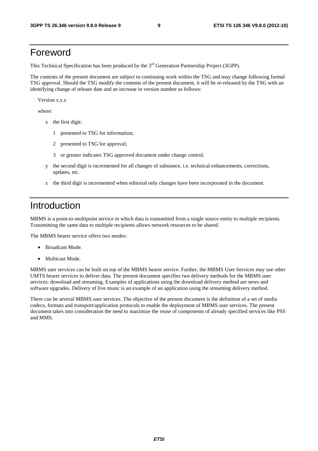### Foreword

This Technical Specification has been produced by the 3<sup>rd</sup> Generation Partnership Project (3GPP).

The contents of the present document are subject to continuing work within the TSG and may change following formal TSG approval. Should the TSG modify the contents of the present document, it will be re-released by the TSG with an identifying change of release date and an increase in version number as follows:

Version x.y.z

where:

- x the first digit:
	- 1 presented to TSG for information;
	- 2 presented to TSG for approval;
	- 3 or greater indicates TSG approved document under change control.
- y the second digit is incremented for all changes of substance, i.e. technical enhancements, corrections, updates, etc.
- z the third digit is incremented when editorial only changes have been incorporated in the document.

### Introduction

MBMS is a point-to-multipoint service in which data is transmitted from a single source entity to multiple recipients. Transmitting the same data to multiple recipients allows network resources to be shared.

The MBMS bearer service offers two modes:

- Broadcast Mode.
- Multicast Mode.

MBMS user services can be built on top of the MBMS bearer service. Further, the MBMS User Services may use other UMTS bearer services to deliver data. The present document specifies two delivery methods for the MBMS user services: download and streaming. Examples of applications using the download delivery method are news and software upgrades. Delivery of live music is an example of an application using the streaming delivery method.

There can be several MBMS user services. The objective of the present document is the definition of a set of media codecs, formats and transport/application protocols to enable the deployment of MBMS user services. The present document takes into consideration the need to maximize the reuse of components of already specified services like PSS and MMS.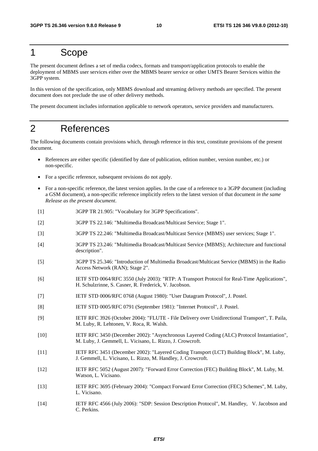### 1 Scope

The present document defines a set of media codecs, formats and transport/application protocols to enable the deployment of MBMS user services either over the MBMS bearer service or other UMTS Bearer Services within the 3GPP system.

In this version of the specification, only MBMS download and streaming delivery methods are specified. The present document does not preclude the use of other delivery methods.

The present document includes information applicable to network operators, service providers and manufacturers.

### 2 References

The following documents contain provisions which, through reference in this text, constitute provisions of the present document.

- References are either specific (identified by date of publication, edition number, version number, etc.) or non-specific.
- For a specific reference, subsequent revisions do not apply.
- For a non-specific reference, the latest version applies. In the case of a reference to a 3GPP document (including a GSM document), a non-specific reference implicitly refers to the latest version of that document *in the same Release as the present document*.
- [1] 3GPP TR 21.905: "Vocabulary for 3GPP Specifications".
- [2] 3GPP TS 22.146: "Multimedia Broadcast/Multicast Service; Stage 1".
- [3] 3GPP TS 22.246: "Multimedia Broadcast/Multicast Service (MBMS) user services; Stage 1".
- [4] 3GPP TS 23.246: "Multimedia Broadcast/Multicast Service (MBMS); Architecture and functional description".
- [5] 3GPP TS 25.346: "Introduction of Multimedia Broadcast/Multicast Service (MBMS) in the Radio Access Network (RAN); Stage 2".
- [6] IETF STD 0064/RFC 3550 (July 2003): "RTP: A Transport Protocol for Real-Time Applications", H. Schulzrinne, S. Casner, R. Frederick, V. Jacobson.
- [7] IETF STD 0006/RFC 0768 (August 1980): "User Datagram Protocol", J. Postel.
- [8] IETF STD 0005/RFC 0791 (September 1981): "Internet Protocol", J. Postel.
- [9] IETF RFC 3926 (October 2004): "FLUTE File Delivery over Unidirectional Transport", T. Paila, M. Luby, R. Lehtonen, V. Roca, R. Walsh.
- [10] IETF RFC 3450 (December 2002): "Asynchronous Layered Coding (ALC) Protocol Instantiation", M. Luby, J. Gemmell, L. Vicisano, L. Rizzo, J. Crowcroft.
- [11] IETF RFC 3451 (December 2002): "Layered Coding Transport (LCT) Building Block", M. Luby, J. Gemmell, L. Vicisano, L. Rizzo, M. Handley, J. Crowcroft.
- [12] IETF RFC 5052 (August 2007): "Forward Error Correction (FEC) Building Block", M. Luby, M. Watson, L. Vicisano.
- [13] IETF RFC 3695 (February 2004): "Compact Forward Error Correction (FEC) Schemes", M. Luby, L. Vicisano.
- [14] IETF RFC 4566 (July 2006): "SDP: Session Description Protocol", M. Handley, V. Jacobson and C. Perkins.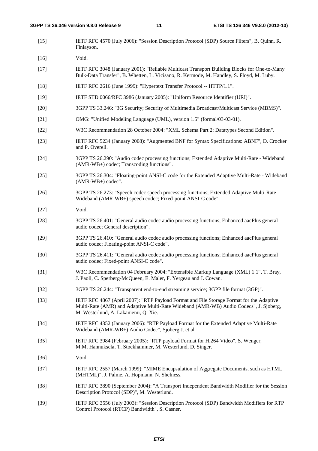[15] IETF RFC 4570 (July 2006): "Session Description Protocol (SDP) Source Filters", B. Quinn, R. Finlayson.

[16] Void.

- [17] IETF RFC 3048 (January 2001): "Reliable Multicast Transport Building Blocks for One-to-Many Bulk-Data Transfer", B. Whetten, L. Vicisano, R. Kermode, M. Handley, S. Floyd, M. Luby.
- [18] IETF RFC 2616 (June 1999): "Hypertext Transfer Protocol -- HTTP/1.1".
- [19] IETF STD 0066/RFC 3986 (January 2005): "Uniform Resource Identifier (URI)".
- [20] 3GPP TS 33.246: "3G Security; Security of Multimedia Broadcast/Multicast Service (MBMS)".
- [21] OMG: "Unified Modeling Language (UML), version 1.5" (formal/03-03-01).
- [22] W3C Recommendation 28 October 2004: "XML Schema Part 2: Datatypes Second Edition".
- [23] IETF RFC 5234 (January 2008): "Augmented BNF for Syntax Specifications: ABNF", D. Crocker and P. Overell.
- [24] 3GPP TS 26.290: "Audio codec processing functions; Extended Adaptive Multi-Rate Wideband (AMR-WB+) codec; Transcoding functions".
- [25] 3GPP TS 26.304: "Floating-point ANSI-C code for the Extended Adaptive Multi-Rate Wideband (AMR-WB+) codec".
- [26] 3GPP TS 26.273: "Speech codec speech processing functions; Extended Adaptive Multi-Rate Wideband (AMR-WB+) speech codec; Fixed-point ANSI-C code".
- [27] Void.
- [28] 3GPP TS 26.401: "General audio codec audio processing functions; Enhanced aacPlus general audio codec; General description".
- [29] 3GPP TS 26.410: "General audio codec audio processing functions; Enhanced aacPlus general audio codec; Floating-point ANSI-C code".
- [30] 3GPP TS 26.411: "General audio codec audio processing functions; Enhanced aacPlus general audio codec; Fixed-point ANSI-C code".
- [31] W3C Recommendation 04 February 2004: "Extensible Markup Language (XML) 1.1", T. Bray, J. Paoli, C. Sperberg-McQueen, E. Maler, F. Yergeau and J. Cowan.
- [32] 3GPP TS 26.244: "Transparent end-to-end streaming service; 3GPP file format (3GP)".
- [33] IETF RFC 4867 (April 2007): "RTP Payload Format and File Storage Format for the Adaptive Multi-Rate (AMR) and Adaptive Multi-Rate Wideband (AMR-WB) Audio Codecs", J. Sjoberg, M. Westerlund, A. Lakaniemi, Q. Xie.
- [34] IETF RFC 4352 (January 2006): "RTP Payload Format for the Extended Adaptive Multi-Rate Wideband (AMR-WB+) Audio Codec", Sjoberg J. et al.
- [35] IETF RFC 3984 (February 2005): "RTP payload Format for H.264 Video", S. Wenger, M.M. Hannuksela, T. Stockhammer, M. Westerlund, D. Singer.
- [36] Void.
- [37] IETF RFC 2557 (March 1999): "MIME Encapsulation of Aggregate Documents, such as HTML (MHTML)", J. Palme, A. Hopmann, N. Shelness.
- [38] IETF RFC 3890 (September 2004): "A Transport Independent Bandwidth Modifier for the Session Description Protocol (SDP)", M. Westerlund.
- [39] IETF RFC 3556 (July 2003): "Session Description Protocol (SDP) Bandwidth Modifiers for RTP Control Protocol (RTCP) Bandwidth", S. Casner.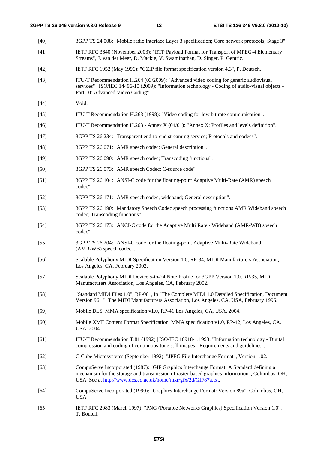[40] 3GPP TS 24.008: "Mobile radio interface Layer 3 specification; Core network protocols; Stage 3".

- [41] IETF RFC 3640 (November 2003): "RTP Payload Format for Transport of MPEG-4 Elementary Streams", J. van der Meer, D. Mackie, V. Swaminathan, D. Singer, P. Gentric. [42] IETF RFC 1952 (May 1996): "GZIP file format specification version 4.3", P. Deutsch. [43] ITU-T Recommendation H.264 (03/2009): "Advanced video coding for generic audiovisual services" | ISO/IEC 14496-10 (2009): "Information technology - Coding of audio-visual objects - Part 10: Advanced Video Coding". [44] **Void.** [45] ITU-T Recommendation H.263 (1998): "Video coding for low bit rate communication". [46] ITU-T Recommendation H.263 - Annex X (04/01): "Annex X: Profiles and levels definition". [47] 3GPP TS 26.234: "Transparent end-to-end streaming service; Protocols and codecs". [48] 3GPP TS 26.071: "AMR speech codec; General description". [49] 3GPP TS 26.090: "AMR speech codec; Transcoding functions". [50] 3GPP TS 26.073: "AMR speech Codec; C-source code". [51] 3GPP TS 26.104: "ANSI-C code for the floating-point Adaptive Multi-Rate (AMR) speech codec". [52] 3GPP TS 26.171: "AMR speech codec, wideband; General description". [53] 3GPP TS 26.190: "Mandatory Speech Codec speech processing functions AMR Wideband speech codec; Transcoding functions". [54] 3GPP TS 26.173: "ANCI-C code for the Adaptive Multi Rate - Wideband (AMR-WB) speech codec". [55] 3GPP TS 26.204: "ANSI-C code for the floating-point Adaptive Multi-Rate Wideband (AMR-WB) speech codec". [56] Scalable Polyphony MIDI Specification Version 1.0, RP-34, MIDI Manufacturers Association, Los Angeles, CA, February 2002. [57] Scalable Polyphony MIDI Device 5-to-24 Note Profile for 3GPP Version 1.0, RP-35, MIDI Manufacturers Association, Los Angeles, CA, February 2002. [58] "Standard MIDI Files 1.0", RP-001, in "The Complete MIDI 1.0 Detailed Specification, Document Version 96.1", The MIDI Manufacturers Association, Los Angeles, CA, USA, February 1996. [59] Mobile DLS, MMA specification v1.0, RP-41 Los Angeles, CA, USA. 2004. [60] Mobile XMF Content Format Specification, MMA specification v1.0, RP-42, Los Angeles, CA, USA. 2004. [61] ITU-T Recommendation T.81 (1992) | ISO/IEC 10918-1:1993: "Information technology - Digital compression and coding of continuous-tone still images - Requirements and guidelines". [62] C-Cube Microsystems (September 1992): "JPEG File Interchange Format", Version 1.02. [63] CompuServe Incorporated (1987): "GIF Graphics Interchange Format: A Standard defining a mechanism for the storage and transmission of raster-based graphics information", Columbus, OH, USA. See at http://www.dcs.ed.ac.uk/home/mxr/gfx/2d/GIF87a.txt. [64] CompuServe Incorporated (1990): "Graphics Interchange Format: Version 89a", Columbus, OH, USA.
- [65] IETF RFC 2083 (March 1997): "PNG (Portable Networks Graphics) Specification Version 1.0", T. Boutell.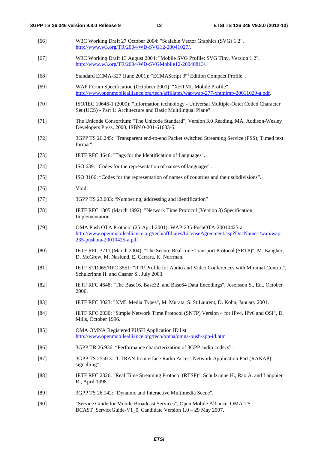| $[66]$ | W3C Working Draft 27 October 2004: "Scalable Vector Graphics (SVG) 1.2",<br>http://www.w3.org/TR/2004/WD-SVG12-20041027/.                                                                   |
|--------|---------------------------------------------------------------------------------------------------------------------------------------------------------------------------------------------|
| $[67]$ | W3C Working Draft 13 August 2004: "Mobile SVG Profile: SVG Tiny, Version 1.2",<br>http://www.w3.org/TR/2004/WD-SVGMobile12-20040813/.                                                       |
| $[68]$ | Standard ECMA-327 (June 2001): "ECMAScript 3rd Edition Compact Profile".                                                                                                                    |
| $[69]$ | WAP Forum Specification (Octobeer 2001): "XHTML Mobile Profile",<br>http://www.openmobilealliance.org/tech/affiliates/wap/wap-277-xhtmlmp-20011029-a.pdf.                                   |
| $[70]$ | ISO/IEC 10646-1 (2000): "Information technology - Universal Multiple-Octet Coded Character<br>Set (UCS) - Part 1: Architecture and Basic Multilingual Plane".                               |
| $[71]$ | The Unicode Consortium: "The Unicode Standard", Version 3.0 Reading, MA, Addison-Wesley<br>Developers Press, 2000, ISBN 0-201-61633-5.                                                      |
| $[72]$ | 3GPP TS 26.245: "Transparent end-to-end Packet switched Streaming Service (PSS); Timed text<br>format".                                                                                     |
| $[73]$ | IETF RFC 4646: "Tags for the Identification of Languages".                                                                                                                                  |
| $[74]$ | ISO 639: "Codes for the representation of names of languages".                                                                                                                              |
| $[75]$ | ISO 3166: "Codes for the representation of names of countries and their subdivisions".                                                                                                      |
| $[76]$ | Void.                                                                                                                                                                                       |
| $[77]$ | 3GPP TS 23.003: "Numbering, addressing and identification"                                                                                                                                  |
| $[78]$ | IETF RFC 1305 (March 1992): "Network Time Protocol (Version 3) Specification,<br>Implementation".                                                                                           |
| $[79]$ | OMA Push OTA Protocol (25-April-2001): WAP-235-PushOTA-20010425-a<br>http://www.openmobilealliance.org/tech/affiliates/LicenseAgreement.asp?DocName=/wap/wap-<br>235-pushota-20010425-a.pdf |
| [80]   | IETF RFC 3711 (March 2004): "The Secure Real-time Transport Protocol (SRTP)", M. Baugher,<br>D. McGrew, M. Naslund, E. Carrara, K. Norrman.                                                 |
| [81]   | IETF STD065/RFC 3551: "RTP Profile for Audio and Video Conferences with Minimal Control",<br>Schulzrinne H. and Casner S., July 2003.                                                       |
| $[82]$ | IETF RFC 4648: "The Base16, Base32, and Base64 Data Encodings", Josefsson S., Ed., October<br>2006.                                                                                         |
| $[83]$ | IETF RFC 3023: "XML Media Types", M. Murata, S. St.Laurent, D. Kohn, January 2001.                                                                                                          |
| $[84]$ | IETF RFC 2030: "Simple Network Time Protocol (SNTP) Version 4 for IPv4, IPv6 and OSI", D.<br>Mills, October 1996.                                                                           |
| $[85]$ | OMA OMNA Registered PUSH Application ID list<br>http://www.openmobilealliance.org/tech/omna/omna-push-app-id.htm                                                                            |
| $[86]$ | 3GPP TR 26.936: "Performance characterization of 3GPP audio codecs".                                                                                                                        |
| $[87]$ | 3GPP TS 25.413: "UTRAN Iu interface Radio Access Network Application Part (RANAP)<br>signalling".                                                                                           |
| $[88]$ | IETF RFC 2326: "Real Time Streaming Protocol (RTSP)", Schulzrinne H., Rao A. and Lanphier<br>R., April 1998.                                                                                |
| [89]   | 3GPP TS 26.142: "Dynamic and Interactive Multimedia Scene".                                                                                                                                 |
| $[90]$ | "Service Guide for Mobile Broadcast Services", Open Mobile Alliance, OMA-TS-<br>BCAST_ServiceGuide-V1_0, Candidate Version 1.0 - 29 May 2007.                                               |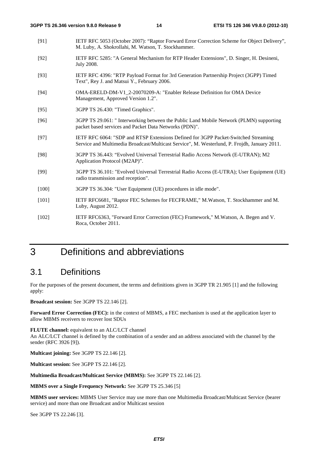- [91] IETF RFC 5053 (October 2007): "Raptor Forward Error Correction Scheme for Object Delivery", M. Luby, A. Shokrollahi, M. Watson, T. Stockhammer.
- [92] IETF RFC 5285: "A General Mechanism for RTP Header Extensions", D. Singer, H. Desineni, July 2008.
- [93] IETF RFC 4396: "RTP Payload Format for 3rd Generation Partnership Project (3GPP) Timed Text", Rey J. and Matsui Y., February 2006.
- [94] OMA-ERELD-DM-V1\_2-20070209-A: "Enabler Release Definition for OMA Device Management, Approved Version 1.2".
- [95] 3GPP TS 26.430: "Timed Graphics".
- [96] 3GPP TS 29.061: " Interworking between the Public Land Mobile Network (PLMN) supporting packet based services and Packet Data Networks (PDN)".
- [97] IETF RFC 6064: "SDP and RTSP Extensions Defined for 3GPP Packet-Switched Streaming Service and Multimedia Broadcast/Multicast Service", M. Westerlund, P. Frojdh, January 2011.
- [98] 3GPP TS 36.443: "Evolved Universal Terrestrial Radio Access Network (E-UTRAN); M2 Application Protocol (M2AP)".
- [99] 3GPP TS 36.101: "Evolved Universal Terrestrial Radio Access (E-UTRA); User Equipment (UE) radio transmission and reception".
- [100] 3GPP TS 36.304: "User Equipment (UE) procedures in idle mode".
- [101] IETF RFC6681, "Raptor FEC Schemes for FECFRAME," M.Watson, T. Stockhammer and M. Luby, August 2012.
- [102] IETF RFC6363, "Forward Error Correction (FEC) Framework," M.Watson, A. Begen and V. Roca, October 2011.

### 3 Definitions and abbreviations

### 3.1 Definitions

For the purposes of the present document, the terms and definitions given in 3GPP TR 21.905 [1] and the following apply:

**Broadcast session:** See 3GPP TS 22.146 [2].

**Forward Error Correction (FEC):** in the context of MBMS, a FEC mechanism is used at the application layer to allow MBMS receivers to recover lost SDUs

**FLUTE channel:** equivalent to an ALC/LCT channel An ALC/LCT channel is defined by the combination of a sender and an address associated with the channel by the sender (RFC 3926 [9]).

**Multicast joining:** See 3GPP TS 22.146 [2].

**Multicast session:** See 3GPP TS 22.146 [2].

**Multimedia Broadcast/Multicast Service (MBMS):** See 3GPP TS 22.146 [2].

**MBMS over a Single Frequency Network:** See 3GPP TS 25.346 [5]

**MBMS user services:** MBMS User Service may use more than one Multimedia Broadcast/Multicast Service (bearer service) and more than one Broadcast and/or Multicast session

See 3GPP TS 22.246 [3].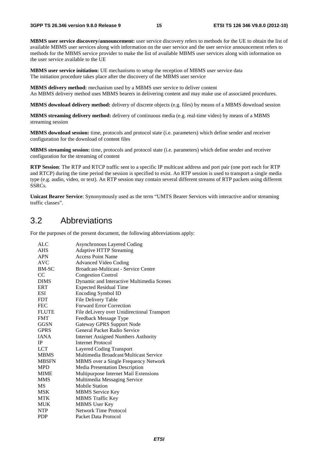**MBMS user service discovery/announcement:** user service discovery refers to methods for the UE to obtain the list of available MBMS user services along with information on the user service and the user service announcement refers to methods for the MBMS service provider to make the list of available MBMS user services along with information on the user service available to the UE

**MBMS user service initiation:** UE mechanisms to setup the reception of MBMS user service data The initiation procedure takes place after the discovery of the MBMS user service

**MBMS delivery method:** mechanism used by a MBMS user service to deliver content An MBMS delivery method uses MBMS bearers in delivering content and may make use of associated procedures.

**MBMS download delivery method:** delivery of discrete objects (e.g. files) by means of a MBMS download session

**MBMS streaming delivery method:** delivery of continuous media (e.g. real-time video) by means of a MBMS streaming session

**MBMS download session:** time, protocols and protocol state (i.e. parameters) which define sender and receiver configuration for the download of content files

**MBMS streaming session:** time, protocols and protocol state (i.e. parameters) which define sender and receiver configuration for the streaming of content

**RTP Session**: The RTP and RTCP traffic sent to a specific IP multicast address and port pair (one port each for RTP and RTCP) during the time period the session is specified to exist. An RTP session is used to transport a single media type (e.g. audio, video, or text). An RTP session may contain several different streams of RTP packets using different SSRCs.

**Unicast Bearer Service**: Synonymously used as the term "UMTS Bearer Services with interactive and/or streaming traffic classes".

### 3.2 Abbreviations

For the purposes of the present document, the following abbreviations apply:

| <b>ALC</b>   | <b>Asynchronous Layered Coding</b>          |
|--------------|---------------------------------------------|
| <b>AHS</b>   | <b>Adaptive HTTP Streaming</b>              |
| <b>APN</b>   | <b>Access Point Name</b>                    |
| <b>AVC</b>   | <b>Advanced Video Coding</b>                |
| <b>BM-SC</b> | <b>Broadcast-Multicast - Service Centre</b> |
| CC           | <b>Congestion Control</b>                   |
| <b>DIMS</b>  | Dynamic and Interactive Multimedia Scenes   |
| <b>ERT</b>   | <b>Expected Residual Time</b>               |
| ESI          | Encoding Symbol ID                          |
| <b>FDT</b>   | File Delivery Table                         |
| <b>FEC</b>   | <b>Forward Error Correction</b>             |
| <b>FLUTE</b> | File deLivery over Unidirectional Transport |
| <b>FMT</b>   | Feedback Message Type                       |
| <b>GGSN</b>  | <b>Gateway GPRS Support Node</b>            |
| <b>GPRS</b>  | General Packet Radio Service                |
| <b>JANA</b>  | <b>Internet Assigned Numbers Authority</b>  |
| IP.          | <b>Internet Protocol</b>                    |
| <b>LCT</b>   | Layered Coding Transport                    |
| <b>MBMS</b>  | Multimedia Broadcast/Multicast Service      |
| <b>MBSFN</b> | MBMS over a Single Frequency Network        |
| <b>MPD</b>   | <b>Media Presentation Description</b>       |
| <b>MIME</b>  | Multipurpose Internet Mail Extensions       |
| <b>MMS</b>   | Multimedia Messaging Service                |
| MS           | <b>Mobile Station</b>                       |
| <b>MSK</b>   | <b>MBMS</b> Service Key                     |
| <b>MTK</b>   | <b>MBMS</b> Traffic Key                     |
| MUK          | <b>MBMS</b> User Key                        |
| <b>NTP</b>   | <b>Network Time Protocol</b>                |
| <b>PDP</b>   | Packet Data Protocol                        |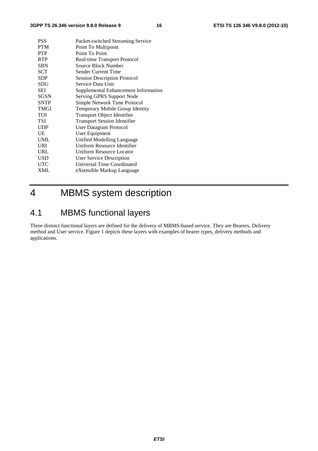| <b>PSS</b>  | Packet-switched Streaming Service      |
|-------------|----------------------------------------|
| <b>PTM</b>  | Point To Multipoint                    |
| <b>PTP</b>  | Point To Point                         |
| <b>RTP</b>  | Real-time Transport Protocol           |
| <b>SBN</b>  | Source Block Number                    |
| <b>SCT</b>  | Sender Current Time                    |
| <b>SDP</b>  | <b>Session Description Protocol</b>    |
| SDU         | Service Data Unit                      |
| SEI         | Supplemental Enhancement Information   |
| SGSN        | Serving GPRS Support Node              |
| <b>SNTP</b> | Simple Network Time Protocol           |
| TMGI        | <b>Temporary Mobile Group Identity</b> |
| TOI         | <b>Transport Object Identifier</b>     |
| TSI         | <b>Transport Session Identifier</b>    |
| <b>UDP</b>  | User Datagram Protocol                 |
| UE          | User Equipment                         |
| <b>UML</b>  | Unified Modelling Language             |
| URI         | Uniform Resource Identifier            |
| URL         | <b>Uniform Resource Locator</b>        |
| USD         | User Service Description               |
| UTC         | Universal Time Coordinated             |
| <b>XML</b>  | eXtensible Markup Language             |
|             |                                        |

### 4 MBMS system description

### 4.1 MBMS functional layers

Three distinct functional layers are defined for the delivery of MBMS-based service. They are Bearers, Delivery method and User service. Figure 1 depicts these layers with examples of bearer types, delivery methods and applications.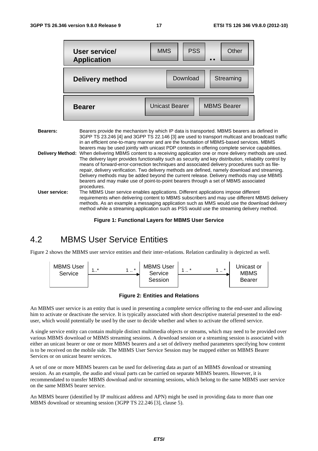|                 | User service/<br><b>Application</b> | <b>PSS</b><br><b>MMS</b><br>Other                                                                                                                                                                                                                                                                                                                                                                                                                                                                             |
|-----------------|-------------------------------------|---------------------------------------------------------------------------------------------------------------------------------------------------------------------------------------------------------------------------------------------------------------------------------------------------------------------------------------------------------------------------------------------------------------------------------------------------------------------------------------------------------------|
|                 | Delivery method                     | Download<br>Streaming                                                                                                                                                                                                                                                                                                                                                                                                                                                                                         |
|                 | <b>Bearer</b>                       | <b>Unicast Bearer</b><br><b>MBMS Bearer</b>                                                                                                                                                                                                                                                                                                                                                                                                                                                                   |
| <b>Bearers:</b> |                                     | Bearers provide the mechanism by which IP data is transported. MBMS bearers as defined in<br>3GPP TS 23.246 [4] and 3GPP TS 22.146 [3] are used to transport multicast and broadcast traffic<br>in an efficient one-to-many manner and are the foundation of MBMS-based services. MBMS<br>bearers may be used jointly with unicast PDP contexts in offering complete service capabilities.<br>Delivery Method: When delivering MBMS content to a receiving application one or more delivery methods are used. |
|                 |                                     | The delivery layer provides functionality such as security and key distribution, reliability control by                                                                                                                                                                                                                                                                                                                                                                                                       |

- The delivery layer provides functionality such as security and key distribution, reliability control by means of forward-error-correction techniques and associated delivery procedures such as filerepair, delivery verification. Two delivery methods are defined, namely download and streaming. Delivery methods may be added beyond the current release. Delivery methods may use MBMS bearers and may make use of point-to-point bearers through a set of MBMS associated procedures. **User service:** The MBMS User service enables applications. Different applications impose different requirements when delivering content to MBMS subscribers and may use different MBMS delivery
	- methods. As an example a messaging application such as MMS would use the download delivery method while a streaming application such as PSS would use the streaming delivery method.

**Figure 1: Functional Layers for MBMS User Service** 

### 4.2 MBMS User Service Entities

Figure 2 shows the MBMS user service entities and their inter-relations. Relation cardinality is depicted as well.



**Figure 2: Entities and Relations** 

An MBMS user service is an entity that is used in presenting a complete service offering to the end-user and allowing him to activate or deactivate the service. It is typically associated with short descriptive material presented to the enduser, which would potentially be used by the user to decide whether and when to activate the offered service.

A single service entity can contain multiple distinct multimedia objects or streams, which may need to be provided over various MBMS download or MBMS streaming sessions. A download session or a streaming session is associated with either an unicast bearer or one or more MBMS bearers and a set of delivery method parameters specifying how content is to be received on the mobile side. The MBMS User Service Session may be mapped either on MBMS Bearer Services or on unicast bearer services.

A set of one or more MBMS bearers can be used for delivering data as part of an MBMS download or streaming session. As an example, the audio and visual parts can be carried on separate MBMS bearers. However, it is recommendated to transfer MBMS download and/or streaming sessions, which belong to the same MBMS user service on the same MBMS bearer service.

An MBMS bearer (identified by IP multicast address and APN) might be used in providing data to more than one MBMS download or streaming session (3GPP TS 22.246 [3], clause 5).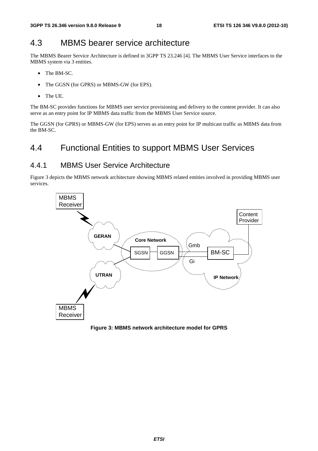### 4.3 MBMS bearer service architecture

The MBMS Bearer Service Architecture is defined in 3GPP TS 23.246 [4]. The MBMS User Service interfaces to the MBMS system via 3 entities.

- The BM-SC.
- The GGSN (for GPRS) or MBMS-GW (for EPS).
- The UE.

The BM-SC provides functions for MBMS user service provisioning and delivery to the content provider. It can also serve as an entry point for IP MBMS data traffic from the MBMS User Service source.

The GGSN (for GPRS) or MBMS-GW (for EPS) serves as an entry point for IP multicast traffic as MBMS data from the BM-SC.

### 4.4 Functional Entities to support MBMS User Services

#### 4.4.1 MBMS User Service Architecture

Figure 3 depicts the MBMS network architecture showing MBMS related entities involved in providing MBMS user services.



**Figure 3: MBMS network architecture model for GPRS**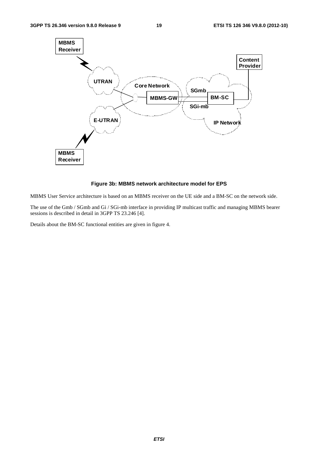

#### **Figure 3b: MBMS network architecture model for EPS**

MBMS User Service architecture is based on an MBMS receiver on the UE side and a BM-SC on the network side.

The use of the Gmb / SGmb and Gi / SGi-mb interface in providing IP multicast traffic and managing MBMS bearer sessions is described in detail in 3GPP TS 23.246 [4].

Details about the BM-SC functional entities are given in figure 4.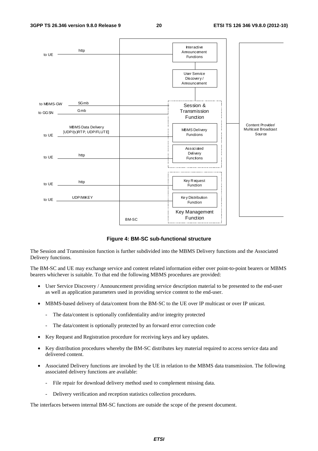

**Figure 4: BM-SC sub-functional structure** 

The Session and Transmission function is further subdivided into the MBMS Delivery functions and the Associated Delivery functions.

The BM-SC and UE may exchange service and content related information either over point-to-point bearers or MBMS bearers whichever is suitable. To that end the following MBMS procedures are provided:

- User Service Discovery / Announcement providing service description material to be presented to the end-user as well as application parameters used in providing service content to the end-user.
- MBMS-based delivery of data/content from the BM-SC to the UE over IP multicast or over IP unicast.
	- The data/content is optionally confidentiality and/or integrity protected
	- The data/content is optionally protected by an forward error correction code
- Key Request and Registration procedure for receiving keys and key updates.
- Key distribution procedures whereby the BM-SC distributes key material required to access service data and delivered content.
- Associated Delivery functions are invoked by the UE in relation to the MBMS data transmission. The following associated delivery functions are available:
	- File repair for download delivery method used to complement missing data.
	- Delivery verification and reception statistics collection procedures.

The interfaces between internal BM-SC functions are outside the scope of the present document.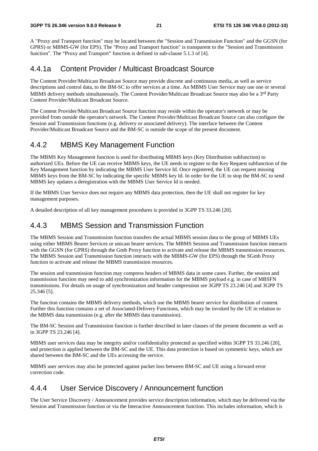A "Proxy and Transport function" may be located between the "Session and Transmission Function" and the GGSN (for GPRS) or MBMS-GW (for EPS). The "Proxy and Transport function" is transparent to the "Session and Transmission function". The "Proxy and Transport" function is defined in sub-clause 5.1.3 of [4].

### 4.4.1a Content Provider / Multicast Broadcast Source

The Content Provider/Multicast Broadcast Source may provide discrete and continuous media, as well as service descriptions and control data, to the BM-SC to offer services at a time. An MBMS User Service may use one or several MBMS delivery methods simultaneously. The Content Provider/Multicast Broadcast Source may also be a 3rd Party Content Provider/Multicast Broadcast Source.

The Content Provider/Multicast Broadcast Source function may reside within the operator's network or may be provided from outside the operator's network. The Content Provider/Multicast Broadcast Source can also configure the Session and Transmission functions (e.g. delivery or associated delivery). The interface between the Content Provider/Multicast Broadcast Source and the BM-SC is outside the scope of the present document.

### 4.4.2 MBMS Key Management Function

The MBMS Key Management function is used for distributing MBMS keys (Key Distribution subfunction) to authorized UEs. Before the UE can receive MBMS keys, the UE needs to register to the Key Request subfunction of the Key Management function by indicating the MBMS User Service Id. Once registered, the UE can request missing MBMS keys from the BM-SC by indicating the specific MBMS key Id. In order for the UE to stop the BM-SC to send MBMS key updates a deregistration with the MBMS User Service Id is needed.

If the MBMS User Service does not require any MBMS data protection, then the UE shall not register for key management purposes.

A detailed description of all key management procedures is provided in 3GPP TS 33.246 [20].

### 4.4.3 MBMS Session and Transmission Function

The MBMS Session and Transmission function transfers the actual MBMS session data to the group of MBMS UEs using either MBMS Bearer Services or unicast bearer services. The MBMS Session and Transmission function interacts with the GGSN (for GPRS) through the Gmb Proxy function to activate and release the MBMS transmission resources. The MBMS Session and Transmission function interacts with the MBMS-GW (for EPS) through the SGmb Proxy function to activate and release the MBMS transmission resources.

The session and transmission function may compress headers of MBMS data in some cases. Further, the session and transmission function may need to add synchronization information for the MBMS payload e.g. in case of MBSFN transmissions. For details on usage of synchronization and header compression see 3GPP TS 23.246 [4] and 3GPP TS 25.346 [5].

The function contains the MBMS delivery methods, which use the MBMS bearer service for distribution of content. Further this function contains a set of Associated-Delivery Functions, which may be invoked by the UE in relation to the MBMS data transmission (e.g. after the MBMS data transmission).

The BM-SC Session and Transmission function is further described in later clauses of the present document as well as in 3GPP TS 23.246 [4].

MBMS user services data may be integrity and/or confidentiality protected as specified within 3GPP TS 33.246 [20], and protection is applied between the BM-SC and the UE. This data protection is based on symmetric keys, which are shared between the BM-SC and the UEs accessing the service.

MBMS user services may also be protected against packet loss between BM-SC and UE using a forward error correction code.

### 4.4.4 User Service Discovery / Announcement function

The User Service Discovery / Announcement provides service description information, which may be delivered via the Session and Transmission function or via the Interactive Announcement function. This includes information, which is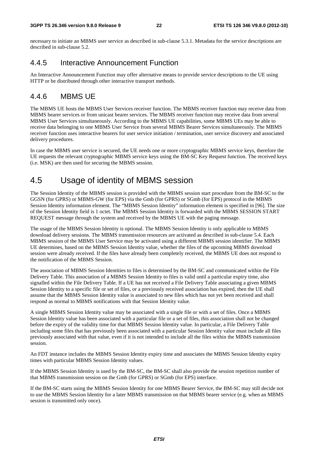necessary to initiate an MBMS user service as described in sub-clause 5.3.1. Metadata for the service descriptions are described in sub-clause 5.2.

### 4.4.5 Interactive Announcement Function

An Interactive Announcement Function may offer alternative means to provide service descriptions to the UE using HTTP or be distributed through other interactive transport methods.

### 4.4.6 MBMS UE

The MBMS UE hosts the MBMS User Services receiver function. The MBMS receiver function may receive data from MBMS bearer services or from unicast bearer services. The MBMS receiver function may receive data from several MBMS User Services simultaneously. According to the MBMS UE capabilities, some MBMS UEs may be able to receive data belonging to one MBMS User Service from several MBMS Bearer Services simultaneously. The MBMS receiver function uses interactive bearers for user service initiation / termination, user service discovery and associated delivery procedures.

In case the MBMS user service is secured, the UE needs one or more cryptographic MBMS service keys, therefore the UE requests the relevant cryptographic MBMS service keys using the BM-SC Key Request function. The received keys (i.e. MSK) are then used for securing the MBMS session.

### 4.5 Usage of identity of MBMS session

The Session Identity of the MBMS session is provided with the MBMS session start procedure from the BM-SC to the GGSN (for GPRS) or MBMS-GW (for EPS) via the Gmb (for GPRS) or SGmb (for EPS) protocol in the MBMS Session Identity information element. The "MBMS Session Identity" information element is specified in [96]. The size of the Session Identity field is 1 octet. The MBMS Session Identity is forwarded with the MBMS SESSION START REQUEST message through the system and received by the MBMS UE with the paging message.

The usage of the MBMS Session Identity is optional. The MBMS Session Identity is only applicable to MBMS download delivery sessions. The MBMS transmission resources are activated as described in sub-clause 5.4. Each MBMS session of the MBMS User Service may be activated using a different MBMS session identifier. The MBMS UE determines, based on the MBMS Session Identity value, whether the files of the upcoming MBMS download session were already received. If the files have already been completely received, the MBMS UE does not respond to the notification of the MBMS Session.

The association of MBMS Session Identities to files is determined by the BM-SC and communicated within the File Delivery Table. This association of a MBMS Session Identity to files is valid until a particular expiry time, also signalled within the File Delivery Table. If a UE has not received a File Delivery Table associating a given MBMS Session Identity to a specific file or set of files, or a previously received association has expired, then the UE shall assume that the MBMS Session Identity value is associated to new files which has not yet been received and shall respond as normal to MBMS notifications with that Session Identity value.

A single MBMS Session Identity value may be associated with a single file or with a set of files. Once a MBMS Session Identity value has been associated with a particular file or a set of files, this association shall not be changed before the expiry of the validity time for that MBMS Session Identity value. In particular, a File Delivery Table including some files that has previously been associated with a particular Session Identity value must include all files previously associated with that value, even if it is not intended to include all the files within the MBMS transmission session.

An FDT instance includes the MBMS Session Identity expiry time and associates the MBMS Session Identity expiry times with particular MBMS Session Identity values.

If the MBMS Session Identity is used by the BM-SC, the BM-SC shall also provide the session repetition number of that MBMS transmission session on the Gmb (for GPRS) or SGmb (for EPS) interface.

If the BM-SC starts using the MBMS Session Identity for one MBMS Bearer Service, the BM-SC may still decide not to use the MBMS Session Identity for a later MBMS transmission on that MBMS bearer service (e.g. when an MBMS session is transmitted only once).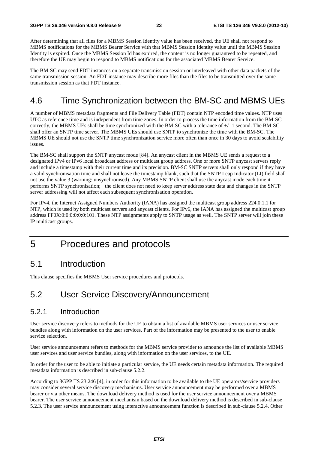After determining that all files for a MBMS Session Identity value has been received, the UE shall not respond to MBMS notifications for the MBMS Bearer Service with that MBMS Session Identity value until the MBMS Session Identity is expired. Once the MBMS Session Id has expired, the content is no longer guaranteed to be repeated, and therefore the UE may begin to respond to MBMS notifications for the associated MBMS Bearer Service.

The BM-SC may send FDT instances on a separate transmission session or interleaved with other data packets of the same transmission session. An FDT instance may describe more files than the files to be transmitted over the same transmission session as that FDT instance.

### 4.6 Time Synchronization between the BM-SC and MBMS UEs

A number of MBMS metadata fragments and File Delivery Table (FDT) contain NTP encoded time values. NTP uses UTC as reference time and is independent from time zones. In order to process the time information from the BM-SC correctly, the MBMS UEs shall be time synchronized with the BM-SC with a tolerance of +/- 1 second. The BM-SC shall offer an SNTP time server. The MBMS UEs should use SNTP to synchronize the time with the BM-SC. The MBMS UE should not use the SNTP time synchronization service more often than once in 30 days to avoid scalability issues.

The BM-SC shall support the SNTP anycast mode [84]. An anycast client in the MBMS UE sends a request to a designated IPv4 or IPv6 local broadcast address or multicast group address. One or more SNTP anycast servers reply and include a timestamp with their current time and its precision. BM-SC SNTP servers shall only respond if they have a valid synchronisation time and shall not leave the timestamp blank, such that the SNTP Leap Indicator (LI) field shall not use the value 3 (warning: unsynchronised). Any MBMS SNTP client shall use the anycast mode each time it performs SNTP synchronisation; the client does not need to keep server address state data and changes in the SNTP server addressing will not affect each subsequent synchronisation operation.

For IPv4, the Internet Assigned Numbers Authority (IANA) has assigned the multicast group address 224.0.1.1 for NTP, which is used by both multicast servers and anycast clients. For IPv6, the IANA has assigned the multicast group address FF0X:0:0:0:0:0:0:101. These NTP assignments apply to SNTP usage as well. The SNTP server will join these IP multicast groups.

### 5 Procedures and protocols

### 5.1 Introduction

This clause specifies the MBMS User service procedures and protocols.

### 5.2 User Service Discovery/Announcement

#### 5.2.1 Introduction

User service discovery refers to methods for the UE to obtain a list of available MBMS user services or user service bundles along with information on the user services. Part of the information may be presented to the user to enable service selection.

User service announcement refers to methods for the MBMS service provider to announce the list of available MBMS user services and user service bundles, along with information on the user services, to the UE.

In order for the user to be able to initiate a particular service, the UE needs certain metadata information. The required metadata information is described in sub-clause 5.2.2.

According to 3GPP TS 23.246 [4], in order for this information to be available to the UE operators/service providers may consider several service discovery mechanisms. User service announcement may be performed over a MBMS bearer or via other means. The download delivery method is used for the user service announcement over a MBMS bearer. The user service announcement mechanism based on the download delivery method is described in sub-clause 5.2.3. The user service announcement using interactive announcement function is described in sub-clause 5.2.4. Other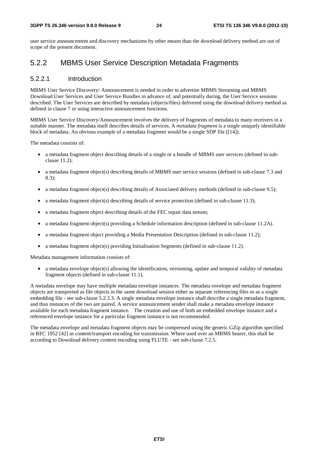user service announcement and discovery mechanisms by other means than the download delivery method are out of scope of the present document.

### 5.2.2 MBMS User Service Description Metadata Fragments

#### 5.2.2.1 Introduction

MBMS User Service Discovery/ Announcement is needed in order to advertise MBMS Streaming and MBMS Download User Services and User Service Bundles in advance of, and potentially during, the User Service sessions described. The User Services are described by metadata (objects/files) delivered using the download delivery method as defined in clause 7 or using interactive announcement functions.

MBMS User Service Discovery/Announcement involves the delivery of fragments of metadata to many receivers in a suitable manner. The metadata itself describes details of services. A *metadata fragment* is a single uniquely identifiable block of metadata. An obvious example of a metadata fragment would be a single SDP file ([14]).

The metadata consists of:

- a metadata fragment object describing details of a single or a bundle of MBMS user services (defined in subclause 11.2);
- a metadata fragment object(s) describing details of MBMS user service sessions (defined in sub-clause 7.3 and 8.3);
- a metadata fragment object(s) describing details of Associated delivery methods (defined in sub-clause 9.5);
- a metadata fragment object(s) describing details of service protection (defined in sub-clause 11.3);
- a metadata fragment object describing details of the FEC repair data stream;
- a metadata fragment object(s) providing a Schedule information description (defined in sub-clause 11.2A).
- a metadata fragment object providing a Media Presentation Description (defined in sub-clause 11.2);
- a metadata fragment object(s) providing Initialisation Segments (defined in sub-clause 11.2).

Metadata management information consists of:

• a metadata envelope object(s) allowing the identification, versioning, update and temporal validity of metadata fragment objects (defined in sub-clause 11.1).

A metadata envelope may have multiple metadata envelope instances. The metadata envelope and metadata fragment objects are transported as file objects in the same download session either as separate referencing files or as a single embedding file - see sub-clause 5.2.3.3. A single metadata envelope instance shall describe a single metadata fragment, and thus instances of the two are paired. A service announcement sender shall make a metadata envelope instance available for each metadata fragment instance. The creation and use of both an embedded envelope instance and a referenced envelope instance for a particular fragment instance is not recommended.

The metadata envelope and metadata fragment objects may be compressed using the generic GZip algorithm specified in RFC 1952 [42] as content/transport encoding for transmission. Where used over an MBMS bearer, this shall be according to Download delivery content encoding using FLUTE - see sub-clause 7.2.5.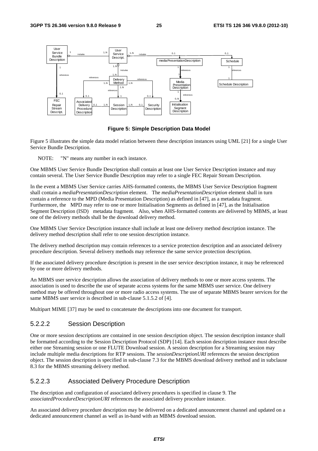

**Figure 5: Simple Description Data Model** 

Figure 5 illustrates the simple data model relation between these description instances using UML [21] for a single User Service Bundle Description.

NOTE: "N" means any number in each instance.

One MBMS User Service Bundle Description shall contain at least one User Service Description instance and may contain several. The User Service Bundle Description may refer to a single FEC Repair Stream Description.

In the event a MBMS User Service carries AHS-formatted contents, the MBMS User Service Description fragment shall contain a *mediaPresentationDescription* element. The *mediaPresentationDescription* element shall in turn contain a reference to the MPD (Media Presentation Description) as defined in [47], as a metadata fragment. Furthermore, the MPD may refer to one or more Initialisation Segments as defined in [47], as the Initialisation Segment Description (ISD) metadata fragment. Also, when AHS-formatted contents are delivered by MBMS, at least one of the delivery methods shall be the download delivery method.

One MBMS User Service Description instance shall include at least one delivery method description instance. The delivery method description shall refer to one session description instance.

The delivery method description may contain references to a service protection description and an associated delivery procedure description. Several delivery methods may reference the same service protection description.

If the associated delivery procedure description is present in the user service description instance, it may be referenced by one or more delivery methods.

An MBMS user service description allows the association of delivery methods to one or more access systems. The association is used to describe the use of separate access systems for the same MBMS user service. One delivery method may be offered throughout one or more radio access systems. The use of separate MBMS bearer services for the same MBMS user service is described in sub-clause 5.1.5.2 of [4].

Multipart MIME [37] may be used to concatenate the descriptions into one document for transport.

#### 5.2.2.2 Session Description

One or more session descriptions are contained in one session description object. The session description instance shall be formatted according to the Session Description Protocol (SDP) [14]. Each session description instance must describe either one Streaming session or one FLUTE Download session. A session description for a Streaming session may include multiple media descriptions for RTP sessions. The *sessionDescriptionURI* references the session description object. The session description is specified in sub-clause 7.3 for the MBMS download delivery method and in subclause 8.3 for the MBMS streaming delivery method.

#### 5.2.2.3 Associated Delivery Procedure Description

The description and configuration of associated delivery procedures is specified in clause 9. The *associatedProcedureDescriptionURI* references the associated delivery procedure instance.

An associated delivery procedure description may be delivered on a dedicated announcement channel and updated on a dedicated announcement channel as well as in-band with an MBMS download session.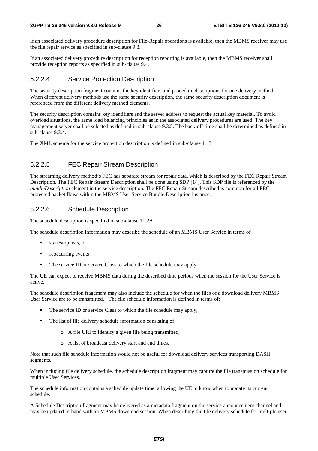If an associated delivery procedure description for File-Repair operations is available, then the MBMS receiver may use the file repair service as specified in sub-clause 9.3.

If an associated delivery procedure description for reception reporting is available, then the MBMS receiver shall provide reception reports as specified in sub-clause 9.4.

#### 5.2.2.4 Service Protection Description

The security description fragment contains the key identifiers and procedure descriptions for one delivery method. When different delivery methods use the same security description, the same security description document is referenced from the different delivery method elements.

The security description contains key identifiers and the server address to request the actual key material. To avoid overload situations, the same load balancing principles as in the associated delivery procedures are used. The key management server shall be selected as defined in sub-clause 9.3.5. The back-off time shall be determined as defined in sub-clause 9.3.4.

The XML schema for the service protection description is defined in sub-clause 11.3.

#### 5.2.2.5 FEC Repair Stream Description

The streaming delivery method's FEC has separate stream for repair data, which is described by the FEC Repair Stream Description. The FEC Repair Stream Description shall be done using SDP [14]. This SDP file is referenced by the *bundleDescription* element in the service description. The FEC Repair Stream described is common for all FEC protected packet flows within the MBMS User Service Bundle Description instance.

#### 5.2.2.6 Schedule Description

The schedule description is specified in sub-clause 11.2A.

The schedule description information may describe the schedule of an MBMS User Service in terms of

- start/stop lists, or<br>reoccurring event
- reoccurring events
- The service ID or service Class to which the file schedule may apply,

The UE can expect to receive MBMS data during the described time periods when the session for the User Service is active.

The schedule description fragement may also include the schedule for when the files of a download delivery MBMS User Service are to be transmitted. The file schedule information is defined in terms of:

- The service ID or service Class to which the file schedule may apply,<br> $\blacksquare$  The list of file delivery schedule information consisting of
- The list of file delivery schedule information consisting of:
	- o A file URI to identify a given file being transmitted,
	- o A list of broadcast delivery start and end times,

Note that such file schedule information would not be useful for download delivery services transporting DASH segments.

When including file delivery schedule, the schedule description fragment may capture the file transmission schedule for multiple User Services.

The schedule information contains a schedule update time, allowing the UE to know when to update its current schedule.

A Schedule Description fragment may be delivered as a metadata fragment on the service announcement channel and may be updated in-band with an MBMS download session. When describing the file delivery schedule for multiple user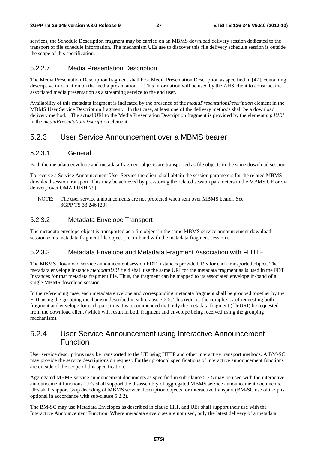services, the Schedule Description fragment may be carried on an MBMS download delivery session dedicated to the transport of file schedule information. The mechanism UEs use to discover this file delivery schedule session is outside the scope of this specification.

#### 5.2.2.7 Media Presentation Description

The Media Presentation Description fragment shall be a Media Presentation Description as specified in [47], containing descriptive information on the media presentation. This information will be used by the AHS client to construct the associated media presentation as a streaming service to the end user.

Availability of this metadata fragment is indicated by the presence of the *mediaPresentationDescription* element in the MBMS User Service Description fragment. In that case, at least one of the delivery methods shall be a download delivery method. The actual URI to the Media Presentation Description fragment is provided by the element *mpdURI* in the *mediaPresentationDescription* element.

#### 5.2.3 User Service Announcement over a MBMS bearer

#### 5.2.3.1 General

Both the metadata envelope and metadata fragment objects are transported as file objects in the same download session.

To receive a Service Announcement User Service the client shall obtain the session parameters for the related MBMS download session transport. This may be achieved by pre-storing the related session parameters in the MBMS UE or via delivery over OMA PUSH[79].

NOTE: The user service announcements are not protected when sent over MBMS bearer. See 3GPP TS 33.246 [20]

#### 5.2.3.2 Metadata Envelope Transport

The metadata envelope object is transported as a file object in the same MBMS service announcement download session as its metadata fragment file object (i.e. in-band with the metadata fragment session).

#### 5.2.3.3 Metadata Envelope and Metadata Fragment Association with FLUTE

The MBMS Download service announcement session FDT Instances provide URIs for each transported object. The metadata envelope instance *metadataURI* field shall use the same URI for the metadata fragment as is used in the FDT Instances for that metadata fragment file. Thus, the fragment can be mapped to its associated envelope in-band of a single MBMS download session.

In the referencing case, each metadata envelope and corresponding metadata fragment shall be grouped together by the FDT using the grouping mechanism described in sub-clause 7.2.5. This reduces the complexity of requesting both fragment and envelope for each pair, thus it is recommended that only the metadata fragment (fileURI) be requested from the download client (which will result in both fragment and envelope being received using the grouping mechanism).

### 5.2.4 User Service Announcement using Interactive Announcement Function

User service descriptions may be transported to the UE using HTTP and other interactive transport methods. A BM-SC may provide the service descriptions on request. Further protocol specifications of interactive announcement functions are outside of the scope of this specification.

Aggregated MBMS service announcement documents as specified in sub-clause 5.2.5 may be used with the interactive announcement functions. UEs shall support the disassembly of aggregated MBMS service announcement documents. UEs shall support Gzip decoding of MBMS service description objects for interactive transport (BM-SC use of Gzip is optional in accordance with sub-clause 5.2.2).

The BM-SC may use Metadata Envelopes as described in clause 11.1, and UEs shall support their use with the Interactive Announcement Function. Where metadata envelopes are not used, only the latest delivery of a metadata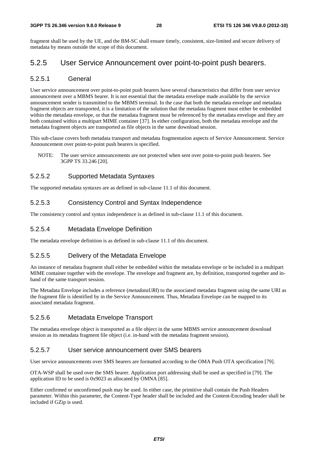#### **3GPP TS 26.346 version 9.8.0 Release 9 28 ETSI TS 126 346 V9.8.0 (2012-10)**

fragment shall be used by the UE, and the BM-SC shall ensure timely, consistent, size-limited and secure delivery of metadata by means outside the scope of this document.

### 5.2.5 User Service Announcement over point-to-point push bearers.

#### 5.2.5.1 General

User service announcement over point-to-point push bearers have several characteristics that differ from user service announcement over a MBMS bearer. It is not essential that the metadata envelope made available by the service announcement sender is transmitted to the MBMS terminal. In the case that both the metadata envelope and metadata fragment objects are transported, it is a limitation of the solution that the metadata fragment must either be embedded within the metadata envelope, or that the metadata fragment must be referenced by the metadata envelope and they are both contained within a multipart MIME container [37]. In either configuration, both the metadata envelope and the metadata fragment objects are transported as file objects in the same download session.

This sub-clause covers both metadata transport and metadata fragmentation aspects of Service Announcement. Service Announcement over point-to-point push bearers is specified.

NOTE: The user service announcements are not protected when sent over point-to-point push bearers. See 3GPP TS 33.246 [20].

#### 5.2.5.2 Supported Metadata Syntaxes

The supported metadata syntaxes are as defined in sub-clause 11.1 of this document.

#### 5.2.5.3 Consistency Control and Syntax Independence

The consistency control and syntax independence is as defined in sub-clause 11.1 of this document.

#### 5.2.5.4 Metadata Envelope Definition

The metadata envelope definition is as defined in sub-clause 11.1 of this document.

#### 5.2.5.5 Delivery of the Metadata Envelope

An instance of metadata fragment shall either be embedded within the metadata envelope or be included in a multipart MIME container together with the envelope. The envelope and fragment are, by definition, transported together and inband of the same transport session.

The Metadata Envelope includes a reference (*metadataURI*) to the associated metadata fragment using the same URI as the fragment file is identified by in the Service Announcement. Thus, Metadata Envelope can be mapped to its associated metadata fragment.

#### 5.2.5.6 Metadata Envelope Transport

The metadata envelope object is transported as a file object in the same MBMS service announcement download session as its metadata fragment file object (i.e. in-band with the metadata fragment session).

#### 5.2.5.7 User service announcement over SMS bearers

User service announcements over SMS bearers are formatted according to the OMA Push OTA specification [79].

OTA-WSP shall be used over the SMS bearer. Application port addressing shall be used as specified in [79]. The application ID to be used is 0x9023 as allocated by OMNA [85].

Either confirmed or unconfirmed push may be used. In either case, the primitive shall contain the Push Headers parameter. Within this parameter, the Content-Type header shall be included and the Content-Encoding header shall be included if GZip is used.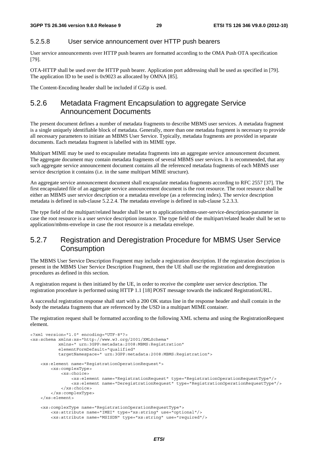#### 5.2.5.8 User service announcement over HTTP push bearers

User service announcements over HTTP push bearers are formatted according to the OMA Push OTA specification [79].

OTA-HTTP shall be used over the HTTP push bearer. Application port addressing shall be used as specified in [79]. The application ID to be used is 0x9023 as allocated by OMNA [85].

The Content-Encoding header shall be included if GZip is used.

### 5.2.6 Metadata Fragment Encapsulation to aggregate Service Announcement Documents

The present document defines a number of metadata fragments to describe MBMS user services. A metadata fragment is a single uniquely identifiable block of metadata. Generally, more than one metadata fragment is necessary to provide all necessary parameters to initiate an MBMS User Service. Typically, metadata fragments are provided in separate documents. Each metadata fragment is labelled with its MIME type.

Multipart MIME may be used to encapsulate metadata fragments into an aggregate service announcement document. The aggregate document may contain metadata fragments of several MBMS user services. It is recommended, that any such aggregate service announcement document contains all the referenced metadata fragments of each MBMS user service description it contains (i.e. in the same multipart MIME structure).

An aggregate service announcement document shall encapsulate metadata fragments according to RFC 2557 [37]. The first encapsulated file of an aggregate service announcement document is the root resource. The root resource shall be either an MBMS user service description or a metadata envelope (as a referencing index). The service description metadata is defined in sub-clause 5.2.2.4. The metadata envelope is defined in sub-clause 5.2.3.3.

The type field of the multipart/related header shall be set to application/mbms-user-service-description-parameter in case the root resource is a user service description instance. The type field of the multipart/related header shall be set to application/mbms-envelope in case the root resource is a metadata envelope.

### 5.2.7 Registration and Deregistration Procedure for MBMS User Service **Consumption**

The MBMS User Service Description Fragment may include a registration description. If the registration description is present in the MBMS User Service Description Fragment, then the UE shall use the registration and deregistration procedures as defined in this section.

A registration request is then initiated by the UE, in order to receive the complete user service description. The registration procedure is performed using HTTP 1.1 [18] POST message towards the indicated RegistrationURL.

A successful registration response shall start with a 200 OK status line in the response header and shall contain in the body the metadata fragments that are referenced by the USD in a multipart MIME container.

The registration request shall be formatted according to the following XML schema and using the RegistrationRequest element.

```
<?xml version="1.0" encoding="UTF-8"?> 
<xs:schema xmlns:xs="http://www.w3.org/2001/XMLSchema" 
            xmlns=" urn:3GPP:metadata:2008:MBMS:Registration" 
            elementFormDefault="qualified" 
            targetNamespace=" urn:3GPP:metadata:2008:MBMS:Registration"> 
     <xs:element name="RegistrationOperationRequest"> 
         <xs:complexType> 
             <xs:choice> 
                 <xs:element name="RegistrationRequest" type="RegistrationOperationRequestType"/> 
                 <xs:element name="DeregistrationRequest" type="RegistrationOperationRequestType"/> 
             </xs:choice> 
         </xs:complexType> 
     </xs:element> 
     <xs:complexType name="RegistrationOperationRequestType"> 
         <xs:attribute name="IMEI" type="xs:string" use="optional"/> 
         <xs:attribute name="MSISDN" type="xs:string" use="required"/>
```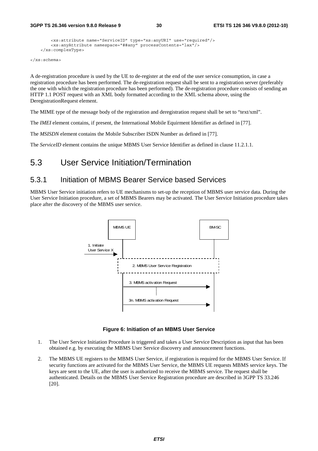```
 <xs:attribute name="ServiceID" type="xs:anyURI" use="required"/> 
     <xs:anyAttribute namespace="##any" processContents="lax"/> 
 </xs:complexType>
```
</xs:schema>

A de-registration procedure is used by the UE to de-register at the end of the user service consumption, in case a registration procedure has been performed. The de-registration request shall be sent to a registration server (preferably the one with which the registration procedure has been performed). The de-registration procedure consists of sending an HTTP 1.1 POST request with an XML body formatted according to the XML schema above, using the DeregistrationRequest element.

The MIME type of the message body of the registration and deregistration request shall be set to "text/xml".

The *IMEI* element contains, if present, the International Mobile Equirment Identifier as defined in [77].

The *MSISDN* element contains the Mobile Subscriber ISDN Number as defined in [77].

The *ServiceID* element contains the unique MBMS User Service Identifier as defined in clause 11.2.1.1.

### 5.3 User Service Initiation/Termination

#### 5.3.1 Initiation of MBMS Bearer Service based Services

MBMS User Service initiation refers to UE mechanisms to set-up the reception of MBMS user service data. During the User Service Initiation procedure, a set of MBMS Bearers may be activated. The User Service Initiation procedure takes place after the discovery of the MBMS user service.



**Figure 6: Initiation of an MBMS User Service** 

- 1. The User Service Initiation Procedure is triggered and takes a User Service Description as input that has been obtained e.g. by executing the MBMS User Service discovery and announcement functions.
- 2. The MBMS UE registers to the MBMS User Service, if registration is required for the MBMS User Service. If security functions are activated for the MBMS User Service, the MBMS UE requests MBMS service keys. The keys are sent to the UE, after the user is authorized to receive the MBMS service. The request shall be authenticated. Details on the MBMS User Service Registration procedure are described in 3GPP TS 33.246 [20].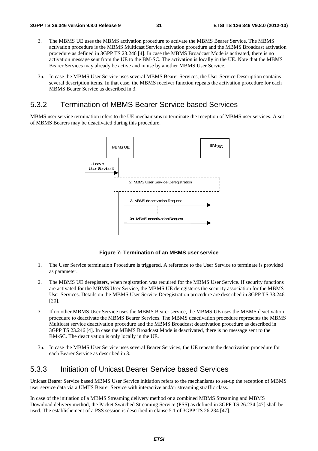- 3. The MBMS UE uses the MBMS activation procedure to activate the MBMS Bearer Service. The MBMS activation procedure is the MBMS Multicast Service activation procedure and the MBMS Broadcast activation procedure as defined in 3GPP TS 23.246 [4]. In case the MBMS Broadcast Mode is activated, there is no activation message sent from the UE to the BM-SC. The activation is locally in the UE. Note that the MBMS Bearer Services may already be active and in use by another MBMS User Service.
- 3n. In case the MBMS User Service uses several MBMS Bearer Services, the User Service Description contains several description items. In that case, the MBMS receiver function repeats the activation procedure for each MBMS Bearer Service as described in 3.

### 5.3.2 Termination of MBMS Bearer Service based Services

MBMS user service termination refers to the UE mechanisms to terminate the reception of MBMS user services. A set of MBMS Bearers may be deactivated during this procedure.



**Figure 7: Termination of an MBMS user service** 

- 1. The User Service termination Procedure is triggered. A reference to the User Service to terminate is provided as parameter.
- 2. The MBMS UE deregisters, when registration was required for the MBMS User Service. If security functions are activated for the MBMS User Service, the MBMS UE deregisteres the security association for the MBMS User Services. Details on the MBMS User Service Deregistration procedure are described in 3GPP TS 33.246 [20].
- 3. If no other MBMS User Service uses the MBMS Bearer service, the MBMS UE uses the MBMS deactivation procedure to deactivate the MBMS Bearer Services. The MBMS deactivation procedure represents the MBMS Multicast service deactivation procedure and the MBMS Broadcast deactivation procedure as described in 3GPP TS 23.246 [4]. In case the MBMS Broadcast Mode is deactivated, there is no message sent to the BM-SC. The deactivation is only locally in the UE.
- 3n. In case the MBMS User Service uses several Bearer Services, the UE repeats the deactivation procedure for each Bearer Service as described in 3.

### 5.3.3 Initiation of Unicast Bearer Service based Services

Unicast Bearer Service based MBMS User Service initiation refers to the mechanisms to set-up the reception of MBMS user service data via a UMTS Bearer Service with interactive and/or streaming straffic class.

In case of the initiation of a MBMS Streaming delivery method or a combined MBMS Streaming and MBMS Download delivery method, the Packet Switched Streaming Service (PSS) as defined in 3GPP TS 26.234 [47] shall be used. The establishement of a PSS session is described in clause 5.1 of 3GPP TS 26.234 [47].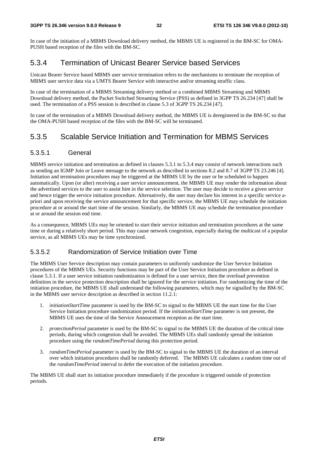In case of the initiation of a MBMS Download delivery method, the MBMS UE is registered in the BM-SC for OMA-PUSH based reception of the files with the BM-SC.

### 5.3.4 Termination of Unicast Bearer Service based Services

Unicast Bearer Service based MBMS user service termination refers to the mechanisms to terminate the reception of MBMS user service data via a UMTS Bearer Service with interactive and/or streaming straffic class.

In case of the termination of a MBMS Streaming delivery method or a combined MBMS Streaming and MBMS Download delivery method, the Packet Switched Streaming Service (PSS) as defined in 3GPP TS 26.234 [47] shall be used. The termination of a PSS session is described in clause 5.3 of 3GPP TS 26.234 [47].

In case of the termination of a MBMS Download delivery method, the MBMS UE is deregistered in the BM-SC so that the OMA-PUSH based reception of the files with the BM-SC will be terminated.

### 5.3.5 Scalable Service Initiation and Termination for MBMS Services

#### 5.3.5.1 General

MBMS service initiation and termination as defined in clauses 5.3.1 to 5.3.4 may consist of network interactions such as sending an IGMP Join or Leave message to the network as described in sections 8.2 and 8.7 of 3GPP TS 23.246 [4]. Initiation and termination procedures may be triggered at the MBMS UE by the user or be scheduled to happen automatically. Upon (or after) receiving a user service announcement, the MBMS UE may render the information about the advertised services to the user to assist him in the service selection. The user may decide to receive a given service and hence trigger the service initiation procedure. Alternatively, the user may declare his interest in a specific service apriori and upon receiving the service announcement for that specific service, the MBMS UE may schedule the initiation procedure at or around the start time of the session. Similarly, the MBMS UE may schedule the termination procedure at or around the session end time.

As a consequence, MBMS UEs may be oriented to start their service initiation and termination procedures at the same time or during a relatively short period. This may cause network congestion, especially during the multicast of a popular service, as all MBMS UEs may be time synchronized.

#### 5.3.5.2 Randomization of Service Initiation over Time

The MBMS User Service description may contain parameters to uniformly randomize the User Service Initiation procedures of the MBMS UEs. Security functions may be part of the User Service Initiation procedure as defined in clause 5.3.1. If a user service initiation randomization is defined for a user service, then the overload prevention definition in the service protection description shall be ignored for the service initiation. For randomizing the time of the initiation procedure, the MBMS UE shall understand the following parameters, which may be signalled by the BM-SC in the MBMS user service description as described in section 11.2.1:

- 1. *initiationStartTime* parameter is used by the BM-SC to signal to the MBMS UE the start time for the User Service Initiation procedure randomization period. If the *initiationStartTime* parameter is not present, the MBMS UE uses the time of the Service Annoucement reception as the start time.
- 2. *protectionPeriod* parameter is used by the BM-SC to signal to the MBMS UE the duration of the critical time periods, during which congestion shall be avoided. The MBMS UEs shall randomly spread the initiation procedure using the *randomTimePeriod* during this protection period.
- 3. *randomTimePeriod* parameter is used by the BM-SC to signal to the MBMS UE the duration of an interval over which initiation procedures shall be randomly deferred. The MBMS UE calculates a random time out of the *randomTimePeriod* interval to defer the execution of the initiation procedure.

The MBMS UE shall start its initiation procedure immediately if the procedure is triggered outside of protection periods.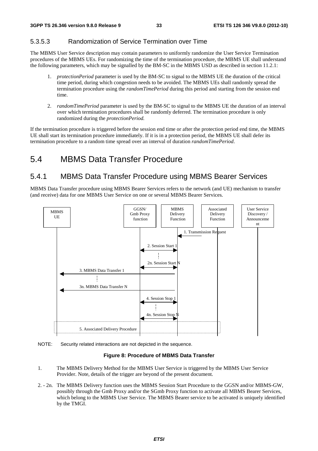#### 5.3.5.3 Randomization of Service Termination over Time

The MBMS User Service description may contain parameters to uniformly randomize the User Service Termination procedures of the MBMS UEs. For randomizing the time of the termination procedure, the MBMS UE shall understand the following parameters, which may be signalled by the BM-SC in the MBMS USD as described in section 11.2.1:

- 1. *protectionPeriod* parameter is used by the BM-SC to signal to the MBMS UE the duration of the critical time period, during which congestion needs to be avoided. The MBMS UEs shall randomly spread the termination procedure using the *randomTimePeriod* during this period and starting from the session end time.
- 2. *randomTimePeriod* parameter is used by the BM-SC to signal to the MBMS UE the duration of an interval over which termination procedures shall be randomly deferred. The termination procedure is only randomized during the *protectionPeriod.*

If the termination procedure is triggered before the session end time or after the protection period end time, the MBMS UE shall start its termination procedure immediately. If it is in a protection period, the MBMS UE shall defer its termination procedure to a random time spread over an interval of duration *randomTimePeriod*.

### 5.4 MBMS Data Transfer Procedure

### 5.4.1 MBMS Data Transfer Procedure using MBMS Bearer Services

MBMS Data Transfer procedure using MBMS Bearer Services refers to the network (and UE) mechanism to transfer (and receive) data for one MBMS User Service on one or several MBMS Bearer Services.



NOTE: Security related interactions are not depicted in the sequence.

#### **Figure 8: Procedure of MBMS Data Transfer**

- 1. The MBMS Delivery Method for the MBMS User Service is triggered by the MBMS User Service Provider. Note, details of the trigger are beyond of the present document.
- 2. 2n. The MBMS Delivery function uses the MBMS Session Start Procedure to the GGSN and/or MBMS-GW, possibly through the Gmb Proxy and/or the SGmb Proxy function to activate all MBMS Bearer Services, which belong to the MBMS User Service. The MBMS Bearer service to be activated is uniquely identified by the TMGI.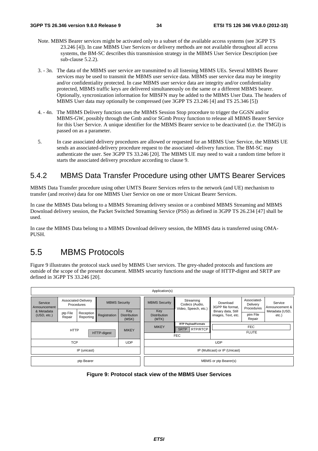- Note. MBMS Bearer services might be activated only to a subset of the available access systems (see 3GPP TS 23.246 [4]). In case MBMS User Services or delivery methods are not available throughout all access systems, the BM-SC describes this transmission strategy in the MBMS User Service Description (see sub-clause 5.2.2).
- 3. 3n. The data of the MBMS user service are transmitted to all listening MBMS UEs. Several MBMS Bearer services may be used to transmit the MBMS user service data. MBMS user service data may be integrity and/or confidentiality protected. In case MBMS user service data are integrity and/or confidentiality protected, MBMS traffic keys are delivered simultaneously on the same or a different MBMS bearer. Optionally, syncronization information for MBSFN may be added to the MBMS User Data. The headers of MBMS User data may optionally be compressed (see 3GPP TS 23.246 [4] and TS 25.346 [5])
- 4. 4n. The MBMS Delivery function uses the MBMS Session Stop procedure to trigger the GGSN and/or MBMS-GW, possibly through the Gmb and/or SGmb Proxy function to release all MBMS Bearer Service for this User Service. A unique identifier for the MBMS Bearer service to be deactivated (i.e. the TMGI) is passed on as a parameter.
- 5. In case associated delivery procedures are allowed or requested for an MBMS User Service, the MBMS UE sends an associated-delivery procedure request to the associated -delivery function. The BM-SC may authenticate the user. See 3GPP TS 33.246 [20]. The MBMS UE may need to wait a random time before it starts the associated delivery procedure according to clause 9.

### 5.4.2 MBMS Data Transfer Procedure using other UMTS Bearer Services

MBMS Data Transfer procedure using other UMTS Bearer Services refers to the network (and UE) mechanism to transfer (and receive) data for one MBMS User Service on one or more Unicast Bearer Services.

In case the MBMS Data belong to a MBMS Streaming delivery session or a combined MBMS Streaming and MBMS Download delivery session, the Packet Switched Streaming Service (PSS) as defined in 3GPP TS 26.234 [47] shall be used.

In case the MBMS Data belong to a MBMS Download delivery session, the MBMS data is transferred using OMA-PUSH.

### 5.5 MBMS Protocols

Figure 9 illustrates the protocol stack used by MBMS User services. The grey-shaded protocols and functions are outside of the scope of the present document. MBMS security functions and the usage of HTTP-digest and SRTP are defined in 3GPP TS 33.246 [20].

| Application(s)                             |                    |                                   |                      |                                     |                                                                           |                                     |                                                     |                                          |                                       |                            |
|--------------------------------------------|--------------------|-----------------------------------|----------------------|-------------------------------------|---------------------------------------------------------------------------|-------------------------------------|-----------------------------------------------------|------------------------------------------|---------------------------------------|----------------------------|
| Service<br>Announcement                    |                    | Associated-Delivery<br>Procedures | <b>MBMS Security</b> |                                     |                                                                           | <b>MBMS Security</b>                | Streaming<br>Codecs (Audio,<br>Video, Speech, etc.) | Download<br>3GPP file format,            | Associated-<br>Delivery<br>Procedures | Service<br>Announcement &  |
| & Metadata<br>(USD, etc.)                  | ptp File<br>Repair | Reception<br>Reporting            | Registration         | Key<br><b>Distribution</b><br>(MSK) |                                                                           | Key<br><b>Distribution</b><br>(MTK) |                                                     | Binary data, Still<br>images, Text, etc. | ptm File<br>Repair                    | Metadata (USD,<br>$etc.$ ) |
| <b>HTTP</b><br><b>MIKEY</b><br>HTTP-digest |                    |                                   |                      | <b>MIKEY</b>                        | <b>RTP PayloadFormats</b><br><b>SRTP</b><br><b>RTP/RTCP</b><br><b>FEC</b> |                                     | <b>FEC</b><br><b>FLUTE</b>                          |                                          |                                       |                            |
| <b>TCP</b><br><b>UDP</b>                   |                    |                                   |                      |                                     |                                                                           | <b>UDP</b>                          |                                                     |                                          |                                       |                            |
| IP (unicast)                               |                    |                                   |                      |                                     |                                                                           | IP (Multicast) or IP (Unicast)      |                                                     |                                          |                                       |                            |
| ptp Bearer                                 |                    |                                   |                      |                                     |                                                                           |                                     |                                                     | MBMS or ptp Bearer(s)                    |                                       |                            |

**Figure 9: Protocol stack view of the MBMS User Services**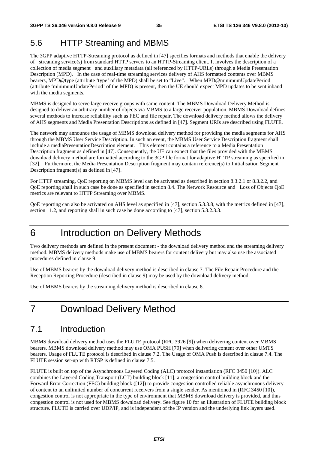### 5.6 HTTP Streaming and MBMS

The 3GPP adaptive HTTP-Streaming protocol as defined in [47] specifies formats and methods that enable the delivery of streaming service(s) from standard HTTP servers to an HTTP-Streaming client. It involves the description of a collection of media segment and auxiliary metadata (all referenced by HTTP-URLs) through a Media Presentation Description (MPD). In the case of real-time streaming services delivery of AHS formatted contents over MBMS bearers, MPD@type (attribute 'type' of the MPD) shall be set to "Live". When MPD@minimumUpdatePeriod (attribute 'minimumUpdatePeriod' of the MPD) is present, then the UE should expect MPD updates to be sent inband with the media segments.

MBMS is designed to serve large receive groups with same content. The MBMS Download Delivery Method is designed to deliver an arbitrary number of objects via MBMS to a large receiver population. MBMS Download defines several methods to increase reliability such as FEC and file repair. The download delivery method allows the delivery of AHS segments and Media Presentation Descriptions as defined in [47]. Segment URIs are described using FLUTE.

The network may announce the usage of MBMS download delivery method for providing the media segments for AHS through the MBMS User Service Description. In such an event, the MBMS User Service Description fragment shall include a mediaPresentationDescription element. This element contains a reference to a Media Presentation Description fragment as defined in [47]. Consequently, the UE can expect that the files provided with the MBMS download delivery method are formatted according to the 3GP file format for adaptive HTTP streaming as specified in [32]. Furthermore, the Media Presentation Description fragment may contain reference(s) to Initialisation Segment Description fragment(s) as defined in [47].

For HTTP streaming, QoE reporting on MBMS level can be activated as described in section 8.3.2.1 or 8.3.2.2, and QoE reporting shall in such case be done as specified in section 8.4. The Network Resource and Loss of Objects QoE metrics are relevant to HTTP Streaming over MBMS.

QoE reporting can also be activated on AHS level as specified in [47], section 5.3.3.8, with the metrics defined in [47], section 11.2, and reporting shall in such case be done according to [47], section 5.3.2.3.3.

### 6 Introduction on Delivery Methods

Two delivery methods are defined in the present document - the download delivery method and the streaming delivery method. MBMS delivery methods make use of MBMS bearers for content delivery but may also use the associated procedures defined in clause 9.

Use of MBMS bearers by the download delivery method is described in clause 7. The File Repair Procedure and the Reception Reporting Procedure (described in clause 9) may be used by the download delivery method.

Use of MBMS bearers by the streaming delivery method is described in clause 8.

### 7 Download Delivery Method

### 7.1 Introduction

MBMS download delivery method uses the FLUTE protocol (RFC 3926 [9]) when delivering content over MBMS bearers. MBMS download delivery method may use OMA PUSH [79] when delivering content over other UMTS bearers. Usage of FLUTE protocol is described in clause 7.2. The Usage of OMA Push is described in clasue 7.4. The FLUTE session set-up with RTSP is defined in clause 7.5.

FLUTE is built on top of the Asynchronous Layered Coding (ALC) protocol instantiation (RFC 3450 [10]). ALC combines the Layered Coding Transport (LCT) building block [11], a congestion control building block and the Forward Error Correction (FEC) building block ([12]) to provide congestion controlled reliable asynchronous delivery of content to an unlimited number of concurrent receivers from a single sender. As mentioned in (RFC 3450 [10]), congestion control is not appropriate in the type of environment that MBMS download delivery is provided, and thus congestion control is not used for MBMS download delivery. See figure 10 for an illustration of FLUTE building block structure. FLUTE is carried over UDP/IP, and is independent of the IP version and the underlying link layers used.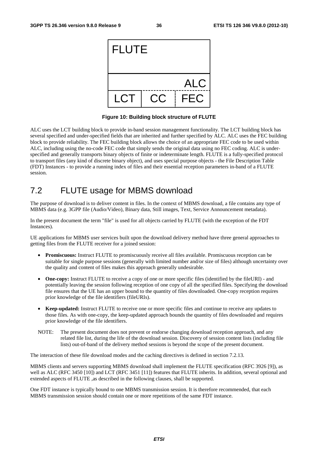

**Figure 10: Building block structure of FLUTE** 

ALC uses the LCT building block to provide in-band session management functionality. The LCT building block has several specified and under-specified fields that are inherited and further specified by ALC. ALC uses the FEC building block to provide reliability. The FEC building block allows the choice of an appropriate FEC code to be used within ALC, including using the no-code FEC code that simply sends the original data using no FEC coding. ALC is underspecified and generally transports binary objects of finite or indeterminate length. FLUTE is a fully-specified protocol to transport files (any kind of discrete binary object), and uses special purpose objects - the File Description Table (FDT) Instances - to provide a running index of files and their essential reception parameters in-band of a FLUTE session.

# 7.2 FLUTE usage for MBMS download

The purpose of download is to deliver content in files. In the context of MBMS download, a file contains any type of MBMS data (e.g. 3GPP file (Audio/Video), Binary data, Still images, Text, Service Announcement metadata).

In the present document the term "file" is used for all objects carried by FLUTE (with the exception of the FDT Instances).

UE applications for MBMS user services built upon the download delivery method have three general approaches to getting files from the FLUTE receiver for a joined session:

- **Promiscuous:** Instruct FLUTE to promiscuously receive all files available. Promiscuous reception can be suitable for single purpose sessions (generally with limited number and/or size of files) although uncertainty over the quality and content of files makes this approach generally undesirable.
- **One-copy:** Instruct FLUTE to receive a copy of one or more specific files (identified by the fileURI) and potentially leaving the session following reception of one copy of all the specified files. Specifying the download file ensures that the UE has an upper bound to the quantity of files downloaded. One-copy reception requires prior knowledge of the file identifiers (fileURIs).
- **Keep-updated:** Instruct FLUTE to receive one or more specific files and continue to receive any updates to those files. As with one-copy, the keep-updated approach bounds the quantity of files downloaded and requires prior knowledge of the file identifiers.
- NOTE: The present document does not prevent or endorse changing download reception approach, and any related file list, during the life of the download session. Discovery of session content lists (including file lists) out-of-band of the delivery method sessions is beyond the scope of the present document.

The interaction of these file download modes and the caching directives is defined in section 7.2.13.

MBMS clients and servers supporting MBMS download shall implement the FLUTE specification (RFC 3926 [9]), as well as ALC (RFC 3450 [10]) and LCT (RFC 3451 [11]) features that FLUTE inherits. In addition, several optional and extended aspects of FLUTE ,as described in the following clauses, shall be supported.

One FDT instance is typically bound to one MBMS transmission session. It is therefore recommended, that each MBMS transmission session should contain one or more repetitions of the same FDT instance.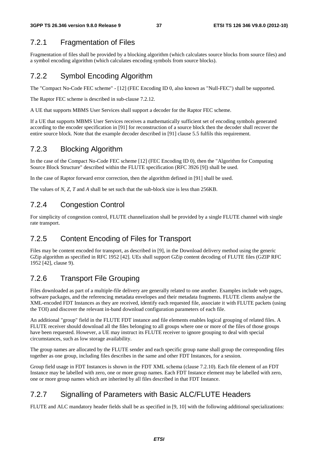## 7.2.1 Fragmentation of Files

Fragmentation of files shall be provided by a blocking algorithm (which calculates source blocks from source files) and a symbol encoding algorithm (which calculates encoding symbols from source blocks).

# 7.2.2 Symbol Encoding Algorithm

The "Compact No-Code FEC scheme" - [12] (FEC Encoding ID 0, also known as "Null-FEC") shall be supported.

The Raptor FEC scheme is described in sub-clause 7.2.12.

A UE that supports MBMS User Services shall support a decoder for the Raptor FEC scheme.

If a UE that supports MBMS User Services receives a mathematically sufficient set of encoding symbols generated according to the encoder specification in [91] for reconstruction of a source block then the decoder shall recover the entire source block. Note that the example decoder described in [91] clause 5.5 fulfils this requirement.

## 7.2.3 Blocking Algorithm

In the case of the Compact No-Code FEC scheme [12] (FEC Encoding ID 0), then the "Algorithm for Computing Source Block Structure" described within the FLUTE specification (RFC 3926 [9]) shall be used.

In the case of Raptor forward error correction, then the algorithm defined in [91] shall be used.

The values of *N*, *Z*, *T* and *A* shall be set such that the sub-block size is less than 256KB.

## 7.2.4 Congestion Control

For simplicity of congestion control, FLUTE channelization shall be provided by a single FLUTE channel with single rate transport.

## 7.2.5 Content Encoding of Files for Transport

Files may be content encoded for transport, as described in [9], in the Download delivery method using the generic GZip algorithm as specified in RFC 1952 [42]. UEs shall support GZip content decoding of FLUTE files (GZIP RFC 1952 [42], clause 9).

# 7.2.6 Transport File Grouping

Files downloaded as part of a multiple-file delivery are generally related to one another. Examples include web pages, software packages, and the referencing metadata envelopes and their metadata fragments. FLUTE clients analyse the XML-encoded FDT Instances as they are received, identify each requested file, associate it with FLUTE packets (using the TOI) and discover the relevant in-band download configuration parameters of each file.

An additional "group" field in the FLUTE FDT instance and file elements enables logical grouping of related files. A FLUTE receiver should download all the files belonging to all groups where one or more of the files of those groups have been requested. However, a UE may instruct its FLUTE receiver to ignore grouping to deal with special circumstances, such as low storage availability.

The group names are allocated by the FLUTE sender and each specific group name shall group the corresponding files together as one group, including files describes in the same and other FDT Instances, for a session.

Group field usage in FDT Instances is shown in the FDT XML schema (clause 7.2.10). Each file element of an FDT Instance may be labelled with zero, one or more group names. Each FDT Instance element may be labelled with zero, one or more group names which are inherited by all files described in that FDT Instance.

## 7.2.7 Signalling of Parameters with Basic ALC/FLUTE Headers

FLUTE and ALC mandatory header fields shall be as specified in [9, 10] with the following additional specializations: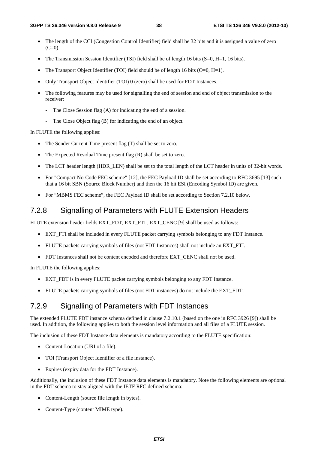- The length of the CCI (Congestion Control Identifier) field shall be 32 bits and it is assigned a value of zero  $(C=0)$ .
- The Transmission Session Identifier (TSI) field shall be of length 16 bits  $(S=0, H=1, 16$  bits).
- The Transport Object Identifier (TOI) field should be of length 16 bits  $(O=0, H=1)$ .
- Only Transport Object Identifier (TOI) 0 (zero) shall be used for FDT Instances.
- The following features may be used for signalling the end of session and end of object transmission to the receiver:
	- The Close Session flag (A) for indicating the end of a session.
	- The Close Object flag (B) for indicating the end of an object.

In FLUTE the following applies:

- The Sender Current Time present flag (T) shall be set to zero.
- The Expected Residual Time present flag (R) shall be set to zero.
- The LCT header length (HDR\_LEN) shall be set to the total length of the LCT header in units of 32-bit words.
- For "Compact No-Code FEC scheme" [12], the FEC Payload ID shall be set according to RFC 3695 [13] such that a 16 bit SBN (Source Block Number) and then the 16 bit ESI (Encoding Symbol ID) are given.
- For "MBMS FEC scheme", the FEC Payload ID shall be set according to Section 7.2.10 below.

### 7.2.8 Signalling of Parameters with FLUTE Extension Headers

FLUTE extension header fields EXT\_FDT, EXT\_FTI , EXT\_CENC [9] shall be used as follows:

- EXT FTI shall be included in every FLUTE packet carrying symbols belonging to any FDT Instance.
- FLUTE packets carrying symbols of files (not FDT Instances) shall not include an EXT\_FTI.
- FDT Instances shall not be content encoded and therefore EXT\_CENC shall not be used.

In FLUTE the following applies:

- EXT\_FDT is in every FLUTE packet carrying symbols belonging to any FDT Instance.
- FLUTE packets carrying symbols of files (not FDT instances) do not include the EXT\_FDT.

## 7.2.9 Signalling of Parameters with FDT Instances

The extended FLUTE FDT instance schema defined in clause 7.2.10.1 (based on the one in RFC 3926 [9]) shall be used. In addition, the following applies to both the session level information and all files of a FLUTE session.

The inclusion of these FDT Instance data elements is mandatory according to the FLUTE specification:

- Content-Location (URI of a file).
- TOI (Transport Object Identifier of a file instance).
- Expires (expiry data for the FDT Instance).

Additionally, the inclusion of these FDT Instance data elements is mandatory. Note the following elements are optional in the FDT schema to stay aligned with the IETF RFC defined schema:

- Content-Length (source file length in bytes).
- Content-Type (content MIME type).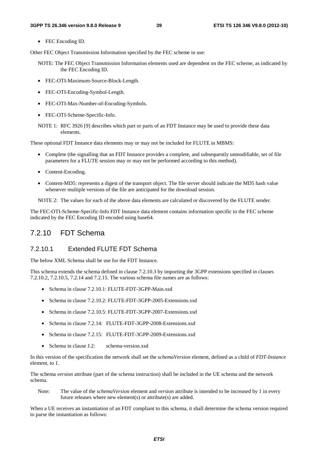• FEC Encoding ID.

Other FEC Object Transmission Information specified by the FEC scheme in use:

- NOTE: The FEC Object Transmission Information elements used are dependent on the FEC scheme, as indicated by the FEC Encoding ID.
- FEC-OTI-Maximum-Source-Block-Length.
- FEC-OTI-Encoding-Symbol-Length.
- FEC-OTI-Max-Number-of-Encoding-Symbols.
- FEC-OTI-Scheme-Specific-Info.

NOTE 1: RFC 3926 [9] describes which part or parts of an FDT Instance may be used to provide these data elements.

These optional FDT Instance data elements may or may not be included for FLUTE in MBMS:

- Complete (the signalling that an FDT Instance provides a complete, and subsequently unmodifiable, set of file parameters for a FLUTE session may or may not be performed according to this method).
- Content-Encoding.
- Content-MD5: represents a digest of the transport object. The file server should indicate the MD5 hash value whenever multiple versions of the file are anticipated for the download session.

NOTE 2: The values for each of the above data elements are calculated or discovered by the FLUTE sender.

The FEC-OTI-Scheme-Specific-Info FDT Instance data element contains information specific to the FEC scheme indicated by the FEC Encoding ID encoded using base64.

## 7.2.10 FDT Schema

#### 7.2.10.1 Extended FLUTE FDT Schema

The below XML Schema shall be use for the FDT Instance.

This schema extends the schema defined in clause 7.2.10.3 by importing the 3GPP extensions specified in clauses 7.2.10.2, 7.2.10.5, 7.2.14 and 7.2.15. The various schema file names are as follows:

- Schema in clause 7.2.10.1: FLUTE-FDT-3GPP-Main.xsd
- Schema in clause 7.2.10.2: FLUTE-FDT-3GPP-2005-Extensions.xsd
- Schema in clause 7.2.10.5: FLUTE-FDT-3GPP-2007-Extensions.xsd
- Schema in clause 7.2.14: FLUTE-FDT-3GPP-2008-Extensions.xsd
- Schema in clause 7.2.15: FLUTE-FDT-3GPP-2009-Extensions.xsd
- Schema in clause J.2: schema-version.xsd

In this version of the specification the network shall set the *schemaVersion* element, defined as a child of *FDT-Instance* element, to 1.

The schema *version* attribute (part of the schema instruction) shall be included in the UE schema and the network schema.

Note: The value of the *schemaVersion* element and *version* attribute is intended to be increased by 1 in every future releases where new element(s) or attribute(s) are added.

When a UE receives an instantiation of an FDT compliant to this schema, it shall determine the schema version required to parse the instantiation as follows: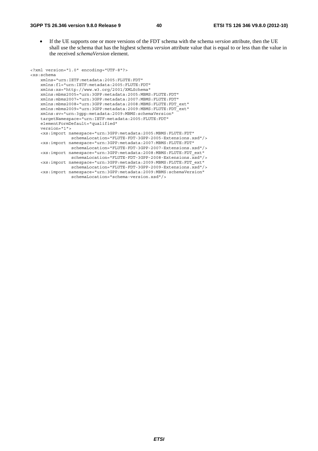• If the UE supports one or more versions of the FDT schema with the schema *version* attribute, then the UE shall use the schema that has the highest schema *version* attribute value that is equal to or less than the value in the received *schemaVersion* element.

```
<?xml version="1.0" encoding="UTF-8"?> 
<xs:schema 
    xmlns="urn:IETF:metadata:2005:FLUTE:FDT" 
     xmlns:fl="urn:IETF:metadata:2005:FLUTE:FDT" 
     xmlns:xs="http://www.w3.org/2001/XMLSchema" 
     xmlns:mbms2005="urn:3GPP:metadata:2005:MBMS:FLUTE:FDT" 
     xmlns:mbms2007="urn:3GPP:metadata:2007:MBMS:FLUTE:FDT" 
     xmlns:mbms2008="urn:3GPP:metadata:2008:MBMS:FLUTE:FDT_ext" 
     xmlns:mbms2009="urn:3GPP:metadata:2009:MBMS:FLUTE:FDT_ext" 
     xmlns:sv="urn:3gpp:metadata:2009:MBMS:schemaVersion"
     targetNamespace="urn:IETF:metadata:2005:FLUTE:FDT" 
     elementFormDefault="qualified" 
     version="1"> 
     <xs:import namespace="urn:3GPP:metadata:2005:MBMS:FLUTE:FDT" 
                 schemaLocation="FLUTE-FDT-3GPP-2005-Extensions.xsd"/> 
     <xs:import namespace="urn:3GPP:metadata:2007:MBMS:FLUTE:FDT" 
                 schemaLocation="FLUTE-FDT-3GPP-2007-Extensions.xsd"/> 
     <xs:import namespace="urn:3GPP:metadata:2008:MBMS:FLUTE:FDT_ext" 
                schemaLocation="FLUTE-FDT-3GPP-2008-Extensions.xsd"/>
     <xs:import namespace="urn:3GPP:metadata:2009:MBMS:FLUTE:FDT_ext" 
                schemaLocation="FLUTE-FDT-3GPP-2009-Extensions.xsd"/>
     <xs:import namespace="urn:3GPP:metadata:2009:MBMS:schemaVersion" 
                 schemaLocation="schema-version.xsd"/>
```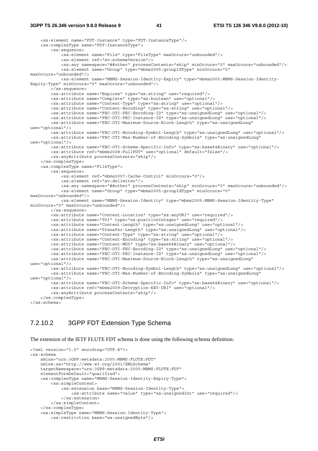#### **3GPP TS 26.346 version 9.8.0 Release 9 41 ETSI TS 126 346 V9.8.0 (2012-10)**

```
 <xs:element name="FDT-Instance" type="FDT-InstanceType"/> 
     <xs:complexType name="FDT-InstanceType"> 
         <xs:sequence> 
             <xs:element name="File" type="FileType" maxOccurs="unbounded"/> 
             <xs:element ref="sv:schemaVersion"/> 
             <xs:any namespace="##other" processContents="skip" minOccurs="0" maxOccurs="unbounded"/> 
             <xs:element name="Group" type="mbms2005:groupIdType" minOccurs="0" 
maxOccurs="unbounded"/> 
             <xs:element name="MBMS-Session-Identity-Expiry" type="mbms2005:MBMS-Session-Identity-
Expiry-Type" minOccurs="0" maxOccurs="unbounded"/> 
         </xs:sequence> 
 <xs:attribute name="Expires" type="xs:string" use="required"/> 
 <xs:attribute name="Complete" type="xs:boolean" use="optional"/> 
         <xs:attribute name="Content-Type" type="xs:string" use="optional"/> 
         <xs:attribute name="Content-Encoding" type="xs:string" use="optional"/> 
         <xs:attribute name="FEC-OTI-FEC-Encoding-ID" type="xs:unsignedLong" use="optional"/> 
         <xs:attribute name="FEC-OTI-FEC-Instance-ID" type="xs:unsignedLong" use="optional"/> 
         <xs:attribute name="FEC-OTI-Maximum-Source-Block-Length" type="xs:unsignedLong" 
use="optional"/> 
         <xs:attribute name="FEC-OTI-Encoding-Symbol-Length" type="xs:unsignedLong" use="optional"/> 
         <xs:attribute name="FEC-OTI-Max-Number-of-Encoding-Symbols" type="xs:unsignedLong" 
use="optional"/> 
         <xs:attribute name="FEC-OTI-Scheme-Specific-Info" type="xs:base64Binary" use="optional"/> 
         <xs:attribute ref="mbms2008:FullFDT" use="optional" default="false"/> 
         <xs:anyAttribute processContents="skip"/> 
     </xs:complexType> 
     <xs:complexType name="FileType"> 
         <xs:sequence> 
             <xs:element ref="mbms2007:Cache-Control" minOccurs="0"/> 
             <xs:element ref="sv:delimiter"/> 
             <xs:any namespace="##other" processContents="skip" minOccurs="0" maxOccurs="unbounded"/> 
             <xs:element name="Group" type="mbms2005:groupIdType" minOccurs="0" 
maxOccurs="unbounded"/> 
             <xs:element name="MBMS-Session-Identity" type="mbms2005:MBMS-Session-Identity-Type" 
minOccurs="0" maxOccurs="unbounded"/> 
         </xs:sequence> 
         <xs:attribute name="Content-Location" type="xs:anyURI" use="required"/> 
         <xs:attribute name="TOI" type="xs:positiveInteger" use="required"/> 
         <xs:attribute name="Content-Length" type="xs:unsignedLong" use="optional"/> 
         <xs:attribute name="Transfer-Length" type="xs:unsignedLong" use="optional"/> 
         <xs:attribute name="Content-Type" type="xs:string" use="optional"/> 
         <xs:attribute name="Content-Encoding" type="xs:string" use="optional"/> 
         <xs:attribute name="Content-MD5" type="xs:base64Binary" use="optional"/> 
         <xs:attribute name="FEC-OTI-FEC-Encoding-ID" type="xs:unsignedLong" use="optional"/> 
         <xs:attribute name="FEC-OTI-FEC-Instance-ID" type="xs:unsignedLong" use="optional"/> 
         <xs:attribute name="FEC-OTI-Maximum-Source-Block-Length" type="xs:unsignedLong" 
use="optional"/> 
         <xs:attribute name="FEC-OTI-Encoding-Symbol-Length" type="xs:unsignedLong" use="optional"/> 
         <xs:attribute name="FEC-OTI-Max-Number-of-Encoding-Symbols" type="xs:unsignedLong" 
use="optional"/> 
         <xs:attribute name="FEC-OTI-Scheme-Specific-Info" type="xs:base64Binary" use="optional"/> 
         <xs:attribute ref="mbms2009:Decryption-KEY-URI" use="optional"/> 
         <xs:anyAttribute processContents="skip"/> 
     </xs:complexType> 
</xs:schema>
```
### 7.2.10.2 3GPP FDT Extension Type Schema

The extension of the IETF FLUTE FDT schema is done using the following schema definition:

```
<?xml version="1.0" encoding="UTF-8"?> 
<xs:schema 
    xmlns="urn:3GPP:metadata:2005:MBMS:FLUTE:FDT" 
     xmlns:xs="http://www.w3.org/2001/XMLSchema" 
     targetNamespace="urn:3GPP:metadata:2005:MBMS:FLUTE:FDT" 
     elementFormDefault="qualified"> 
     <xs:complexType name="MBMS-Session-Identity-Expiry-Type"> 
         <xs:simpleContent> 
             <xs:extension base="MBMS-Session-Identity-Type"> 
                 <xs:attribute name="value" type="xs:unsignedInt" use="required"/> 
             </xs:extension> 
         </xs:simpleContent> 
     </xs:complexType> 
     <xs:simpleType name="MBMS-Session-Identity-Type"> 
         <xs:restriction base="xs:unsignedByte"/>
```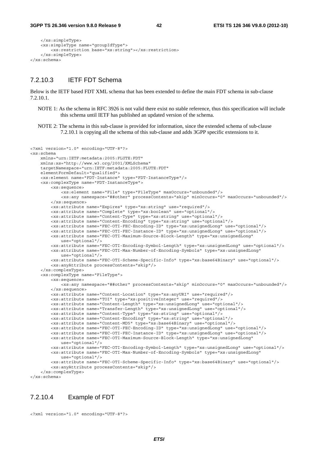```
 </xs:simpleType> 
     <xs:simpleType name="groupIdType"> 
         <xs:restriction base="xs:string"></xs:restriction> 
     </xs:simpleType> 
</xs:schema>
```
#### 7.2.10.3 IETF FDT Schema

Below is the IETF based FDT XML schema that has been extended to define the main FDT schema in sub-clause 7.2.10.1.

NOTE 1: As the schema in RFC 3926 is not valid there exist no stable reference, thus this specification will include this schema until IETF has published an updated version of the schema.

NOTE 2: The schema in this sub-clause is provided for information, since the extended schema of sub-clause 7.2.10.1 is copying all the schema of this sub-clause and adds 3GPP specific extensions to it.

```
<?xml version="1.0" encoding="UTF-8"?> 
<xs:schema 
    xmlns="urn:IETF:metadata:2005:FLUTE:FDT" 
     xmlns:xs="http://www.w3.org/2001/XMLSchema" 
     targetNamespace="urn:IETF:metadata:2005:FLUTE:FDT" 
     elementFormDefault="qualified"> 
     <xs:element name="FDT-Instance" type="FDT-InstanceType"/> 
     <xs:complexType name="FDT-InstanceType"> 
         <xs:sequence> 
             <xs:element name="File" type="FileType" maxOccurs="unbounded"/> 
             <xs:any namespace="##other" processContents="skip" minOccurs="0" maxOccurs="unbounded"/> 
         </xs:sequence> 
         <xs:attribute name="Expires" type="xs:string" use="required"/> 
         <xs:attribute name="Complete" type="xs:boolean" use="optional"/> 
         <xs:attribute name="Content-Type" type="xs:string" use="optional"/> 
         <xs:attribute name="Content-Encoding" type="xs:string" use="optional"/> 
         <xs:attribute name="FEC-OTI-FEC-Encoding-ID" type="xs:unsignedLong" use="optional"/> 
         <xs:attribute name="FEC-OTI-FEC-Instance-ID" type="xs:unsignedLong" use="optional"/> 
         <xs:attribute name="FEC-OTI-Maximum-Source-Block-Length" type="xs:unsignedLong" 
             use="optional"/> 
         <xs:attribute name="FEC-OTI-Encoding-Symbol-Length" type="xs:unsignedLong" use="optional"/> 
         <xs:attribute name="FEC-OTI-Max-Number-of-Encoding-Symbols" type="xs:unsignedLong" 
             use="optional"/> 
         <xs:attribute name="FEC-OTI-Scheme-Specific-Info" type="xs:base64Binary" use="optional"/> 
         <xs:anyAttribute processContents="skip"/> 
     </xs:complexType> 
     <xs:complexType name="FileType"> 
         <xs:sequence> 
             <xs:any namespace="##other" processContents="skip" minOccurs="0" maxOccurs="unbounded"/> 
         </xs:sequence> 
         <xs:attribute name="Content-Location" type="xs:anyURI" use="required"/> 
         <xs:attribute name="TOI" type="xs:positiveInteger" use="required"/> 
         <xs:attribute name="Content-Length" type="xs:unsignedLong" use="optional"/> 
         <xs:attribute name="Transfer-Length" type="xs:unsignedLong" use="optional"/> 
         <xs:attribute name="Content-Type" type="xs:string" use="optional"/> 
         <xs:attribute name="Content-Encoding" type="xs:string" use="optional"/> 
         <xs:attribute name="Content-MD5" type="xs:base64Binary" use="optional"/> 
 <xs:attribute name="FEC-OTI-FEC-Encoding-ID" type="xs:unsignedLong" use="optional"/> 
 <xs:attribute name="FEC-OTI-FEC-Instance-ID" type="xs:unsignedLong" use="optional"/> 
         <xs:attribute name="FEC-OTI-Maximum-Source-Block-Length" type="xs:unsignedLong" 
             use="optional"/> 
         <xs:attribute name="FEC-OTI-Encoding-Symbol-Length" type="xs:unsignedLong" use="optional"/> 
         <xs:attribute name="FEC-OTI-Max-Number-of-Encoding-Symbols" type="xs:unsignedLong" 
             use="optional"/> 
         <xs:attribute name="FEC-OTI-Scheme-Specific-Info" type="xs:base64Binary" use="optional"/> 
         <xs:anyAttribute processContents="skip"/> 
     </xs:complexType> 
</xs:schema>
```
### 7.2.10.4 Example of FDT

```
<?xml version="1.0" encoding="UTF-8"?>
```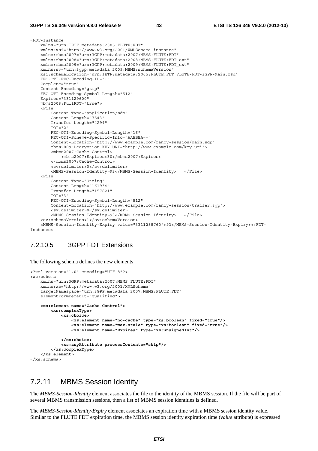#### **3GPP TS 26.346 version 9.8.0 Release 9 43 ETSI TS 126 346 V9.8.0 (2012-10)**

```
<FDT-Instance 
     xmlns="urn:IETF:metadata:2005:FLUTE:FDT" 
     xmlns:xsi="http://www.w3.org/2001/XMLSchema-instance" 
     xmlns:mbms2007="urn:3GPP:metadata:2007:MBMS:FLUTE:FDT" 
     xmlns:mbms2008="urn:3GPP:metadata:2008:MBMS:FLUTE:FDT_ext" 
     xmlns:mbms2009="urn:3GPP:metadata:2009:MBMS:FLUTE:FDT_ext"
     xmlns:sv="urn:3gpp:metadata:2009:MBMS:schemaVersion" 
     xsi:schemaLocation="urn:IETF:metadata:2005:FLUTE:FDT FLUTE-FDT-3GPP-Main.xsd" 
     FEC-OTI-FEC-Encoding-ID="1" 
     Complete="true" 
     Content-Encoding="gzip" 
     FEC-OTI-Encoding-Symbol-Length="512" 
     Expires="331129600" 
     mbms2008:FullFDT="true"> 
     <File 
         Content-Type="application/sdp" 
         Content-Length="7543" 
         Transfer-Length="4294" 
        TOT = "2" FEC-OTI-Encoding-Symbol-Length="16" 
         FEC-OTI-Scheme-Specific-Info="AAEBBA==" 
         Content-Location="http://www.example.com/fancy-session/main.sdp" 
         mbms2009:Decryption-KEY-URI="http://www.example.com/key-uri"> 
         <mbms2007:Cache-Control> 
             <mbms2007:Expires>30</mbms2007:Expires> 
         </mbms2007:Cache-Control> 
         <sv:delimiter>0</sv:delimiter> 
         <MBMS-Session-Identity>93</MBMS-Session-Identity> </File> 
     <File 
         Content-Type="String" 
         Content-Length="161934" 
         Transfer-Length="157821" 
        TOI = "3" FEC-OTI-Encoding-Symbol-Length="512" 
         Content-Location="http://www.example.com/fancy-session/trailer.3gp"> 
         <sv:delimiter>0</sv:delimiter> 
         <MBMS-Session-Identity>93</MBMS-Session-Identity> </File> 
     <sv:schemaVersion>1</sv:schemaVersion> 
     <MBMS-Session-Identity-Expiry value="3311288760">93</MBMS-Session-Identity-Expiry></FDT-
Instance>
```
#### 7.2.10.5 3GPP FDT Extensions

The following schema defines the new elements

```
<?xml version="1.0" encoding="UTF-8"?> 
<xs:schema 
    xmlns="urn:3GPP:metadata:2007:MBMS:FLUTE:FDT" 
     xmlns:xs="http://www.w3.org/2001/XMLSchema" 
     targetNamespace="urn:3GPP:metadata:2007:MBMS:FLUTE:FDT" 
     elementFormDefault="qualified"> 
     <xs:element name="Cache-Control"> 
         <xs:complexType> 
             <xs:choice> 
                  <xs:element name="no-cache" type="xs:boolean" fixed="true"/> 
                  <xs:element name="max-stale" type="xs:boolean" fixed="true"/> 
                  <xs:element name="Expires" type="xs:unsignedInt"/> 
             </xs:choice> 
             <xs:anyAttribute processContents="skip"/> 
         </xs:complexType> 
     </xs:element> 
</xs:schema>
```
### 7.2.11 MBMS Session Identity

The *MBMS-Session-Identity* element associates the file to the identity of the MBMS session. If the file will be part of several MBMS transmission sessions, then a list of MBMS session identities is defined.

The *MBMS-Session-Identity-Expiry* element associates an expiration time with a MBMS session identity value. Similar to the FLUTE FDT expiration time, the MBMS session identity expiration time (*value* attribute) is expressed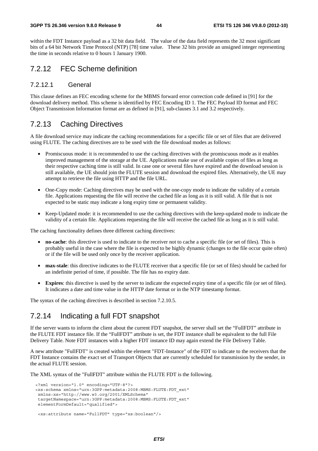#### **3GPP TS 26.346 version 9.8.0 Release 9 44 ETSI TS 126 346 V9.8.0 (2012-10)**

within the FDT Instance payload as a 32 bit data field. The value of the data field represents the 32 most significant bits of a 64 bit Network Time Protocol (NTP) [78] time value. These 32 bits provide an unsigned integer representing the time in seconds relative to 0 hours 1 January 1900.

## 7.2.12 FEC Scheme definition

#### 7.2.12.1 General

This clause defines an FEC encoding scheme for the MBMS forward error correction code defined in [91] for the download delivery method. This scheme is identified by FEC Encoding ID 1. The FEC Payload ID format and FEC Object Transmission Information format are as defined in [91], sub-clauses 3.1 and 3.2 respectively.

### 7.2.13 Caching Directives

A file download service may indicate the caching recommendations for a specific file or set of files that are delivered using FLUTE. The caching directives are to be used with the file download modes as follows:

- Promiscuous mode: it is recommended to use the caching directives with the promiscuous mode as it enables improved management of the storage at the UE. Applications make use of available copies of files as long as their respective caching time is still valid. In case one or several files have expired and the download session is still available, the UE should join the FLUTE session and download the expired files. Alternatively, the UE may attempt to retrieve the file using HTTP and the file URL.
- One-Copy mode: Caching directives may be used with the one-copy mode to indicate the validity of a certain file. Applications requesting the file will receive the cached file as long as it is still valid. A file that is not expected to be static may indicate a long expiry time or permanent validity.
- Keep-Updated mode: it is recommended to use the caching directives with the keep-updated mode to indicate the validity of a certain file. Applications requesting the file will receive the cached file as long as it is still valid.

The caching functionality defines three different caching directives:

- **no-cache**: this directive is used to indicate to the receiver not to cache a specific file (or set of files). This is probably useful in the case where the file is expected to be highly dynamic (changes to the file occur quite often) or if the file will be used only once by the receiver application.
- **max-stale**: this directive indicates to the FLUTE receiver that a specific file (or set of files) should be cached for an indefinite period of time, if possible. The file has no expiry date.
- **Expires**: this directive is used by the server to indicate the expected expiry time of a specific file (or set of files). It indicates a date and time value in the HTTP date format or in the NTP timestamp format.

The syntax of the caching directives is described in section 7.2.10.5.

## 7.2.14 Indicating a full FDT snapshot

If the server wants to inform the client about the current FDT snapshot, the server shall set the "FullFDT" attribute in the FLUTE FDT instance file. If the "FullFDT" attribute is set, the FDT instance shall be equivalent to the full File Delivery Table. Note FDT instances with a higher FDT instance ID may again extend the File Delivery Table.

A new attribute "FullFDT" is created within the element "FDT-Instance" of the FDT to indicate to the receivers that the FDT Instance contains the exact set of Transport Objects that are currently scheduled for transmission by the sender, in the actual FLUTE session.

The XML syntax of the "FullFDT" attribute within the FLUTE FDT is the following.

```
 <?xml version="1.0" encoding="UTF-8"?> 
 <xs:schema xmlns="urn:3GPP:metadata:2008:MBMS:FLUTE:FDT_ext" 
 xmlns:xs="http://www.w3.org/2001/XMLSchema" 
 targetNamespace="urn:3GPP:metadata:2008:MBMS:FLUTE:FDT_ext" 
 elementFormDefault="qualified">
```

```
 <xs:attribute name="FullFDT" type="xs:boolean"/>
```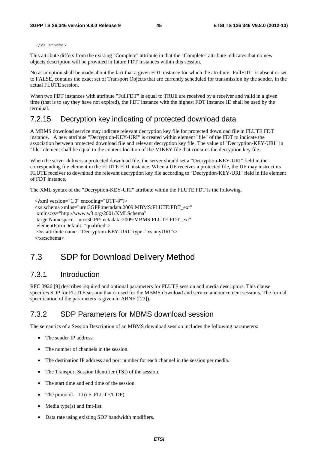</xs:schema>

This attribute differs from the existing "Complete" attribute in that the "Complete" attribute indicates that no new objects description will be provided in future FDT Instances within this session.

No assumption shall be made about the fact that a given FDT instance for which the attribute "FullFDT" is absent or set to FALSE, contains the exact set of Transport Objects that are currently scheduled for transmission by the sender, in the actual FLUTE session.

When two FDT instances with attribute "FullFDT" is equal to TRUE are received by a receiver and valid in a given time (that is to say they have not expired), the FDT instance with the highest FDT Instance ID shall be used by the terminal.

## 7.2.15 Decryption key indicating of protected download data

A MBMS download service may indicate relevant decryption key file for protected download file in FLUTE FDT instance. A new attribute "Decryption-KEY-URI" is created within element "file" of the FDT to indicate the association between protected download file and relevant decryption key file. The value of "Decryption-KEY-URI" in "file" element shall be equal to the content-location of the MIKEY file that contains the decryption key file.

When the server delivers a protected download file, the server should set a "Decryption-KEY-URI" field in the corresponding file element in the FLUTE FDT instance. When a UE receives a protected file, the UE may instruct its FLUTE receiver to download the relevant decryption key file according to "Decryption-KEY-URI" field in file element of FDT instance.

The XML syntax of the "Decryption-KEY-URI" attribute within the FLUTE FDT is the following.

```
 <?xml version="1.0" encoding="UTF-8"?> 
 <xs:schema xmlns="urn:3GPP:metadata:2009:MBMS:FLUTE:FDT_ext" 
  xmlns:xs="http://www.w3.org/2001/XMLSchema" 
 targetNamespace="urn:3GPP:metadata:2009:MBMS:FLUTE:FDT_ext" 
 elementFormDefault="qualified"> 
  <xs:attribute name="Decryption-KEY-URI" type="xs:anyURI"/> 
 </xs:schema>
```
# 7.3 SDP for Download Delivery Method

### 7.3.1 Introduction

RFC 3926 [9] describes required and optional parameters for FLUTE session and media descriptors. This clause specifies SDP for FLUTE session that is used for the MBMS download and service announcement sessions. The formal specification of the parameters is given in ABNF ([23]).

### 7.3.2 SDP Parameters for MBMS download session

The semantics of a Session Description of an MBMS download session includes the following parameters:

- The sender IP address.
- The number of channels in the session.
- The destination IP address and port number for each channel in the session per media.
- The Transport Session Identifier (TSI) of the session.
- The start time and end time of the session.
- The protocol ID (i.e. FLUTE/UDP).
- Media type $(s)$  and fmt-list.
- Data rate using existing SDP bandwidth modifiers.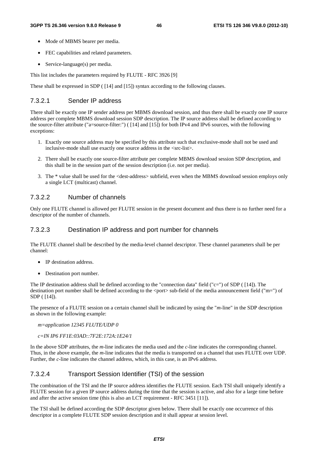- Mode of MBMS bearer per media.
- FEC capabilities and related parameters.
- Service-language(s) per media.

This list includes the parameters required by FLUTE - RFC 3926 [9]

These shall be expressed in SDP ( [14] and [15]) syntax according to the following clauses.

#### 7.3.2.1 Sender IP address

There shall be exactly one IP sender address per MBMS download session, and thus there shall be exactly one IP source address per complete MBMS download session SDP description. The IP source address shall be defined according to the source-filter attribute ("a=source-filter:") ( [14] and [15]) for both IPv4 and IPv6 sources, with the following exceptions:

- 1. Exactly one source address may be specified by this attribute such that exclusive-mode shall not be used and inclusive-mode shall use exactly one source address in the <src-list>.
- 2. There shall be exactly one source-filter attribute per complete MBMS download session SDP description, and this shall be in the session part of the session description (i.e. not per media).
- 3. The \* value shall be used for the <dest-address> subfield, even when the MBMS download session employs only a single LCT (multicast) channel.

#### 7.3.2.2 Number of channels

Only one FLUTE channel is allowed per FLUTE session in the present document and thus there is no further need for a descriptor of the number of channels.

#### 7.3.2.3 Destination IP address and port number for channels

The FLUTE channel shall be described by the media-level channel descriptor. These channel parameters shall be per channel:

- IP destination address.
- Destination port number.

The IP destination address shall be defined according to the "connection data" field ("c=") of SDP ( [14]). The destination port number shall be defined according to the <port> sub-field of the media announcement field ("m=") of SDP ( [14]).

The presence of a FLUTE session on a certain channel shall be indicated by using the "*m-*line" in the SDP description as shown in the following example:

#### *m=application 12345 FLUTE/UDP 0*

#### *c=IN IP6 FF1E:03AD::7F2E:172A:1E24/1*

In the above SDP attributes, the *m*-line indicates the media used and the *c*-line indicates the corresponding channel. Thus, in the above example, the *m*-line indicates that the media is transported on a channel that uses FLUTE over UDP. Further, the *c*-line indicates the channel address, which, in this case, is an IPv6 address.

#### 7.3.2.4 Transport Session Identifier (TSI) of the session

The combination of the TSI and the IP source address identifies the FLUTE session. Each TSI shall uniquely identify a FLUTE session for a given IP source address during the time that the session is active, and also for a large time before and after the active session time (this is also an LCT requirement - RFC 3451 [11]).

The TSI shall be defined according the SDP descriptor given below. There shall be exactly one occurrence of this descriptor in a complete FLUTE SDP session description and it shall appear at session level.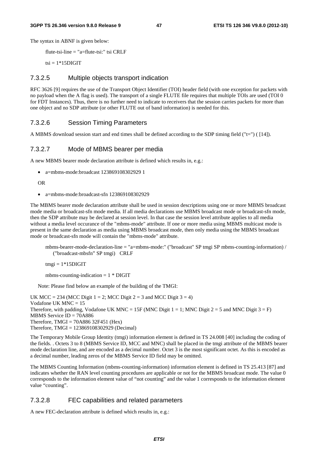The syntax in ABNF is given below:

flute-tsi-line = "a=flute-tsi:" tsi CRLF

 $tsi = 1*15$ DIGIT

#### 7.3.2.5 Multiple objects transport indication

RFC 3626 [9] requires the use of the Transport Object Identifier (TOI) header field (with one exception for packets with no payload when the A flag is used). The transport of a single FLUTE file requires that multiple TOIs are used (TOI 0 for FDT Instances). Thus, there is no further need to indicate to receivers that the session carries packets for more than one object and no SDP attribute (or other FLUTE out of band information) is needed for this.

#### 7.3.2.6 Session Timing Parameters

A MBMS download session start and end times shall be defined according to the SDP timing field ("t=") ( [14]).

#### 7.3.2.7 Mode of MBMS bearer per media

A new MBMS bearer mode declaration attribute is defined which results in, e.g.:

• a=mbms-mode:broadcast 123869108302929 1

OR

• a=mbms-mode:broadcast-sfn 123869108302929

The MBMS bearer mode declaration attribute shall be used in session descriptions using one or more MBMS broadcast mode media or broadcast-sfn mode media. If all media declarations use MBMS broadcast mode or broadcast-sfn mode, then the SDP attribute may be declared at session level. In that case the session level attribute applies to all media without a media level occurance of the "mbms-mode" attribute. If one or more media using MBMS multicast mode is present in the same declaration as media using MBMS broadcast mode, then only media using the MBMS broadcast mode or broadcast-sfn mode will contain the "mbms-mode" attribute.

mbms-bearer-mode-declaration-line = "a=mbms-mode:" ("broadcast" SP tmgi SP mbms-counting-information) / ("broadcast-mbsfn" SP tmgi) CRLF

 $tmgi = 1*15DIGIT$ 

mbms-counting-indication  $= 1 * DIGIT$ 

Note: Please find below an example of the building of the TMGI:

UK MCC = 234 (MCC Digit  $1 = 2$ ; MCC Digit  $2 = 3$  and MCC Digit  $3 = 4$ ) Vodafone UK MNC = 15 Therefore, with padding, Vodafone UK MNC = 15F (MNC Digit 1 = 1; MNC Digit 2 = 5 and MNC Digit 3 = F) MBMS Service ID = 70A886 Therefore, TMGI = 70A886 32F451 (Hex) Therefore, TMGI = 123869108302929 (Decimal)

The Temporary Mobile Group Identity (tmgi) information element is defined in TS 24.008 [40] including the coding of the fields. . Octets 3 to 8 (MBMS Service ID, MCC and MNC) shall be placed in the tmgi attribute of the MBMS bearer mode declaration line, and are encoded as a decimal number. Octet 3 is the most significant octet. As this is encoded as a decimal number, leading zeros of the MBMS Service ID field may be omitted.

The MBMS Counting Information (mbms-counting-information) information element is defined in TS 25.413 [87] and indicates whether the RAN level counting procedures are applicable or not for the MBMS broadcast mode. The value 0 corresponds to the information element value of "not counting" and the value 1 corresponds to the information element value "counting".

#### 7.3.2.8 FEC capabilities and related parameters

A new FEC-declaration attribute is defined which results in, e.g.: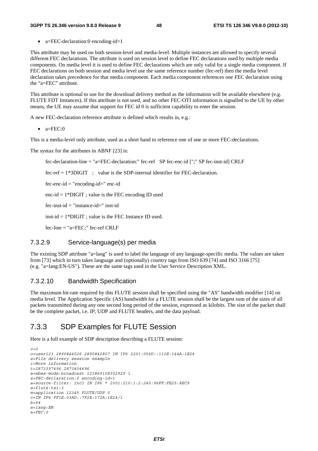• a=FEC-declaration:0 encoding-id=1

This attribute may be used on both session-level and media-level. Multiple instances are allowed to specify several different FEC declarations. The attribute is used on session level to define FEC declarations used by multiple media components. On media level it is used to define FEC declarations which are only valid for a single media component. If FEC declarations on both session and media level use the same reference number (fec-ref) then the media level declaration takes precedence for that media component. Each media component references one FEC declaration using the "a=FEC" attribute.

This attribute is optional to use for the download delivery method as the information will be available elsewhere (e.g. FLUTE FDT Instances). If this attribute is not used, and no other FEC-OTI information is signalled to the UE by other means, the UE may assume that support for FEC id 0 is sufficient capability to enter the session.

A new FEC-declaration reference attribute is defined which results in, e.g.:

 $\bullet$  a=FEC:0

This is a media-level only attribute, used as a short hand to reference one of one or more FEC-declarations.

The syntax for the attributes in ABNF [23] is:

fec-declaration-line = "a=FEC-declaration:" fec-ref SP fec-enc-id [";" SP fec-inst-id] CRLF

fec-ref  $= 1*3DIGIT$ ; value is the SDP-internal identifier for FEC-declaration.

 $fec-enc-id = "encoding-id = "enc-id$ 

enc-id  $= 1*$ DIGIT; value is the FEC encoding ID used

fec-inst-id = "instance-id=" inst-id

inst-id = 1\*DIGIT ; value is the FEC Instance ID used.

fec-line  $=$  "a=FEC:" fec-ref CRLF

#### 7.3.2.9 Service-language(s) per media

The existing SDP attribute "a=lang" is used to label the language of any language-specific media. The values are taken from [73] which in turn takes language and (optionally) country tags from ISO 639 [74] and ISO 3166 [75] (e.g. "a=lang:EN-US"). These are the same tags used in the User Service Description XML.

#### 7.3.2.10 Bandwidth Specification

The maximum bit-rate required by this FLUTE session shall be specified using the "AS" bandwidth modifier [14] on media level. The Application Specific (AS) bandwidth for a FLUTE session shall be the largest sum of the sizes of all packets transmitted during any one second long period of the session, expressed as kilobits. The size of the packet shall be the complete packet, i.e. IP, UDP and FLUTE headers, and the data payload.

### 7.3.3 SDP Examples for FLUTE Session

Here is a full example of SDP description describing a FLUTE session:

```
v=0 
o=user123 2890844526 2890842807 IN IP6 2201:056D::112E:144A:1E24 
s=File delivery session example 
i=More information 
t=2873397496 2873404696 
a=mbms-mode:broadcast 123869108302929 1 
a=FEC-declaration:0 encoding-id=1 
a=source-filter: incl IN IP6 * 2001:210:1:2:240:96FF:FE25:8EC9 
a=flute-tsi:3 
m=application 12345 FLUTE/UDP 0 
c=IN IP6 FF1E:03AD::7F2E:172A:1E24/1 
b=64 
a=lang:EN 
a=FEC:0
```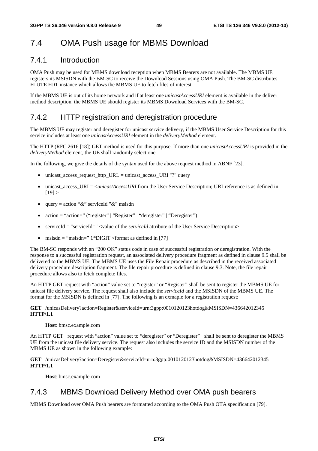# 7.4 OMA Push usage for MBMS Download

## 7.4.1 Introduction

OMA Push may be used for MBMS download reception when MBMS Bearers are not available. The MBMS UE registers its MSISDN with the BM-SC to receive the Download Sessions using OMA Push. The BM-SC distributes FLUTE FDT instance which allows the MBMS UE to fetch files of interest.

If the MBMS UE is out of its home network and if at least one *unicastAccessURI* element is available in the deliver method description, the MBMS UE should register its MBMS Download Services with the BM-SC.

## 7.4.2 HTTP registration and deregistration procedure

The MBMS UE may register and deregister for unicast service delivery, if the MBMS User Service Description for this service includes at least one *unicastAccessURI* element in the *deliveryMethod* element.

The HTTP (RFC 2616 [18]) GET method is used for this purpose. If more than one *unicastAccessURI* is provided in the *deliveryMethod* element, the UE shall randomly select one.

In the following, we give the details of the syntax used for the above request method in ABNF [23].

- unicast\_access\_request\_http\_URL = unicast\_access\_URI "?" query
- unicast access URI = <*unicastAccessURI* from the User Service Description; URI-reference is as defined in  $[19]$ .
- query = action " $\&$ " serviceId " $\&$ " msisdn
- action = "action=" ("register" | "Register" | "deregister" | "Deregister")
- serviceId = "serviceId=" <value of the *serviceId* attribute of the User Service Description>
- msisdn = "msisdn="  $1*DiffIT <$  format as defined in [77]

The BM-SC responds with an "200 OK" status code in case of successful registration or deregistration. With the response to a successful registration request, an associated delivery procedure fragment as defined in clause 9.5 shall be delivered to the MBMS UE. The MBMS UE uses the File Repair procedure as described in the received associated delivery procedure description fragment. The file repair procedure is defined in clause 9.3. Note, the file repair procedure allows also to fetch complete files.

An HTTP GET request with "action" value set to "register" or "Register" shall be sent to register the MBMS UE for unicast file delivery service. The request shall also include the *serviceId* and the MSISDN of the MBMS UE. The format for the MSISDN is defined in [77]. The following is an exmaple for a registration request:

#### **GET** /unicasDelivery?action=Register&serviceId=urn:3gpp:0010120123hotdog&MSISDN=436642012345 **HTTP/1.1**

#### **Host**: bmsc.example.com

An HTTP GET request with "action" value set to "deregister" or "Deregister" shall be sent to deregister the MBMS UE from the unicast file delivery service. The request also includes the service ID and the MSISDN number of the MBMS UE as shown in the following example:

**GET** /unicasDelivery?action=Deregister&serviceId=urn:3gpp:0010120123hotdog&MSISDN=436642012345 **HTTP/1.1**

**Host**: bmsc.example.com

## 7.4.3 MBMS Download Delivery Method over OMA push bearers

MBMS Download over OMA Push bearers are formatted according to the OMA Push OTA specification [79].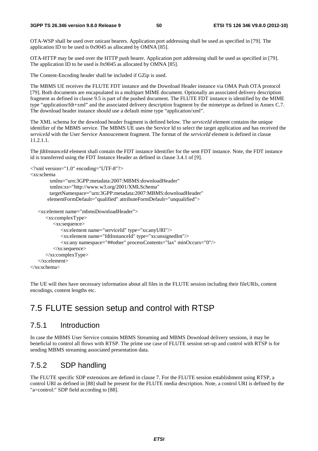OTA-WSP shall be used over unicast bearers. Application port addressing shall be used as specified in [79]. The application ID to be used is 0x9045 as allocated by OMNA [85].

OTA-HTTP may be used over the HTTP push bearer. Application port addressing shall be used as specified in [79]. The application ID to be used is 0x9045 as allocated by OMNA [85].

The Content-Encoding header shall be included if GZip is used.

The MBMS UE receives the FLUTE FDT instance and the Download Header instance via OMA Push OTA protocol [79]. Both documents are encapsulated in a multipart MIME document. Optionally an associated delivery description fragment as defined in clause 9.5 is part of the pushed document. The FLUTE FDT instance is identified by the MIME type "application/fdt+xml" and the associated delivery description fragment by the mimetype as defined in Annex C.7. The download header instance should use a default mime type "application/xml".

The XML schema for the download header fragment is defined below. The *serviceId* element contains the unique identifier of the MBMS service. The MBMS UE uses the Service Id to select the target application and has received the *serviceId* with the User Service Annoucement fragment. The format of the *serviceId* element is defined in clasue 11.2.1.1.

The *fdtInstanceId* element shall contain the FDT instance Identifier for the sent FDT instance. Note, the FDT instance id is transferred using the FDT Instance Header as defined in clause 3.4.1 of [9].

```
<?xml version="1.0" encoding="UTF-8"?> 
<xs:schema 
         xmlns="urn:3GPP:metadata:2007:MBMS:downloadHeader" 
         xmlns:xs="http://www.w3.org/2001/XMLSchema" 
         targetNamespace="urn:3GPP:metadata:2007:MBMS:downloadHeader" 
        elementFormDefault="qualified" attributeFormDefault="unqualified"> 
    <xs:element name="mbmsDownloadHeader"> 
       <xs:complexType> 
          <xs:sequence> 
              <xs:element name="serviceId" type="xs:anyURI"/> 
              <xs:element name="fdtInstanceId" type="xs:unsignedInt"/> 
              <xs:any namespace="##other" processContents="lax" minOccurs="0"/> 
          </xs:sequence> 
       </xs:complexType> 
    </xs:element> 
</xs:schema>
```
The UE will then have necessary information about all files in the FLUTE session including their fileURIs, content encodings, content lengths etc.

# 7.5 FLUTE session setup and control with RTSP

### 7.5.1 Introduction

In case the MBMS User Service contains MBMS Streaming and MBMS Download delivery sessions, it may be beneficial to control all flows with RTSP. The prime use case of FLUTE session set-up and control with RTSP is for sending MBMS streaming associated presentation data.

## 7.5.2 SDP handling

The FLUTE specific SDP extensions are defined in clause 7. For the FLUTE session establishment using RTSP, a control URI as defined in [88] shall be present for the FLUTE media description. Note, a control URI is defined by the "a=control:" SDP field according to [88].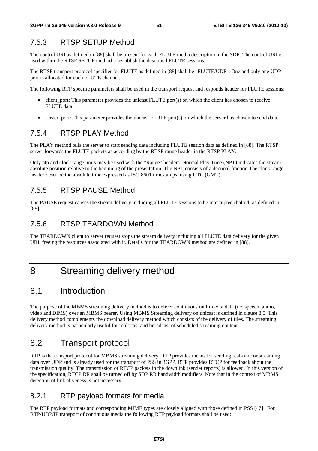## 7.5.3 RTSP SETUP Method

The control URI as defined in [88] shall be present for each FLUTE media description in the SDP. The control URI is used within the RTSP SETUP method to establish the described FLUTE sessions.

The RTSP transport protocol specifier for FLUTE as defined in [88] shall be "FLUTE/UDP". One and only one UDP port is allocated for each FLUTE channel.

The following RTP specific parameters shall be used in the transport request and responds header for FLUTE sessions:

- client\_port: This parameter provides the unicast FLUTE port(s) on which the client has chosen to receive FLUTE data.
- server port: This parameter provides the unicast FLUTE port(s) on which the server has chosen to send data.

### 7.5.4 RTSP PLAY Method

The PLAY method tells the server to start sending data including FLUTE session data as defined in [88]. The RTSP server forwards the FLUTE packets as according by the RTSP range header in the RTSP PLAY.

Only ntp and clock range units may be used with the "Range" headers. Normal Play Time (NPT) indicates the stream absolute position relative to the beginning of the presentation. The NPT consists of a decimal fraction.The clock range header describe the absolute time expressed as ISO 8601 timestamps, using UTC (GMT).

### 7.5.5 RTSP PAUSE Method

The PAUSE request causes the stream delivery including all FLUTE sessions to be interrupted (halted) as defined in [88].

## 7.5.6 RTSP TEARDOWN Method

The TEARDOWN client to server request stops the stream delivery including all FLUTE data delivery for the given URI, freeing the resources associated with it. Details for the TEARDOWN method are defined in [88].

# 8 Streaming delivery method

## 8.1 Introduction

The purpose of the MBMS streaming delivery method is to deliver continuous multimedia data (i.e. speech, audio, video and DIMS) over an MBMS bearer. Using MBMS Streaming delivery on unicast is defined in clause 8.5. This delivery method complements the download delivery method which consists of the delivery of files. The streaming delivery method is particularly useful for multicast and broadcast of scheduled streaming content.

## 8.2 Transport protocol

RTP is the transport protocol for MBMS streaming delivery. RTP provides means for sending real-time or streaming data over UDP and is already used for the transport of PSS in 3GPP. RTP provides RTCP for feedback about the transmission quality. The transmission of RTCP packets in the downlink (sender reports) is allowed. In this version of the specification, RTCP RR shall be turned off by SDP RR bandwidth modifiers. Note that in the context of MBMS detection of link aliveness is not necessary.

### 8.2.1 RTP payload formats for media

The RTP payload formats and corresponding MIME types are closely aligned with those defined in PSS [47] . For RTP/UDP/IP transport of continuous media the following RTP payload formats shall be used: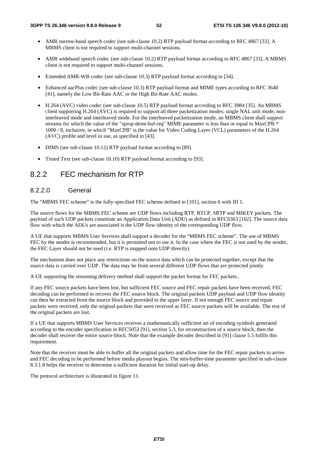- AMR narrow-band speech codec (see sub-clause 10.2) RTP payload format according to RFC 4867 [33]. A MBMS client is not required to support multi-channel sessions.
- AMR wideband speech codec (see sub-clause 10.2) RTP payload format according to RFC 4867 [33]. A MBMS client is not required to support multi-channel sessions.
- Extended AMR-WB codec (see sub-clause 10.3) RTP payload format according to [34].
- Enhanced aacPlus codec (see sub-clause 10.3) RTP payload format and MIME types according to RFC 3640 [41], namely the Low Bit-Rate AAC or the High Bit-Rate AAC modes.
- H.264 (AVC) video codec (see sub-clause 10.5) RTP payload format according to RFC 3984 [35]. An MBMS client supporting H.264 (AVC) is required to support all three packetization modes: single NAL unit mode, noninterleaved mode and interleaved mode. For the interleaved packetization mode, an MBMS client shall support streams for which the value of the "sprop-deint-buf-req" MIME parameter is less than or equal to MaxCPB \* 1000 / 8, inclusive, in which "MaxCPB" is the value for Video Coding Layer (VCL) parameters of the H.264 (AVC) profile and level in use, as specified in [43].
- DIMS (see sub-clause 10.12) RTP payload format according to [89].
- Timed Text (see sub-clause 10.10) RTP payload format according to [93].

## 8.2.2 FEC mechanism for RTP

#### 8.2.2.0 General

The "MBMS FEC scheme" is the fully-specified FEC scheme defined in [101], section 6 with ID 1.

The source flows for the MBMS FEC scheme are UDP flows including RTP, RTCP, SRTP and MIKEY packets. The payload of such UDP packets constitute an Application Data Unit (ADU) as defined in RFC6363 [102]. The source data flow with which the ADUs are associated is the UDP flow identity of the corresponding UDP flow.

A UE that supports MBMS User Services shall support a decoder for the "MBMS FEC scheme". The use of MBMS FEC by the sender is recommended, but it is permitted not to use it. In the case where the FEC is not used by the sender, the FEC Layer should not be used (i.e. RTP is mapped onto UDP directly).

The mechanism does not place any restrictions on the source data which can be protected together, except that the source data is carried over UDP. The data may be from several different UDP flows that are protected jointly.

A UE supporting the streaming delivery method shall support the packet format for FEC packets..

If any FEC source packets have been lost, but sufficient FEC source and FEC repair packets have been received, FEC decoding can be performed to recover the FEC source block. The original packets UDP payload and UDP flow identity can then be extracted from the source block and provided to the upper layer. If not enough FEC source and repair packets were received, only the original packets that were received as FEC source packets will be available. The rest of the original packets are lost.

If a UE that supports MBMS User Services receives a mathematically sufficient set of encoding symbols generated according to the encoder specification in RFC5053 [91], section 5.3, for reconstruction of a source block, then the decoder shall recover the entire source block. Note that the example decoder described in [91] clause 5.5 fulfils this requirement.

Note that the receiver must be able to buffer all the original packets and allow time for the FEC repair packets to arrive and FEC decoding to be performed before media playout begins. The min-buffer-time parameter specified in sub-clause 8.3.1.8 helps the receiver to determine a sufficient duration for initial start-up delay.

The protocol architecture is illustrated in figure 11.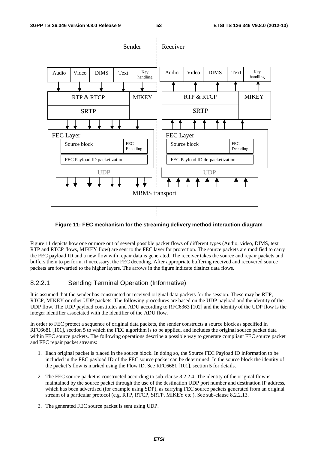

#### **Figure 11: FEC mechanism for the streaming delivery method interaction diagram**

Figure 11 depicts how one or more out of several possible packet flows of different types (Audio, video, DIMS, text RTP and RTCP flows, MIKEY flow) are sent to the FEC layer for protection. The source packets are modified to carry the FEC payload ID and a new flow with repair data is generated. The receiver takes the source and repair packets and buffers them to perform, if necessary, the FEC decoding. After appropriate buffering received and recovered source packets are forwarded to the higher layers. The arrows in the figure indicate distinct data flows.

#### 8.2.2.1 Sending Terminal Operation (Informative)

It is assumed that the sender has constructed or received original data packets for the session. These may be RTP, RTCP, MIKEY or other UDP packets. The following procedures are based on the UDP payload and the identity of the UDP flow. The UDP payload constitutes and ADU according to RFC6363 [102] and the identity of the UDP flow is the integer identifier associated with the identifier of the ADU flow.

In order to FEC protect a sequence of original data packets, the sender constructs a source block as specified in RFC6681 [101], section 5 to which the FEC algorithm is to be applied, and includes the original source packet data within FEC source packets. The following operations describe a possible way to generate compliant FEC source packet and FEC repair packet streams:

- 1. Each original packet is placed in the source block. In doing so, the Source FEC Payload ID information to be included in the FEC payload ID of the FEC source packet can be determined. In the source block the identity of the packet's flow is marked using the Flow ID. See RFC6681 [101], section 5 for details.
- 2. The FEC source packet is constructed according to sub-clause 8.2.2.4. The identity of the original flow is maintained by the source packet through the use of the destination UDP port number and destination IP address, which has been advertised (for example using SDP), as carrying FEC source packets generated from an original stream of a particular protocol (e.g. RTP, RTCP, SRTP, MIKEY etc.). See sub-clause 8.2.2.13.
- 3. The generated FEC source packet is sent using UDP.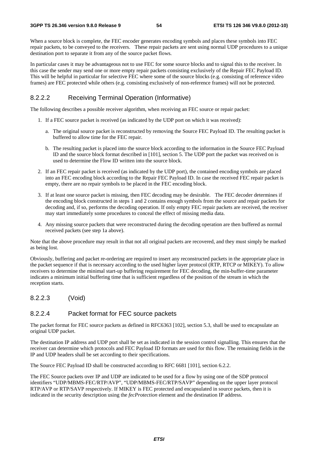When a source block is complete, the FEC encoder generates encoding symbols and places these symbols into FEC repair packets, to be conveyed to the receivers. These repair packets are sent using normal UDP procedures to a unique destination port to separate it from any of the source packet flows.

In particular cases it may be advantageous not to use FEC for some source blocks and to signal this to the receiver. In this case the sender may send one or more empty repair packets consisting exclusively of the Repair FEC Payload ID. This will be helpful in particular for selective FEC where some of the source blocks (e.g. consisting of reference video frames) are FEC protected while others (e.g. consisting exclusively of non-reference frames) will not be protected.

#### 8.2.2.2 Receiving Terminal Operation (Informative)

The following describes a possible receiver algorithm, when receiving an FEC source or repair packet:

- 1. If a FEC source packet is received (as indicated by the UDP port on which it was received):
	- a. The original source packet is reconstructed by removing the Source FEC Payload ID. The resulting packet is buffered to allow time for the FEC repair.
	- b. The resulting packet is placed into the source block according to the information in the Source FEC Payload ID and the source block format described in [101], section 5. The UDP port the packet was received on is used to determine the Flow ID written into the source block.
- 2. If an FEC repair packet is received (as indicated by the UDP port), the contained encoding symbols are placed into an FEC encoding block according to the Repair FEC Payload ID. In case the received FEC repair packet is empty, there are no repair symbols to be placed in the FEC encoding block.
- 3. If at least one source packet is missing, then FEC decoding may be desirable. The FEC decoder determines if the encoding block constructed in steps 1 and 2 contains enough symbols from the source and repair packets for decoding and, if so, performs the decoding operation. If only empty FEC repair packets are received, the receiver may start immediately some procedures to conceal the effect of missing media data.
- 4. Any missing source packets that were reconstructed during the decoding operation are then buffered as normal received packets (see step 1a above).

Note that the above procedure may result in that not all original packets are recovered, and they must simply be marked as being lost.

Obviously, buffering and packet re-ordering are required to insert any reconstructed packets in the appropriate place in the packet sequence if that is necessary according to the used higher layer protocol (RTP, RTCP or MIKEY). To allow receivers to determine the minimal start-up buffering requirement for FEC decoding, the min-buffer-time parameter indicates a minimum initial buffering time that is sufficient regardless of the position of the stream in which the reception starts.

#### 8.2.2.3 (Void)

#### 8.2.2.4 Packet format for FEC source packets

The packet format for FEC source packets as defined in RFC6363 [102], section 5.3, shall be used to encapsulate an original UDP packet.

The destination IP address and UDP port shall be set as indicated in the session control signalling. This ensures that the receiver can determine which protocols and FEC Payload ID formats are used for this flow. The remaining fields in the IP and UDP headers shall be set according to their specifications.

The Source FEC Payload ID shall be constructed according to RFC 6681 [101], section 6.2.2.

The FEC Source packets over IP and UDP are indicated to be used for a flow by using one of the SDP protocol identifiers "UDP/MBMS-FEC/RTP/AVP", "UDP/MBMS-FEC/RTP/SAVP" depending on the upper layer protocol RTP/AVP or RTP/SAVP respectively. If MIKEY is FEC protected and encapsulated in source packets, then it is indicated in the security description using the *fecProtection* element and the destination IP address.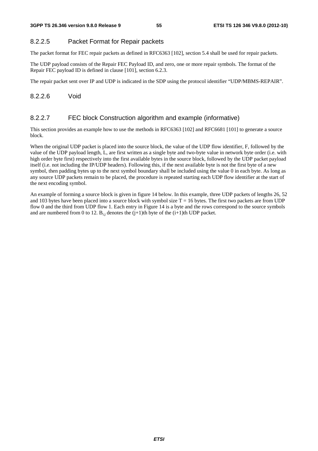#### 8.2.2.5 Packet Format for Repair packets

The packet format for FEC repair packets as defined in RFC6363 [102], section 5.4 shall be used for repair packets.

The UDP payload consists of the Repair FEC Payload ID, and zero, one or more repair symbols. The format of the Repair FEC payload ID is defined in clause [101], section 6.2.3.

The repair packet sent over IP and UDP is indicated in the SDP using the protocol identifier "UDP/MBMS-REPAIR".

#### 8.2.2.6 Void

#### 8.2.2.7 FEC block Construction algorithm and example (informative)

This section provides an example how to use the methods in RFC6363 [102] and RFC6681 [101] to generate a source block.

When the original UDP packet is placed into the source block, the value of the UDP flow identifier, F, followed by the value of the UDP payload length, L, are first written as a single byte and two-byte value in network byte order (i.e. with high order byte first) respectively into the first available bytes in the source block, followed by the UDP packet payload itself (i.e. not including the IP/UDP headers). Following this, if the next available byte is not the first byte of a new symbol, then padding bytes up to the next symbol boundary shall be included using the value 0 in each byte. As long as any source UDP packets remain to be placed, the procedure is repeated starting each UDP flow identifier at the start of the next encoding symbol.

An example of forming a source block is given in figure 14 below. In this example, three UDP packets of lengths 26, 52 and 103 bytes have been placed into a source block with symbol size  $T = 16$  bytes. The first two packets are from UDP flow 0 and the third from UDP flow 1. Each entry in Figure 14 is a byte and the rows correspond to the source symbols and are numbered from 0 to 12.  $B_{i,j}$  denotes the  $(j+1)$ th byte of the  $(i+1)$ th UDP packet.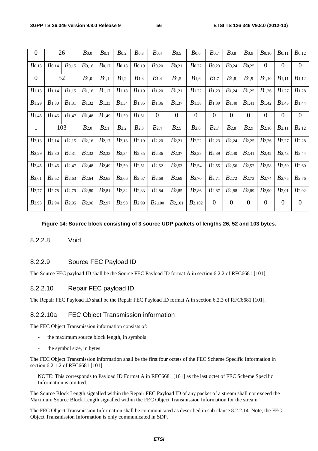| $\overline{0}$    |                     | 26                | B <sub>0,0</sub>    | $B_{0,1}$         | $B_{0,2}$         | $B_{0,3}$         | $B_{0,4}$         | $B_{0,5}$         | $B_{0,6}$           | $B_{0,7}$        | $B_{0,8}$         | B <sub>0,9</sub>  | $B_{0,10}$        | $B_{0,11}$        | $B_{0,12}$        |
|-------------------|---------------------|-------------------|---------------------|-------------------|-------------------|-------------------|-------------------|-------------------|---------------------|------------------|-------------------|-------------------|-------------------|-------------------|-------------------|
| $B_{0,13}$        | $B_{0,14}$          | $B_{0,15}$        | $B_{0,16}$          | $B_{0,17}$        | $B_{0,18}$        | $B_{0,19}$        | $B_{0,20}$        | $B_{0,21}$        | $B_{0,22}$          | $B_{0,23}$       | $B_{0,24}$        | $B_{0,25}$        | $\theta$          | $\overline{0}$    | $\boldsymbol{0}$  |
| $\overline{0}$    | 52                  |                   | $B_{1,0}$           | $B_{1,1}$         | $B_{1,2}$         | $B_{1,3}$         | $B_{1,4}$         | $B_{1,5}$         | $B_{1,6}$           | $B_{1,7}$        | $B_{1,8}$         | $B_{1,9}$         | $B_{1,10}$        | $B_{1,11}$        | $B_{1,12}$        |
| $B_{1,13}$        | $B_{1,14}$          | $B_{1,15}$        | $B_{1,16}$          | $B_{1,17}$        | $B_{1,18}$        | $B_{1,19}$        | $B_{1,20}$        | $B_{1,21}$        | $B_{1,22}$          | $B_{1,23}$       | $B_{1,24}$        | $B_{1,25}$        | $B_{1,26}$        | $B_{1,27}$        | $B_{1,28}$        |
| $B_{1,29}$        | $B_{1,30}$          | $B_{1,31}$        | $B_{1,32}$          | B <sub>1,33</sub> | $B_{1,34}$        | $B_{1,35}$        | B <sub>1,36</sub> | $B_{1,37}$        | $B_{1,38}$          | $B_{1,39}$       | $B_{1,40}$        | $B_{1,41}$        | $B_{1,42}$        | B <sub>1,43</sub> | $B_{1,44}$        |
| $B_{1,45}$        | $B_{1,46}$          | $B_{1,47}$        | $B_{1,48}$          | $B_{1,49}$        | $B_{1,50}$        | $B_{1,51}$        | $\theta$          | $\overline{0}$    | $\theta$            | $\overline{0}$   | $\overline{0}$    | $\theta$          | $\overline{0}$    | $\overline{0}$    | $\boldsymbol{0}$  |
| $\mathbf{1}$      |                     | 103               | $B_{2,0}$           | $B_{2,1}$         | $B_{2,2}$         | B <sub>2,3</sub>  | B <sub>2,4</sub>  | $B_{2,5}$         | $B_{2,6}$           | B <sub>2,7</sub> | $B_{2,8}$         | $B_{2,9}$         | $B_{2,10}$        | $B_{2,11}$        | $B_{2,12}$        |
| $B_{2,13}$        | $B_{2,14}$          | $B_{2,15}$        | $B_{2,16}$          | $B_{2,17}$        | $B_{2,18}$        | $B_{2,19}$        | $B_{2,20}$        | $B_{2,21}$        | $B_{2,22}$          | $B_{2,23}$       | $B_{2,24}$        | $B_{2,25}$        | $B_{2,26}$        | $B_{2,27}$        | $B_{2,28}$        |
| $B_{2,29}$        | B <sub>2,30</sub>   | $B_{2,31}$        | $B_{2,32}$          | B <sub>2,33</sub> | $B_{2,34}$        | B <sub>2,35</sub> | B <sub>2,36</sub> | $B_{2,37}$        | B <sub>2,38</sub>   | $B_{2,39}$       | $B_{2,40}$        | $B_{2,41}$        | $B_{2,42}$        | $B_{2,43}$        | $B_{2,44}$        |
| $B_{2,45}$        | $B$ <sub>2,46</sub> | $B_{2,47}$        | $B_{2,48}$          | $B_{2,49}$        | B <sub>2,50</sub> | B <sub>2,51</sub> | $B$ 2,52          | $B_{2,53}$        | $B$ <sub>2,54</sub> | $B_{2,55}$       | $B_{2,56}$        | $B_{2,57}$        | B <sub>2,58</sub> | $B$ 2,59          | B <sub>2,60</sub> |
| $B_{2,61}$        | $B_{2,62}$          | B <sub>2,63</sub> | $B$ <sub>2,64</sub> | $B$ 2,65          | B <sub>2,66</sub> | B <sub>2,67</sub> | B <sub>2,68</sub> | B <sub>2,69</sub> | B <sub>2,70</sub>   | $B_{2,71}$       | $B_{2,72}$        | $B_{2,73}$        | $B_{2,74}$        | $B_{2,75}$        | $B_{2,76}$        |
| $B$ 2,77          | $B_{2,78}$          | $B_{2,79}$        | B <sub>2,80</sub>   | $B_{2,81}$        | $B_{2,82}$        | B <sub>2,83</sub> | B <sub>2,84</sub> | $B_{2,85}$        | B <sub>2,86</sub>   | $B_{2,87}$       | B <sub>2,88</sub> | B <sub>2,89</sub> | B <sub>2,90</sub> | B <sub>2,91</sub> | B <sub>2,92</sub> |
| B <sub>2,93</sub> | B <sub>2,94</sub>   | B <sub>2,95</sub> | B <sub>2,96</sub>   | B <sub>2,97</sub> | B <sub>2,98</sub> | B <sub>2,99</sub> | $B_{2,100}$       | $B_{2,101}$       | $B_{2,102}$         | $\overline{0}$   | $\overline{0}$    | $\theta$          | $\theta$          | $\boldsymbol{0}$  | $\overline{0}$    |
|                   |                     |                   |                     |                   |                   |                   |                   |                   |                     |                  |                   |                   |                   |                   |                   |

#### **Figure 14: Source block consisting of 3 source UDP packets of lengths 26, 52 and 103 bytes.**

#### 8.2.2.8 Void

### 8.2.2.9 Source FEC Payload ID

The Source FEC payload ID shall be the Source FEC Payload ID format A in section 6.2.2 of RFC6681 [101].

#### 8.2.2.10 Repair FEC payload ID

The Repair FEC Payload ID shall be the Repair FEC Payload ID format A in section 6.2.3 of RFC6681 [101].

#### 8.2.2.10a FEC Object Transmission information

The FEC Object Transmission information consists of:

- the maximum source block length, in symbols
- the symbol size, in bytes

The FEC Object Transmission information shall be the first four octets of the FEC Scheme Specific Information in section 6.2.1.2 of RFC6681 [101].

NOTE: This corresponds to Payload ID Format A in RFC6681 [101] as the last octet of FEC Scheme Specific Information is omitted.

The Source Block Length signalled within the Repair FEC Payload ID of any packet of a stream shall not exceed the Maximum Source Block Length signalled within the FEC Object Transmission Information for the stream.

The FEC Object Transmission Information shall be communicated as described in sub-clause 8.2.2.14. Note, the FEC Object Transmission Information is only communicated in SDP.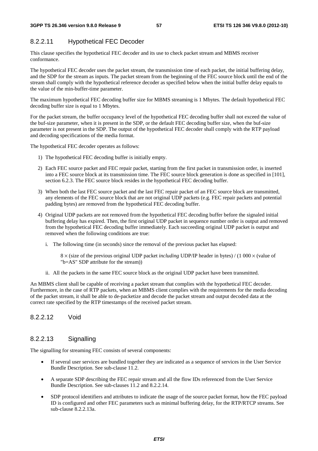### 8.2.2.11 Hypothetical FEC Decoder

This clause specifies the hypothetical FEC decoder and its use to check packet stream and MBMS receiver conformance.

The hypothetical FEC decoder uses the packet stream, the transmission time of each packet, the initial buffering delay, and the SDP for the stream as inputs. The packet stream from the beginning of the FEC source block until the end of the stream shall comply with the hypothetical reference decoder as specified below when the initial buffer delay equals to the value of the min-buffer-time parameter.

The maximum hypothetical FEC decoding buffer size for MBMS streaming is 1 Mbytes. The default hypothetical FEC decoding buffer size is equal to 1 Mbytes.

For the packet stream, the buffer occupancy level of the hypothetical FEC decoding buffer shall not exceed the value of the buf-size parameter, when it is present in the SDP, or the default FEC decoding buffer size, when the buf-size parameter is not present in the SDP. The output of the hypothetical FEC decoder shall comply with the RTP payload and decoding specifications of the media format.

The hypothetical FEC decoder operates as follows:

- 1) The hypothetical FEC decoding buffer is initially empty.
- 2) Each FEC source packet and FEC repair packet, starting from the first packet in transmission order, is inserted into a FEC source block at its transmission time. The FEC source block generation is done as specified in [101], section 6.2.3. The FEC source block resides in the hypothetical FEC decoding buffer.
- 3) When both the last FEC source packet and the last FEC repair packet of an FEC source block are transmitted, any elements of the FEC source block that are not original UDP packets (e.g. FEC repair packets and potential padding bytes) are removed from the hypothetical FEC decoding buffer.
- 4) Original UDP packets are not removed from the hypothetical FEC decoding buffer before the signaled initial buffering delay has expired. Then, the first original UDP packet in sequence number order is output and removed from the hypothetical FEC decoding buffer immediately. Each succeeding original UDP packet is output and removed when the following conditions are true:
	- i. The following time (in seconds) since the removal of the previous packet has elapsed:

 8 × (size of the previous original UDP packet *including* UDP/IP header in bytes) / (1 000 × (value of "b=AS" SDP attribute for the stream))

ii. All the packets in the same FEC source block as the original UDP packet have been transmitted.

An MBMS client shall be capable of receiving a packet stream that complies with the hypothetical FEC decoder. Furthermore, in the case of RTP packets, when an MBMS client complies with the requirements for the media decoding of the packet stream, it shall be able to de-packetize and decode the packet stream and output decoded data at the correct rate specified by the RTP timestamps of the received packet stream.

8.2.2.12 Void

### 8.2.2.13 Signalling

The signalling for streaming FEC consists of several components:

- If several user services are bundled together they are indicated as a sequence of services in the User Service Bundle Description. See sub-clause 11.2.
- A separate SDP describing the FEC repair stream and all the flow IDs referenced from the User Service Bundle Description. See sub-clauses 11.2 and 8.2.2.14.
- SDP protocol identifiers and attributes to indicate the usage of the source packet format, how the FEC payload ID is configured and other FEC parameters such as minimal buffering delay, for the RTP/RTCP streams. See sub-clause 8.2.2.13a.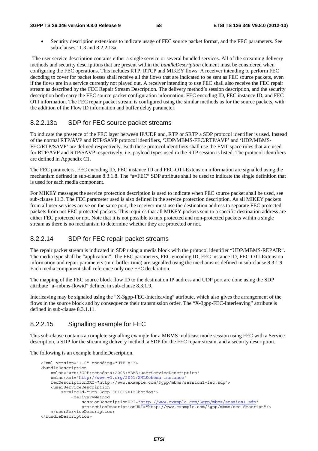• Security description extensions to indicate usage of FEC source packet format, and the FEC parameters. See sub-clauses 11.3 and 8.2.2.13a.

 The user service description contains either a single service or several bundled services. All of the streaming delivery methods and security descriptions that are present within the *bundleDescription* element must be considered when configuring the FEC operations. This includes RTP, RTCP and MIKEY flows. A receiver intending to perform FEC decoding to cover for packet losses shall receive all the flows that are indicated to be sent as FEC source packets, even if the flows are in a service currently not played out. A receiver intending to use FEC shall also receive the FEC repair stream as described by the FEC Repair Stream Description. The delivery method's session description, and the security description both carry the FEC source packet configuration information: FEC encoding ID, FEC instance ID, and FEC OTI information. The FEC repair packet stream is configured using the similar methods as for the source packets, with the addition of the Flow ID information and buffer delay parameter.

#### 8.2.2.13a SDP for FEC source packet streams

To indicate the presence of the FEC layer between IP/UDP and, RTP or SRTP a SDP protocol identifier is used. Instead of the normal RTP/AVP and RTP/SAVP protocol identifiers, 'UDP/MBMS-FEC/RTP/AVP' and 'UDP/MBMS-FEC/RTP/SAVP' are defined respectively. Both these protocol identifiers shall use the FMT space rules that are used for RTP/AVP and RTP/SAVP respectively, i.e. payload types used in the RTP session is listed. The protocol identifiers are defined in Appendix C1.

The FEC parameters, FEC encoding ID, FEC instance ID and FEC-OTI-Extension information are signalled using the mechanism defined in sub-clause 8.3.1.8. The "a=FEC" SDP attribute shall be used to indicate the single definition that is used for each media component.

For MIKEY messages the service protection description is used to indicate when FEC source packet shall be used, see sub-clause 11.3. The FEC parameter used is also defined in the service protection description. As all MIKEY packets from all user services arrive on the same port, the receiver must use the destination address to separate FEC protected packets from not FEC protected packets. This requires that all MIKEY packets sent to a specific destination address are either FEC protected or not. Note that it is not possible to mix protected and non-protected packets within a single stream as there is no mechanism to determine whether they are protected or not.

#### 8.2.2.14 SDP for FEC repair packet streams

The repair packet stream is indicated in SDP using a media block with the protocol identifier "UDP/MBMS-REPAIR". The media type shall be "application". The FEC parameters, FEC encoding ID, FEC instance ID, FEC-OTI-Extension information and repair parameters (min-buffer-time) are signalled using the mechanisms defined in sub-clause 8.3.1.9. Each media component shall reference only one FEC declaration.

The mapping of the FEC source block flow ID to the destination IP address and UDP port are done using the SDP attribute "a=mbms-flowid" defined in sub-clause 8.3.1.9.

Interleaving may be signaled using the "X-3gpp-FEC-Interleaving" attribute, which also gives the arrangement of the flows in the source block and by consequence their transmission order. The "X-3gpp-FEC-Interleaving" attribute is defined in sub-clause 8.3.1.11.

#### 8.2.2.15 Signalling example for FEC

This sub-clause contains a complete signalling example for a MBMS multicast mode session using FEC with a Service description, a SDP for the streaming delivery method, a SDP for the FEC repair stream, and a security description.

The following is an example bundleDescription.

```
<?xml version="1.0" encoding="UTF-8"?> 
<bundleDescription 
     xmlns="urn:3GPP:metadata:2005:MBMS:userServiceDescription" 
     xmlns:xsi="http://www.w3.org/2001/XMLSchema-instance" 
     fecDescriptionURI="http://www.example.com/3gpp/mbms/session1-fec.sdp"> 
     <userServiceDescription 
         serviceId="urn:3gpp:0010120123hotdog"> 
             <deliveryMethod 
                 sessionDescriptionURI="http://www.example.com/3gpp/mbms/session1.sdp" 
                 protectionDescriptionURI="http://www.example.com/3gpp/mbms/sec-descript"/> 
     </userServiceDescription> 
 </bundleDescription>
```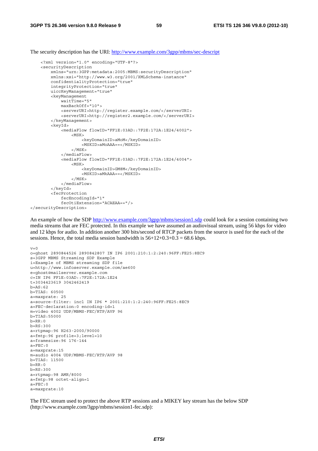The security description has the URI: http://www.example.com/3gpp/mbms/sec-descript

```
<?xml version="1.0" encoding="UTF-8"?> 
    <securityDescription 
         xmlns="urn:3GPP:metadata:2005:MBMS:securityDescription" 
         xmlns:xsi="http://www.w3.org/2001/XMLSchema-instance" 
         confidentialityProtection="true" 
         integrityProtection="true" 
         uiccKeyManagement="true" 
         <keyManagement 
             waitTime="5" 
              maxBackOff="10"> 
              <serverURI>http://register.example.com/</serverURI> 
              <serverURI>http://register2.example.com/</serverURI> 
         </keyManagement> 
         <keyId> 
              <mediaFlow flowID="FF1E:03AD::7F2E:172A:1E24/4002"> 
                 <MSK> <keyDomainID>aMoM</keyDomainID> 
                      <MSKID>aMoAAA==</MSKID> 
                 \epsilon/MSK\sim </mediaFlow> 
              <mediaFlow flowID="FF1E:03AD::7F2E:172A:1E24/4004"> 
                 <MSK> <keyDomainID>GM8M</keyDomainID> 
                      <MSKID>aMkAAA==</MSKID> 
                 </MSK> </mediaFlow> 
         </keyId> 
         <fecProtection 
              fecEncodingId="1" 
              fecOtiExtension="ACAEAA=="/> 
</securityDescription>
```
An example of how the SDP http://www.example.com/3gpp/mbms/session1.sdp could look for a session containing two media streams that are FEC protected. In this example we have assumed an audiovisual stream, using 56 kbps for video and 12 kbps for audio. In addition another 300 bits/second of RTCP packets from the source is used for the each of the sessions. Hence, the total media session bandwidth is  $56+12+0.3+0.3 = 68.6$  kbps.

```
v=0o=ghost 2890844526 2890842807 IN IP6 2001:210:1:2:240:96FF:FE25:8EC9 
s=3GPP MBMS Streaming SDP Example 
i=Example of MBMS streaming SDP file 
u=http://www.infoserver.example.com/ae600 
e=ghost@mailserver.example.com 
c=IN IP6 FF1E:03AD::7F2E:172A:1E24 
t=3034423619 3042462419 
b=AS:62b=TIAS: 60500 
a=maxprate: 25 
a=source-filter: incl IN IP6 * 2001:210:1:2:240:96FF:FE25:8EC9 
a=FEC-declaration:0 encoding-id=1 
m=video 4002 UDP/MBMS-FEC/RTP/AVP 96 
h = TTAS \cdot 55000h = RR \cdot 0b=RS:300 
a=rtpmap:96 H263-2000/90000 
a=fmtp:96 profile=3;level=10 
a=framesize:96 176-144 
a = FEC:0a=maxprate:15 
m=audio 4004 UDP/MBMS-FEC/RTP/AVP 98 
b=TIAS: 11500 
b=RR:0b=RS:300 
a=rtpmap:98 AMR/8000 
a=fmtp:98 octet-align=1 
a = FEC:0a=maxprate:10
```
The FEC stream used to protect the above RTP sessions and a MIKEY key stream has the below SDP (http://www.example.com/3gpp/mbms/session1-fec.sdp):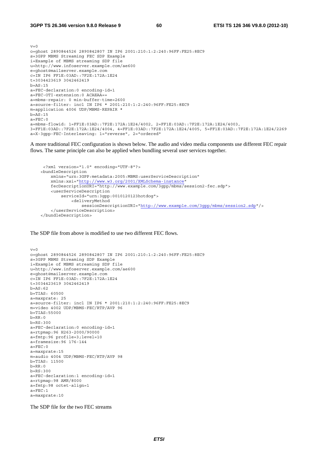$v=0$ o=ghost 2890844526 2890842807 IN IP6 2001:210:1:2:240:96FF:FE25:8EC9 s=3GPP MBMS Streaming FEC SDP Example i=Example of MBMS streaming SDP file u=http://www.infoserver.example.com/ae600 e=ghost@mailserver.example.com c=IN IP6 FF1E:03AD::7F2E:172A:1E24 t=3034423619 3042462419 b=AS:15 a=FEC-declaration:0 encoding-id=1 a=FEC-OTI-extension:0 ACAEAA== a=mbms-repair: 0 min-buffer-time=2600 a=source-filter: incl IN IP6 \* 2001:210:1:2:240:96FF:FE25:8EC9 m=application 4006 UDP/MBMS-REPAIR \*  $b=AS:15$  $A = FEC:0$ a=mbms-flowid: 1=FF1E:03AD::7F2E:172A:1E24/4002, 2=FF1E:03AD::7F2E:172A:1E24/4003, 3=FF1E:03AD::7F2E:172A:1E24/4004, 4=FF1E:03AD::7F2E:172A:1E24/4005, 5=FF1E:03AD::7F2E:172A:1E24/2269 a=X-3gpp-FEC-Interleaving: 1="reverse", 2="ordered"

A more traditional FEC configuration is shown below. The audio and video media components use different FEC repair flows. The same principle can also be applied when bundling several user services together.

```
 <?xml version="1.0" encoding="UTF-8"?> 
<bundleDescription 
     xmlns="urn:3GPP:metadata:2005:MBMS:userServiceDescription" 
     xmlns:xsi="http://www.w3.org/2001/XMLSchema-instance" 
     fecDescriptionURI="http://www.example.com/3gpp/mbms/session2-fec.sdp"> 
     <userServiceDescription 
         serviceId="urn:3gpp:0010120123hotdog"> 
             <deliveryMethod 
                 sessionDescriptionURI="http://www.example.com/3gpp/mbms/session2.sdp"/> 
     </userServiceDescription> 
 </bundleDescription>
```
The SDP file from above is modified to use two different FEC flows.

```
v=0o=ghost 2890844526 2890842807 IN IP6 2001:210:1:2:240:96FF:FE25:8EC9 
s=3GPP MBMS Streaming SDP Example 
i=Example of MBMS streaming SDP file 
u=http://www.infoserver.example.com/ae600 
e=ghost@mailserver.example.com 
c=IN IP6 FF1E:03AD::7F2E:172A:1E24 
t=3034423619 3042462419 
b=AS:62 
b=TIAS: 60500 
a=maxprate: 25 
a=source-filter: incl IN IP6 * 2001:210:1:2:240:96FF:FE25:8EC9 
m=video 4002 UDP/MBMS-FEC/RTP/AVP 96 
b=TIAS:55000 
b=RR:0h = R.S.300a=FEC-declaration:0 encoding-id=1 
a=rtpmap:96 H263-2000/90000 
a=fmtp:96 profile=3;level=10 
a=framesize:96 176-144 
a = FEC:0a=maxprate:15 
m=audio 4004 UDP/MBMS-FEC/RTP/AVP 98 
b=TIAS: 11500 
h = RR \cdot 0b=RS:300 
a=FEC-declaration:1 encoding-id=1 
a=rtpmap:98 AMR/8000 
a=fmtp:98 octet-align=1 
a = FEC:1a=maxprate:10
```
The SDP file for the two FEC streams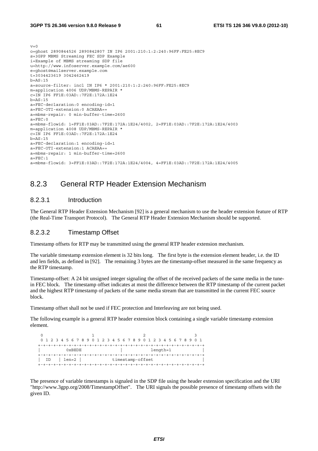```
v=0o=ghost 2890844526 2890842807 IN IP6 2001:210:1:2:240:96FF:FE25:8EC9 
s=3GPP MBMS Streaming FEC SDP Example 
i=Example of MBMS streaming SDP file 
u=http://www.infoserver.example.com/ae600 
e=ghost@mailserver.example.com 
t=3034423619 3042462419 
b=AS:15 
a=source-filter: incl IN IP6 * 2001:210:1:2:240:96FF:FE25:8EC9 
m=application 4006 UDP/MBMS-REPAIR * 
c=IN IP6 FF1E:03AD::7F2E:172A:1E24 
h = \Delta S \cdot 15a=FEC-declaration:0 encoding-id=1 
a=FEC-OTI-extension:0 ACAEAA== 
a=mbms-repair: 0 min-buffer-time=2600 
a = FEC:0a=mbms-flowid: 1=FF1E:03AD::7F2E:172A:1E24/4002, 2=FF1E:03AD::7F2E:172A:1E24/4003 
m=application 4008 UDP/MBMS-REPAIR * 
c=IN IP6 FF1E:03AD::7F2E:172A:1E24 
b=AS:15 
a=FEC-declaration:1 encoding-id=1 
a=FEC-OTI-extension:1 ACAEAA== 
a=mbms-repair: 1 min-buffer-time=2600 
A=FFC \cdot 1a=mbms-flowid: 3=FF1E:03AD::7F2E:172A:1E24/4004, 4=FF1E:03AD::7F2E:172A:1E24/4005
```
### 8.2.3 General RTP Header Extension Mechanism

#### 8.2.3.1 Introduction

The General RTP Header Extension Mechanism [92] is a general mechanism to use the header extension feature of RTP (the Real-Time Transport Protocol). The General RTP Header Extension Mechanism should be supported.

#### 8.2.3.2 Timestamp Offset

Timestamp offsets for RTP may be transmitted using the general RTP header extension mechanism.

The variable timestamp extension element is 32 bits long. The first byte is the extension element header, i.e. the ID and len fields, as defined in [92]. The remaining 3 bytes are the timestamp-offset measured in the same frequency as the RTP timestamp.

Timestamp-offset: A 24 bit unsigned integer signaling the offset of the received packets of the same media in the tunein FEC block. The timestamp offset indicates at most the difference between the RTP timestamp of the current packet and the highest RTP timestamp of packets of the same media stream that are transmitted in the current FEC source block.

Timestamp offset shall not be used if FEC protection and Interleaving are not being used.

The following example is a general RTP header extension block containing a single variable timestamp extension element.

```
0 1 2 3
   0 1 2 3 4 5 6 7 8 9 0 1 2 3 4 5 6 7 8 9 0 1 2 3 4 5 6 7 8 9 0 1 
   +-+-+-+-+-+-+-+-+-+-+-+-+-+-+-+-+-+-+-+-+-+-+-+-+-+-+-+-+-+-+-+-+ 
         0xBEDE | length=1
   +-+-+-+-+-+-+-+-+-+-+-+-+-+-+-+-+-+-+-+-+-+-+-+-+-+-+-+-+-+-+-+-+ 
  | ID | len=2 | timestamp-offset
   +-+-+-+-+-+-+-+-+-+-+-+-+-+-+-+-+-+-+-+-+-+-+-+-+-+-+-+-+-+-+-+-+
```
The presence of variable timestamps is signaled in the SDP file using the header extension specification and the URI "http://www.3gpp.org/2008/TimestampOffset". The URI signals the possible presence of timestamp offsets with the given ID.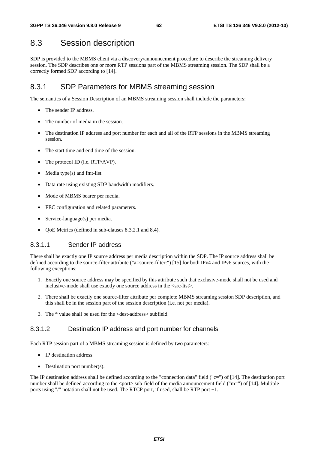# 8.3 Session description

SDP is provided to the MBMS client via a discovery/announcement procedure to describe the streaming delivery session. The SDP describes one or more RTP sessions part of the MBMS streaming session. The SDP shall be a correctly formed SDP according to [14].

## 8.3.1 SDP Parameters for MBMS streaming session

The semantics of a Session Description of an MBMS streaming session shall include the parameters:

- The sender IP address.
- The number of media in the session.
- The destination IP address and port number for each and all of the RTP sessions in the MBMS streaming session.
- The start time and end time of the session.
- The protocol ID (*i.e.* RTP/AVP).
- Media type(s) and fmt-list.
- Data rate using existing SDP bandwidth modifiers.
- Mode of MBMS bearer per media.
- FEC configuration and related parameters.
- Service-language(s) per media.
- QoE Metrics (defined in sub-clauses 8.3.2.1 and 8.4).

### 8.3.1.1 Sender IP address

There shall be exactly one IP source address per media description within the SDP. The IP source address shall be defined according to the source-filter attribute ("a=source-filter:") [15] for both IPv4 and IPv6 sources, with the following exceptions:

- 1. Exactly one source address may be specified by this attribute such that exclusive-mode shall not be used and inclusive-mode shall use exactly one source address in the <src-list>.
- 2. There shall be exactly one source-filter attribute per complete MBMS streaming session SDP description, and this shall be in the session part of the session description (i.e. not per media).
- 3. The \* value shall be used for the <dest-address> subfield.

#### 8.3.1.2 Destination IP address and port number for channels

Each RTP session part of a MBMS streaming session is defined by two parameters:

- IP destination address.
- Destination port number(s).

The IP destination address shall be defined according to the "connection data" field ("c=") of [14]. The destination port number shall be defined according to the  $\epsilon$  sub-field of the media announcement field ("m=") of [14]. Multiple ports using "/" notation shall not be used. The RTCP port, if used, shall be RTP port +1.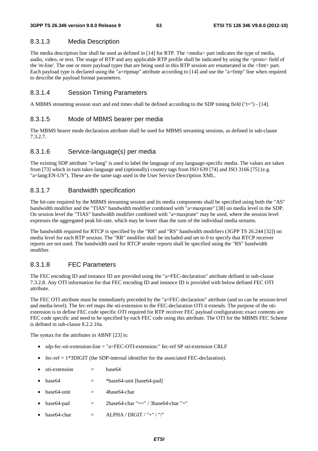#### 8.3.1.3 Media Description

The media description line shall be used as defined in [14] for RTP. The <media> part indicates the type of media, audio, video, or text. The usage of RTP and any applicable RTP profile shall be indicated by using the <proto> field of the '*m-*line'. The one or more payload types that are being used in this RTP session are enumerated in the <fmt> part. Each payload type is declared using the "a=rtpmap" attribute according to [14] and use the "a=fmtp" line when required to describe the payload format parameters.

#### 8.3.1.4 Session Timing Parameters

A MBMS streaming session start and end times shall be defined according to the SDP timing field ("t=") - [14].

#### 8.3.1.5 Mode of MBMS bearer per media

The MBMS bearer mode declaration attribute shall be used for MBMS streaming sessions, as defined in sub-clause 7.3.2.7.

#### 8.3.1.6 Service-language(s) per media

The existing SDP attribute "a=lang" is used to label the language of any language-specific media. The values are taken from [73] which in turn takes language and (optionally) country tags from ISO 639 [74] and ISO 3166 [75] (e.g. "a=lang:EN-US"). These are the same tags used in the User Service Description XML.

#### 8.3.1.7 Bandwidth specification

The bit-rate required by the MBMS streaming session and its media components shall be specified using both the "AS" bandwidth modifier and the "TIAS" bandwidth modifier combined with "a=maxprate" [38] on media level in the SDP. On session level the "TIAS" bandwidth modifier combined with "a=maxprate" may be used, where the session level expresses the aggregated peak bit-rate, which may be lower than the sum of the individual media streams.

The bandwidth required for RTCP is specified by the "RR" and "RS" bandwidth modifiers (3GPP TS 26.244 [32]) on media level for each RTP session. The "RR" modifier shall be included and set to 0 to specify that RTCP receiver reports are not used. The bandwidth used for RTCP sender reports shall be specified using the "RS" bandwidth modifier.

#### 8.3.1.8 FEC Parameters

The FEC encoding ID and instance ID are provided using the "a=FEC-declaration" attribute defined in sub-clause 7.3.2.8. Any OTI information for that FEC encoding ID and instance ID is provided with below defined FEC OTI attribute.

The FEC OTI attribute must be immediately preceded by the "a=FEC-declaration" attribute (and so can be session-level and media-level). The fec-ref maps the oti-extension to the FEC-declaration OTI it extends. The purpose of the otiextension is to define FEC code specific OTI required for RTP receiver FEC payload configuration; exact contents are FEC code specific and need to be specified by each FEC code using this attribute. The OTI for the MBMS FEC Scheme is defined in sub-clause 8.2.2.10a.

The syntax for the attributes in ABNF [23] is:

- sdp-fec-oti-extension-line = "a=FEC-OTI-extension:" fec-ref SP oti-extension CRLF
- $\epsilon$  fec-ref = 1\*3DIGIT (the SDP-internal identifier for the associated FEC-declaration).
- $oti-extension = base64$
- $base64 = *base64$ -unit [base64-pad]
- $base64$ -unit  $= 4base64$ -char
- $base64$ -pad  $=$   $2base64$ -char " $==$ " /  $3base64$ -char " $=$ "
- $base64\text{-}char = ALPHA / DIGIT / "+" / "/"$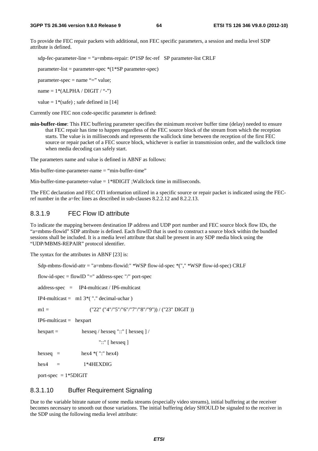To provide the FEC repair packets with additional, non FEC specific parameters, a session and media level SDP attribute is defined.

sdp-fec-parameter-line = "a=mbms-repair: 0\*1SP fec-ref SP parameter-list CRLF

parameter-list = parameter-spec \*(1\*SP parameter-spec)

parameter-spec = name "=" value;

name =  $1*(ALPHA / DIGIT / "--")$ 

value =  $1*(safe)$ ; safe defined in [14]

Currently one FEC non code-specific parameter is defined:

**min-buffer-time**: This FEC buffering parameter specifies the minimum receiver buffer time (delay) needed to ensure that FEC repair has time to happen regardless of the FEC source block of the stream from which the reception starts. The value is in milliseconds and represents the wallclock time between the reception of the first FEC source or repair packet of a FEC source block, whichever is earlier in transmission order, and the wallclock time when media decoding can safely start.

The parameters name and value is defined in ABNF as follows:

Min-buffer-time-parameter-name = "min-buffer-time"

Min-buffer-time-parameter-value  $= 1*8$ DIGIT ;Wallclock time in milliseconds.

The FEC declaration and FEC OTI information utilized in a specific source or repair packet is indicated using the FECref number in the a=fec lines as described in sub-clauses 8.2.2.12 and 8.2.2.13.

### 8.3.1.9 FEC Flow ID attribute

To indicate the mapping between destination IP address and UDP port number and FEC source block flow IDs, the "a=mbms-flowid" SDP attribute is defined. Each flowID that is used to construct a source block within the bundled sessions shall be included. It is a media level attribute that shall be present in any SDP media block using the "UDP/MBMS-REPAIR" protocol identifier.

The syntax for the attributes in ABNF [23] is:

Sdp-mbms-flowid-attr = "a=mbms-flowid:" \*WSP flow-id-spec \*("," \*WSP flow-id-spec) CRLF

flow-id-spec = flowID "=" address-spec "/" port-spec

address-spec = IP4-multicast / IP6-multicast

IP4-multicast =  $m1 3$ <sup>\*</sup>("" decimal-uchar)

m1 =  $(^{\prime\prime}22^{\prime\prime}$  ("4"/"5"/"6"/"7"/"8"/"9")) / ("23" DIGIT ))

IP6-multicast = hexpart

hexpart = hexseq / hexseq "::" [ hexseq ] /

"::" [ hexseq ]

hexseq = hex4  $*($  ":" hex4)

 $hex4 = 1*4HEXDIG$ 

port-spec  $= 1*5$ DIGIT

#### 8.3.1.10 Buffer Requirement Signaling

Due to the variable bitrate nature of some media streams (especially video streams), initial buffering at the receiver becomes necessary to smooth out those variations. The initial buffering delay SHOULD be signaled to the receiver in the SDP using the following media level attribute: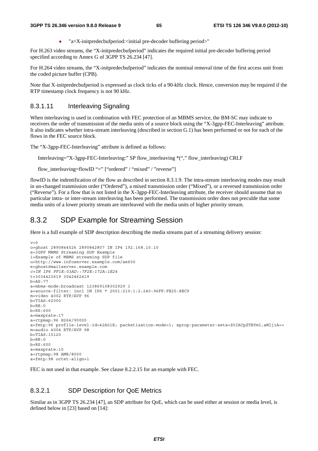• " $a = X$ -initpredecbufperiod:<initial pre-decoder buffering period>"

For H.263 video streams, the "X-initpredecbufperiod" indicates the required initial pre-decoder buffering period specified according to Annex G of 3GPP TS 26.234 [47].

For H.264 video streams, the "X-initpredecbufperiod" indicates the nominal removal time of the first access unit from the coded picture buffer (CPB).

Note that X-initpredecbufperiod is expressed as clock ticks of a 90-kHz clock. Hence, conversion may be required if the RTP timestamp clock frequency is not 90 kHz.

### 8.3.1.11 Interleaving Signaling

When interleaving is used in combination with FEC protection of an MBMS service, the BM-SC may indicate to receivers the order of transmission of the media units of a source block using the "X-3gpp-FEC-Interleaving" attribute. It also indicates whether intra-stream interleaving (described in section G.1) has been performed or not for each of the flows in the FEC source block.

The "X-3gpp-FEC-Interleaving" attribute is defined as follows:

Interleaving="X-3gpp-FEC-Interleaving:" SP flow\_interleaving \*("," flow\_interleaving) CRLF

flow interleaving=flowID "=" ["ordered" / "mixed" / "reverse"]

flowID is the indentification of the flow as described in section 8.3.1.9. The intra-stream interleaving modes may result in un-changed tranmission order ("Ordered"), a mixed transmission order ("Mixed"), or a reversed transmission order ("Reverse"). For a flow that is not listed in the X-3gpp-FEC-Interleaving attribute, the receiver should assume that no particular intra- or inter-stream interleaving has been performed. The transmission order does not preculde that some media units of a lower priority stream are interleaved with the media units of higher priority stream.

## 8.3.2 SDP Example for Streaming Session

Here is a full example of SDP description describing the media streams part of a streaming delivery session:

```
\overline{v}=0o=ghost 2890844526 2890842807 IN IP4 192.168.10.10 
s=3GPP MBMS Streaming SDP Example 
i=Example of MBMS streaming SDP file 
u=http://www.infoserver.example.com/ae600 
e=ghost@mailserver.example.com 
c=IN IP6 FF1E:03AD::7F2E:172A:1E24
t=3034423619 3042462419 
b=AS:77 
a=mbms-mode:broadcast 123869108302929 1 
a=source-filter: incl IN IP6 * 2001:210:1:2:240:96FF:FE25:8EC9 
m=video 4002 RTP/AVP 96 
b=TIAS:62000 
b=RR:0h-PG:600a=maxprate:17 
a=rtpmap:96 H264/90000 
a=fmtp:96 profile-level-id=42A01E; packetization-mode=1; sprop-parameter-sets=Z0IACpZTBYmI,aMljiA== 
m=audio 4004 RTP/AVP 98 
b=TIAS:15120 
b=RR:0b=RS:600 
a=maxprate:10 
a=rtpmap:98 AMR/8000 
a=fmtp:98 octet-align=1
```
FEC is not used in that example. See clause 8.2.2.15 for an example with FEC.

### 8.3.2.1 SDP Description for QoE Metrics

Similar as in 3GPP TS 26.234 [47], an SDP attribute for QoE, which can be used either at session or media level, is defined below in [23] based on [14]: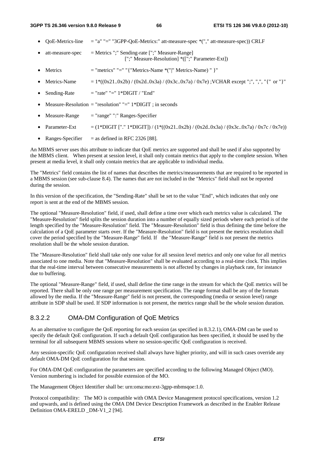- QoE-Metrics-line = "a" "=" "3GPP-QoE-Metrics:" att-measure-spec \*("," att-measure-spec)) CRLF
- att-measure-spec  $=$  Metrics ";" Sending-rate [";" Measure-Range] [";" Measure-Resolution] \*([";" Parameter-Ext])
- Metrics  $=$  "metrics" "=" "{ "Metrics-Name  $*($ "|" Metrics-Name) " }"
- Metrics-Name  $= 1*( (0x21..0x2b) / (0x2d..0x3a) / (0x3c..0x7a) / 0x7e)$ ; VCHAR except ";", ",", "{" or "}"
- Sending-Rate  $=$  "rate" "=" 1\*DIGIT / "End"
- Measure-Resolution = "resolution" "="  $1*DiffIT$ ; in seconds
- $Measure-Range = "range"":" Ranges-Specificr$
- Parameter-Ext = (1\*DIGIT ["." 1\*DIGIT]) / (1\*((0x21..0x2b) / (0x2d..0x3a) / (0x3c..0x7a) / 0x7c / 0x7e))
- Ranges-Specifier  $=$  as defined in RFC 2326 [88].

An MBMS server uses this attribute to indicate that QoE metrics are supported and shall be used if also supported by the MBMS client. When present at session level, it shall only contain metrics that apply to the complete session. When present at media level, it shall only contain metrics that are applicable to individual media.

The "Metrics" field contains the list of names that describes the metrics/measurements that are required to be reported in a MBMS session (see sub-clause 8.4). The names that are not included in the "Metrics" field shall not be reported during the session.

In this version of the specification, the "Sending-Rate" shall be set to the value "End", which indicates that only one report is sent at the end of the MBMS session.

The optional "Measure-Resolution" field, if used, shall define a time over which each metrics value is calculated. The "Measure-Resolution" field splits the session duration into a number of equally sized periods where each period is of the length specified by the "Measure-Resolution" field. The "Measure-Resolution" field is thus defining the time before the calculation of a QoE parameter starts over. If the "Measure-Resolution" field is not present the metrics resolution shall cover the period specified by the "Measure-Range" field. If the "Measure-Range" field is not present the metrics resolution shall be the whole session duration.

The "Measure-Resolution" field shall take only one value for all session level metrics and only one value for all metrics associated to one media. Note that "Measure-Resolution" shall be evaluated according to a real-time clock. This implies that the real-time interval between consecutive measurements is not affected by changes in playback rate, for instance due to buffering.

The optional "Measure-Range" field, if used, shall define the time range in the stream for which the QoE metrics will be reported. There shall be only one range per measurement specification. The range format shall be any of the formats allowed by the media. If the "Measure-Range" field is not present, the corresponding (media or session level) range attribute in SDP shall be used. If SDP information is not present, the metrics range shall be the whole session duration.

#### 8.3.2.2 OMA-DM Configuration of QoE Metrics

As an alternative to configure the QoE reporting for each session (as specified in 8.3.2.1), OMA-DM can be used to specify the default QoE configuration. If such a default QoE configuration has been specified, it should be used by the terminal for all subsequent MBMS sessions where no session-specific QoE configuration is received.

Any session-specific QoE configuration received shall always have higher priority, and will in such cases override any default OMA-DM QoE configuration for that session.

For OMA-DM QoE configuration the parameters are specified according to the following Managed Object (MO). Version numbering is included for possible extension of the MO.

The Management Object Identifier shall be: urn:oma:mo:ext-3gpp-mbmsqoe:1.0.

Protocol compatibility: The MO is compatible with OMA Device Management protocol specifications, version 1.2 and upwards, and is defined using the OMA DM Device Description Framework as described in the Enabler Release Definition OMA-ERELD DM-V1\_2 [94].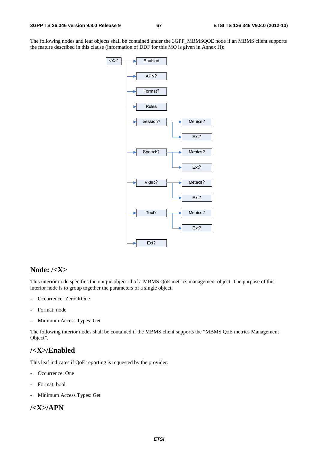The following nodes and leaf objects shall be contained under the 3GPP\_MBMSQOE node if an MBMS client supports the feature described in this clause (information of DDF for this MO is given in Annex H):



## **Node: /<X>**

 $EBM$ <br>ingle<br> $MBN$ <br>pro This interior node specifies the unique object id of a MBMS QoE metrics management object. The purpose of this interior node is to group together the parameters of a single object.

- Occurrence: ZeroOrOne
- Format: node
- Minimum Access Types: Get

The following interior nodes shall be contained if the MBMS client supports the "MBMS QoE metrics Management Object".

### **/<X>/Enabled**

This leaf indicates if QoE reporting is requested by the provider.

- Occurrence: One
- Format: bool
- Minimum Access Types: Get

## **/<X>/APN**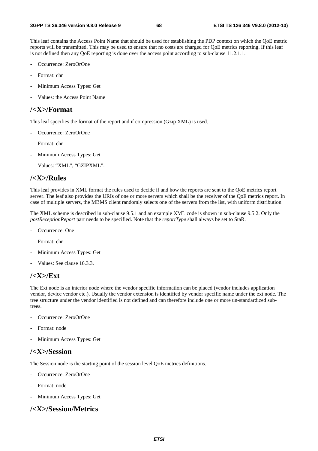This leaf contains the Access Point Name that should be used for establishing the PDP context on which the QoE metric reports will be transmitted. This may be used to ensure that no costs are charged for QoE metrics reporting. If this leaf is not defined then any QoE reporting is done over the access point according to sub-clause 11.2.1.1.

- Occurrence: ZeroOrOne
- Format: chr
- Minimum Access Types: Get
- Values: the Access Point Name

### **/<X>/Format**

This leaf specifies the format of the report and if compression (Gzip XML) is used.

- Occurrence: ZeroOrOne
- Format: chr
- Minimum Access Types: Get
- Values: "XML", "GZIPXML".

### **/<X>/Rules**

This leaf provides in XML format the rules used to decide if and how the reports are sent to the QoE metrics report server. The leaf also provides the URIs of one or more servers which shall be the receiver of the QoE metrics report. In case of multiple servers, the MBMS client randomly selects one of the servers from the list, with uniform distribution.

The XML scheme is described in sub-clause 9.5.1 and an example XML code is shown in sub-clause 9.5.2. Only the *postReceptionReport* part needs to be specified. Note that the *reportType* shall always be set to StaR.

- Occurrence: One
- Format: chr
- Minimum Access Types: Get
- Values: See clause 16.3.3.

## **/<X>/Ext**

The Ext node is an interior node where the vendor specific information can be placed (vendor includes application vendor, device vendor etc.). Usually the vendor extension is identified by vendor specific name under the ext node. The tree structure under the vendor identified is not defined and can therefore include one or more un-standardized subtrees.

- Occurrence: ZeroOrOne
- Format: node
- Minimum Access Types: Get

## **/<X>/Session**

The Session node is the starting point of the session level QoE metrics definitions.

- Occurrence: ZeroOrOne
- Format: node
- Minimum Access Types: Get

## **/<X>/Session/Metrics**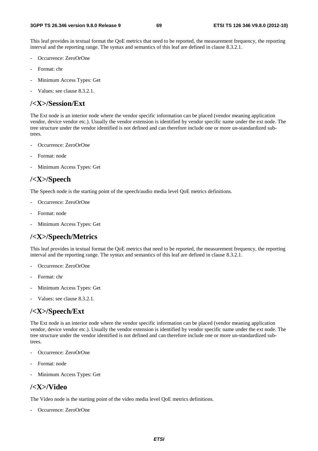This leaf provides in textual format the QoE metrics that need to be reported, the measurement frequency, the reporting interval and the reporting range. The syntax and semantics of this leaf are defined in clause 8.3.2.1.

- Occurrence: ZeroOrOne
- Format: chr
- Minimum Access Types: Get
- Values: see clause 8.3.2.1.

### **/<X>/Session/Ext**

The Ext node is an interior node where the vendor specific information can be placed (vendor meaning application vendor, device vendor etc.). Usually the vendor extension is identified by vendor specific name under the ext node. The tree structure under the vendor identified is not defined and can therefore include one or more un-standardized subtrees.

- Occurrence: ZeroOrOne
- Format: node
- Minimum Access Types: Get

### **/<X>/Speech**

The Speech node is the starting point of the speech/audio media level QoE metrics definitions.

- Occurrence: ZeroOrOne
- Format: node
- Minimum Access Types: Get

## **/<X>/Speech/Metrics**

This leaf provides in textual format the QoE metrics that need to be reported, the measurement frequency, the reporting interval and the reporting range. The syntax and semantics of this leaf are defined in clause 8.3.2.1.

- Occurrence: ZeroOrOne
- Format: chr
- Minimum Access Types: Get
- Values: see clause 8.3.2.1.

## **/<X>/Speech/Ext**

The Ext node is an interior node where the vendor specific information can be placed (vendor meaning application vendor, device vendor etc.). Usually the vendor extension is identified by vendor specific name under the ext node. The tree structure under the vendor identified is not defined and can therefore include one or more un-standardized subtrees.

- Occurrence: ZeroOrOne
- Format: node
- Minimum Access Types: Get

## **/<X>/Video**

The Video node is the starting point of the video media level QoE metrics definitions.

Occurrence: ZeroOrOne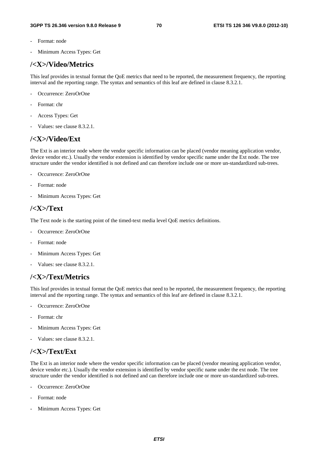- Format: node
- Minimum Access Types: Get

## **/<X>/Video/Metrics**

This leaf provides in textual format the QoE metrics that need to be reported, the measurement frequency, the reporting interval and the reporting range. The syntax and semantics of this leaf are defined in clause 8.3.2.1.

- Occurrence: ZeroOrOne
- Format: chr
- Access Types: Get
- Values: see clause 8.3.2.1.

## **/<X>/Video/Ext**

The Ext is an interior node where the vendor specific information can be placed (vendor meaning application vendor, device vendor etc.). Usually the vendor extension is identified by vendor specific name under the Ext node. The tree structure under the vendor identified is not defined and can therefore include one or more un-standardized sub-trees.

- Occurrence: ZeroOrOne
- Format: node
- Minimum Access Types: Get

### **/<X>/Text**

The Text node is the starting point of the timed-text media level QoE metrics definitions.

- Occurrence: ZeroOrOne
- Format: node
- Minimum Access Types: Get
- Values: see clause 8.3.2.1.

## **/<X>/Text/Metrics**

This leaf provides in textual format the QoE metrics that need to be reported, the measurement frequency, the reporting interval and the reporting range. The syntax and semantics of this leaf are defined in clause 8.3.2.1.

- Occurrence: ZeroOrOne
- Format: chr
- Minimum Access Types: Get
- Values: see clause 8.3.2.1.

## **/<X>/Text/Ext**

The Ext is an interior node where the vendor specific information can be placed (vendor meaning application vendor, device vendor etc.). Usually the vendor extension is identified by vendor specific name under the ext node. The tree structure under the vendor identified is not defined and can therefore include one or more un-standardized sub-trees.

- Occurrence: ZeroOrOne
- Format: node
- Minimum Access Types: Get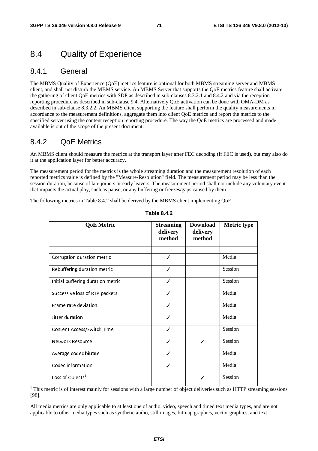# 8.4 Quality of Experience

### 8.4.1 General

The MBMS Quality of Experience (QoE) metrics feature is optional for both MBMS streaming server and MBMS client, and shall not disturb the MBMS service. An MBMS Server that supports the QoE metrics feature shall activate the gathering of client QoE metrics with SDP as described in sub-clauses 8.3.2.1 and 8.4.2 and via the reception reporting procedure as described in sub-clause 9.4. Alternatively QoE activation can be done with OMA-DM as described in sub-clause 8.3.2.2. An MBMS client supporting the feature shall perform the quality measurements in accordance to the measurement definitions, aggregate them into client QoE metrics and report the metrics to the specified server using the content reception reporting procedure. The way the QoE metrics are processed and made available is out of the scope of the present document.

### 8.4.2 QoE Metrics

An MBMS client should measure the metrics at the transport layer after FEC decoding (if FEC is used), but may also do it at the application layer for better accuracy.

The measurement period for the metrics is the whole streaming duration and the measurement resolution of each reported metrics value is defined by the "Measure-Resolution" field. The measurement period may be less than the session duration, because of late joiners or early leavers. The measurement period shall not include any voluntary event that impacts the actual play, such as pause, or any buffering or freezes/gaps caused by them.

The following metrics in Table 8.4.2 shall be derived by the MBMS client implementing QoE:

| <b>QoE</b> Metric                 | <b>Streaming</b><br>delivery<br>method | <b>Download</b><br>delivery<br>method | <b>Metric type</b> |
|-----------------------------------|----------------------------------------|---------------------------------------|--------------------|
|                                   |                                        |                                       |                    |
| Corruption duration metric        | ✓                                      |                                       | Media              |
| Rebuffering duration metric       | ✓                                      |                                       | Session            |
| Initial buffering duration metric | ✓                                      |                                       | Session            |
| Successive loss of RTP packets    | ✓                                      |                                       | Media              |
| Frame rate deviation              |                                        |                                       | Media              |
| Jitter duration                   | ✓                                      |                                       | Media              |
| Content Access/Switch Time        | ✓                                      |                                       | Session            |
| Network Resource                  | ✓                                      | ℐ                                     | Session            |
| Average codec bitrate             | ✓                                      |                                       | Media              |
| Codec information                 | ✓                                      |                                       | Media              |
| Loss of Objects <sup>1</sup>      |                                        |                                       | Session            |

#### **Table 8.4.2**

<sup>1</sup> This metric is of interest mainly for sessions with a large number of object deliveries such as HTTP streaming sessions [98].

All media metrics are only applicable to at least one of audio, video, speech and timed text media types, and are not applicable to other media types such as synthetic audio, still images, bitmap graphics, vector graphics, and text.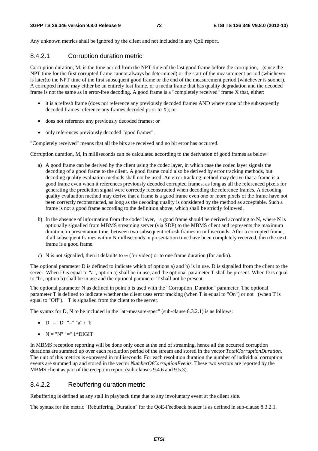Any unknown metrics shall be ignored by the client and not included in any QoE report.

#### 8.4.2.1 Corruption duration metric

Corruption duration, M, is the time period from the NPT time of the last good frame before the corruption, (since the NPT time for the first corrupted frame cannot always be determined) or the start of the measurement period (whichever is later)to the NPT time of the first subsequent good frame or the end of the measurement period (whichever is sooner). A corrupted frame may either be an entirely lost frame, or a media frame that has quality degradation and the decoded frame is not the same as in error-free decoding. A good frame is a "completely received" frame X that, either:

- it is a refresh frame (does not reference any previously decoded frames AND where none of the subsequently decoded frames reference any frames decoded prior to X); or
- does not reference any previously decoded frames; or
- only references previously decoded "good frames".

"Completely received" means that all the bits are received and no bit error has occurred.

Corruption duration, M, in milliseconds can be calculated according to the derivation of good frames as below:

- a) A good frame can be derived by the client using the codec layer, in which case the codec layer signals the decoding of a good frame to the client. A good frame could also be derived by error tracking methods, but decoding quality evaluation methods shall not be used. An error tracking method may derive that a frame is a good frame even when it references previously decoded corrupted frames, as long as all the referenced pixels for generating the prediction signal were correctly reconstructed when decoding the reference frames. A decoding quality evaluation method may derive that a frame is a good frame even one or more pixels of the frame have not been correctly reconstructed, as long as the decoding quality is considered by the method as acceptable. Such a frame is not a good frame according to the definition above, which shall be strictly followed.
- b) In the absence of information from the codec layer, a good frame should be derived according to N, where N is optionally signalled from MBMS streaming server (via SDP) to the MBMS client and represents the maximum duration, in presentation time, between two subsequent refresh frames in milliseconds. After a corrupted frame, if all subsequent frames within N milliseconds in presentation time have been completely received, then the next frame is a good frame.
- c) N is not signalled, then it defaults to  $\infty$  (for video) or to one frame duration (for audio).

The optional parameter D is defined to indicate which of options a) and b) is in use. D is signalled from the client to the server. When D is equal to "a", option a) shall be in use, and the optional parameter T shall be present. When D is equal to "b", option b) shall be in use and the optional parameter T shall not be present.

The optional parameter N as defined in point b is used with the "Corruption\_Duration" parameter. The optional parameter T is defined to indicate whether the client uses error tracking (when T is equal to "On") or not (when T is equal to "Off"). T is signalled from the client to the server.

The syntax for D, N to be included in the "att-measure-spec" (sub-clause 8.3.2.1) is as follows:

- $D = "D" "=' "a" / "b"$
- $N = "N" " = " 1*DiffIT"$

In MBMS reception reporting will be done only once at the end of streaming, hence all the occurred corruption durations are summed up over each resolution period of the stream and stored in the vector *TotalCorruptionDuration*. The unit of this metrics is expressed in milliseconds. For each resolution duration the number of individual corruption events are summed up and stored in the vector *NumberOfCorruptionEvents.* These two vectors are reported by the MBMS client as part of the reception report (sub-clauses 9.4.6 and 9.5.3).

#### 8.4.2.2 Rebuffering duration metric

Rebuffering is defined as any stall in playback time due to any involuntary event at the client side.

The syntax for the metric "Rebuffering\_Duration" for the QoE-Feedback header is as defined in sub-clause 8.3.2.1.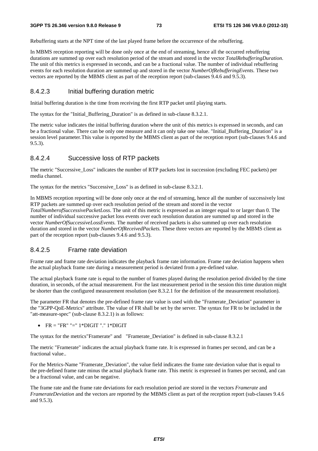Rebuffering starts at the NPT time of the last played frame before the occurrence of the rebuffering.

In MBMS reception reporting will be done only once at the end of streaming, hence all the occurred rebuffering durations are summed up over each resolution period of the stream and stored in the vector *TotalRebufferingDuration*. The unit of this metrics is expressed in seconds, and can be a fractional value. The number of individual rebuffering events for each resolution duration are summed up and stored in the vector *NumberOfRebufferingEvents.* These two vectors are reported by the MBMS client as part of the reception report (sub-clauses 9.4.6 and 9.5.3).

#### 8.4.2.3 Initial buffering duration metric

Initial buffering duration is the time from receiving the first RTP packet until playing starts.

The syntax for the "Initial\_Buffering\_Duration" is as defined in sub-clause 8.3.2.1.

The metric value indicates the initial buffering duration where the unit of this metrics is expressed in seconds, and can be a fractional value. There can be only one measure and it can only take one value. "Initial\_Buffering\_Duration" is a session level parameter.This value is reported by the MBMS client as part of the reception report (sub-clauses 9.4.6 and 9.5.3).

#### 8.4.2.4 Successive loss of RTP packets

The metric "Successive\_Loss" indicates the number of RTP packets lost in succession (excluding FEC packets) per media channel.

The syntax for the metrics "Successive\_Loss" is as defined in sub-clause 8.3.2.1.

In MBMS reception reporting will be done only once at the end of streaming, hence all the number of successively lost RTP packets are summed up over each resolution period of the stream and stored in the vector *TotalNumberofSuccessivePacketLoss*. The unit of this metric is expressed as an integer equal to or larger than 0. The number of individual successive packet loss events over each resolution duration are summed up and stored in the vector *NumberOfSuccessiveLossEvents.* The number of received packets is also summed up over each resolution duration and stored in the vector *NumberOfReceivedPackets.* These three vectors are reported by the MBMS client as part of the reception report (sub-clauses 9.4.6 and 9.5.3).

#### 8.4.2.5 Frame rate deviation

Frame rate and frame rate deviation indicates the playback frame rate information. Frame rate deviation happens when the actual playback frame rate during a measurement period is deviated from a pre-defined value.

The actual playback frame rate is equal to the number of frames played during the resolution period divided by the time duration, in seconds, of the actual measurement. For the last measurement period in the session this time duration might be shorter than the configured measurement resolution (see 8.3.2.1 for the definition of the measurement resolution).

The parameter FR that denotes the pre-defined frame rate value is used with the "Framerate\_Deviation" parameter in the "3GPP-QoE-Metrics" attribute. The value of FR shall be set by the server. The syntax for FR to be included in the "att-measure-spec" (sub-clause 8.3.2.1) is as follows:

•  $FR = "FR" " = " 1*DIGIT "." 1*DIGIT"$ 

The syntax for the metrics"Framerate" and "Framerate\_Deviation" is defined in sub-clause 8.3.2.1

The metric "Framerate" indicates the actual playback frame rate. It is expressed in frames per second, and can be a fractional value..

For the Metrics-Name "Framerate\_Deviation", the value field indicates the frame rate deviation value that is equal to the pre-defined frame rate minus the actual playback frame rate. This metric is expressed in frames per second, and can be a fractional value, and can be negative.

The frame rate and the frame rate deviations for each resolution period are stored in the vectors *Framerate* and *FramerateDeviation* and the vectors are reported by the MBMS client as part of the reception report (sub-clauses 9.4.6) and 9.5.3).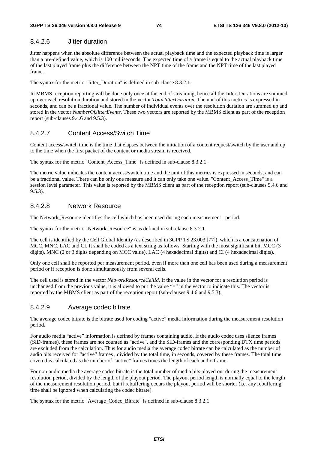#### 8.4.2.6 Jitter duration

Jitter happens when the absolute difference between the actual playback time and the expected playback time is larger than a pre-defined value, which is 100 milliseconds. The expected time of a frame is equal to the actual playback time of the last played frame plus the difference between the NPT time of the frame and the NPT time of the last played frame.

The syntax for the metric "Jitter Duration" is defined in sub-clause 8.3.2.1.

In MBMS reception reporting will be done only once at the end of streaming, hence all the Jitter\_Durations are summed up over each resolution duration and stored in the vector *TotalJitterDuration*. The unit of this metrics is expressed in seconds, and can be a fractional value. The number of individual events over the resolution duration are summed up and stored in the vector *NumberOfJitterEvents.* These two vectors are reported by the MBMS client as part of the reception report (sub-clauses 9.4.6 and 9.5.3).

#### 8.4.2.7 Content Access/Switch Time

Content access/switch time is the time that elapses between the initiation of a content request/switch by the user and up to the time when the first packet of the content or media stream is received.

The syntax for the metric "Content Access Time" is defined in sub-clause 8.3.2.1.

The metric value indicates the content access/switch time and the unit of this metrics is expressed in seconds, and can be a fractional value. There can be only one measure and it can only take one value. "Content\_Access\_Time" is a session level parameter. This value is reported by the MBMS client as part of the reception report (sub-clauses 9.4.6 and 9.5.3).

#### 8.4.2.8 Network Resource

The Network Resource identifies the cell which has been used during each measurement period.

The syntax for the metric "Network\_Resource" is as defined in sub-clause 8.3.2.1.

The cell is identified by the Cell Global Identity (as described in 3GPP TS 23.003 [77]), which is a concatenation of MCC, MNC, LAC and CI. It shall be coded as a text string as follows: Starting with the most significant bit, MCC (3 digits), MNC (2 or 3 digits depending on MCC value), LAC (4 hexadecimal digits) and CI (4 hexadecimal digits).

Only one cell shall be reported per measurement period, even if more than one cell has been used during a measurement period or if reception is done simultaneously from several cells.

The cell used is stored in the vector *NetworkResourceCellId.* If the value in the vector for a resolution period is unchanged from the previous value, it is allowed to put the value "=" in the vector to indicate this. The vector is reported by the MBMS client as part of the reception report (sub-clauses 9.4.6 and 9.5.3).

#### 8.4.2.9 Average codec bitrate

The average codec bitrate is the bitrate used for coding "active" media information during the measurement resolution period.

For audio media "active" information is defined by frames containing audio. If the audio codec uses silence frames (SID-frames), these frames are not counted as "active", and the SID-frames and the corresponding DTX time periods are excluded from the calculation. Thus for audio media the average codec bitrate can be calculated as the number of audio bits received for "active" frames , divided by the total time, in seconds, covered by these frames. The total time covered is calculated as the number of "active" frames times the length of each audio frame.

For non-audio media the average codec bitrate is the total number of media bits played out during the measurement resolution period, divided by the length of the playout period. The playout period length is normally equal to the length of the measurement resolution period, but if rebuffering occurs the playout period will be shorter (i.e. any rebuffering time shall be ignored when calculating the codec bitrate).

The syntax for the metric "Average\_Codec\_Bitrate" is defined in sub-clause 8.3.2.1.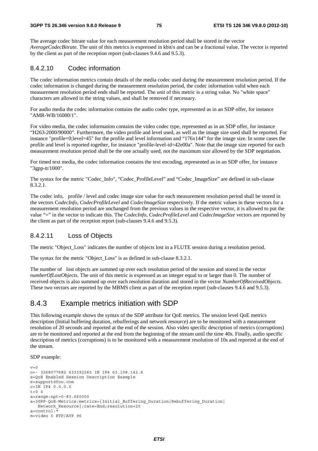The average codec bitrate value for each measurement resolution period shall be stored in the vector *AverageCodecBitrate*. The unit of this metrics is expressed in kbit/s and can be a fractional value. The vector is reported by the client as part of the reception report (sub-clauses 9.4.6 and 9.5.3).

#### 8.4.2.10 Codec information

The codec information metrics contain details of the media codec used during the measurement resolution period. If the codec information is changed during the measurement resolution period, the codec information valid when each measurement resolution period ends shall be reported. The unit of this metric is a string value. No "white space" characters are allowed in the string values, and shall be removed if necessary.

For audio media the codec information contains the audio codec type, represented as in an SDP offer, for instance "AMR-WB/16000/1".

For video media, the codec information contains the video codec type, represented as in an SDP offer, for instance "H263-2000/90000". Furthermore, the video profile and level used, as well as the image size used shall be reported. For instance "profile=0;level=45" for the profile and level information and "176x144" for the image size. In some cases the profile and level is reported together, for instance "profile-level-id=42e00a". Note that the image size reported for each measurement resolution period shall be the one actually used, not the maximum size allowed by the SDP negotiation.

For timed text media, the codec information contains the text encoding, represented as in an SDP offer, for instance "3gpp-tt/1000".

The syntax for the metric "Codec\_Info", "Codec\_ProfileLevel" and "Codec\_ImageSize" are defined in sub-clause 8.3.2.1.

The codec info, profile / level and codec image size value for each measurement resolution period shall be stored in the vectors C*odecInfo*, *CodecProfileLevel* and *CodecImageSize* respectively. If the metric values in these vectors for a measurement resolution period are unchanged from the previous values in the respective vector, it is allowed to put the value "=" in the vector to indicate this. The C*odecInfo, CodecProfileLevel* and *CodecImageSize* vectors are reported by the client as part of the reception report (sub-clauses 9.4.6 and 9.5.3).

#### 8.4.2.11 Loss of Objects

The metric "Object\_Loss" indicates the number of objects lost in a FLUTE session during a resolution period.

The syntax for the metric "Object\_Loss" is as defined in sub-clause 8.3.2.1.

The number of lost objects are summed up over each resolution period of the session and stored in the vector *numberOfLostObjects*. The unit of this metric is expressed as an integer equal to or larger than 0. The number of received objects is also summed up over each resolution duration and stored in the vector *NumberOfReceivedObjects.*  These two vectors are reported by the MBMS client as part of the reception report (sub-clauses 9.4.6 and 9.5.3).

### 8.4.3 Example metrics initiation with SDP

This following example shows the syntax of the SDP attribute for QoE metrics. The session level QoE metrics description (Initial buffering duration, rebufferings and network resource) are to be monitored with a measurement resolution of 20 seconds and reported at the end of the session. Also video specific description of metrics (corruptions) are to be monitored and reported at the end from the beginning of the stream until the time 40s. Finally, audio specific description of metrics (corruptions) is to be monitored with a measurement resolution of 10s and reported at the end of the stream.

SDP example:

```
v=0o=- 3268077682 433392265 IN IP4 63.108.142.6 
s=QoE Enabled Session Description Example 
e=support@foo.com 
c=IN IP4 0.0.0.0
t=0 0
a=range:npt=0-83.660000 
a=3GPP-QoE-Metrics:metrics={Initial_Buffering_Duration|Rebuffering_Duration| 
    Network_Resource};rate=End;resolution=20 
a = \text{cont} \text{rol} \cdot *m=video 0 RTP/AVP 96
```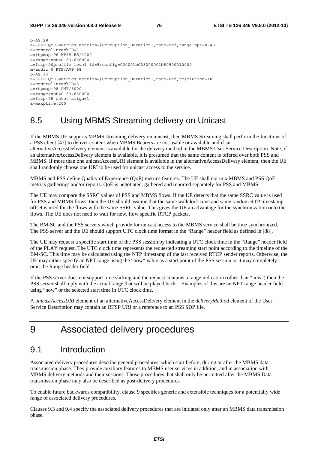```
b=AS:28a=3GPP-QoE-Metrics:metrics={Corruption_Duration};rate=End;range:npt=0-40 
a=control:trackID=3 
a=rtpmap:96 MP4V-ES/1000 
a=range:npt=0-83.666000 
a=fmtp:96profile-level-id=8;config=000001b008000001b50900012000 
m=audio 0 RTP/AVP 98 
b=AS:13a=3GPP-QoE-Metrics:metrics={Corruption_Duration};rate=End;resolution=10 
a=control:trackID=5 
a=rtpmap:98 AMR/8000 
a=range:npt=0-83.660000 
a=fmtp:98 octet-align=1 
a=maxptime:200
```
# 8.5 Using MBMS Streaming delivery on Unicast

If the MBMS UE supports MBMS streaming delivery on unicast, then MBMS Streaming shall perform the functions of a PSS client [47] to deliver content when MBMS Bearers are not usable or available and if an alternativeAccessDelivery element is available for the delivery method in the MBMS User Service Description. Note, if an alternativeAccessDelivery element is available, it is presumed that the same content is offered over both PSS and MBMS. If more than one unicastAccessURI element is available in the alternativeAccessDelivery element, then the UE shall randomly choose one URI to be used for unicast access to the service.

MBMS and PSS define Quality of Experience (QoE) metrics features. The UE shall not mix MBMS and PSS QoE metrics gatherings and/or reports. QoE is negotiated, gathered and reported separately for PSS and MBMS.

The UE may compare the SSRC values of PSS and MBMS flows. If the UE detects that the same SSRC value is used for PSS and MBMS flows, then the UE should assume that the same wallclock time and same random RTP timestamp offset is used for the flows with the same SSRC value. This gives the UE an advantage for the synchronization onto the flows. The UE does not need to wait for new, flow specific RTCP packets.

The BM-SC and the PSS servers which provide for unicast access to the MBMS service shall be time synchronized. The PSS server and the UE should support UTC clock time format in the "Range" header field as defined in [88].

The UE may request a specific start time of the PSS session by indicating a UTC clock time in the "Range" header field of the PLAY request. The UTC clock time represents the requested streaming start point according to the timeline of the BM-SC. This time may be calculated using the NTP timestamp of the last received RTCP sender reports. Otherwise, the UE may either specify an NPT range using the "now" value as a start point of the PSS session or it may completely omit the Range header field.

If the PSS server does not support time shifting and the request contains a range indication (other than "now") then the PSS server shall reply with the actual range that will be played back. Examples of this are an NPT range header field using "now" or the selected start time in UTC clock time.

A *unicastAccessURI* element of an alternativeAccessDelivery element in the *deliveryMethod* element of the User Service Description may contain an RTSP URI or a reference to an PSS SDP file.

# 9 Associated delivery procedures

### 9.1 Introduction

Associated delivery procedures describe general procedures, which start before, during or after the MBMS data transmission phase. They provide auxiliary features to MBMS user services in addition, and in association with, MBMS delivery methods and their sessions. Those procedures that shall only be permitted after the MBMS Data transmission phase may also be described as post-delivery procedures.

To enable future backwards compatibility, clause 9 specifies generic and extensible techniques for a potentially wide range of associated delivery procedures.

Clauses 9.3 and 9.4 specify the associated delivery procedures that are initiated only after an MBMS data transmission phase.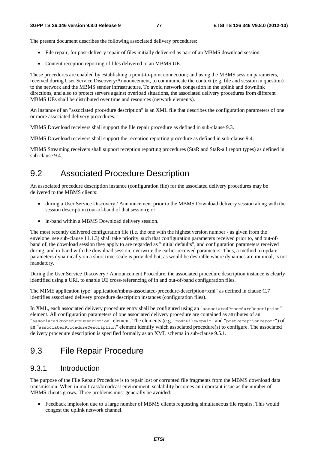The present document describes the following associated delivery procedures:

- File repair, for post-delivery repair of files initially delivered as part of an MBMS download session.
- Content reception reporting of files delivered to an MBMS UE.

These procedures are enabled by establishing a point-to-point connection; and using the MBMS session parameters, received during User Service Discovery/Announcement, to communicate the context (e.g. file and session in question) to the network and the MBMS sender infrastructure. To avoid network congestion in the uplink and downlink directions, and also to protect servers against overload situations, the associated delivery procedures from different MBMS UEs shall be distributed over time and resources (network elements).

An instance of an "associated procedure description" is an XML file that describes the configuration parameters of one or more associated delivery procedures.

MBMS Download receivers shall support the file repair procedure as defined in sub-clause 9.3.

MBMS Download receivers shall support the reception reporting procedure as defined in sub-clause 9.4.

MBMS Streaming receivers shall support reception reporting procedures (StaR and StaR-all report types) as defined in sub-clause 9.4.

## 9.2 Associated Procedure Description

An associated procedure description instance (configuration file) for the associated delivery procedures may be delivered to the MBMS clients:

- during a User Service Discovery / Announcement prior to the MBMS Download delivery session along with the session description (out-of-band of that session); or
- in-band within a MBMS Download delivery session.

The most recently delivered configuration file (i.e. the one with the highest version number - as given from the envelope, see sub-clause 11.1.3) shall take priority, such that configuration parameters received prior to, and out-ofband of, the download session they apply to are regarded as "initial defaults", and configuration parameters received during, and in-band with the download session, overwrite the earlier received parameters. Thus, a method to update parameters dynamically on a short time-scale is provided but, as would be desirable where dynamics are minimal, is not mandatory.

During the User Service Discovery / Announcement Procedure, the associated procedure description instance is clearly identified using a URI, to enable UE cross-referencing of in and out-of-band configuration files.

The MIME application type "application/mbms-associated-procedure-description+xml" as defined in clause C.7 identifies associated delivery procedure description instances (configuration files).

In XML, each associated delivery procedure entry shall be configured using an "associatedProcedureDescription" element. All configuration parameters of one associated delivery procedure are contained as attributes of an "associatedProcedureDescription" element. The elements (e.g. "postFileRepair" and "postReceptionReport") of an "associatedProcedureDescription" element identify which associated procedure(s) to configure. The associated delivery procedure description is specified formally as an XML schema in sub-clause 9.5.1.

### 9.3 File Repair Procedure

#### 9.3.1 Introduction

The purpose of the File Repair Procedure is to repair lost or corrupted file fragments from the MBMS download data transmission. When in multicast/broadcast environment, scalability becomes an important issue as the number of MBMS clients grows. Three problems must generally be avoided:

• Feedback implosion due to a large number of MBMS clients requesting simultaneous file repairs. This would congest the uplink network channel.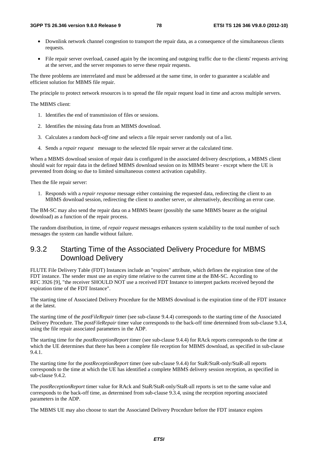- Downlink network channel congestion to transport the repair data, as a consequence of the simultaneous clients requests.
- File repair server overload, caused again by the incoming and outgoing traffic due to the clients' requests arriving at the server, and the server responses to serve these repair requests.

The three problems are interrelated and must be addressed at the same time, in order to guarantee a scalable and efficient solution for MBMS file repair.

The principle to protect network resources is to spread the file repair request load in time and across multiple servers.

The MBMS client:

- 1. Identifies the end of transmission of files or sessions.
- 2. Identifies the missing data from an MBMS download.
- 3. Calculates a random *back-off time* and selects a file repair server randomly out of a list.
- 4. Sends a *repair request* message to the selected file repair server at the calculated time.

When a MBMS download session of repair data is configured in the associated delivery descriptions, a MBMS client should wait for repair data in the defined MBMS download session on its MBMS bearer - except where the UE is prevented from doing so due to limited simultaneous context activation capability.

Then the file repair server:

1. Responds with a *repair response* message either containing the requested data, redirecting the client to an MBMS download session, redirecting the client to another server, or alternatively, describing an error case.

The BM-SC may also send the repair data on a MBMS bearer (possibly the same MBMS bearer as the original download) as a function of the repair process.

The random distribution, in time, of *repair request* messages enhances system scalability to the total number of such messages the system can handle without failure.

### 9.3.2 Starting Time of the Associated Delivery Procedure for MBMS Download Delivery

FLUTE File Delivery Table (FDT) Instances include an "expires" attribute, which defines the expiration time of the FDT instance. The sender must use an expiry time relative to the current time at the BM-SC. According to RFC 3926 [9], "the receiver SHOULD NOT use a received FDT Instance to interpret packets received beyond the expiration time of the FDT Instance".

The starting time of Associated Delivery Procedure for the MBMS download is the expiration time of the FDT instance at the latest.

The starting time of the *postFileRepair* timer (see sub-clause 9.4.4) corresponds to the starting time of the Associated Delivery Procedure. The *postFileRepair* timer value corresponds to the back-off time determined from sub-clause 9.3.4, using the file repair associated parameters in the ADP.

The starting time for the *postReceptionReport* timer (see sub-clause 9.4.4) for RAck reports corresponds to the time at which the UE determines that there has been a complete file reception for MBMS download, as specified in sub-clause 9.4.1.

The starting time for the *postReceptionReport* timer (see sub-clause 9.4.4) for StaR/StaR-only/StaR-all reports corresponds to the time at which the UE has identified a complete MBMS delivery session reception, as specified in sub-clause 9.4.2.

The *postReceptionReport* timer value for RAck and StaR/StaR-only/StaR-all reports is set to the same value and corresponds to the back-off time, as determined from sub-clause 9.3.4, using the reception reporting associated parameters in the ADP.

The MBMS UE may also choose to start the Associated Delivery Procedure before the FDT instance expires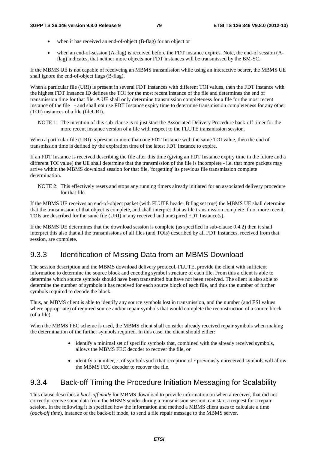- when it has received an end-of-object (B-flag) for an object or
- when an end-of-session (A-flag) is received before the FDT instance expires. Note, the end-of session (Aflag) indicates, that neither more objects nor FDT instances will be transmissed by the BM-SC.

If the MBMS UE is not capable of receiveing an MBMS transmission while using an interactive bearer, the MBMS UE shall ignore the end-of-object flags (B-flag).

When a particular file (URI) is present in several FDT Instances with different TOI values, then the FDT Instance with the highest FDT Instance ID defines the TOI for the most recent instance of the file and determines the end of transmission time for that file. A UE shall only determine transmission completeness for a file for the most recent instance of the file - and shall not use FDT Instance expiry time to determine transmission completeness for any other (TOI) instances of a file (fileURI).

NOTE 1: The intention of this sub-clause is to just start the Associated Delivery Procedure back-off timer for the more recent instance version of a file with respect to the FLUTE transmission session.

When a particular file (URI) is present in more than one FDT Instance with the same TOI value, then the end of transmission time is defined by the expiration time of the latest FDT Instance to expire.

If an FDT Instance is received describing the file after this time (giving an FDT Instance expiry time in the future and a different TOI value) the UE shall determine that the transmission of the file is incomplete - i.e. that more packets may arrive within the MBMS download session for that file, 'forgetting' its previous file transmission complete determination.

NOTE 2: This effectively resets and stops any running timers already initiated for an associated delivery procedure for that file.

If the MBMS UE receives an end-of-object packet (with FLUTE header B flag set true) the MBMS UE shall determine that the transmission of that object is complete, and shall interpret that as file transmission complete if no, more recent, TOIs are described for the same file (URI) in any received and unexpired FDT Instance(s).

If the MBMS UE determines that the download session is complete (as specified in sub-clause 9.4.2) then it shall interpret this also that all the transmissions of all files (and TOIs) described by all FDT Instances, received from that session, are complete.

### 9.3.3 Identification of Missing Data from an MBMS Download

The session description and the MBMS download delivery protocol, FLUTE, provide the client with sufficient information to determine the source block and encoding symbol structure of each file. From this a client is able to determine which source symbols should have been transmitted but have not been received. The client is also able to determine the number of symbols it has received for each source block of each file, and thus the number of further symbols required to decode the block.

Thus, an MBMS client is able to identify any source symbols lost in transmission, and the number (and ESI values where appropriate) of required source and/or repair symbols that would complete the reconstruction of a source block (of a file).

When the MBMS FEC scheme is used, the MBMS client shall consider already received repair symbols when making the determination of the further symbols required. In this case, the client should either:

- identify a minimal set of specific symbols that, combined with the already received symbols, allows the MBMS FEC decoder to recover the file, or
- identify a number, *r*, of symbols such that reception of *r* previously unreceived symbols will allow the MBMS FEC decoder to recover the file.

### 9.3.4 Back-off Timing the Procedure Initiation Messaging for Scalability

This clause describes a *back-off mode* for MBMS download to provide information on when a receiver, that did not correctly receive some data from the MBMS sender during a transmission session, can start a request for a repair session. In the following it is specified how the information and method a MBMS client uses to calculate a time (*back-off time*), instance of the back-off mode, to send a file repair message to the MBMS server.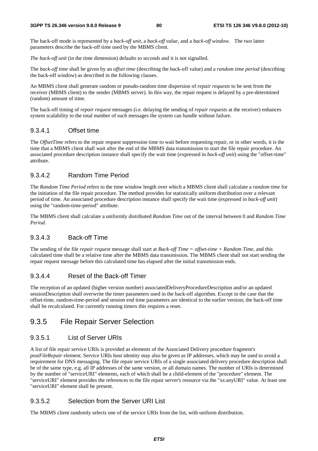#### **3GPP TS 26.346 version 9.8.0 Release 9 80 ETSI TS 126 346 V9.8.0 (2012-10)**

The back-off mode is represented by a *back-off unit*, a *back-off value,* and a *back-off window*. The two latter parameters describe the back-off time used by the MBMS client.

*The back-off unit* (in the time dimension) defaults to *seconds* and it is not signalled.

The *back-off time* shall be given by an *offset time* (describing the back-off value) and a *random time period* (describing the back-off window) as described in the following clauses.

An MBMS client shall generate random or pseudo-random time dispersion of *repair requests* to be sent from the receiver (MBMS client) to the sender (MBMS server). In this way, the repair request is delayed by a pre-determined (random) amount of time.

The back-off timing of *repair request* messages (i.e. delaying the sending of *repair requests* at the receiver) enhances system scalability to the total number of such messages the system can handle without failure.

#### 9.3.4.1 Offset time

The *OffsetTime* refers to the repair request suppression time to wait before requesting repair, or in other words, it is the time that a MBMS client shall wait after the end of the MBMS data transmission to start the file repair procedure. An associated procedure description instance shall specify the wait time (expressed in *back-off unit*) using the "offset-time" attribute.

#### 9.3.4.2 Random Time Period

The *Random Time Period* refers to the time window length over which a MBMS client shall calculate a *random time* for the initiation of the file repair procedure. The method provides for statistically uniform distribution over a relevant period of time. An associated procedure description instance shall specify the wait time (expressed in *back-off unit*) using the "random-time-period" attribute.

The MBMS client shall calculate a uniformly distributed *Random Time* out of the interval between 0 and *Random Time Period*.

#### 9.3.4.3 Back-off Time

The sending of the file *repair request* message shall start at *Back-off Time = offset-time + Random Time*, and this calculated time shall be a relative time after the MBMS data transmission. The MBMS client shall not start sending the repair request message before this calculated time has elapsed after the initial transmission ends.

#### 9.3.4.4 Reset of the Back-off Timer

The reception of an updated (higher version number) associatedDeliveryProcedureDescription and/or an updated sessionDescription shall overwrite the timer parameters used in the back-off algorithm. Except in the case that the offset-time, random-time-period and session end time parameters are identical to the earlier version; the back-off time shall be recalculated. For currently running timers this requires a reset.

#### 9.3.5 File Repair Server Selection

#### 9.3.5.1 List of Server URIs

A list of file repair service URIs is provided as elements of the Associated Delivery procedure fragment's *postFileRepair* element. Service URIs host identity may also be given as IP addresses, which may be used to avoid a requirement for DNS messaging. The file repair service URIs of a single associated delivery procedure description shall be of the same type, e.g. all IP addresses of the same version, or all domain names. The number of URIs is determined by the number of "serviceURI" elements, each of which shall be a child-element of the "procedure" element. The "serviceURI" element provides the references to the file repair server's resource via the "xs:anyURI" value. At least one "serviceURI" element shall be present.

#### 9.3.5.2 Selection from the Server URI List

The MBMS client randomly selects one of the service URIs from the list, with uniform distribution.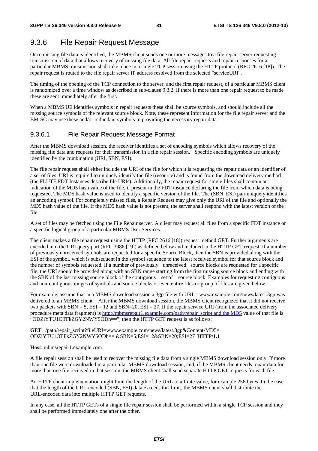# 9.3.6 File Repair Request Message

Once missing file data is identified, the MBMS client sends one or more messages to a file repair server requesting transmission of data that allows recovery of missing file data. All file repair requests and repair responses for a particular MBMS transmission shall take place in a single TCP session using the HTTP protocol (RFC 2616 [18]). The repair request is routed to the file repair server IP address resolved from the selected "serviceURI".

The timing of the opening of the TCP connection to the server, and the first repair request, of a particular MBMS client is randomized over a time window as described in sub-clause 9.3.2. If there is more than one repair request to be made these are sent immediately after the first.

When a MBMS UE identifies symbols in repair requests these shall be source symbols, and should include all the missing source symbols of the relevant source block. Note, these represent information for the file repair server and the BM-SC may use these and/or redundant symbols in providing the necessary repair data.

### 9.3.6.1 File Repair Request Message Format

After the MBMS download session, the receiver identifies a set of encoding symbols which allows recovery of the missing file data and requests for their transmission in a file repair session. Specific encoding symbols are uniquely identified by the combination (URI, SBN, ESI).

The file repair request shall either include the URI of the file for which it is requesting the repair data or an identifier of a set of files. URI is required to uniquely identify the file (resource) and is found from the download delivery method (the FLUTE FDT Instances describe file URIs). Additionally, the repair request for single files shall contain an indication of the MD5 hash value of the file, if present in the FDT instance declaring the file from which data is being requested. The MD5 hash value is used to identify a specific version of the file. The (SBN, ESI) pair uniquely identifies an encoding symbol. For completely missed files, a Repair Request may give only the URI of the file and optionally the MD5 hash value of the file. If the MD5 hash value is not present, the server shall respond with the latest version of the file.

A set of files may be fetched using the File Repair server. A client may request all files from a specific FDT instance or a specific logical group of a particular MBMS User Services.

The client makes a file repair request using the HTTP (RFC 2616 [18]) request method GET. Further arguments are encoded into the URI query part (RFC 3986 [19]) as defined below and included in the HTTP GET request. If a number of previously unreceived symbols are requested for a specific Source Block, then the SBN is provided along with the ESI of the symbol, which is subsequent in the symbol sequence to the latest received symbol for that source block and the number of symbols requested. If a number of previously unreceived source blocks are requested for a specific file, the URI should be provided along with an SBN range starting from the first missing source block and ending with the SBN of the last missing source block of the contiguous set of source block. Examples for requesting contiguous and non-contiguous ranges of symbols and source blocks or even entire files or group of files are given below.

For example, assume that in a MBMS download session a 3gp file with URI = www.example.com/news/latest.3gp was delivered to an MBMS client. After the MBMS download session, the MBMS client recognized that it did not receive two packets with  $SBN = 5$ ,  $ESI = 12$  and  $SBN=20$ ,  $ESI = 27$ . If the repair service URI (from the associated delivery procedure meta data fragment) is http://mbmsrepair1.example.com/path/repair\_script and the MD5 value of that file is "ODZiYTU1OTFkZGY2NWY5ODh==", then the HTTP GET request is as follows:

**GET** /path/repair\_script?fileURI=www.example.com/news/latest.3gp&Content-MD5= ODZiYTU1OTFkZGY2NWY5ODh== &SBN=5;ESI=12&SBN=20;ESI=27 **HTTP/1.1** 

#### **Host**: mbmsrepair1.example.com

A file repair session shall be used to recover the missing file data from a single MBMS download session only. If more than one file were downloaded in a particular MBMS download session, and, if the MBMS client needs repair data for more than one file received in that session, the MBMS client shall send separate HTTP GET requests for each file.

An HTTP client implementation might limit the length of the URL to a finite value, for example 256 bytes. In the case that the length of the URL-encoded (SBN, ESI) data exceeds this limit, the MBMS client shall distribute the URL-encoded data into multiple HTTP GET requests.

In any case, all the HTTP GETs of a single file repair session shall be performed within a single TCP session and they shall be performed immediately one after the other.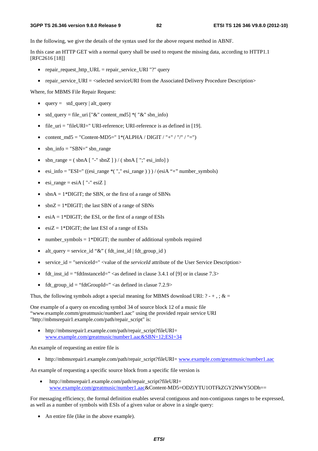In the following, we give the details of the syntax used for the above request method in ABNF.

In this case an HTTP GET with a normal query shall be used to request the missing data, according to HTTP1.1 [RFC2616 [18]]

- repair request http URL = repair service URI "?" query
- repair service  $URI = <sub>\\</sub> selected serviceURI from the Associated delivery Procedure Description$

Where, for MBMS File Repair Request:

- $query = std\_query | alt\_query$
- std query = file uri  $["&"$  content md5] \*( " $&"$  sbn info)
- file\_uri = "fileURI=" URI-reference; URI-reference is as defined in [19].
- content  $md5 = "Content-MD5=" 1*(ALPHA / DIGIT / "+" / "/" / "=")$
- $\bullet$  sbn\_info = "SBN=" sbn\_range
- sbn\_range =  $(\sin A [$ "-" sbnZ  $]$  ) /  $(\sin A [$ ";" esi\_info $]$  )
- esi\_info = "ESI=" ((esi\_range \*( "," esi\_range ) ) ) / (esiA "+" number\_symbols)
- $e$ si\_range =  $e$ siA [ "-" $e$ siZ ]
- $sbnA = 1*DiffIT$ ; the SBN, or the first of a range of SBNs
- sbn $Z = 1*$ DIGIT; the last SBN of a range of SBNs
- esi $A = 1*DIGIT$ ; the ESI, or the first of a range of ESIs
- esiZ =  $1*$ DIGIT; the last ESI of a range of ESIs
- number symbols  $= 1*DIGHT$ ; the number of additional symbols required
- alt query = service id "&" ( fdt inst id | fdt group id )
- service\_id = "serviceId=" <value of the *serviceId* attribute of the User Service Description>
- fdt\_inst\_id = "fdtInstanceId=" <as defined in clause 3.4.1 of [9] or in clause  $7.3>$
- fdt\_group\_id = "fdtGroupId=" <as defined in clasue  $7.2.9$

Thus, the following symbols adopt a special meaning for MBMS download URI:  $? - +$ , ; & =

One example of a query on encoding symbol 34 of source block 12 of a music file "www.example.comm/greatmusic/number1.aac" using the provided repair service URI "http://mbmsrepair1.example.com/path/repair\_script" is:

• http://mbmsrepair1.example.com/path/repair\_script?fileURI= www.example.com/greatmusic/number1.aac&SBN=12;ESI=34

An example of requesting an entire file is

• http://mbmsrepair1.example.com/path/repair\_script?fileURI= www.example.com/greatmusic/number1.aac

An example of requesting a specific source block from a specific file version is

• http://mbmsrepair1.example.com/path/repair\_script?fileURI= www.example.com/greatmusic/number1.aac&Content-MD5=ODZiYTU1OTFkZGY2NWY5ODh==

For messaging efficiency, the formal definition enables several contiguous and non-contiguous ranges to be expressed, as well as a number of symbols with ESIs of a given value or above in a single query:

• An entire file (like in the above example).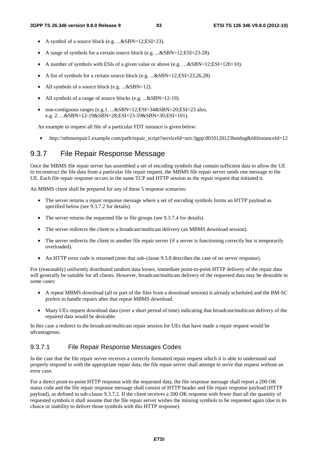- A symbol of a source block (e.g. ...&SBN=12;ESI=23).
- A range of symbols for a certain source block (e.g. ...&SBN=12;ESI=23-28).
- A number of symbols with ESIs of a given value or above  $(e.g.$   $\ldots \& SBN=12;ESI=120+10)$ .
- A list of symbols for a certain source block (e.g. ...&SBN=12;ESI=23,26,28).
- All symbols of a source block (e.g. ...&SBN=12).
- All symbols of a range of source blocks (e.g. ...&SBN=12-19).
- non-contiguous ranges (e.g.1. ...&SBN=12;ESI=34&SBN=20;ESI=23 also, e.g. 2. ...&SBN=12-19&SBN=28;ESI=23-59&SBN=30;ESI=101).

An example to request all file of a particular FDT instance is given below:

• http://mbmsrepair1.example.com/path/repair\_script?serviceId=urn:3gpp:0010120123hotdog&fdtInstanceId=12

### 9.3.7 File Repair Response Message

Once the MBMS file repair server has assembled a set of encoding symbols that contain sufficient data to allow the UE to reconstruct the file data from a particular file repair request, the MBMS file repair server sends one message to the UE. Each file repair response occurs in the same TCP and HTTP session as the repair request that initiated it.

An MBMS client shall be prepared for any of these 5 response scenarios:

- The server returns a repair response message where a set of encoding symbols forms an HTTP payload as specified below (see 9.3.7.2 for details).
- The server returns the requested file or file groups (see 9.3.7.4 for details).
- The server redirects the client to a broadcast/multicast delivery (an MBMS download session).
- The server redirects the client to another file repair server (if a server is functioning correctly but is temporarily overloaded).
- An HTTP error code is returned (note that sub-clause 9.3.8 describes the case of no server response).

For (reasonably) uniformly distributed random data losses, immediate point-to-point HTTP delivery of the repair data will generally be suitable for all clients. However, broadcast/multicast delivery of the requested data may be desirable in some cases:

- A repeat MBMS download (all or part of the files from a download session) is already scheduled and the BM-SC prefers to handle repairs after that repeat MBMS download.
- Many UEs request download data (over a short period of time) indicating that broadcast/multicast delivery of the repaired data would be desirable.

In this case a redirect to the broadcast/multicast repair session for UEs that have made a repair request would be advantageous.

#### 9.3.7.1 File Repair Response Messages Codes

In the case that the file repair server receives a correctly formatted repair request which it is able to understand and properly respond to with the appropriate repair data, the file repair server shall attempt to serve that request without an error case.

For a direct point-to-point HTTP response with the requested data, the file response message shall report a 200 OK status code and the file repair response message shall consist of HTTP header and file repair response payload (HTTP payload), as defined in sub-clause 9.3.7.2. If the client receives a 200 OK response with fewer than all the quantity of requested symbols it shall assume that the file repair server wishes the missing symbols to be requested again (due to its choice or inability to deliver those symbols with this HTTP response).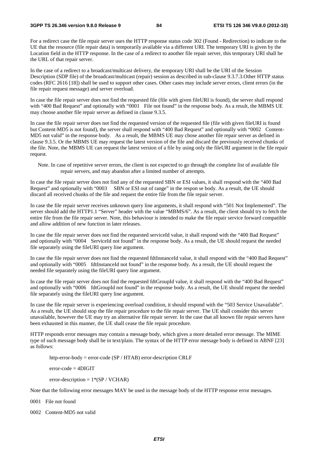#### **3GPP TS 26.346 version 9.8.0 Release 9 84 ETSI TS 126 346 V9.8.0 (2012-10)**

For a redirect case the file repair server uses the HTTP response status code 302 (Found - Redirection) to indicate to the UE that the resource (file repair data) is temporarily available via a different URI. The temporary URI is given by the Location field in the HTTP response. In the case of a redirect to another file repair server, this temporary URI shall be the URL of that repair server.

In the case of a redirect to a broadcast/multicast delivery, the temporary URI shall be the URI of the Session Description (SDP file) of the broadcast/multicast (repair) session as described in sub-clause 9.3.7.3.Other HTTP status codes (RFC 2616 [18]) shall be used to support other cases. Other cases may include server errors, client errors (in the file repair request message) and server overload.

In case the file repair server does not find the requested file (file with given fileURI is found), the server shall respond with "400 Bad Request" and optionally with "0001 File not found" in the response body. As a result, the MBMS UE may choose another file repair server as defined in clause 9.3.5.

In case the file repair server does not find the requested version of the requested file (file with given fileURI is found but Content-MD5 is not found), the server shall respond with "400 Bad Request" and optionally with "0002 Content-MD5 not valid" in the response body. As a result, the MBMS UE may chose another file repair server as defined in clause 9.3.5. Or the MBMS UE may request the latest version of the file and discard the previously received chunks of the file. Note, the MBMS UE can request the latest version of a file by using only the fileURI argument in the file repair request.

Note. In case of repetitive server errors, the client is not expected to go through the complete list of available file repair servers, and may abandon after a limited number of attempts.

In case the file repair server does not find any of the requested SBN or ESI values, it shall respond with the "400 Bad Request" and optionally with "0003 SBN or ESI out of range" in the respon se body. As a result, the UE should discard all received chunks of the file and request the entire file from the file repair server.

In case the file repair server receives unknown query line arguments, it shall respond with "501 Not Implemented". The server should add the HTTP1.1 "Server" header with the value "MBMS/6". As a result, the client should try to fetch the entire file from the file repair server. Note, this behaviour is intended to make the file repair service forward compatible and allow addition of new function in later releases.

In case the file repair server does not find the requested serviceId value, it shall respond with the "400 Bad Request" and optionally with "0004 ServiceId not found" in the response body. As a result, the UE should request the needed file separately using the fileURI query line argument.

In case the file repair server does not find the requested fdtInstanceId value, it shall respond with the "400 Bad Request" and optionally with "0005 fdtInstanceId not found" in the response body. As a result, the UE should request the needed file separately using the fileURI query line argument.

In case the file repair server does not find the requested fdtGroupId value, it shall respond with the "400 Bad Request" and optionally with "0006 fdtGroupId not found" in the response body. As a result, the UE should request the needed file separately using the fileURI query line argument.

In case the file repair server is experiencing overload condition, it should respond with the "503 Service Unavailable". As a result, the UE should stop the file repair procedure to the file repair server. The UE shall consider this server unavailable, however the UE may try an alternative file repair server. In the case that all known file repair servers have been exhausted in this manner, the UE shall cease the file repair procedure.

HTTP responds error messages may contain a message body, which gives a more detailed error message. The MIME type of such message body shall be in text/plain. The syntax of the HTTP error message body is defined in ABNF [23] as follows:

http-error-body = error-code (SP / HTAB) error-description CRLF

 $error-code = 4DIGIT$ 

error-description =  $1*(SP / VCHAR)$ 

Note that the following error messages MAY be used in the message body of the HTTP response error messages.

0001 File not found

0002 Content-MD5 not valid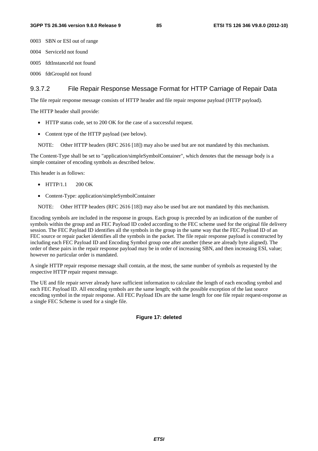0003 SBN or ESI out of range

- 0004 ServiceId not found
- 0005 fdtInstanceId not found
- 0006 fdtGroupId not found

#### 9.3.7.2 File Repair Response Message Format for HTTP Carriage of Repair Data

The file repair response message consists of HTTP header and file repair response payload (HTTP payload).

The HTTP header shall provide:

- HTTP status code, set to 200 OK for the case of a successful request.
- Content type of the HTTP payload (see below).

NOTE: Other HTTP headers (RFC 2616 [18]) may also be used but are not mandated by this mechanism.

The Content-Type shall be set to "application/simpleSymbolContainer", which denotes that the message body is a simple container of encoding symbols as described below.

This header is as follows:

- HTTP/1.1 200 OK
- Content-Type: application/simpleSymbolContainer

NOTE: Other HTTP headers (RFC 2616 [18]) may also be used but are not mandated by this mechanism.

Encoding symbols are included in the response in groups. Each group is preceded by an indication of the number of symbols within the group and an FEC Payload ID coded according to the FEC scheme used for the original file delivery session. The FEC Payload ID identifies all the symbols in the group in the same way that the FEC Payload ID of an FEC source or repair packet identifies all the symbols in the packet. The file repair response payload is constructed by including each FEC Payload ID and Encoding Symbol group one after another (these are already byte aligned). The order of these pairs in the repair response payload may be in order of increasing SBN, and then increasing ESI, value; however no particular order is mandated.

A single HTTP repair response message shall contain, at the most, the same number of symbols as requested by the respective HTTP repair request message.

The UE and file repair server already have sufficient information to calculate the length of each encoding symbol and each FEC Payload ID. All encoding symbols are the same length; with the possible exception of the last source encoding symbol in the repair response. All FEC Payload IDs are the same length for one file repair request-response as a single FEC Scheme is used for a single file.

**Figure 17: deleted**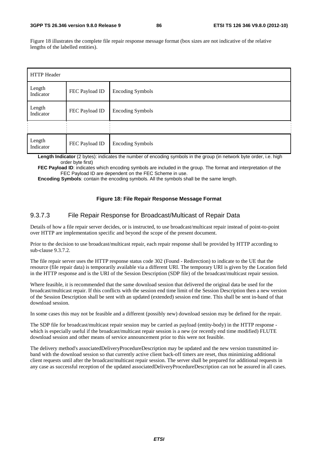Figure 18 illustrates the complete file repair response message format (box sizes are not indicative of the relative lengths of the labelled entities).

| HTTP Header         |                |                         |  |  |  |  |
|---------------------|----------------|-------------------------|--|--|--|--|
| Length<br>Indicator | FEC Payload ID | <b>Encoding Symbols</b> |  |  |  |  |
| Length<br>Indicator | FEC Payload ID | <b>Encoding Symbols</b> |  |  |  |  |
|                     |                |                         |  |  |  |  |
| Length<br>Indicator | FEC Payload ID | <b>Encoding Symbols</b> |  |  |  |  |

**Length Indicator** (2 bytes): indicates the number of encoding symbols in the group (in network byte order, i.e. high order byte first)

**FEC Payload ID:** indicates which encoding symbols are included in the group. The format and interpretation of the FEC Payload ID are dependent on the FEC Scheme in use.

**Encoding Symbols**: contain the encoding symbols. All the symbols shall be the same length.

#### **Figure 18: File Repair Response Message Format**

#### 9.3.7.3 File Repair Response for Broadcast/Multicast of Repair Data

Details of how a file repair server decides, or is instructed, to use broadcast/multicast repair instead of point-to-point over HTTP are implementation specific and beyond the scope of the present document.

Prior to the decision to use broadcast/multicast repair, each repair response shall be provided by HTTP according to sub-clause 9.3.7.2.

The file repair server uses the HTTP response status code 302 (Found - Redirection) to indicate to the UE that the resource (file repair data) is temporarily available via a different URI. The temporary URI is given by the Location field in the HTTP response and is the URI of the Session Description (SDP file) of the broadcast/multicast repair session.

Where feasible, it is recommended that the same download session that delivered the original data be used for the broadcast/multicast repair. If this conflicts with the session end time limit of the Session Description then a new version of the Session Description shall be sent with an updated (extended) session end time. This shall be sent in-band of that download session.

In some cases this may not be feasible and a different (possibly new) download session may be defined for the repair.

The SDP file for broadcast/multicast repair session may be carried as payload (entity-body) in the HTTP response which is especially useful if the broadcast/multicast repair session is a new (or recently end time modified) FLUTE download session and other means of service announcement prior to this were not feasible.

The delivery method's associatedDeliveryProcedureDescription may be updated and the new version transmitted inband with the download session so that currently active client back-off timers are reset, thus minimizing additional client requests until after the broadcast/multicast repair session. The server shall be prepared for additional requests in any case as successful reception of the updated associatedDeliveryProcedureDescription can not be assured in all cases.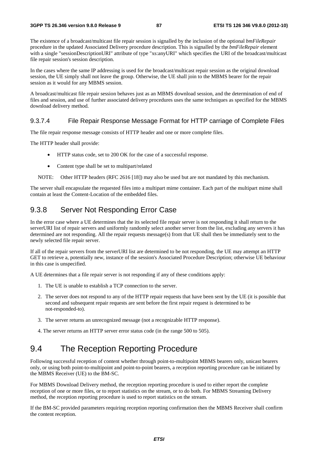The existence of a broadcast/multicast file repair session is signalled by the inclusion of the optional *bmFileRepair* procedure in the updated Associated Delivery procedure description. This is signalled by the *bmFileRepair* element with a single "sessionDescriptionURI" attribute of type "xs:anyURI" which specifies the URI of the broadcast/multicast file repair session's session description.

In the cases where the same IP addressing is used for the broadcast/multicast repair session as the original download session, the UE simply shall not leave the group. Otherwise, the UE shall join to the MBMS bearer for the repair session as it would for any MBMS session.

A broadcast/multicast file repair session behaves just as an MBMS download session, and the determination of end of files and session, and use of further associated delivery procedures uses the same techniques as specified for the MBMS download delivery method.

#### 9.3.7.4 File Repair Response Message Format for HTTP carriage of Complete Files

The file repair response message consists of HTTP header and one or more complete files.

The HTTP header shall provide:

- HTTP status code, set to 200 OK for the case of a successful response.
- Content type shall be set to multipart/related
- NOTE: Other HTTP headers (RFC 2616 [18]) may also be used but are not mandated by this mechanism.

The server shall encapsulate the requested files into a multipart mime container. Each part of the multipart mime shall contain at least the Content-Location of the embedded files.

### 9.3.8 Server Not Responding Error Case

In the error case where a UE determines that the its selected file repair server is not responding it shall return to the serverURI list of repair servers and uniformly randomly select another server from the list, excluding any servers it has determined are not responding. All the repair requests message(s) from that UE shall then be immediately sent to the newly selected file repair server.

If all of the repair servers from the serverURI list are determined to be not responding, the UE may attempt an HTTP GET to retrieve a, potentially new, instance of the session's Associated Procedure Description; otherwise UE behaviour in this case is unspecified.

A UE determines that a file repair server is not responding if any of these conditions apply:

- 1. The UE is unable to establish a TCP connection to the server.
- 2. The server does not respond to any of the HTTP repair requests that have been sent by the UE (it is possible that second and subsequent repair requests are sent before the first repair request is determined to be not-responded-to).
- 3. The server returns an unrecognized message (not a recognizable HTTP response).
- 4. The server returns an HTTP server error status code (in the range 500 to 505).

### 9.4 The Reception Reporting Procedure

Following successful reception of content whether through point-to-multipoint MBMS bearers only, unicast bearers only, or using both point-to-multipoint and point-to-point bearers, a reception reporting procedure can be initiated by the MBMS Receiver (UE) to the BM-SC.

For MBMS Download Delivery method, the reception reporting procedure is used to either report the complete reception of one or more files, or to report statistics on the stream, or to do both. For MBMS Streaming Delivery method, the reception reporting procedure is used to report statistics on the stream.

If the BM-SC provided parameters requiring reception reporting confirmation then the MBMS Receiver shall confirm the content reception.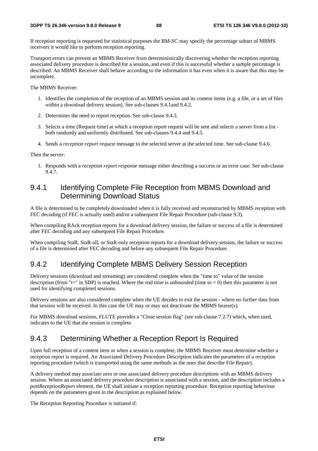If reception reporting is requested for statistical purposes the BM-SC may specify the percentage subset of MBMS receivers it would like to perform reception reporting.

Transport errors can prevent an MBMS Receiver from deterministically discovering whether the reception reporting associated delivery procedure is described for a session, and even if this is successful whether a sample percentage is described. An MBMS Receiver shall behave according to the information it has even when it is aware that this may be incomplete.

The MBMS Receiver:

- 1. Identifies the completion of the reception of an MBMS session and its content items (e.g. a file, or a set of files within a download delivery session). See sub-clauses 9.4.1and 9.4.2.
- 2. Determines the need to report reception. See sub-clause 9.4.3.
- 3. Selects a time (Request time) at which a reception report request will be sent and selects a server from a list both randomly and uniformly distributed. See sub-clauses 9.4.4 and 9.4.5.
- 4. Sends a *reception report request* message to the selected server at the selected time. See sub-clause 9.4.6.

Then the server:

1. Responds with a *reception report response* message either describing a success or an error case. See sub-clause 9.4.7.

### 9.4.1 Identifying Complete File Reception from MBMS Download and Determining Download Status

A file is determined to be completely downloaded when it is fully received and reconstructed by MBMS reception with FEC decoding (if FEC is actually used) and/or a subsequent File Repair Procedure (sub-clause 9.3).

When compiling RAck reception reports for a download delivery session, the failure or success of a file is determined after FEC decoding and any subsequent File Repair Procedure.

When compiling StaR, StaR-all, or StaR-only reception reports for a download delivery session, the failure or success of a file is determined after FEC decoding and before any subsequent File Repair Procedure.

### 9.4.2 Identifying Complete MBMS Delivery Session Reception

Delivery sessions (download and streaming) are considered complete when the "time to" value of the session description (from "t=" in SDP) is reached. Where the end time is unbounded (time to  $= 0$ ) then this parameter is not used for identifying completed sessions.

Delivery sessions are also considered complete when the UE decides to exit the session - where no further data from that session will be received. In this case the UE may or may not deactivate the MBMS bearer(s).

For MBMS download sessions, FLUTE provides a "Close session flag" (see sub-clause 7.2.7) which, when used, indicates to the UE that the session is complete.

### 9.4.3 Determining Whether a Reception Report Is Required

Upon full reception of a content item or when a session is complete, the MBMS Receiver must determine whether a reception report is required. An Associated Delivery Procedure Description indicates the parameters of a reception reporting procedure (which is transported using the same methods as the ones that describe File Repair).

A delivery method may associate zero or one associated delivery procedure descriptions with an MBMS delivery session. Where an associated delivery procedure description is associated with a session, and the description includes a *postReceptionReport* element, the UE shall initiate a reception reporting procedure. Reception reporting behaviour depends on the parameters given in the description as explained below.

The Reception Reporting Procedure is initiated if: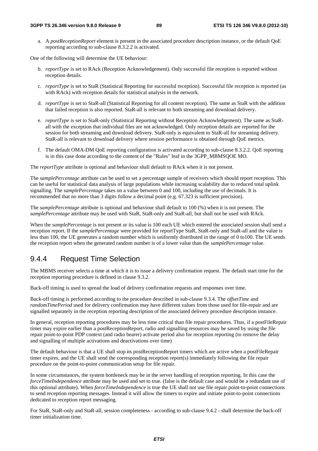a. A *postReceptionReport* element is present in the associated procedure description instance, or the default QoE reporting according to sub-clause 8.3.2.2 is activated.

One of the following will determine the UE behaviour:

- b. *reportType* is set to RAck (Reception Acknowledgement). Only successful file reception is reported without reception details.
- c. *reportType* is set to StaR (Statistical Reporting for successful reception). Successful file reception is reported (as with RAck) with reception details for statistical analysis in the network.
- d. *reportType* is set to StaR-all (Statistical Reporting for all content reception). The same as StaR with the addition that failed reception is also reported. StaR-all is relevant to both streaming and download delivery.
- e. *reportType* is set to StaR-only (Statistical Reporting without Reception Acknowledgement). The same as StaRall with the exception that individual files are not acknowledged. Only reception details are reported for the session for both streaming and download delivery. StaR-only is equivalent to StaR-all for streaming delivery. StaR-all is relevant to download delivery where session performance is obtained through QoE metrics.
- f. The default OMA-DM QoE reporting configuration is activated according to sub-clause 8.3.2.2. QoE reporting is in this case done according to the content of the "Rules" leaf in the 3GPP\_MBMSQOE MO.

The *reportType* attribute is optional and behaviour shall default to RAck when it is not present.

The *samplePercentage* attribute can be used to set a percentage sample of receivers which should report reception. This can be useful for statistical data analysis of large populations while increasing scalability due to reduced total uplink signalling. The *samplePercentage* takes on a value between 0 and 100, including the use of decimals. It is recommended that no more than 3 digits follow a decimal point (e.g. 67.323 is sufficient precision).

The *samplePercentage* attribute is optional and behaviour shall default to 100 (%) when it is not present. The *samplePercentage* attribute may be used with StaR, StaR-only and StaR-all, but shall not be used with RAck.

When the *samplePercentage* is not present or its value is 100 each UE which entered the associated session shall send a reception report. If the *samplePercentage* were provided for reportType StaR, StaR-only and StaR-all and the value is less than 100, the UE generates a random number which is uniformly distributed in the range of 0 to100. The UE sends the reception report when the generated random number is of a lower value than the *samplePercentage* value.

#### 9.4.4 Request Time Selection

The MBMS receiver selects a time at which it is to issue a delivery confirmation request. The default start time for the reception reporting procedure is defined in clause 9.3.2.

Back-off timing is used to spread the load of delivery confirmation requests and responses over time.

Back-off timing is performed according to the procedure described in sub-clause 9.3.4. The *offsetTime* and *randomTimePeriod* used for delivery confirmation may have different values from those used for file-repair and are signalled separately in the reception reporting description of the associated delivery procedure description instance.

In general, reception reporting procedures may be less time critical than file repair procedures. Thus, if a postFileRepair timer may expire earlier than a postReceptionReport, radio and signalling resources may be saved by using the file repair point-to-point PDP context (and radio bearer) activate period also for reception reporting (to remove the delay and signalling of multiple activations and deactivations over time)

The default behaviour is that a UE shall stop its postReceptionReport timers which are active when a postFileRepair timer expires, and the UE shall send the corresponding reception report(s) immediately following the file repair procedure on the point-to-point communication setup for file repair.

In some circumstances, the system bottleneck may be in the server handling of reception reporting. In this case the *forceTimeIndependence* attribute may be used and set to true. (false is the default case and would be a redundant use of this optional attribute). When *forceTimeIndependence* is true the UE shall not use file repair point-to-point connections to send reception reporting messages. Instead it will allow the timers to expire and initiate point-to-point connections dedicated to reception report messaging.

For StaR, StaR-only and StaR-all, session completeness - according to sub-clause 9.4.2 - shall determine the back-off timer initialization time.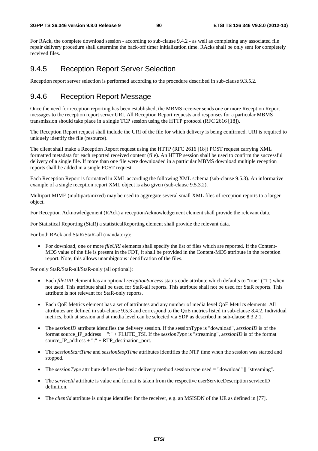For RAck, the complete download session - according to sub-clause 9.4.2 - as well as completing any associated file repair delivery procedure shall determine the back-off timer initialization time. RAcks shall be only sent for completely received files.

### 9.4.5 Reception Report Server Selection

Reception report server selection is performed according to the procedure described in sub-clause 9.3.5.2.

### 9.4.6 Reception Report Message

Once the need for reception reporting has been established, the MBMS receiver sends one or more Reception Report messages to the reception report server URI. All Reception Report requests and responses for a particular MBMS transmission should take place in a single TCP session using the HTTP protocol (RFC 2616 [18]).

The Reception Report request shall include the URI of the file for which delivery is being confirmed. URI is required to uniquely identify the file (resource).

The client shall make a Reception Report request using the HTTP (RFC 2616 [18]) POST request carrying XML formatted metadata for each reported received content (file). An HTTP session shall be used to confirm the successful delivery of a single file. If more than one file were downloaded in a particular MBMS download multiple reception reports shall be added in a single POST request.

Each Reception Report is formatted in XML according the following XML schema (sub-clause 9.5.3). An informative example of a single reception report XML object is also given (sub-clause 9.5.3.2).

Multipart MIME (multipart/mixed) may be used to aggregate several small XML files of reception reports to a larger object.

For Reception Acknowledgement (RAck) a receptionAcknowledgement element shall provide the relevant data.

For Statistical Reporting (StaR) a statisticalReporting element shall provide the relevant data.

For both RAck and StaR/StaR-all (mandatory):

• For download, one or more *fileURI* elements shall specify the list of files which are reported. If the Content-MD5 value of the file is present in the FDT, it shall be provided in the Content-MD5 attribute in the reception report. Note, this allows unambiguous identification of the files.

For only StaR/StaR-all/StaR-only (all optional):

- Each *fileURI* element has an optional *receptionSuccess* status code attribute which defaults to "true" ("1") when not used. This attribute shall be used for StaR-all reports. This attribute shall not be used for StaR reports. This attribute is not relevant for StaR-only reports.
- Each QoE Metrics element has a set of attributes and any number of media level QoE Metrics elements. All attributes are defined in sub-clause 9.5.3 and correspond to the QoE metrics listed in sub-clause 8.4.2. Individual metrics, both at session and at media level can be selected via SDP as described in sub-clause 8.3.2.1.
- The *sessionID* attribute identifies the delivery session. If the sessionType is "download", *sessionID* is of the format source\_IP\_address + ":" + FLUTE\_TSI. If the *sessionType* is "streaming", *sessionID* is of the format source\_IP\_address + ":" + RTP\_destination\_port.
- The *sessionStartTime* and *sessionStopTime* attributes identifies the NTP time when the session was started and stopped.
- The *sessionType* attribute defines the basic delivery method session type used = "download" || "streaming".
- The *serviceId* attribute is value and format is taken from the respective userServiceDescription serviceID definition.
- The *clientId* attribute is unique identifier for the receiver, e.g. an MSISDN of the UE as defined in [77].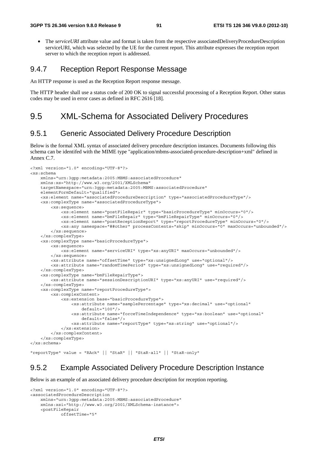• The *serviceURI* attribute value and format is taken from the respective associatedDeliveryProcedureDescription serviceURI, which was selected by the UE for the current report. This attribute expresses the reception report server to which the reception report is addressed.

#### 9.4.7 Reception Report Response Message

An HTTP response is used as the Reception Report response message.

The HTTP header shall use a status code of 200 OK to signal successful processing of a Reception Report. Other status codes may be used in error cases as defined in RFC 2616 [18].

### 9.5 XML-Schema for Associated Delivery Procedures

### 9.5.1 Generic Associated Delivery Procedure Description

Below is the formal XML syntax of associated delivery procedure description instances. Documents following this schema can be identifed with the MIME type "application/mbms-associated-procedure-description+xml" defined in Annex C.7.

```
<?xml version="1.0" encoding="UTF-8"?> 
<xs:schema 
     xmlns="urn:3gpp:metadata:2005:MBMS:associatedProcedure" 
     xmlns:xs="http://www.w3.org/2001/XMLSchema" 
     targetNamespace="urn:3gpp:metadata:2005:MBMS:associatedProcedure" 
     elementFormDefault="qualified"> 
     <xs:element name="associatedProcedureDescription" type="associatedProcedureType"/> 
     <xs:complexType name="associatedProcedureType"> 
         <xs:sequence> 
             <xs:element name="postFileRepair" type="basicProcedureType" minOccurs="0"/> 
             <xs:element name="bmFileRepair" type="bmFileRepairType" minOccurs="0"/> 
             <xs:element name="postReceptionReport" type="reportProcedureType" minOccurs="0"/> 
             <xs:any namespace="##other" processContents="skip" minOccurs="0" maxOccurs="unbounded"/> 
         </xs:sequence> 
     </xs:complexType> 
     <xs:complexType name="basicProcedureType"> 
         <xs:sequence> 
             <xs:element name="serviceURI" type="xs:anyURI" maxOccurs="unbounded"/> 
         </xs:sequence> 
         <xs:attribute name="offsetTime" type="xs:unsignedLong" use="optional"/> 
         <xs:attribute name="randomTimePeriod" type="xs:unsignedLong" use="required"/> 
     </xs:complexType> 
     <xs:complexType name="bmFileRepairType"> 
         <xs:attribute name="sessionDescriptionURI" type="xs:anyURI" use="required"/> 
     </xs:complexType> 
     <xs:complexType name="reportProcedureType"> 
         <xs:complexContent> 
             <xs:extension base="basicProcedureType"> 
                 <xs:attribute name="samplePercentage" type="xs:decimal" use="optional" 
                    default="100"/>
                  <xs:attribute name="forceTimeIndependence" type="xs:boolean" use="optional" 
                     default="false"/> 
                 <xs:attribute name="reportType" type="xs:string" use="optional"/> 
             </xs:extension> 
         </xs:complexContent> 
     </xs:complexType> 
</xs:schema>
```
"reportType" value = "RAck" || "StaR" || "StaR-all" || "StaR-only"

### 9.5.2 Example Associated Delivery Procedure Description Instance

Below is an example of an associated delivery procedure description for reception reporting.

```
<?xml version="1.0" encoding="UTF-8"?> 
<associatedProcedureDescription 
     xmlns="urn:3gpp:metadata:2005:MBMS:associatedProcedure" 
     xmlns:xsi="http://www.w3.org/2001/XMLSchema-instance"> 
     <postFileRepair 
             offsetTime="5"
```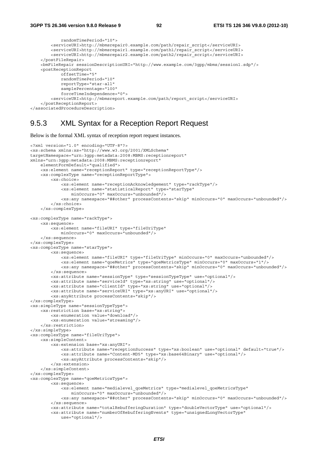```
 randomTimePeriod="10"> 
         <serviceURI>http://mbmsrepair0.example.com/path/repair_script</serviceURI> 
         <serviceURI>http://mbmsrepair1.example.com/path1/repair_script</serviceURI> 
         <serviceURI>http://mbmsrepair2.example.com/path2/repair_script</serviceURI> 
     </postFileRepair> 
     <bmFileRepair sessionDescriptionURI="http://www.example.com/3gpp/mbms/session1.sdp"/> 
     <postReceptionReport 
             offsetTime="5" 
             randomTimePeriod="10" 
             reportType="star-all" 
             samplePercentage="100" 
             forceTimeIndependence="0"> 
         <serviceURI>http://mbmsreport.example.com/path/report_script</serviceURI> 
     </postReceptionReport> 
</associatedProcedureDescription>
```
### 9.5.3 XML Syntax for a Reception Report Request

Below is the formal XML syntax of reception report request instances.

```
<?xml version="1.0" encoding="UTF-8"?> 
<xs:schema xmlns:xs="http://www.w3.org/2001/XMLSchema" 
targetNamespace="urn:3gpp:metadata:2008:MBMS:receptionreport" 
xmlns="urn:3gpp:metadata:2008:MBMS:receptionreport" 
     elementFormDefault="qualified"> 
     <xs:element name="receptionReport" type="receptionReportType"/> 
     <xs:complexType name="receptionReportType"> 
         <xs:choice> 
             <xs:element name="receptionAcknowledgement" type="rackType"/> 
             <xs:element name="statisticalReport" type="starType" 
                 minOccurs="0" maxOccurs="unbounded"/> 
             <xs:any namespace="##other" processContents="skip" minOccurs="0" maxOccurs="unbounded"/> 
         </xs:choice> 
     </xs:complexType> 
<xs:complexType name="rackType"> 
     <xs:sequence> 
         <xs:element name="fileURI" type="fileUriType" 
            minOccurs="0" maxOccurs="unbounded"/> 
     </xs:sequence> 
</xs:complexType> 
<xs:complexType name="starType"> 
         <xs:sequence> 
             <xs:element name="fileURI" type="fileUriType" minOccurs="0" maxOccurs="unbounded"/> 
             <xs:element name="qoeMetrics" type="qoeMetricsType" minOccurs="0" maxOccurs="1"/> 
             <xs:any namespace="##other" processContents="skip" minOccurs="0" maxOccurs="unbounded"/> 
         </xs:sequence> 
         <xs:attribute name="sessionType" type="sessionTypeType" use="optional"/> 
         <xs:attribute name="serviceId" type="xs:string" use="optional"/> 
         <xs:attribute name="clientId" type="xs:string" use="optional"/> 
         <xs:attribute name="serviceURI" type="xs:anyURI" use="optional"/> 
         <xs:anyAttribute processContents="skip"/> 
</xs:complexType> 
<xs:simpleType name="sessionTypeType"> 
     <xs:restriction base="xs:string"> 
         <xs:enumeration value="download"/> 
         <xs:enumeration value="streaming"/> 
     </xs:restriction> 
</xs:simpleType> 
<xs:complexType name="fileUriType"> 
     <xs:simpleContent> 
         <xs:extension base="xs:anyURI"> 
             <xs:attribute name="receptionSuccess" type="xs:boolean" use="optional" default="true"/> 
             <xs:attribute name="Content-MD5" type="xs:base64Binary" use="optional"/> 
             <xs:anyAttribute processContents="skip"/> 
         </xs:extension> 
     </xs:simpleContent> 
</xs:complexType> 
<xs:complexType name="qoeMetricsType"> 
         <xs:sequence> 
             <xs:element name="medialevel_qoeMetrics" type="medialevel_qoeMetricsType" 
                 minOccurs="0" maxOccurs="unbounded"/> 
             <xs:any namespace="##other" processContents="skip" minOccurs="0" maxOccurs="unbounded"/> 
         </xs:sequence> 
         <xs:attribute name="totalRebufferingDuration" type="doubleVectorType" use="optional"/> 
         <xs:attribute name="numberOfRebufferingEvents" type="unsignedLongVectorType" 
             use="optional"/>
```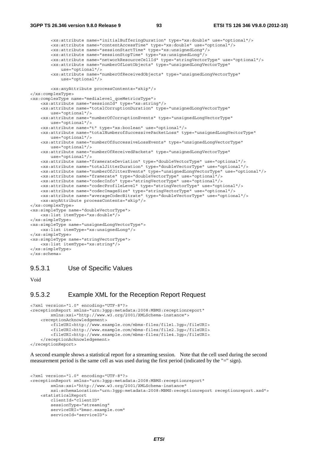```
 <xs:attribute name="initialBufferingDuration" type="xs:double" use="optional"/> 
 <xs:attribute name="contentAccessTime" type="xs:double" use="optional"/> 
 <xs:attribute name="sessionStartTime" type="xs:unsignedLong"/> 
         <xs:attribute name="sessionStopTime" type="xs:unsignedLong"/> 
         <xs:attribute name="networkResourceCellId" type="stringVectorType" use="optional"/> 
         <xs:attribute name="numberOfLostObjects" type="unsignedLongVectorType" 
             use="optional"/> 
         <xs:attribute name="numberOfReceivedObjects" type="unsignedLongVectorType" 
             use="optional"/> 
         <xs:anyAttribute processContents="skip"/> 
</xs:complexType> 
<xs:complexType name="medialevel_qoeMetricsType"> 
     <xs:attribute name="sessionId" type="xs:string"/> 
     <xs:attribute name="totalCorruptionDuration" type="unsignedLongVectorType" 
        use="optional"/> 
     <xs:attribute name="numberOfCorruptionEvents" type="unsignedLongVectorType" 
        use="optional"/> 
     <xs:attribute name="t" type="xs:boolean" use="optional"/> 
     <xs:attribute name="totalNumberofSuccessivePacketLoss" type="unsignedLongVectorType" 
        use="optional"/> 
     <xs:attribute name="numberOfSuccessiveLossEvents" type="unsignedLongVectorType" 
         use="optional"/> 
     <xs:attribute name="numberOfReceivedPackets" type="unsignedLongVectorType" 
        use="optional"/> 
     <xs:attribute name="framerateDeviation" type="doubleVectorType" use="optional"/> 
     <xs:attribute name="totalJitterDuration" type="doubleVectorType" use="optional"/> 
     <xs:attribute name="numberOfJitterEvents" type="unsignedLongVectorType" use="optional"/> 
     <xs:attribute name="framerate" type="doubleVectorType" use="optional"/> 
     <xs:attribute name="codecInfo" type="stringVectorType" use="optional"/> 
     <xs:attribute name="codecProfileLevel" type="stringVectorType" use="optional"/> 
     <xs:attribute name="codecImageSize" type="stringVectorType" use="optional"/> 
     <xs:attribute name="averageCodecBitrate" type="doubleVectorType" use="optional"/> 
     <xs:anyAttribute processContents="skip"/> 
</xs:complexType> 
<xs:simpleType name="doubleVectorType"> 
    <xs:list itemType="xs:double"/> 
</xs:simpleType> 
<xs:simpleType name="unsignedLongVectorType"> 
     <xs:list itemType="xs:unsignedLong"/> 
</xs:simpleType> 
<xs:simpleType name="stringVectorType"> 
     <xs:list itemType="xs:string"/> 
</xs:simpleType> 
</xs:schema>
```
#### 9.5.3.1 Use of Specific Values

Void

#### 9.5.3.2 Example XML for the Reception Report Request

```
<?xml version="1.0" encoding="UTF-8"?> 
<receptionReport xmlns="urn:3gpp:metadata:2008:MBMS:receptionreport" 
         xmlns:xsi="http://www.w3.org/2001/XMLSchema-instance"> 
     <receptionAcknowledgement> 
         <fileURI>http://www.example.com/mbms-files/file1.3gp</fileURI> 
         <fileURI>http://www.example.com/mbms-files/file2.3gp</fileURI> 
         <fileURI>http://www.example.com/mbms-files/file4.3gp</fileURI> 
     </receptionAcknowledgement> 
</receptionReport>
```
A second example shows a statistical report for a streaming session. Note that the cell used during the second measurement period is the same cell as was used during the first period (indicated by the "=" sign).

```
<?xml version="1.0" encoding="UTF-8"?> 
<receptionReport xmlns="urn:3gpp:metadata:2008:MBMS:receptionreport" 
         xmlns:xsi="http://www.w3.org/2001/XMLSchema-instance" 
         xsi:schemaLocation="urn:3gpp:metadata:2008:MBMS:receptionreport receptionreport.xsd"> 
     <statisticalReport 
         clientId="clientID" 
         sessionType="streaming" 
         serviceURI="bmsc.example.com" 
         serviceId="serviceID">
```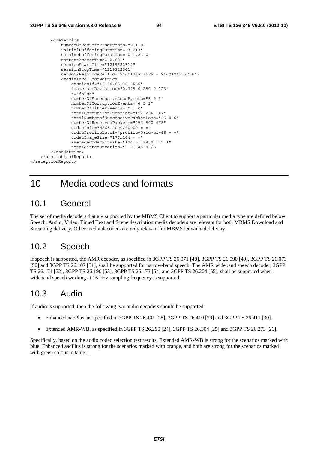```
 <qoeMetrics 
             numberOfRebufferingEvents="0 1 0" 
             initialBufferingDuration="3.213" 
             totalRebufferingDuration="0 1.23 0" 
             contentAccessTime="2.621" 
             sessionStartTime="1219322514" 
             sessionStopTime="1219322541" 
             networkResourceCellId="240012AF134EA = 240012AF1325E"> 
              <medialevel_qoeMetrics 
                  sessionId="10.50.65.30:5050" 
                  framerateDeviation="0.345 0.250 0.123" 
                  t="false" 
                  numberOfSuccessiveLossEvents="5 0 3" 
                  numberOfCorruptionEvents="6 5 2" 
                  numberOfJitterEvents="0 1 0" 
                  totalCorruptionDuration="152 234 147" 
                  totalNumberofSuccessivePacketLoss="25 0 6" 
                  numberOfReceivedPackets="456 500 478" 
                 codecInfo="H263-2000/90000 = " codecProfileLevel="profile=0;level=45 = =" 
                 codecImageSize="176x144 = " averageCodecBitRate="124.5 128.0 115.1" 
                  totalJitterDuration="0 0.346 0"/> 
         </qoeMetrics> 
     </statisticalReport> 
</receptionReport>
```
# 10 Media codecs and formats

## 10.1 General

The set of media decoders that are supported by the MBMS Client to support a particular media type are defined below. Speech, Audio, Video, Timed Text and Scene description media decoders are relevant for both MBMS Download and Streaming delivery. Other media decoders are only relevant for MBMS Download delivery.

# 10.2 Speech

If speech is supported, the AMR decoder, as specified in 3GPP TS 26.071 [48], 3GPP TS 26.090 [49], 3GPP TS 26.073 [50] and 3GPP TS 26.107 [51], shall be supported for narrow-band speech. The AMR wideband speech decoder, 3GPP TS 26.171 [52], 3GPP TS 26.190 [53], 3GPP TS 26.173 [54] and 3GPP TS 26.204 [55], shall be supported when wideband speech working at 16 kHz sampling frequency is supported.

## 10.3 Audio

If audio is supported, then the following two audio decoders should be supported:

- Enhanced aacPlus, as specified in 3GPP TS 26.401 [28], 3GPP TS 26.410 [29] and 3GPP TS 26.411 [30].
- Extended AMR-WB, as specified in 3GPP TS 26.290 [24], 3GPP TS 26.304 [25] and 3GPP TS 26.273 [26].

Specifically, based on the audio codec selection test results, Extended AMR-WB is strong for the scenarios marked with blue, Enhanced aacPlus is strong for the scenarios marked with orange, and both are strong for the scenarios marked with green colour in table 1.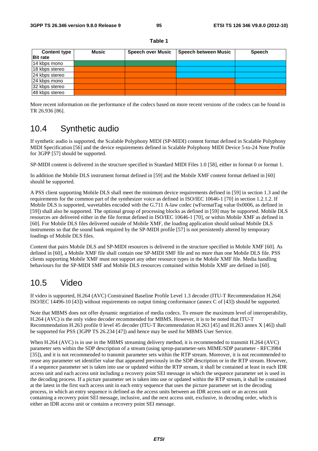#### **Table 1**

| <b>Content type</b> | Music | <b>Speech over Music</b> | Speech between Music | <b>Speech</b> |
|---------------------|-------|--------------------------|----------------------|---------------|
| <b>Bit rate</b>     |       |                          |                      |               |
| 14 kbps mono        |       |                          |                      |               |
| 18 kbps stereo      |       |                          |                      |               |
| 24 kbps stereo      |       |                          |                      |               |
| 24 kbps mono        |       |                          |                      |               |
| 32 kbps stereo      |       |                          |                      |               |
| 48 kbps stereo      |       |                          |                      |               |

More recent information on the performance of the codecs based on more recent versions of the codecs can be found in TR 26.936 [86].

## 10.4 Synthetic audio

If synthetic audio is supported, the Scalable Polyphony MIDI (SP-MIDI) content format defined in Scalable Polyphony MIDI Specification [56] and the device requirements defined in Scalable Polyphony MIDI Device 5-to-24 Note Profile for 3GPP [57] should be supported.

SP-MIDI content is delivered in the structure specified in Standard MIDI Files 1.0 [58], either in format 0 or format 1.

In addition the Mobile DLS instrument format defined in [59] and the Mobile XMF content format defined in [60] should be supported.

A PSS client supporting Mobile DLS shall meet the minimum device requirements defined in [59] in section 1.3 and the requirements for the common part of the synthesizer voice as defined in ISO/IEC 10646-1 [70] in section 1.2.1.2. If Mobile DLS is supported, wavetables encoded with the G.711 A-law codec (wFormatTag value 0x0006, as defined in [59]) shall also be supported. The optional group of processing blocks as defined in [59] may be supported. Mobile DLS resources are delivered either in the file format defined in ISO/IEC 10646-1 [70], or within Mobile XMF as defined in [60]. For Mobile DLS files delivered outside of Mobile XMF, the loading application should unload Mobile DLS instruments so that the sound bank required by the SP-MIDI profile [57] is not persistently altered by temporary loadings of Mobile DLS files.

Content that pairs Mobile DLS and SP-MIDI resources is delivered in the structure specified in Mobile XMF [60]. As defined in [60], a Mobile XMF file shall contain one SP-MIDI SMF file and no more than one Mobile DLS file. PSS clients supporting Mobile XMF must not support any other resource types in the Mobile XMF file. Media handling behaviours for the SP-MIDI SMF and Mobile DLS resources contained within Mobile XMF are defined in [60].

## 10.5 Video

If video is supported, H.264 (AVC) Constrained Baseline Profile Level 1.3 decoder (ITU-T Recommendation H.264| ISO/IEC 14496-10 [43]) without requirements on output timing conformance (annex C of [43]) should be supported.

Note that MBMS does not offer dynamic negotiation of media codecs. To ensure the maximum level of interoperability, H.264 (AVC) is the only video decoder recommended for MBMS. However, it is to be noted that ITU-T Recommendation H.263 profile 0 level 45 decoder (ITU-T Recommendation H.263 [45] and H.263 annex X [46]) shall be supported for PSS (3GPP TS 26.234 [47]) and hence may be used for MBMS User Service.

When H.264 (AVC) is in use in the MBMS streaming delivery method, it is recommended to transmit H.264 (AVC) parameter sets within the SDP description of a stream (using sprop-parameter-sets MIME/SDP parameter - RFC3984 [35]), and it is not recommended to transmit parameter sets within the RTP stream. Moreover, it is not recommended to reuse any parameter set identifier value that appeared previously in the SDP description or in the RTP stream. However, if a sequence parameter set is taken into use or updated within the RTP stream, it shall be contained at least in each IDR access unit and each access unit including a recovery point SEI message in which the sequence parameter set is used in the decoding process. If a picture parameter set is taken into use or updated within the RTP stream, it shall be contained at the latest in the first such access unit in each entry sequence that uses the picture parameter set in the decoding process, in which an entry sequence is defined as the access units between an IDR access unit or an access unit containing a recovery point SEI message, inclusive, and the next access unit, exclusive, in decoding order, which is either an IDR access unit or contains a recovery point SEI message.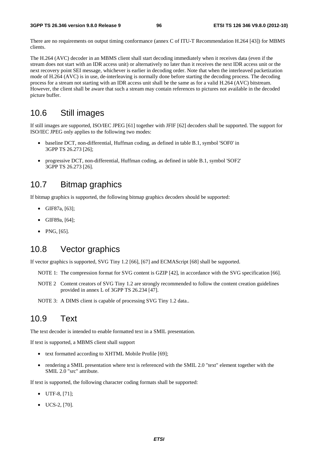There are no requirements on output timing conformance (annex C of ITU-T Recommendation H.264 [43]) for MBMS clients.

The H.264 (AVC) decoder in an MBMS client shall start decoding immediately when it receives data (even if the stream does not start with an IDR access unit) or alternatively no later than it receives the next IDR access unit or the next recovery point SEI message, whichever is earlier in decoding order. Note that when the interleaved packetization mode of H.264 (AVC) is in use, de-interleaving is normally done before starting the decoding process. The decoding process for a stream not starting with an IDR access unit shall be the same as for a valid H.264 (AVC) bitstream. However, the client shall be aware that such a stream may contain references to pictures not available in the decoded picture buffer.

### 10.6 Still images

If still images are supported, ISO/IEC JPEG [61] together with JFIF [62] decoders shall be supported. The support for ISO/IEC JPEG only applies to the following two modes:

- baseline DCT, non-differential, Huffman coding, as defined in table B.1, symbol 'SOF0' in 3GPP TS 26.273 [26];
- progressive DCT, non-differential, Huffman coding, as defined in table B.1, symbol 'SOF2' 3GPP TS 26.273 [26].

### 10.7 Bitmap graphics

If bitmap graphics is supported, the following bitmap graphics decoders should be supported:

- GIF87a, [63];
- GIF89a, [64];
- PNG, [65].

### 10.8 Vector graphics

If vector graphics is supported, SVG Tiny 1.2 [66], [67] and ECMAScript [68] shall be supported.

- NOTE 1: The compression format for SVG content is GZIP [42], in accordance with the SVG specification [66].
- NOTE 2 Content creators of SVG Tiny 1.2 are strongly recommended to follow the content creation guidelines provided in annex L of 3GPP TS 26.234 [47].

NOTE 3: A DIMS client is capable of processing SVG Tiny 1.2 data..

## 10.9 Text

The text decoder is intended to enable formatted text in a SMIL presentation.

If text is supported, a MBMS client shall support

- text formatted according to XHTML Mobile Profile [69];
- rendering a SMIL presentation where text is referenced with the SMIL 2.0 "text" element together with the SMIL 2.0 "src" attribute.

If text is supported, the following character coding formats shall be supported:

- UTF-8, [71];
- UCS-2, [70].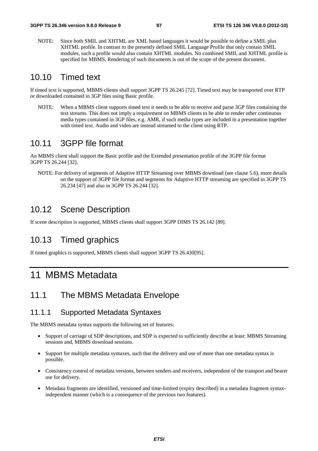NOTE: Since both SMIL and XHTML are XML based languages it would be possible to define a SMIL plus XHTML profile. In contrast to the presently defined SMIL Language Profile that only contain SMIL modules, such a profile would also contain XHTML modules. No combined SMIL and XHTML profile is specified for MBMS. Rendering of such documents is out of the scope of the present document.

### 10.10 Timed text

If timed text is supported, MBMS clients shall support 3GPP TS 26.245 [72]. Timed text may be transported over RTP or downloaded contained in 3GP files using Basic profile.

NOTE: When a MBMS client supports timed text it needs to be able to receive and parse 3GP files containing the text streams. This does not imply a requirement on MBMS clients to be able to render other continuous media types contained in 3GP files, e.g. AMR, if such media types are included in a presentation together with timed text. Audio and video are instead streamed to the client using RTP.

## 10.11 3GPP file format

An MBMS client shall support the Basic profile and the Extended presentation profile of the 3GPP file format 3GPP TS 26.244 [32].

NOTE: For delivery of segments of Adaptive HTTP Streaming over MBMS download (see clause 5.6), more details on the support of 3GPP file format and segments for Adaptive HTTP streaming are specified in 3GPP TS 26.234 [47] and also in 3GPP TS 26.244 [32].

# 10.12 Scene Description

If scene description is supported, MBMS clients shall support 3GPP DIMS TS 26.142 [89].

## 10.13 Timed graphics

If timed graphics is supported, MBMS clients shall support 3GPP TS 26.430[95].

# 11 MBMS Metadata

## 11.1 The MBMS Metadata Envelope

### 11.1.1 Supported Metadata Syntaxes

The MBMS metadata syntax supports the following set of features:

- Support of carriage of SDP descriptions, and SDP is expected to sufficiently describe at least: MBMS Streaming sessions and, MBMS download sessions.
- Support for multiple metadata syntaxes, such that the delivery and use of more than one metadata syntax is possible.
- Consistency control of metadata versions, between senders and receivers, independent of the transport and bearer use for delivery.
- Metadata fragments are identified, versioned and time-limited (expiry described) in a metadata fragment syntaxindependent manner (which is a consequence of the previous two features).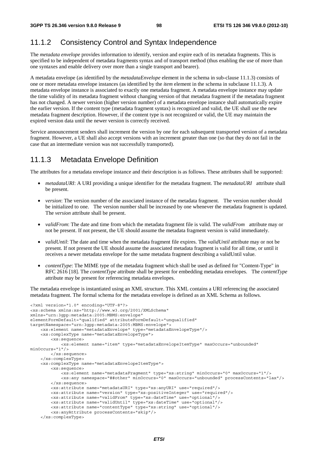### 11.1.2 Consistency Control and Syntax Independence

The *metadata envelope* provides information to identify, version and expire each of its metadata fragments. This is specified to be independent of metadata fragments syntax and of transport method (thus enabling the use of more than one syntaxes and enable delivery over more than a single transport and bearer).

A metadata envelope (as identified by the *metadataEnvelope* element in the schema in sub-clause 11.1.3) consists of one or more metadata envelope instances (as identified by the *item* element in the schema in subclause 11.1.3). A metadata envelope instance is associated to exactly one metadata fragment. A metadata envelope instance may update the time validity of its metadata fragment without changing version of that metadata fragment if the metadata fragment has not changed. A newer version (higher version number) of a metadata envelope instance shall automatically expire the earlier version. If the content type (metadata fragment syntax) is recognized and valid, the UE shall use the new metadata fragment description. However, if the content type is not recognized or valid, the UE may maintain the expired version data until the newer version is correctly received.

Service announcement senders shall increment the version by one for each subsequent transported version of a metadata fragment. However, a UE shall also accept versions with an increment greater than one (so that they do not fail in the case that an intermediate version was not successfully transported).

#### 11.1.3 Metadata Envelope Definition

The attributes for a metadata envelope instance and their description is as follows. These attributes shall be supported:

- *metadataURI*: A URI providing a unique identifier for the metadata fragment. The *metadataURI* attribute shall be present.
- *version*: The version number of the associated instance of the metadata fragment. The version number should be initialized to one. The version number shall be increased by one whenever the metadata fragment is updated. The *version* attribute shall be present.
- *validFrom*: The date and time from which the metadata fragment file is valid. The *validFrom* attribute may or not be present. If not present, the UE should assume the metadata fragment version is valid immediately.
- *validUntil*: The date and time when the metadata fragment file expires. The *validUntil* attribute may or not be present. If not present the UE should assume the associated metadata fragment is valid for all time, or until it receives a newer metadata envelope for the same metadata fragment describing a validUntil value.
- *contentType*: The MIME type of the metadata fragment which shall be used as defined for "Content-Type" in RFC 2616 [18]. The *contentType* attribute shall be present for embedding metadata envelopes. The *contentType* attribute may be present for referencing metadata envelopes.

The metadata envelope is instantiated using an XML structure. This XML contains a URI referencing the associated metadata fragment. The formal schema for the metadata envelope is defined as an XML Schema as follows.

```
<?xml version="1.0" encoding="UTF-8"?> 
<xs:schema xmlns:xs="http://www.w3.org/2001/XMLSchema" 
xmlns="urn:3gpp:metadata:2005:MBMS:envelope" 
elementFormDefault="qualified" attributeFormDefault="unqualified" 
targetNamespace="urn:3gpp:metadata:2005:MBMS:envelope"> 
     <xs:element name="metadataEnvelope" type="metadataEnvelopeType"/> 
     <xs:complexType name="metadataEnvelopeType"> 
         <xs:sequence> 
             <xs:element name="item" type="metadataEnvelopeItemType" maxOccurs="unbounded" 
minOccurs="1"/> 
        </xs:sequence> 
     </xs:complexType> 
     <xs:complexType name="metadataEnvelopeItemType"> 
         <xs:sequence> 
             <xs:element name="metadataFragment" type="xs:string" minOccurs="0" maxOccurs="1"/> 
             <xs:any namespace="##other" minOccurs="0" maxOccurs="unbounded" processContents="lax"/> 
         </xs:sequence> 
         <xs:attribute name="metadataURI" type="xs:anyURI" use="required"/> 
         <xs:attribute name="version" type="xs:positiveInteger" use="required"/> 
 <xs:attribute name="validFrom" type="xs:dateTime" use="optional"/> 
 <xs:attribute name="validUntil" type="xs:dateTime" use="optional"/> 
         <xs:attribute name="contentType" type="xs:string" use="optional"/> 
         <xs:anyAttribute processContents="skip"/> 
     </xs:complexType>
```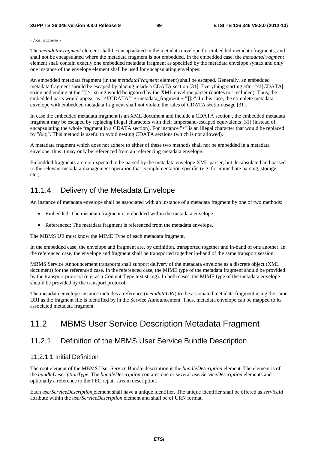#### **3GPP TS 26.346 version 9.8.0 Release 9 99 ETSI TS 126 346 V9.8.0 (2012-10)**

#### </xs:schema>

The *metadataFragment* element shall be encapsulated in the metadata envelope for embedded metadata fragments, and shall not be encapsulated where the metadata fragment is not embedded. In the embedded case, the *metadataFragment* element shall contain exactly one embedded metadata fragment as specified by the metadata envelope syntax and only one instance of the envelope element shall be used for encapsulating envelopes.

An embedded metadata fragment (in the *metadataFragment* element) shall be escaped. Generally, an embedded metadata fragment should be escaped by placing inside a CDATA section [31]. Everything starting after "<![CDATA[" string and ending at the "]]>" string would be ignored by the XML envelope parser (quotes not included). Thus, the embedded parts would appear as "<![CDATA[" + metadata\_fragment + "]]>". In this case, the complete metadata envelope with embedded metadata fragment shall not violate the rules of CDATA section usage [31].

In case the embedded metadata fragment is an XML document and include a CDATA section , the embedded metadata fragment may be escaped by replacing illegal characters with their ampersand-escaped equivalents [31] (instead of encapsulating the whole fragment in a CDATA section). For instance "<" is an illegal character that would be replaced by "<". This method is useful to avoid nesting CDATA sections (which is not allowed).

A metadata fragment which does not adhere to either of these two methods shall not be embedded in a metadata envelope, thus it may only be referenced from an referencing metadata envelope.

Embedded fragments are not expected to be parsed by the metadata envelope XML parser, but decapsulated and passed to the relevant metadata management operation that is implementation specific (e.g. for immediate parsing, storage, etc.).

## 11.1.4 Delivery of the Metadata Envelope

An instance of metadata envelope shall be associated with an instance of a metadata fragment by one of two methods:

- Embedded: The metadata fragment is embedded within the metadata envelope.
- Referenced: The metadata fragment is referenced from the metadata envelope.

The MBMS UE must know the MIME Type of each metadata fragment.

In the embedded case, the envelope and fragment are, by definition, transported together and in-band of one another. In the referenced case, the envelope and fragment shall be transported together in-band of the same transport session.

MBMS Service Announcement transports shall support delivery of the metadata envelope as a discrete object (XML document) for the referenced case. In the referenced case, the MIME type of the metadata fragment should be provided by the transport protocol (e.g. as a Content-Type text string). In both cases, the MIME type of the metadata envelope should be provided by the transport protocol.

The metadata envelope instance includes a reference (*metadataURI*) to the associated metadata fragment using the same URI as the fragment file is identified by in the Service Announcement. Thus, metadata envelope can be mapped to its associated metadata fragment.

# 11.2 MBMS User Service Description Metadata Fragment

# 11.2.1 Definition of the MBMS User Service Bundle Description

### 11.2.1.1 Initial Definition

The root element of the MBMS User Service Bundle description is the *bundleDescription* element. The element is of the *bundleDescriptionType*. The *bundleDescription* contains one or several *userServiceDescription* elements and optionally a reference to the FEC repair stream description.

Each *userServiceDescription* element shall have a unique identifier. The unique identifier shall be offered as *serviceId*  attribute within the *userServiceDescription* element and shall be of URN format.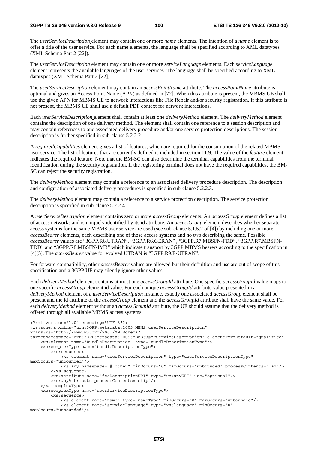The *userServiceDescription* element may contain one or more *name* elements. The intention of a *name* element is to offer a title of the user service. For each name elements, the language shall be specified according to XML datatypes (XML Schema Part 2 [22]).

The *userServiceDescription* element may contain one or more *serviceLanguage* elements. Each *serviceLanguage*  element represents the available languages of the user services. The language shall be specified according to XML datatypes (XML Schema Part 2 [22]).

The *userServiceDescription* element may contain an *accessPointName* attribute. The *accessPointName* attribute is optional and gives an Access Point Name (APN) as defined in [77]. When this attribute is present, the MBMS UE shall use the given APN for MBMS UE to network interactions like File Repair and/or security registration. If this attribute is not present, the MBMS UE shall use a default PDP context for network interactions.

Each *userServiceDescription* element shall contain at least one *deliveryMethod* element. The *deliveryMethod* element contains the description of one delivery method. The element shall contain one reference to a session description and may contain references to one associated delivery procedure and/or one service protection descriptions. The session description is further specified in sub-clause 5.2.2.2.

A *requiredCapabilities* element gives a list of features, which are required for the consumption of the related MBMS user service. The list of features that are currently defined is included in section 11.9. The value of the *feature* element indicates the required feature. Note that the BM-SC can also determine the terminal capabilities from the terminal identification during the security registration. If the registering terminal does not have the required capabilities, the BM-SC can reject the security registration.

The *deliveryMethod* element may contain a reference to an associated delivery procedure description. The description and configuration of associated delivery procedures is specified in sub-clause 5.2.2.3.

The *deliveryMethod* element may contain a reference to a service protection description. The service protection description is specified in sub-clause 5.2.2.4.

A *userServiceDescription* element contains zero or more *accessGroup* elements. An *accessGroup* element defines a list of access networks and is uniquely identified by its id attribute. An *accessGroup* element describes whether separate access systems for the same MBMS user service are used (see sub-clause 5.1.5.2 of [4]) by including one or more *accessBearer* elements, each describing one of those access systems and no two describing the same. Possible *accessBearer* values are "3GPP.R6.UTRAN", "3GPP.R6.GERAN" , "3GPP.R7.MBSFN-FDD", "3GPP.R7.MBSFN-TDD" and "3GPP.R8.MBSFN-IMB" which indicate transport by 3GPP MBMS bearers according to the specification in [4][5]. The *accessBearer* value for evolved UTRAN is "3GPP.R9.E-UTRAN".

For forward compatibility, other *accessBearer* values are allowed but their definition and use are out of scope of this specification and a 3GPP UE may silently ignore other values.

Each *deliveryMethod* element contains at most one *accessGroupId* attribute. One specific *accessGroupId* value maps to one specific *accessGroup* element id value. For each unique *accessGroupId* attribute value presented in a *deliveryMethod* element of a *userServiceDescription* instance, exactly one associated *accessGroup* element shall be present and the id attribute of the *accessGroup* element and the *accessGroupId* attribute shall have the same value. For each *deliveryMethod* element without an *accessGroupId* attribute, the UE should assume that the delivery method is offered through all available MBMS access systems.

```
<?xml version="1.0" encoding="UTF-8"?> 
<xs:schema xmlns="urn:3GPP:metadata:2005:MBMS:userServiceDescription" 
xmlns:xs="http://www.w3.org/2001/XMLSchema" 
targetNamespace="urn:3GPP:metadata:2005:MBMS:userServiceDescription" elementFormDefault="qualified"> 
     <xs:element name="bundleDescription" type="bundleDescriptionType"/> 
     <xs:complexType name="bundleDescriptionType"> 
         <xs:sequence> 
             <xs:element name="userServiceDescription" type="userServiceDescriptionType" 
maxOccurs="unbounded"/> 
             <xs:any namespace="##other" minOccurs="0" maxOccurs="unbounded" processContents="lax"/> 
         </xs:sequence> 
         <xs:attribute name="fecDescriptionURI" type="xs:anyURI" use="optional"/> 
         <xs:anyAttribute processContents="skip"/> 
     </xs:complexType> 
     <xs:complexType name="userServiceDescriptionType"> 
         <xs:sequence> 
             <xs:element name="name" type="nameType" minOccurs="0" maxOccurs="unbounded"/> 
             <xs:element name="serviceLanguage" type="xs:language" minOccurs="0" 
maxOccurs="unbounded"/>
```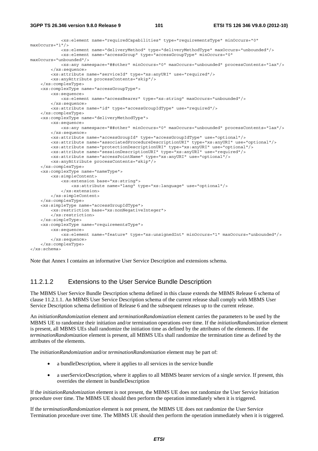#### **3GPP TS 26.346 version 9.8.0 Release 9 101 ETSI TS 126 346 V9.8.0 (2012-10)**

```
 <xs:element name="requiredCapabilities" type="requirementsType" minOccurs="0" 
maxOccurs="1"/> 
             <xs:element name="deliveryMethod" type="deliveryMethodType" maxOccurs="unbounded"/> 
             <xs:element name="accessGroup" type="accessGroupType" minOccurs="0" 
maxOccurs="unbounded"/> 
             <xs:any namespace="##other" minOccurs="0" maxOccurs="unbounded" processContents="lax"/> 
         </xs:sequence> 
         <xs:attribute name="serviceId" type="xs:anyURI" use="required"/> 
         <xs:anyAttribute processContents="skip"/> 
     </xs:complexType> 
     <xs:complexType name="accessGroupType"> 
         <xs:sequence> 
             <xs:element name="accessBearer" type="xs:string" maxOccurs="unbounded"/> 
         </xs:sequence> 
         <xs:attribute name="id" type="accessGroupIdType" use="required"/> 
     </xs:complexType> 
     <xs:complexType name="deliveryMethodType"> 
         <xs:sequence> 
             <xs:any namespace="##other" minOccurs="0" maxOccurs="unbounded" processContents="lax"/> 
         </xs:sequence> 
         <xs:attribute name="accessGroupId" type="accessGroupIdType" use="optional"/> 
         <xs:attribute name="associatedProcedureDescriptionURI" type="xs:anyURI" use="optional"/> 
         <xs:attribute name="protectionDescriptionURI" type="xs:anyURI" use="optional"/> 
         <xs:attribute name="sessionDescriptionURI" type="xs:anyURI" use="required"/> 
         <xs:attribute name="accessPointName" type="xs:anyURI" use="optional"/> 
         <xs:anyAttribute processContents="skip"/> 
     </xs:complexType> 
     <xs:complexType name="nameType"> 
         <xs:simpleContent> 
             <xs:extension base="xs:string"> 
                 <xs:attribute name="lang" type="xs:language" use="optional"/> 
             </xs:extension> 
         </xs:simpleContent> 
     </xs:complexType> 
     <xs:simpleType name="accessGroupIdType"> 
         <xs:restriction base="xs:nonNegativeInteger"> 
         </xs:restriction> 
     </xs:simpleType> 
     <xs:complexType name="requirementsType"> 
         <xs:sequence> 
             <xs:element name="feature" type="xs:unsignedInt" minOccurs="1" maxOccurs="unbounded"/> 
         </xs:sequence> 
     </xs:complexType>
```
</xs:schema>

Note that Annex I contains an informative User Service Description and extensions schema.

#### 11.2.1.2 Extensions to the User Service Bundle Description

The MBMS User Service Bundle Description schema defined in this clause extends the MBMS Release 6 schema of clause 11.2.1.1. An MBMS User Service Description schema of the current release shall comply with MBMS User Service Description schema definition of Release 6 and the subsequent releases up to the current release.

An *initiationRandomization* element and *terminationRandomization* element carries the parameters to be used by the MBMS UE to randomize their initiation and/or termination operations over time. If the *initiationRandomization* element is present, all MBMS UEs shall randomize the initiation time as defined by the attributes of the elements. If the *terminationRandomization* element is present, all MBMS UEs shall randomize the termination time as defined by the attributes of the elements.

The *initiationRandomization* and/or *terminationRandomization* element may be part of:

- a bundleDescription, where it applies to all services in the service bundle
- a userServiceDescription, where it applies to all MBMS bearer services of a single service. If present, this overrides the element in bundleDescription

If the *initiationRandomization* element is not present, the MBMS UE does not randomize the User Service Initiation procedure over time. The MBMS UE should then perform the operation immediately when it is triggered.

If the *terminationRandomization* element is not present, the MBMS UE does not randomize the User Service Termination procedure over time. The MBMS UE should then perform the operation immediately when it is triggered.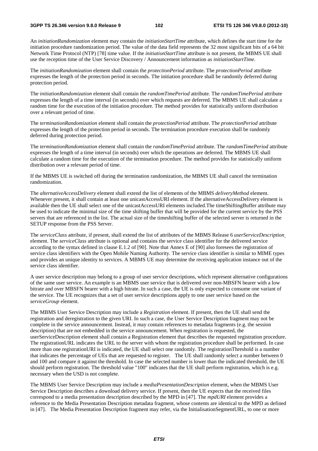An *initiationRandomization* element may contain the *initiationStartTime* attribute, which defines the start time for the initiation procedure randomization period. The value of the data field represents the 32 most significant bits of a 64 bit Network Time Protocol (NTP) [78] time value. If the *initiationStartTime* attribute is not present, the MBMS UE shall use the reception time of the User Service Discovery / Announcement information as *initiationStartTime.*

The *initiationRandomization* element shall contain the *protectionPeriod* attribute. The *protectionPeriod* attribute expresses the length of the protection period in seconds. The initiation procedure shall be randomly deferred during protection period.

The *initiationRandomization* element shall contain the *randomTimePeriod* attribute. The *randomTimePeriod* attribute expresses the length of a time interval (in seconds) over which requests are deferred. The MBMS UE shall calculate a random time for the execution of the initiation procedure. The method provides for statistically uniform distribution over a relevant period of time.

The *terminationRandomization* element shall contain the *protectionPeriod* attribute. The *protectionPeriod* attribute expresses the length of the protection period in seconds. The termination procedure execution shall be randomly deferred during protection period.

The *terminationRandomization* element shall contain the *randomTimePeriod* attribute. The *randomTimePeriod* attribute expresses the length of a time interval (in seconds) over which the operations are deferred. The MBMS UE shall calculate a random time for the execution of the termination procedure. The method provides for statistically uniform distribution over a relevant period of time.

If the MBMS UE is switched off during the termination randomization, the MBMS UE shall cancel the termination randomization.

The *alternativeAccessDelivery* element shall extend the list of elements of the MBMS *deliveryMethod* element. Whenever present, it shall contain at least one unicastAccessURI element. If the alternativeAccessDelivery element is available then the UE shall select one of the unicastAccessURI elements included.The timeShiftingBuffer attribute may be used to indicate the minimal size of the time shifting buffer that will be provided for the current service by the PSS servers that are referenced in the list. The actual size of the timeshifting buffer of the selected server is returned in the SETUP response from the PSS Server.

The *serviceClass* attribute, if present, shall extend the list of attributes of the MBMS Release 6 *userServiceDescription* element. The *serviceClass* attribute is optional and contains the service class identifier for the delivered service according to the syntax defined in clause E.1.2 of [90]. Note that Annex E of [90] also foresees the registration of service class identifiers with the Open Mobile Naming Authority. The service class identifier is similar to MIME types and provides an unique identity to services. A MBMS UE may determine the receiving application instance out of the service class identifier.

A user service description may belong to a group of user service descriptions, which represent alternative configurations of the same user service. An example is an MBMS user service that is delivered over non-MBSFN bearer with a low bitrate and over MBSFN bearer with a high bitrate. In such a case, the UE is only expected to consume one variant of the service. The UE recognizes that a set of user service descriptions apply to one user service based on the *serviceGroup* element.

The MBMS User Service Description may include a *Registration* element. If present, then the UE shall send the registration and deregistration to the given URI. In such a case, the User Service Description fragment may not be complete in the service announcement. Instead, it may contain references to metadata fragments (e.g. the session description) that are not embedded in the service announcement. When registration is requested, the userServiceDescription element shall contain a Registration element that describes the requested registration procedure. The registrationURL indicates the URL to the server with whom the registration procedure shall be performed. In case more than one registrationURI is indicated, the UE shall select one randomly. The registrationThreshold is a number that indicates the percentage of UEs that are requested to register. The UE shall randomly select a number between 0 and 100 and compare it against the threshold. In case the selected number is lower than the indicated threshold, the UE should perform registration. The threshold value "100" indicates that the UE shall perform registration, which is e.g. necessary when the USD is not complete.

The MBMS User Service Description may include a *mediaPresentationDescription* element, when the MBMS User Service Description describes a download delivery service. If present, then the UE expects that the received files correspond to a media presentation description described by the MPD in [47]. The *mpdURI* element provides a reference to the Media Presentation Description metadata fragment, whose contents are identical to the MPD as defined in [47]. The Media Presentation Description fragment may refer, via the InitialisationSegmentURL, to one or more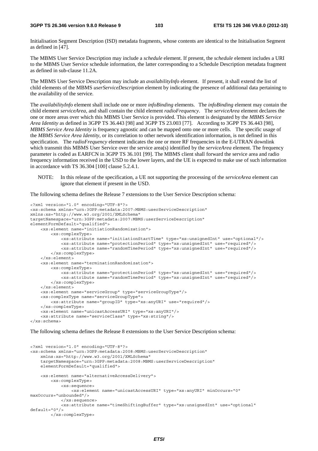Initialisation Segment Description (ISD) metadata fragments, whose contents are identical to the Initialisation Segment as defined in [47].

The MBMS User Service Description may include a *schedule* element. If present, the *schedule* element includes a URI to the MBMS User Service schedule information, the latter corresponding to a Schedule Description metadata fragment as defined in sub-clause 11.2A.

The MBMS User Service Description may include an *availabilityInfo* element. If present, it shall extend the list of child elements of the MBMS *userServiceDescription* element by indicating the presence of additional data pertaining to the availability of the service.

The *availabilityInfo* element shall include one or more *infoBinding* elements. The *infoBinding* element may contain the child element *serviceArea*, and shall contain the child element *radioFrequency*. The *serviceArea* element declares the one or more areas over which this MBMS User Service is provided. This element is designated by the *MBMS Service Area Identity* as defined in 3GPP TS 36.443 [98] and 3GPP TS 23.003 [77]. According to 3GPP TS 36.443 [98], *MBMS Service Area Identity* is frequency agnostic and can be mapped onto one or more cells. The specific usage of the *MBMS Service Area Identity*, or its correlation to other network identification information, is not defined in this specification. The *radioFrequency* element indicates the one or more RF frequencies in the E-UTRAN downlink which transmit this MBMS User Service over the service area(s) identified by the *serviceArea* element. The frequency parameter is coded as EARFCN in 3GPP TS 36.101 [99]. The MBMS client shall forward the service area and radio frequency information received in the USD to the lower layers, and the UE is expected to make use of such information in accordance with TS 36.304 [100] clause 5.2.4.1.

NOTE: In this release of the specification, a UE not supporting the processing of the *serviceArea* element can ignore that element if present in the USD.

The following schema defines the Release 7 extensions to the User Service Description schema:

```
<?xml version="1.0" encoding="UTF-8"?> 
<xs:schema xmlns="urn:3GPP:metadata:2007:MBMS:userServiceDescription" 
xmlns:xs="http://www.w3.org/2001/XMLSchema" 
targetNamespace="urn:3GPP:metadata:2007:MBMS:userServiceDescription" 
elementFormDefault="qualified"> 
     <xs:element name="initiationRandomization"> 
         <xs:complexType> 
             <xs:attribute name="initiationStartTime" type="xs:unsignedInt" use="optional"/> 
             <xs:attribute name="protectionPeriod" type="xs:unsignedInt" use="required"/> 
             <xs:attribute name="randomTimePeriod" type="xs:unsignedInt" use="required"/> 
         </xs:complexType> 
     </xs:element> 
     <xs:element name="terminationRandomization"> 
         <xs:complexType> 
             <xs:attribute name="protectionPeriod" type="xs:unsignedInt" use="required"/> 
             <xs:attribute name="randomTimePeriod" type="xs:unsignedInt" use="required"/> 
         </xs:complexType> 
     </xs:element> 
     <xs:element name="serviceGroup" type="serviceGroupType"/> 
     <xs:complexType name="serviceGroupType"> 
         <xs:attribute name="groupID" type="xs:anyURI" use="required"/> 
     </xs:complexType> 
     <xs:element name="unicastAccessURI" type="xs:anyURI"/> 
     <xs:attribute name="serviceClass" type="xs:string"/> 
</xs:schema>
```
The following schema defines the Release 8 extensions to the User Service Description schema:

```
<?xml version="1.0" encoding="UTF-8"?> 
<xs:schema xmlns="urn:3GPP:metadata:2008:MBMS:userServiceDescription" 
     xmlns:xs="http://www.w3.org/2001/XMLSchema" 
     targetNamespace="urn:3GPP:metadata:2008:MBMS:userServiceDescription" 
     elementFormDefault="qualified"> 
     <xs:element name="alternativeAccessDelivery"> 
         <xs:complexType> 
             <xs:sequence> 
                 <xs:element name="unicastAccessURI" type="xs:anyURI" minOccurs="0" 
maxOccurs="unbounded"/> 
             </xs:sequence> 
             <xs:attribute name="timeShiftingBuffer" type="xs:unsignedInt" use="optional" 
default="0"/> 
         </xs:complexType>
```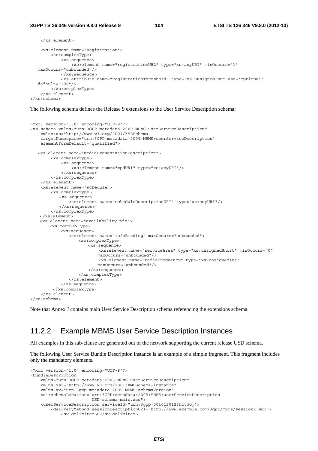```
 </xs:element> 
     <xs:element name="Registration"> 
         <xs:complexType> 
             <xs:sequence> 
                 <xs:element name="registrationURL" type="xs:anyURI" minOccurs="1" 
  maxOccurs="unbounded"/> 
             </xs:sequence> 
             <xs:attribute name="registrationThreshold" type="xs:unsignedInt" use="optional" 
   default="100"/> 
        </xs:complexType> 
     </xs:element> 
</xs:schema>
```
The following schema defines the Release 9 extensions to the User Service Description schema:

```
<?xml version="1.0" encoding="UTF-8"?> 
<xs:schema xmlns="urn:3GPP:metadata:2009:MBMS:userServiceDescription" 
     xmlns:xs="http://www.w3.org/2001/XMLSchema" 
     targetNamespace="urn:3GPP:metadata:2009:MBMS:userServiceDescription" 
     elementFormDefault="qualified"> 
    <xs:element name="mediaPresentationDescription"> 
         <xs:complexType> 
             <xs:sequence> 
                  <xs:element name="mpdURI" type="xs:anyURI"/> 
              </xs:sequence> 
         </xs:complexType> 
     </xs:element> 
     <xs:element name="schedule"> 
         <xs:complexType> 
            <xs:sequence> 
                 <xs:element name="scheduleDescriptionURI" type="xs:anyURI"/> 
            </xs:sequence> 
         </xs:complexType> 
     </xs:element> 
     <xs:element name="availabilityInfo"> 
         <xs:complexType> 
             <xs:sequence> 
                 <xs:element name="infoBinding" maxOccurs="unbounded"> 
                     <xs:complexType> 
                         <xs:sequence> 
                             <xs:element name="serviceArea" type="xs:unsignedShort" minOccurs="0" 
                            maxOccurs="unbounded"/> 
                            <xs:element name="radioFrequency" type="xs:unsignedInt" 
                            maxOccurs="unbounded"/> 
                         </xs:sequence> 
                     </xs:complexType> 
                 </xs:element> 
              </xs:sequence> 
          </xs:complexType> 
    \epsilon/xs\cdotelement>
</xs:schema>
```
Note that Annex J contains main User Service Description schema referencing the extensions schema.

### 11.2.2 Example MBMS User Service Description Instances

All examples in this sub-clause are generated out of the network supporting the current release USD schema.

The following User Service Bundle Description instance is an example of a simple fragment. This fragment includes only the mandatory elements.

```
<?xml version="1.0" encoding="UTF-8"?> 
<bundleDescription 
     xmlns="urn:3GPP:metadata:2005:MBMS:userServiceDescription" 
     xmlns:xsi="http://www.w3.org/2001/XMLSchema-instance" 
     xmlns:sv="urn:3gpp:metadata:2009:MBMS:schemaVersion" 
     xsi:schemaLocation="urn:3GPP:metadata:2005:MBMS:userServiceDescription 
                         USD-schema-main.xsd"> 
     <userServiceDescription serviceId="urn:3gpp:0010120123hotdog"> 
         <deliveryMethod sessionDescriptionURI="http://www.example.com/3gpp/mbms/session1.sdp"> 
             <sv:delimiter>0</sv:delimiter>
```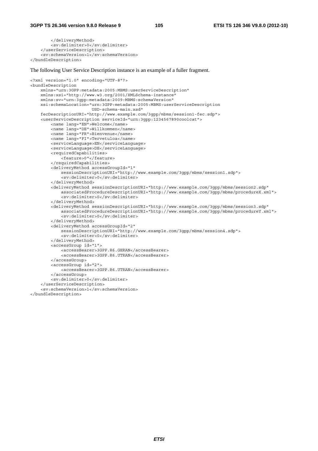#### **3GPP TS 26.346 version 9.8.0 Release 9 105 ETSI TS 126 346 V9.8.0 (2012-10)**

```
 </deliveryMethod> 
         <sv:delimiter>0</sv:delimiter> 
     </userServiceDescription> 
     <sv:schemaVersion>1</sv:schemaVersion> 
</bundleDescription>
```
The following User Service Description instance is an example of a fuller fragment.

```
<?xml version="1.0" encoding="UTF-8"?> 
<bundleDescription 
     xmlns="urn:3GPP:metadata:2005:MBMS:userServiceDescription" 
     xmlns:xsi="http://www.w3.org/2001/XMLSchema-instance" 
     xmlns:sv="urn:3gpp:metadata:2009:MBMS:schemaVersion" 
     xsi:schemaLocation="urn:3GPP:metadata:2005:MBMS:userServiceDescription 
                          USD-schema-main.xsd" 
     fecDescriptionURI="http://www.example.com/3gpp/mbms/session1-fec.sdp"> 
     <userServiceDescription serviceId="urn:3gpp:1234567890coolcat"> 
         <name lang="EN">Welcome</name> 
         <name lang="DE">Willkommen</name> 
         <name lang="FR">Bienvenue</name> 
         <name lang="FI">Tervetuloa</name> 
         <serviceLanguage>EN</serviceLanguage> 
         <serviceLanguage>DE</serviceLanguage> 
         <requiredCapabilities> 
            -<br><feature>0"</feature>
         </requiredCapabilities> 
         <deliveryMethod accessGroupId="1" 
             sessionDescriptionURI="http://www.example.com/3gpp/mbms/session1.sdp"> 
              <sv:delimiter>0</sv:delimiter> 
         </deliveryMethod> 
         <deliveryMethod sessionDescriptionURI="http://www.example.com/3gpp/mbms/session2.sdp" 
             associatedProcedureDescriptionURI="http://www.example.com/3gpp/mbms/procedureX.xml"> 
             <sv:delimiter>0</sv:delimiter> 
         </deliveryMethod> 
         <deliveryMethod sessionDescriptionURI="http://www.example.com/3gpp/mbms/session3.sdp" 
             associatedProcedureDescriptionURI="http://www.example.com/3gpp/mbms/procedureY.xml"> 
              <sv:delimiter>0</sv:delimiter> 
         </deliveryMethod> 
         <deliveryMethod accessGroupId="2" 
             sessionDescriptionURI="http://www.example.com/3gpp/mbms/session4.sdp"> 
             <sv:delimiter>0</sv:delimiter> 
         </deliveryMethod> 
         <accessGroup id="1"> 
             <accessBearer>3GPP.R6.GERAN</accessBearer> 
              <accessBearer>3GPP.R6.UTRAN</accessBearer> 
         </accessGroup> 
         <accessGroup id="2"> 
             <accessBearer>3GPP.R6.UTRAN</accessBearer> 
         </accessGroup> 
         <sv:delimiter>0</sv:delimiter> 
     </userServiceDescription> 
     <sv:schemaVersion>1</sv:schemaVersion>
```
</bundleDescription>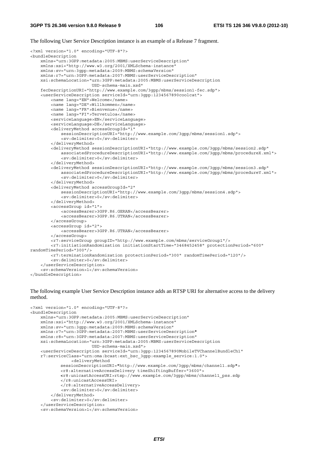The following User Service Description instance is an example of a Release 7 fragment.

```
<?xml version="1.0" encoding="UTF-8"?> 
<bundleDescription 
     xmlns="urn:3GPP:metadata:2005:MBMS:userServiceDescription" 
     xmlns:xsi="http://www.w3.org/2001/XMLSchema-instance" 
     xmlns:sv="urn:3gpp:metadata:2009:MBMS:schemaVersion" 
     xmlns:r7="urn:3GPP:metadata:2007:MBMS:userServiceDescription" 
     xsi:schemaLocation="urn:3GPP:metadata:2005:MBMS:userServiceDescription 
                          USD-schema-main.xsd" 
     fecDescriptionURI="http://www.example.com/3gpp/mbms/session1-fec.sdp"> 
     <userServiceDescription serviceId="urn:3gpp:1234567890coolcat"> 
         <name lang="EN">Welcome</name> 
         <name lang="DE">Willkommen</name> 
         <name lang="FR">Bienvenue</name> 
         <name lang="FI">Tervetuloa</name> 
         <serviceLanguage>EN</serviceLanguage> 
         <serviceLanguage>DE</serviceLanguage> 
         <deliveryMethod accessGroupId="1" 
             sessionDescriptionURI="http://www.example.com/3gpp/mbms/session1.sdp"> 
             <sv:delimiter>0</sv:delimiter> 
         </deliveryMethod> 
         <deliveryMethod sessionDescriptionURI="http://www.example.com/3gpp/mbms/session2.sdp" 
             associatedProcedureDescriptionURI="http://www.example.com/3gpp/mbms/procedureX.xml"> 
             <sv:delimiter>0</sv:delimiter> 
         </deliveryMethod> 
         <deliveryMethod sessionDescriptionURI="http://www.example.com/3gpp/mbms/session3.sdp" 
             associatedProcedureDescriptionURI="http://www.example.com/3gpp/mbms/procedureY.xml"> 
             <sv:delimiter>0</sv:delimiter> 
         </deliveryMethod> 
         <deliveryMethod accessGroupId="2" 
             sessionDescriptionURI="http://www.example.com/3gpp/mbms/session4.sdp"> 
             <sv:delimiter>0</sv:delimiter> 
         </deliveryMethod> 
         <accessGroup id="1"> 
             <accessBearer>3GPP.R6.GERAN</accessBearer> 
             <accessBearer>3GPP.R6.UTRAN</accessBearer> 
         </accessGroup> 
         <accessGroup id="2"> 
             <accessBearer>3GPP.R6.UTRAN</accessBearer> 
         </accessGroup> 
         <r7:serviceGroup groupID="http://www.example.com/mbms/serviceGroup1"/> 
         <r7:initiationRandomization initiationStartTime="3468452458" protectionPeriod="600" 
randomTimePeriod="300"/> 
         <r7:terminationRandomization protectionPeriod="300" randomTimePeriod="120"/> 
         <sv:delimiter>0</sv:delimiter> 
     </userServiceDescription> 
     <sv:schemaVersion>1</sv:schemaVersion> 
</bundleDescription>
```
The following example User Service Description instance adds an RTSP URI for alternative access to the delivery method.

```
<?xml version="1.0" encoding="UTF-8"?> 
<bundleDescription 
    xmlns="urn:3GPP:metadata:2005:MBMS:userServiceDescription" 
     xmlns:xsi="http://www.w3.org/2001/XMLSchema-instance" 
     xmlns:sv="urn:3gpp:metadata:2009:MBMS:schemaVersion" 
     xmlns:r7="urn:3GPP:metadata:2007:MBMS:userServiceDescription"
    xmlns:r8="urn:3GPP:metadata:2007:MBMS:userServiceDescription" 
     xsi:schemaLocation="urn:3GPP:metadata:2005:MBMS:userServiceDescription 
                         USD-schema-main.xsd"> 
     <userServiceDescription serviceId="urn:3gpp:1234567890MobileTVChannelBundleCh1" 
     r7:serviceClass="urn:oma:bcast:ext_bsc_3gpp:example_service:1.0"> 
                 <deliveryMethod 
            sessionDescriptionURI="http://www.example.com/3gpp/mbms/channel1.sdp"> 
            <r8:alternativeAccessDelivery timeShiftingBuffer="3600"> 
            <r8:unicastAccessURI>rtsp://www.example.com/3gpp/mbms/channel1_pss.sdp 
            </r8:unicastAccessURI> 
            </r8:alternativeAccessDelivery> 
             <sv:delimiter>0</sv:delimiter> 
         </deliveryMethod> 
         <sv:delimiter>0</sv:delimiter> 
     </userServiceDescription> 
     <sv:schemaVersion>1</sv:schemaVersion>
```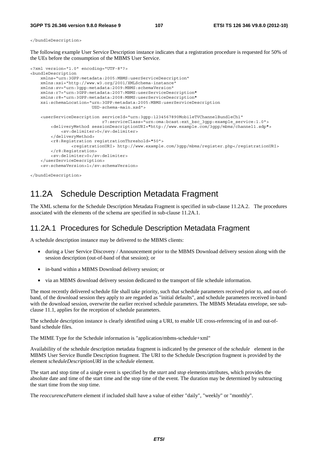</bundleDescription>

The following example User Service Description instance indicates that a registration procedure is requested for 50% of the UEs before the consumption of the MBMS User Service.

```
<?xml version="1.0" encoding="UTF-8"?> 
<bundleDescription 
    xmlns="urn:3GPP:metadata:2005:MBMS:userServiceDescription" 
     xmlns:xsi="http://www.w3.org/2001/XMLSchema-instance" 
     xmlns:sv="urn:3gpp:metadata:2009:MBMS:schemaVersion" 
     xmlns:r7="urn:3GPP:metadata:2007:MBMS:userServiceDescription" 
     xmlns:r8="urn:3GPP:metadata:2008:MBMS:userServiceDescription" 
     xsi:schemaLocation="urn:3GPP:metadata:2005:MBMS:userServiceDescription 
                          USD-schema-main.xsd"> 
     <userServiceDescription serviceId="urn:3gpp:1234567890MobileTVChannelBundleCh1" 
                             r7:serviceClass="urn:oma:bcast:ext_bsc_3gpp:example_service:1.0"> 
         <deliveryMethod sessionDescriptionURI="http://www.example.com/3gpp/mbms/channel1.sdp"> 
             <sv:delimiter>0</sv:delimiter> 
         </deliveryMethod> 
         <r8:Registration registrationThreshold="50"> 
                 <registrationURI> http://www.example.com/3gpp/mbms/register.php</registrationURI> 
         </r8:Registration> 
         <sv:delimiter>0</sv:delimiter> 
     </userServiceDescription> 
     <sv:schemaVersion>1</sv:schemaVersion>
```

```
</bundleDescription>
```
# 11.2A Schedule Description Metadata Fragment

The XML schema for the Schedule Description Metadata Fragment is specified in sub-clause 11.2A.2. The procedures associated with the elements of the schema are specified in sub-clause 11.2A.1.

### 11.2A.1 Procedures for Schedule Description Metadata Fragment

A schedule description instance may be delivered to the MBMS clients:

- during a User Service Discovery / Announcement prior to the MBMS Download delivery session along with the session description (out-of-band of that session); or
- in-band within a MBMS Download delivery session; or
- via an MBMS download delivery session dedicated to the transport of file schedule information.

The most recently delivered schedule file shall take priority, such that schedule parameters received prior to, and out-ofband, of the download session they apply to are regarded as "initial defaults", and schedule parameters received in-band with the download session, overwrite the earlier received schedule parameters. The MBMS Metadata envelope, see subclause 11.1, applies for the reception of schedule parameters.

The schedule description instance is clearly identified using a URI, to enable UE cross-referencing of in and out-ofband schedule files.

The MIME Type for the Schedule information is "application/mbms-schedule+xml"

Availability of the schedule description metadata fragment is indicated by the presence of the *schedule* element in the MBMS User Service Bundle Description fragment. The URI to the Schedule Description fragment is provided by the element *scheduleDescriptionURI* in the *schedule* element.

The start and stop time of a single event is specified by the *start* and *stop* elements/attributes, which provides the absolute date and time of the start time and the stop time of the event. The duration may be determined by subtracting the start time from the stop time.

The *reoccurencePattern* element if included shall have a value of either "daily", "weekly" or "monthly".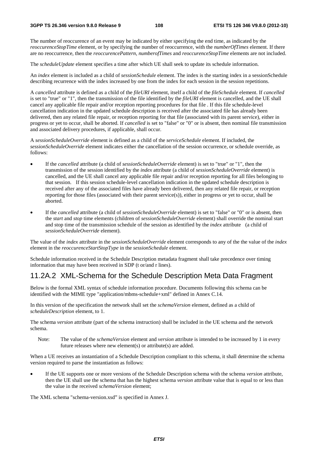The number of reoccurence of an event may be indicated by either specifying the end time, as indicated by the *reoccurenceStopTime* element, or by specifying the number of reoccurrence, with the *numberOfTimes* element. If there are no reoccurrence, then the *reoccurencePattern*, *numberofTimes* and *reoccurenceStopTime* elements are not included.

The *scheduleUpdate* element specifies a time after which UE shall seek to update its schedule information.

An *index* element is included as a child of *sessionSchedule* element. The index is the starting index in a sessionSchedule describing recurrence with the index increased by one from the index for each session in the session repetitions.

A *cancelled* attribute is defined as a child of the *fileURI* element, itself a child of the *fileSchedule* element. If *cancelled* is set to "true" or "1", then the transmission of the file identified by the *fileURI* element is cancelled, and the UE shall cancel any applicable file repair and/or reception reporting procedures for that file . If this file schedule-level cancellation indication in the updated schedule description is received after the associated file has already been delivered, then any related file repair, or reception reporting for that file (associated with its parent service), either in progress or yet to occur, shall be aborted. If *cancelled* is set to "false" or "0" or is absent, then nominal file transmission and associated delivery procedures, if applicable, shall occur.

A *sessionScheduleOverride* element is defined as a child of the *serviceSchedule* element. If included, the *sessionScheduleOverride* element indicates either the cancellation of the session occurrence, or schedule override, as follows:

- If the *cancelled* attribute (a child of *sessionScheduleOverride* element) is set to "true" or "1", then the transmission of the session identified by the *index* attribute (a child of *sessionScheduleOverride* element) is cancelled, and the UE shall cancel any applicable file repair and/or reception reporting for all files belonging to that session. If this session schedule-level cancellation indication in the updated schedule description is received after any of the associated files have already been delivered, then any related file repair, or reception reporting for those files (associated with their parent service(s)), either in progress or yet to occur, shall be aborted.
- If the *cancelled* attribute (a child of *sessionScheduleOverride* element) is set to "false" or "0" or is absent, then the *start* and *stop* time elements (children of *sessionScheduleOverride* element) shall override the nominal start and stop time of the transmission schedule of the session as identified by the *index* attribute (a child of *sessionScheduleOverride* element).

The value of the *index* attribute in the *sessionScheduleOverride* element corresponds to any of the the value of the *index* element in the *reoccurenceStartStopType* in the *sessionSchedule* element.

Schedule information received in the Schedule Description metadata fragment shall take precedence over timing information that may have been received in SDP (t or/and r lines).

#### 11.2A.2 XML-Schema for the Schedule Description Meta Data Fragment

Below is the formal XML syntax of schedule information procedure. Documents following this schema can be identified with the MIME type "application/mbms-schedule+xml" defined in Annex C.14.

In this version of the specification the network shall set the *schemaVersion* element, defined as a child of *scheduleDescription* element, to 1.

The schema *version* attribute (part of the schema instruction) shall be included in the UE schema and the network schema.

Note: The value of the *schemaVersion* element and *version* attribute is intended to be increased by 1 in every future releases where new element(s) or attribute(s) are added.

When a UE receives an instantiation of a Schedule Description compliant to this schema, it shall determine the schema version required to parse the instantiation as follows:

• If the UE supports one or more versions of the Schedule Description schema with the schema *version* attribute, then the UE shall use the schema that has the highest schema *version* attribute value that is equal to or less than the value in the received *schemaVersion* element;

The XML schema "schema-version.xsd" is specified in Annex J.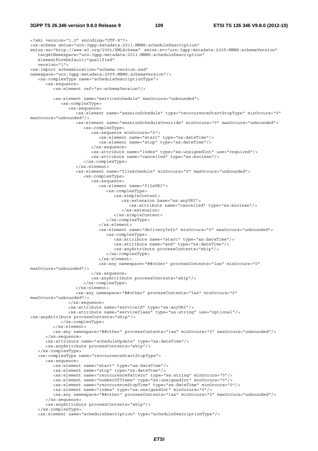#### **3GPP TS 26.346 version 9.8.0 Release 9 109 ETSI TS 126 346 V9.8.0 (2012-10)**

```
<?xml version="1.0" encoding="UTF-8"?> 
<xs:schema xmlns="urn:3gpp:metadata:2011:MBMS:scheduleDescription" 
xmlns:xs="http://www.w3.org/2001/XMLSchema" xmlns:sv="urn:3gpp:metadata:2009:MBMS:schemaVersion" 
   targetNamespace="urn:3gpp:metadata:2011:MBMS:scheduleDescription" 
   elementFormDefault="qualified" 
    version="1"> 
<xs:import schemaLocation="schema-version.xsd" 
namespace="urn:3gpp:metadata:2009:MBMS:schemaVersion"/> 
    <xs:complexType name="scheduleDescriptionType"> 
       <xs:sequence> 
         <xs:element ref="sv:schemaVersion"/> 
         <xs:element name="serviceSchedule" maxOccurs="unbounded"> 
             <xs:complexType> 
                <xs:sequence> 
                   <xs:element name="sessionSchedule" type="reoccurenceStartStopType" minOccurs="0" 
maxOccurs="unbounded"/> 
                   <xs:element name="sessionScheduleOverride" minOccurs="0" maxOccurs="unbounded"> 
                       <xs:complexType> 
                          <xs:sequence minOccurs="0"> 
                             <xs:element name="start" type="xs:dateTime"/> 
                             <xs:element name="stop" type="xs:dateTime"/> 
                          </xs:sequence> 
                          <xs:attribute name="index" type="xs:unsignedInt" use="required"/> 
                          <xs:attribute name="cancelled" type="xs:boolean"/> 
                       </xs:complexType> 
                   </xs:element> 
                   <xs:element name="fileSchedule" minOccurs="0" maxOccurs="unbounded"> 
                       <xs:complexType> 
                          <xs:sequence> 
                             <xs:element name="fileURI"> 
                                <xs:complexType> 
                                   <xs:simpleContent> 
                                      <xs:extension base="xs:anyURI"> 
                                          <xs:attribute name="cancelled" type="xs:boolean"/> 
                                       </xs:extension> 
                                   </xs:simpleContent> 
                                </xs:complexType> 
                             </xs:element> 
                             <xs:element name="deliveryInfo" minOccurs="0" maxOccurs="unbounded"> 
                               <xs:complexType> 
                                   <xs:attribute name="start" type="xs:dateTime"/> 
                                   <xs:attribute name="end" type="xs:dateTime"/> 
                                   <xs:anyAttribute processContents="skip"/> 
                                </xs:complexType> 
                             </xs:element> 
                             <xs:any namespace="##other" processContents="lax" minOccurs="0" 
maxOccurs="unbounded"/> 
                          </xs:sequence> 
                          <xs:anyAttribute processContents="skip"/> 
                       </xs:complexType> 
                   </xs:element> 
                   <xs:any namespace="##other" processContents="lax" minOccurs="0" 
maxOccurs="unbounded"/> 
                </xs:sequence> 
                <xs:attribute name="serviceId" type="xs:anyURI"/> 
                <xs:attribute name="serviceClass" type="xs:string" use="optional"/> 
<xs:anyAttribute processContents="skip"/> 
             </xs:complexType> 
          </xs:element> 
          <xs:any namespace="##other" processContents="lax" minOccurs="0" maxOccurs="unbounded"/> 
       </xs:sequence> 
       <xs:attribute name="scheduleUpdate" type="xs:dateTime"/> 
       <xs:anyAttribute processContents="skip"/> 
    </xs:complexType> 
    <xs:complexType name="reoccurenceStartStopType"> 
       <xs:sequence> 
          <xs:element name="start" type="xs:dateTime"/> 
          <xs:element name="stop" type="xs:dateTime"/> 
          <xs:element name="reoccurencePattern" type="xs:string" minOccurs="0"/> 
          <xs:element name="numberOfTimes" type="xs:unsignedInt" minOccurs="0"/> 
          <xs:element name="reoccurenceStopTime" type="xs:dateTime" minOccurs="0"/> 
          <xs:element name="index" type="xs:unsignedInt" minOccurs="0"/> 
          <xs:any namespace="##other" processContents="lax" minOccurs="0" maxOccurs="unbounded"/> 
       </xs:sequence> 
       <xs:anyAttribute processContents="skip"/> 
    </xs:complexType>
```
<xs:element name="scheduleDescription" type="scheduleDescriptionType"/>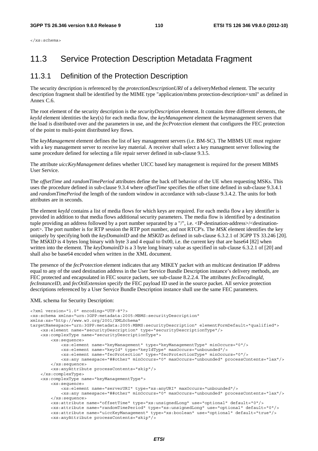</xs:schema>

### 11.3 Service Protection Description Metadata Fragment

#### 11.3.1 Definition of the Protection Description

The security description is referenced by the *protectionDescriptionURI* of a deliveryMethod element. The security description fragment shall be identified by the MIME type "application/mbms protection-description+xml" as defined in Annex C.6.

The root element of the security description is the *securityDescription* element. It contains three different elements, the *keyId* element identities the key(s) for each media flow, the *keyManagement* element the keymanagement servers that the load is distributed over and the parameters in use, and the *fecProtection* element that configures the FEC protection of the point to multi-point distributed key flows.

The *keyManagement* element defines the list of key management servers (i.e. BM-SC). The MBMS UE must register with a key management server to receive key material. A receiver shall select a key managment server following the same procedure defined for selecting a file repair server defined in sub-clause 9.3.5.

The attribute *uiccKeyManagement* defines whether UICC based key management is required for the present MBMS User Service.

The *offsetTime* and *randomTimePeriod* attributes define the back off behavior of the UE when requesting MSKs. This uses the procedure defined in sub-clause 9.3.4 where *offsetTime* specifies the offset time defined in sub-clause 9.3.4.1 and *randomTimePeriod* the length of the random window in accordance with sub-clause 9.3.4.2. The units for both attributes are in seconds.

The element *keyId* contains a list of media flows for which keys are required. For each media flow a key identifier is provided in addition to that media flows additional security parameters. The media flow is identified by a destination tuple providing an address followed by a port number separated by a "/", i.e. <IP-destination-address>/<destinationport>. The port number is for RTP session the RTP port number, and not RTCP's. The *MSK* element identifies the key uniquely by specifying both the *keyDomainID* and the *MSKID* as defined in sub-clause 6.3.2.1 of 3GPP TS 33.246 [20]. The *MSKID* is 4 bytes long binary with byte 3 and 4 equal to 0x00, i.e. the current key that are base64 [82] when written into the element. The *keyDomainID* is a 3 byte long binary value as specified in sub-clause 6.3.2.1 of [20] and shall also be base64 encoded when written in the XML document.

The presence of the *fecProtection* element indicates that any MIKEY packet with an multicast destination IP address equal to any of the used destination address in the User Service Bundle Description instance's delivery methods, are FEC protected and encapsulated in FEC source packets, see sub-clause 8.2.2.4. The attributes *fecEncodingId*, *fecInstanceID*, and *fecOtiExtension* specify the FEC payload ID used in the source packet. All service protection descriptions referenced by a User Service Bundle Description instance shall use the same FEC parameters.

#### XML schema for Security Description:

```
<?xml version="1.0" encoding="UTF-8"?> 
<xs:schema xmlns="urn:3GPP:metadata:2005:MBMS:securityDescription" 
xmlns:xs="http://www.w3.org/2001/XMLSchema" 
targetNamespace="urn:3GPP:metadata:2005:MBMS:securityDescription" elementFormDefault="qualified"> 
     <xs:element name="securityDescription" type="securityDescriptionType"/> 
     <xs:complexType name="securityDescriptionType"> 
         <xs:sequence> 
             <xs:element name="keyManagement" type="keyManagementType" minOccurs="0"/> 
             <xs:element name="keyId" type="keyIdType" maxOccurs="unbounded"/> 
             <xs:element name="fecProtection" type="fecProtectionType" minOccurs="0"/> 
             <xs:any namespace="##other" minOccurs="0" maxOccurs="unbounded" processContents="lax"/> 
         </xs:sequence> 
         <xs:anyAttribute processContents="skip"/> 
     </xs:complexType> 
     <xs:complexType name="keyManagementType"> 
         <xs:sequence> 
             <xs:element name="serverURI" type="xs:anyURI" maxOccurs="unbounded"/> 
             <xs:any namespace="##other" minOccurs="0" maxOccurs="unbounded" processContents="lax"/> 
         </xs:sequence> 
         <xs:attribute name="offsetTime" type="xs:unsignedLong" use="optional" default="0"/> 
         <xs:attribute name="randomTimePeriod" type="xs:unsignedLong" use="optional" default="0"/> 
         <xs:attribute name="uiccKeyManagement" type="xs:boolean" use="optional" default="true"/> 
         <xs:anyAttribute processContents="skip"/>
```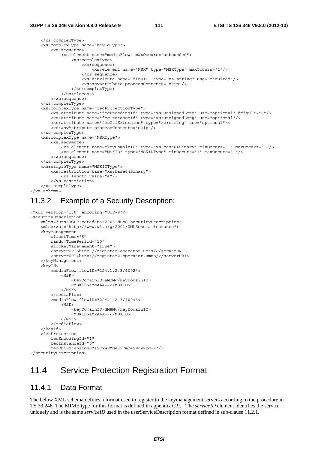```
 </xs:complexType> 
     <xs:complexType name="keyIdType"> 
         <xs:sequence> 
             <xs:element name="mediaFlow" maxOccurs="unbounded"> 
                 <xs:complexType> 
                     <xs:sequence> 
                          <xs:element name="MSK" type="MSKType" maxOccurs="1"/> 
                      </xs:sequence> 
                      <xs:attribute name="flowID" type="xs:string" use="required"/> 
                      <xs:anyAttribute processContents="skip"/> 
                 </xs:complexType> 
             </xs:element> 
         </xs:sequence> 
     </xs:complexType> 
     <xs:complexType name="fecProtectionType"> 
         <xs:attribute name="fecEncodingId" type="xs:unsignedLong" use="optional" default="0"/> 
         <xs:attribute name="fecInstanceId" type="xs:unsignedLong" use="optional"/> 
         <xs:attribute name="fecOtiExtension" type="xs:string" use="optional"/> 
         <xs:anyAttribute processContents="skip"/> 
     </xs:complexType> 
     <xs:complexType name="MSKType"> 
         <xs:sequence> 
             <xs:element name="keyDomainID" type="xs:base64Binary" minOccurs="1" maxOccurs="1"/> 
             <xs:element name="MSKID" type="MSKIDType" minOccurs="1" maxOccurs="1"/> 
         </xs:sequence> 
     </xs:complexType> 
     <xs:simpleType name="MSKIDType"> 
         <xs:restriction base="xs:base64Binary"> 
             <xs:length value="4"/> 
         </xs:restriction> 
     </xs:simpleType> 
</xs:schema>
```
#### 11.3.2 Example of a Security Description:

```
<?xml version="1.0" encoding="UTF-8"?> 
<securityDescription 
     xmlns="urn:3GPP:metadata:2005:MBMS:securityDescription" 
     xmlns:xsi="http://www.w3.org/2001/XMLSchema-instance"> 
     <keyManagement 
         offsetTime="5" 
         randomTimePeriod="10" 
         uiccKeyManagement="true"> 
         <serverURI>http://register.operator.umts/</serverURI> 
         <serverURI>http://register2.operator.umts/</serverURI> 
     </keyManagement> 
    <keyId>
         <mediaFlow flowID="224.1.2.3/4002"> 
             <MSK> <keyDomainID>aMoM</keyDomainID> 
                  <MSKID>aMoAAA==</MSKID> 
             </MSK>
         </mediaFlow> 
         <mediaFlow flowID="224.1.2.3/4004"> 
              <MSK> 
                  <keyDomainID>GM8M</keyDomainID> 
                  <MSKID>aMkAAA==</MSKID> 
              </MSK> 
         </mediaFlow> 
     </keyId> 
     <fecProtection 
         fecEncodingId="1" 
         fecInstanceId="0" 
         fecOtiExtension="1SCxWEMNe397m24SwgyRhg=="/> 
</securityDescription>
```
### 11.4 Service Protection Registration Format

#### 11.4.1 Data Format

The below XML schema defines a format used to register to the keymanagement servers according to the procedure in TS 33.246. The MIME type for this format is defined in appendix C.9. The *serviceID* element identifies the service uniquely and is the same *serviceID* used in the userServiceDescription format defined in sub-clause 11.2.1.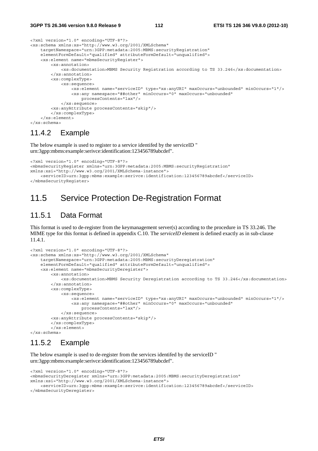```
<?xml version="1.0" encoding="UTF-8"?> 
<xs:schema xmlns:xs="http://www.w3.org/2001/XMLSchema" 
     targetNamespace="urn:3GPP:metadata:2005:MBMS:securityRegistration" 
     elementFormDefault="qualified" attributeFormDefault="unqualified"> 
     <xs:element name="mbmsSecurityRegister"> 
         <xs:annotation> 
             <xs:documentation>MBMS Security Registration according to TS 33.246</xs:documentation> 
         </xs:annotation> 
         <xs:complexType> 
             <xs:sequence> 
                  <xs:element name="serviceID" type="xs:anyURI" maxOccurs="unbounded" minOccurs="1"/> 
                  <xs:any namespace="##other" minOccurs="0" maxOccurs="unbounded" 
                      processContents="lax"/> 
             </xs:sequence> 
         <xs:anyAttribute processContents="skip"/> 
         </xs:complexType> 
    \epsilon/xs\cdotelement>
</xs:schema>
```
#### 11.4.2 Example

The below example is used to register to a service identifed by the serviceID " urn:3gpp:mbms:example:serivce:identification:123456789abcdef".

```
<?xml version="1.0" encoding="UTF-8"?> 
<mbmsSecurityRegister xmlns="urn:3GPP:metadata:2005:MBMS:securityRegistration" 
xmlns:xsi="http://www.w3.org/2001/XMLSchema-instance"> 
     <serviceID>urn:3gpp:mbms:example:serivce:identification:123456789abcdef</serviceID> 
</mbmsSecurityRegister>
```
### 11.5 Service Protection De-Registration Format

#### 11.5.1 Data Format

This format is used to de-register from the keymanagement server(s) according to the procedure in TS 33.246. The MIME type for this format is defined in appendix C.10. The *serviceID* element is defined exactly as in sub-clause 11.4.1.

```
<?xml version="1.0" encoding="UTF-8"?> 
<xs:schema xmlns:xs="http://www.w3.org/2001/XMLSchema" 
     targetNamespace="urn:3GPP:metadata:2005:MBMS:securityDeregistration" 
     elementFormDefault="qualified" attributeFormDefault="unqualified"> 
     <xs:element name="mbmsSecurityDeregister"> 
         <xs:annotation> 
             <xs:documentation>MBMS Security Deregistration according to TS 33.246</xs:documentation> 
         </xs:annotation> 
         <xs:complexType> 
             <xs:sequence> 
                 <xs:element name="serviceID" type="xs:anyURI" maxOccurs="unbounded" minOccurs="1"/> 
                  <xs:any namespace="##other" minOccurs="0" maxOccurs="unbounded" 
                     processContents="lax"/> 
             </xs:sequence> 
         <xs:anyAttribute processContents="skip"/> 
         </xs:complexType> 
         </xs:element> 
</xs:schema>
```
#### 11.5.2 Example

The below example is used to de-register from the services identifed by the serviceID " urn:3gpp:mbms:example:serivce:identification:123456789abcdef".

```
<?xml version="1.0" encoding="UTF-8"?> 
<mbmsSecurityDeregister xmlns="urn:3GPP:metadata:2005:MBMS:securityDeregistration" 
xmlns:xsi="http://www.w3.org/2001/XMLSchema-instance"> 
     <serviceID>urn:3gpp:mbms:example:serivce:identification:123456789abcdef</serviceID> 
</mbmsSecurityDeregister>
```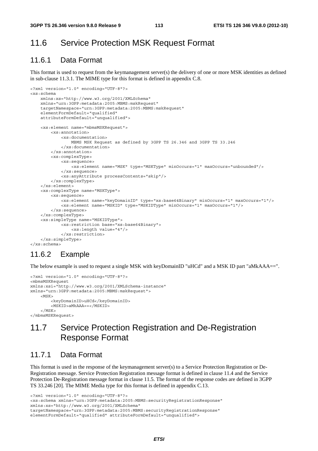### 11.6 Service Protection MSK Request Format

#### 11.6.1 Data Format

This format is used to request from the keymanagement server(s) the delivery of one or more MSK identities as defined in sub-clause 11.3.1. The MIME type for this format is defined in appendix C.8.

```
<?xml version="1.0" encoding="UTF-8"?> 
<xs:schema 
     xmlns:xs="http://www.w3.org/2001/XMLSchema" 
     xmlns="urn:3GPP:metadata:2005:MBMS:mskRequest" 
     targetNamespace="urn:3GPP:metadata:2005:MBMS:mskRequest" 
     elementFormDefault="qualified" 
     attributeFormDefault="unqualified"> 
     <xs:element name="mbmsMSKRequest"> 
         <xs:annotation> 
             <xs:documentation> 
                 MBMS MSK Request as defined by 3GPP TS 26.346 and 3GPP TS 33.246 
             </xs:documentation> 
         </xs:annotation> 
         <xs:complexType> 
             <xs:sequence> 
                  <xs:element name="MSK" type="MSKType" minOccurs="1" maxOccurs="unbounded"/> 
             </xs:sequence> 
             <xs:anyAttribute processContents="skip"/> 
         </xs:complexType> 
     </xs:element> 
     <xs:complexType name="MSKType"> 
         <xs:sequence> 
             <xs:element name="keyDomainID" type="xs:base64Binary" minOccurs="1" maxOccurs="1"/> 
             <xs:element name="MSKID" type="MSKIDType" minOccurs="1" maxOccurs="1"/> 
         </xs:sequence> 
     </xs:complexType> 
     <xs:simpleType name="MSKIDType"> 
             <xs:restriction base="xs:base64Binary"> 
                 <xs:length value="4"/> 
             </xs:restriction> 
     </xs:simpleType> 
</xs:schema>
```
#### 11.6.2 Example

The below example is used to request a single MSK with keyDomainID "uHCd" and a MSK ID part "aMkAAA==".

```
<?xml version="1.0" encoding="UTF-8"?> 
<mbmsMSKRequest 
xmlns:xsi="http://www.w3.org/2001/XMLSchema-instance" 
xmlns="urn:3GPP:metadata:2005:MBMS:mskRequest"> 
    <MSK> <keyDomainID>uHCd</keyDomainID> 
         <MSKID>aMkAAA==</MSKID> 
    </MSK>
</mbmsMSKRequest>
```
### 11.7 Service Protection Registration and De-Registration Response Format

#### 11.7.1 Data Format

This format is used in the response of the keymanagement server(s) to a Service Protection Registration or De-Registration message. Service Protection Registration message format is defined in clause 11.4 and the Service Protection De-Registration message format in clause 11.5. The format of the response codes are defined in 3GPP TS 33.246 [20]. The MIME Media type for this format is defined in appendix C.13.

<?xml version="1.0" encoding="UTF-8"?> <xs:schema xmlns="urn:3GPP:metadata:2005:MBMS:securityRegistrationResponse" xmlns:xs="http://www.w3.org/2001/XMLSchema" targetNamespace="urn:3GPP:metadata:2005:MBMS:securityRegistrationResponse" elementFormDefault="qualified" attributeFormDefault="unqualified">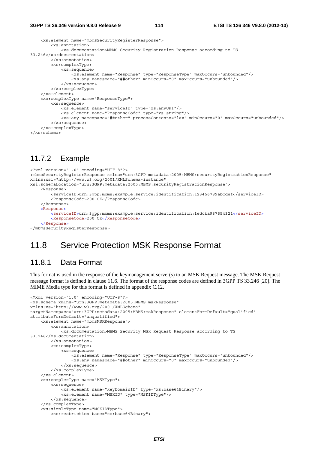```
 <xs:element name="mbmsSecurityRegisterResponse"> 
         <xs:annotation> 
             <xs:documentation>MBMS Security Registration Response according to TS 
33.246</xs:documentation> 
         </xs:annotation> 
         <xs:complexType> 
             <xs:sequence> 
                  <xs:element name="Response" type="ResponseType" maxOccurs="unbounded"/> 
                  <xs:any namespace="##other" minOccurs="0" maxOccurs="unbounded"/> 
             </xs:sequence> 
         </xs:complexType> 
     </xs:element> 
     <xs:complexType name="ResponseType"> 
         <xs:sequence> 
             <xs:element name="serviceID" type="xs:anyURI"/> 
              <xs:element name="ResponseCode" type="xs:string"/> 
             <xs:any namespace="##other" processContents="lax" minOccurs="0" maxOccurs="unbounded"/> 
         </xs:sequence> 
     </xs:complexType> 
</xs:schema>
```
#### 11.7.2 Example

```
<?xml version="1.0" encoding="UTF-8"?> 
<mbmsSecurityRegisterResponse xmlns="urn:3GPP:metadata:2005:MBMS:securityRegistrationResponse" 
xmlns:xsi="http://www.w3.org/2001/XMLSchema-instance" 
xsi:schemaLocation="urn:3GPP:metadata:2005:MBMS:securityRegistrationResponse"> 
     <Response> 
         <serviceID>urn:3gpp:mbms:example:service:identification:123456789abcdef</serviceID> 
         <ResponseCode>200 OK</ResponseCode> 
     </Response> 
    <Response>
        -<br><serviceID>urn:3gpp:mbms:example:service:identification:fedcba987654321</serviceID>
         <ResponseCode>200 OK</ResponseCode>
    </Response>
</mbmsSecurityRegisterResponse>
```
### 11.8 Service Protection MSK Response Format

#### 11.8.1 Data Format

This format is used in the response of the keymanagement server(s) to an MSK Request message. The MSK Request message format is defined in clause 11.6. The format of the response codes are defined in 3GPP TS 33.246 [20]. The MIME Media type for this format is defined in appendix C.12.

```
<?xml version="1.0" encoding="UTF-8"?> 
<xs:schema xmlns="urn:3GPP:metadata:2005:MBMS:mskResponse" 
xmlns:xs="http://www.w3.org/2001/XMLSchema" 
targetNamespace="urn:3GPP:metadata:2005:MBMS:mskResponse" elementFormDefault="qualified" 
attributeFormDefault="unqualified"> 
     <xs:element name="mbmsMSKResponse"> 
         <xs:annotation> 
             <xs:documentation>MBMS Security MSK Request Response according to TS 
33.246</xs:documentation> 
         </xs:annotation> 
         <xs:complexType> 
             <xs:sequence> 
                  <xs:element name="Response" type="ResponseType" maxOccurs="unbounded"/> 
                  <xs:any namespace="##other" minOccurs="0" maxOccurs="unbounded"/> 
             </xs:sequence> 
         </xs:complexType> 
     </xs:element> 
     <xs:complexType name="MSKType"> 
         <xs:sequence> 
             <xs:element name="keyDomainID" type="xs:base64Binary"/> 
             <xs:element name="MSKID" type="MSKIDType"/> 
         </xs:sequence> 
     </xs:complexType> 
     <xs:simpleType name="MSKIDType"> 
         <xs:restriction base="xs:base64Binary">
```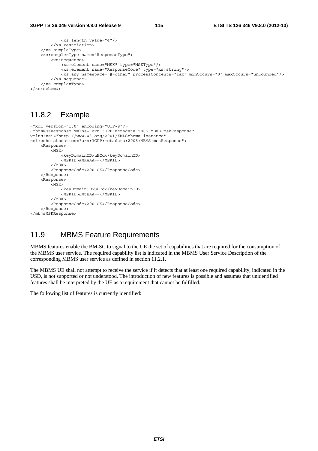```
 <xs:length value="4"/> 
         </xs:restriction> 
     </xs:simpleType> 
     <xs:complexType name="ResponseType"> 
         <xs:sequence> 
             <xs:element name="MSK" type="MSKType"/> 
             <xs:element name="ResponseCode" type="xs:string"/> 
             <xs:any namespace="##other" processContents="lax" minOccurs="0" maxOccurs="unbounded"/> 
         </xs:sequence> 
     </xs:complexType> 
</xs:schema>
```
#### 11.8.2 Example

```
<?xml version="1.0" encoding="UTF-8"?> 
<mbmsMSKResponse xmlns="urn:3GPP:metadata:2005:MBMS:mskResponse" 
xmlns:xsi="http://www.w3.org/2001/XMLSchema-instance" 
xsi:schemaLocation="urn:3GPP:metadata:2005:MBMS:mskResponse"> 
     <Response> 
          <MSK> 
              <keyDomainID>uHCd</keyDomainID> 
              <MSKID>aMkAAA==</MSKID> 
          </MSK> 
          <ResponseCode>200 OK</ResponseCode> 
     </Response> 
     <Response> 
          <MSK> 
              <keyDomainID>uHCd</keyDomainID> 
              <MSKID>JMtEAA==</MSKID> 
         \epsilon/MSK\sim <ResponseCode>200 OK</ResponseCode> 
     </Response> 
</mbmsMSKResponse>
```
#### 11.9 MBMS Feature Requirements

MBMS features enable the BM-SC to signal to the UE the set of capabilities that are required for the consumption of the MBMS user service. The required capability list is indicated in the MBMS User Service Description of the corresponding MBMS user service as defined in section 11.2.1.

The MBMS UE shall not attempt to receive the service if it detects that at least one required capability, indicated in the USD, is not supported or not understood. The introduction of new features is possible and assumes that unidentified features shall be interpreted by the UE as a requirement that cannot be fulfilled.

The following list of features is currently identified: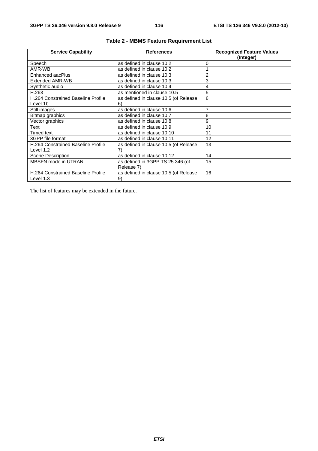| <b>Service Capability</b>          | <b>References</b>                     | <b>Recognized Feature Values</b><br>(Integer) |
|------------------------------------|---------------------------------------|-----------------------------------------------|
| Speech                             | as defined in clause 10.2             | 0                                             |
|                                    |                                       |                                               |
| AMR-WB                             | as defined in clause 10.2             |                                               |
| Enhanced aacPlus                   | as defined in clause 10.3             | $\overline{2}$                                |
| Extended AMR-WB                    | as defined in clause 10.3             | 3                                             |
| Synthetic audio                    | as defined in clause 10.4             | 4                                             |
| H.263                              | as mentioned in clause 10.5           | 5                                             |
| H.264 Constrained Baseline Profile | as defined in clause 10.5 (of Release | 6                                             |
| Level 1b                           | 6)                                    |                                               |
| Still images                       | as defined in clause 10.6             | 7                                             |
| Bitmap graphics                    | as defined in clause 10.7             | 8                                             |
| Vector graphics                    | as defined in clause 10.8             | 9                                             |
| Text                               | as defined in clause 10.9             | 10                                            |
| Timed text                         | as defined in clause 10.10            | 11                                            |
| 3GPP file format                   | as defined in clause 10.11            | 12                                            |
| H.264 Constrained Baseline Profile | as defined in clause 10.5 (of Release | 13                                            |
| Level 1.2                          | 7)                                    |                                               |
| <b>Scene Description</b>           | as defined in clause 10.12            | 14                                            |
| <b>MBSFN</b> mode in UTRAN         | as defined in 3GPP TS 25.346 (of      | 15                                            |
|                                    | Release 7)                            |                                               |
| H.264 Constrained Baseline Profile | as defined in clause 10.5 (of Release | 16                                            |
| Level 1.3                          | 9)                                    |                                               |

#### **Table 2 - MBMS Feature Requirement List**

The list of features may be extended in the future.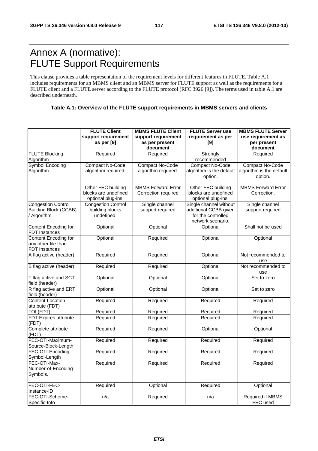# Annex A (normative): FLUTE Support Requirements

This clause provides a table representation of the requirement levels for different features in FLUTE. Table A.1 includes requirements for an MBMS client and an MBMS server for FLUTE support as well as the requirements for a FLUTE client and a FLUTE server according to the FLUTE protocol (RFC 3926 [9]). The terms used in table A.1 are described underneath.

#### **Table A.1: Overview of the FLUTE support requirements in MBMS servers and clients**

|                                                                          | <b>FLUTE Client</b><br>support requirement<br>as per [9]         | <b>MBMS FLUTE Client</b><br>support requirement<br>as per present<br>document | <b>FLUTE Server use</b><br>requirement as per<br>[9]                                       | <b>MBMS FLUTE Server</b><br>use requirement as<br>per present<br>document |
|--------------------------------------------------------------------------|------------------------------------------------------------------|-------------------------------------------------------------------------------|--------------------------------------------------------------------------------------------|---------------------------------------------------------------------------|
| <b>FLUTE Blocking</b><br>Algorithm                                       | Required                                                         | Required                                                                      | Strongly<br>recommended                                                                    | Required                                                                  |
| <b>Symbol Encoding</b><br>Algorithm                                      | Compact No-Code<br>algorithm required.                           | Compact No-Code<br>algorithm required.                                        | Compact No-Code<br>algorithm is the default<br>option.                                     | Compact No-Code<br>algorithm is the default<br>option.                    |
|                                                                          | Other FEC building<br>blocks are undefined<br>optional plug-ins. | <b>MBMS Forward Error</b><br>Correction required                              | Other FEC building<br>blocks are undefined<br>optional plug-ins.                           | <b>MBMS Forward Error</b><br>Correction.                                  |
| <b>Congestion Control</b><br><b>Building Block (CCBB)</b><br>/ Algorithm | <b>Congestion Control</b><br>building blocks<br>undefined.       | Single channel<br>support required                                            | Single channel without<br>additional CCBB given<br>for the controlled<br>network scenario. | Single channel<br>support required                                        |
| Content Encoding for<br>FDT Instances                                    | Optional                                                         | Optional                                                                      | Optional                                                                                   | Shall not be used                                                         |
| Content Encoding for<br>any other file than<br>FDT Instances             | Optional                                                         | Required                                                                      | Optional                                                                                   | Optional                                                                  |
| A flag active (header)                                                   | Required                                                         | Required                                                                      | Optional                                                                                   | Not recommended to<br>use                                                 |
| B flag active (header)                                                   | Required                                                         | Required                                                                      | Optional                                                                                   | Not recommended to<br>use                                                 |
| T flag active and SCT<br>field (header)                                  | Optional                                                         | Optional                                                                      | Optional                                                                                   | Set to zero                                                               |
| R flag active and ERT<br>field (header)                                  | Optional                                                         | Optional                                                                      | Optional                                                                                   | Set to zero                                                               |
| Content-Location<br>attribute (FDT)                                      | Required                                                         | Required                                                                      | Required                                                                                   | Required                                                                  |
| TOI (FDT)                                                                | Required                                                         | Required                                                                      | Required                                                                                   | Required                                                                  |
| <b>FDT Expires attribute</b><br>(FDT)                                    | Required                                                         | Required                                                                      | Required                                                                                   | Required                                                                  |
| Complete attribute<br>(FDT)                                              | Required                                                         | Required                                                                      | Optional                                                                                   | Optional                                                                  |
| FEC-OTI-Maximum-<br>Source-Block-Length                                  | Required                                                         | Required                                                                      | Required                                                                                   | Required                                                                  |
| FEC-OTI-Encoding-<br>Symbol-Length                                       | Required                                                         | Required                                                                      | Required                                                                                   | Required                                                                  |
| FEC-OTI-Max-<br>Number-of-Encoding-<br>Symbols.                          | Required                                                         | Required                                                                      | Required                                                                                   | Required                                                                  |
| FEC-OTI-FEC-<br>Instance-ID                                              | Required                                                         | Optional                                                                      | Required                                                                                   | Optional                                                                  |
| FEC-OTI-Scheme-<br>Specific-Info                                         | n/a                                                              | Required                                                                      | n/a                                                                                        | <b>Required if MBMS</b><br>FEC used                                       |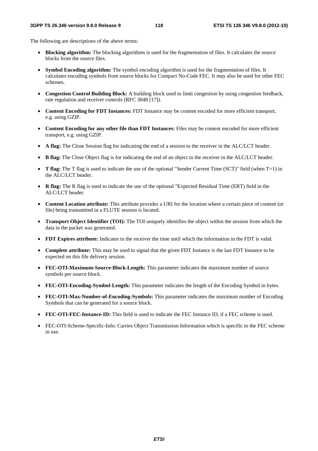The following are descriptions of the above terms:

- **Blocking algorithm:** The blocking algorithms is used for the fragmentation of files. It calculates the source blocks from the source files.
- **Symbol Encoding algorithm:** The symbol encoding algorithm is used for the fragmentation of files. It calculates encoding symbols from source blocks for Compact No-Code FEC. It may also be used for other FEC schemes.
- **Congestion Control Building Block:** A building block used to limit congestion by using congestion feedback, rate regulation and receiver controls (RFC 3048 [17]).
- **Content Encoding for FDT Instances:** FDT Instance may be content encoded for more efficient transport, e.g. using GZIP.
- **Content Encoding for any other file than FDT Instances:** Files may be content encoded for more efficient transport, e.g. using GZIP.
- **A flag:** The Close Session flag for indicating the end of a session to the receiver in the ALC/LCT header.
- **B flag:** The Close Object flag is for indicating the end of an object to the receiver in the ALC/LCT header.
- **T flag:** The T flag is used to indicate the use of the optional "Sender Current Time (SCT)" field (when T=1) in the ALC/LCT header.
- **R flag:** The R flag is used to indicate the use of the optional "Expected Residual Time (ERT) field in the ALC/LCT header.
- **Content Location attribute:** This attribute provides a URI for the location where a certain piece of content (or file) being transmitted in a FLUTE session is located.
- **Transport Object Identifier (TOI):** The TOI uniquely identifies the object within the session from which the data in the packet was generated.
- **FDT Expires attribute:** Indicates to the receiver the time until which the information in the FDT is valid.
- **Complete attribute:** This may be used to signal that the given FDT Instance is the last FDT Instance to be expected on this file delivery session.
- **FEC-OTI-Maximum-Source-Block-Length:** This parameter indicates the maximum number of source symbols per source block.
- **FEC-OTI-Encoding-Symbol-Length:** This parameter indicates the length of the Encoding Symbol in bytes.
- **FEC-OTI-Max-Number-of-Encoding-Symbols:** This parameter indicates the maximum number of Encoding Symbols that can be generated for a source block.
- **FEC-OTI-FEC-Instance-ID:** This field is used to indicate the FEC Instance ID, if a FEC scheme is used.
- FEC-OTI-Scheme-Specific-Info: Carries Object Transmission Information which is specific to the FEC scheme in use.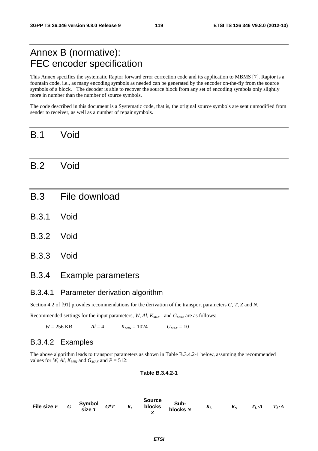## Annex B (normative): FEC encoder specification

This Annex specifies the systematic Raptor forward error correction code and its application to MBMS [7]. Raptor is a fountain code, i.e., as many encoding symbols as needed can be generated by the encoder on-the-fly from the source symbols of a block. The decoder is able to recover the source block from any set of encoding symbols only slightly more in number than the number of source symbols.

The code described in this document is a Systematic code, that is, the original source symbols are sent unmodified from sender to receiver, as well as a number of repair symbols.

### B.1 Void

### B.2 Void

- B.3 File download
- B.3.1 Void
- B.3.2 Void
- B.3.3 Void

#### B.3.4 Example parameters

#### B.3.4.1 Parameter derivation algorithm

Section 4.2 of [91] provides recommendations for the derivation of the transport parameters *G*, *T*, *Z* and *N*.

Recommended settings for the input parameters,  $W, A l, K_{MIN}$  and  $G_{MAX}$  are as follows:

 $W = 256 \text{ KB}$   $Al = 4$   $K_{MIN} = 1024$   $G_{MAX} = 10$ 

#### B.3.4.2 Examples

The above algorithm leads to transport parameters as shown in Table B.3.4.2-1 below, assuming the recommended values for *W*, *Al*,  $K_{MIN}$  and  $G_{MAX}$  and  $P = 512$ :

#### **Table B.3.4.2-1**

File size  $F$   $G$  **Symbol**  $\begin{array}{ccc} \mathbf{Symb01} & G^*T & K_t \end{array}$ **Source blocks** *Z*  **Sub**blocks  $N$   $K_L$   $K_S$   $T_L A$   $T_S A$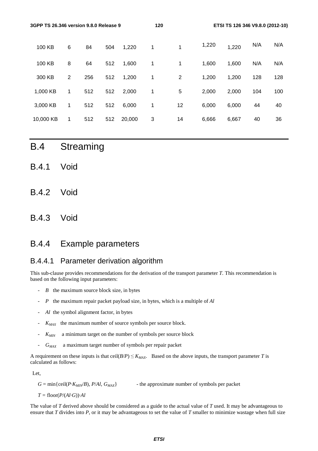| 3GPP TS 26.346 version 9.8.0 Release 9 |   |     |     |        | 120 |    |       | ETSI TS 126 346 V9.8.0 (2012-10) |     |     |
|----------------------------------------|---|-----|-----|--------|-----|----|-------|----------------------------------|-----|-----|
| 100 KB                                 | 6 | 84  | 504 | 1,220  | 1   | 1  | 1,220 | 1,220                            | N/A | N/A |
| 100 KB                                 | 8 | 64  | 512 | 1,600  | 1   | 1  | 1,600 | 1,600                            | N/A | N/A |
| 300 KB                                 | 2 | 256 | 512 | 1,200  | 1   | 2  | 1,200 | 1,200                            | 128 | 128 |
| 1,000 KB                               | 1 | 512 | 512 | 2,000  | 1   | 5  | 2,000 | 2,000                            | 104 | 100 |
| 3,000 KB                               | 1 | 512 | 512 | 6,000  | 1   | 12 | 6,000 | 6,000                            | 44  | 40  |
| 10,000 KB                              | 1 | 512 | 512 | 20,000 | 3   | 14 | 6,666 | 6,667                            | 40  | 36  |
|                                        |   |     |     |        |     |    |       |                                  |     |     |

- B.4 Streaming
- B.4.1 Void
- B.4.2 Void
- B.4.3 Void

### B.4.4 Example parameters

#### B.4.4.1 Parameter derivation algorithm

This sub-clause provides recommendations for the derivation of the transport parameter *T*. This recommendation is based on the following input parameters:

- *B* the maximum source block size, in bytes
- *P* the maximum repair packet payload size, in bytes, which is a multiple of *Al*
- Al the symbol alignment factor, in bytes
- $K_{MAX}$  the maximum number of source symbols per source block.
- *K<sub>MIN</sub>* a minimum target on the number of symbols per source block
- *GMAX* a maximum target number of symbols per repair packet

A requirement on these inputs is that ceil( $B/P$ )  $\le K_{MAX}$ . Based on the above inputs, the transport parameter *T* is calculated as follows:

Let,

 $G = \min\{\text{ceil}(P \cdot K_{MIN}/B), P/A\}$ ,  $G_{MAX}\}$  - the approximate number of symbols per packet

 $T =$   $floor(P/(Al·G))·Al$ 

The value of *T* derived above should be considered as a guide to the actual value of *T* used. It may be advantageous to ensure that *T* divides into *P*, or it may be advantageous to set the value of *T* smaller to minimize wastage when full size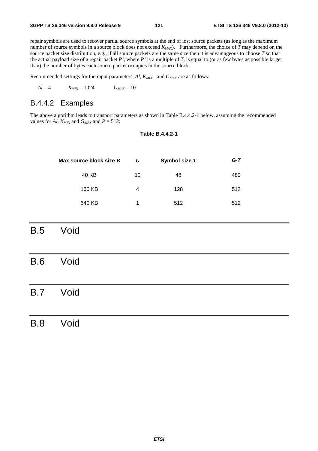repair symbols are used to recover partial source symbols at the end of lost source packets (as long as the maximum number of source symbols in a source block does not exceed  $K_{MAX}$ ). Furthermore, the choice of *T* may depend on the source packet size distribution, e.g., if all source packets are the same size then it is advantageous to choose *T* so that the actual payload size of a repair packet *P'*, where *P'* is a multiple of *T*, is equal to (or as few bytes as possible larger than) the number of bytes each source packet occupies in the source block.

Recommended settings for the input parameters,  $AI$ ,  $K_{MIN}$  and  $G_{MAX}$  are as follows:

$$
Al = 4 \qquad K_{MIN} = 1024 \qquad G_{MAX} = 10
$$

#### B.4.4.2 Examples

The above algorithm leads to transport parameters as shown in Table B.4.4.2-1 below, assuming the recommended values for *Al*,  $K_{MIN}$  and  $G_{MAX}$  and  $P = 512$ :

#### **Table B.4.4.2-1**

| Max source block size $B$ | G  | Symbol size T | G T |
|---------------------------|----|---------------|-----|
| 40 KB                     | 10 | 48            | 480 |
| 160 KB                    | 4  | 128           | 512 |
| 640 KB                    | 1  | 512           | 512 |

B.5 Void

B.6 Void

### B.7 Void

#### B.8 Void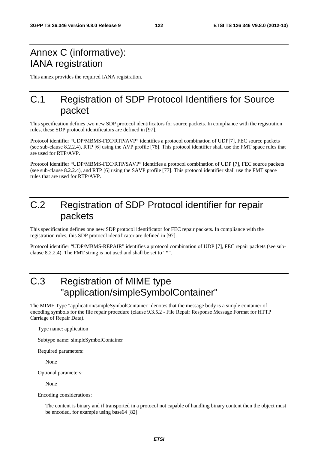## Annex C (informative): IANA registration

This annex provides the required IANA registration.

### C.1 Registration of SDP Protocol Identifiers for Source packet

This specification defines two new SDP protocol identificators for source packets. In compliance with the registration rules, these SDP protocol identificators are defined in [97].

Protocol identifier "UDP/MBMS-FEC/RTP/AVP" identifies a protocol combination of UDP[7], FEC source packets (see sub-clause 8.2.2.4), RTP [6] using the AVP profile [78]. This protocol identifier shall use the FMT space rules that are used for RTP/AVP.

Protocol identifier "UDP/MBMS-FEC/RTP/SAVP" identifies a protocol combination of UDP [7], FEC source packets (see sub-clause 8.2.2.4), and RTP [6] using the SAVP profile [77]. This protocol identifier shall use the FMT space rules that are used for RTP/AVP.

# C.2 Registration of SDP Protocol identifier for repair packets

This specification defines one new SDP protocol identificator for FEC repair packets. In compliance with the registration rules, this SDP protocol identificator are defined in [97].

Protocol identifier "UDP/MBMS-REPAIR" identifies a protocol combination of UDP [7], FEC repair packets (see subclause 8.2.2.4). The FMT string is not used and shall be set to "\*".

# C.3 Registration of MIME type "application/simpleSymbolContainer"

The MIME Type "application/simpleSymbolContainer" denotes that the message body is a simple container of encoding symbols for the file repair procedure (clause 9.3.5.2 - File Repair Response Message Format for HTTP Carriage of Repair Data).

Type name: application

Subtype name: simpleSymbolContainer

Required parameters:

None

Optional parameters:

None

Encoding considerations:

The content is binary and if transported in a protocol not capable of handling binary content then the object must be encoded, for example using base64 [82].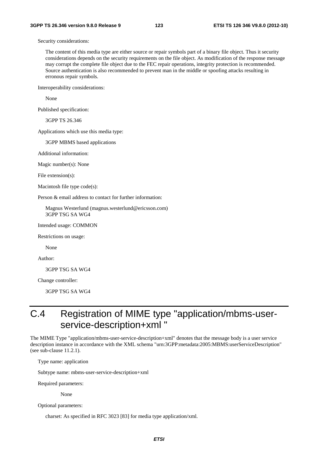Security considerations:

The content of this media type are either source or repair symbols part of a binary file object. Thus it security considerations depends on the security requirements on the file object. As modification of the response message may corrupt the complete file object due to the FEC repair operations, integrity protection is recommended. Source authentication is also recommended to prevent man in the middle or spoofing attacks resulting in erronous repair symbols.

Interoperability considerations:

None

Published specification:

3GPP TS 26.346

Applications which use this media type:

3GPP MBMS based applications

Additional information:

Magic number(s): None

File extension(s):

Macintosh file type code(s):

Person & email address to contact for further information:

Magnus Westerlund (magnus.westerlund@ericsson.com) 3GPP TSG SA WG4

Intended usage: COMMON

Restrictions on usage:

None

Author:

3GPP TSG SA WG4

Change controller:

3GPP TSG SA WG4

## C.4 Registration of MIME type "application/mbms-userservice-description+xml "

The MIME Type "application/mbms-user-service-description+xml" denotes that the message body is a user service description instance in accordance with the XML schema "urn:3GPP:metadata:2005:MBMS:userServiceDescription" (see sub-clause 11.2.1).

Type name: application

Subtype name: mbms-user-service-description+xml

Required parameters:

None

Optional parameters:

charset: As specified in RFC 3023 [83] for media type application/xml.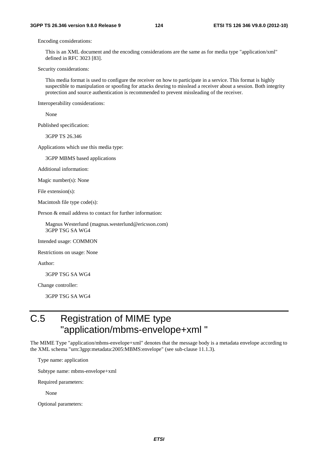Encoding considerations:

This is an XML document and the encoding considerations are the same as for media type "application/xml" defined in RFC 3023 [83].

Security considerations:

This media format is used to configure the receiver on how to participate in a service. This format is highly suspectible to manipulation or spoofing for attacks desring to misslead a receiver about a session. Both integrity protection and source authentication is recommended to prevent missleading of the receiver.

Interoperability considerations:

None

Published specification:

3GPP TS 26.346

Applications which use this media type:

3GPP MBMS based applications

Additional information:

Magic number(s): None

File extension(s):

Macintosh file type code(s):

Person & email address to contact for further information:

Magnus Westerlund (magnus.westerlund@ericsson.com) 3GPP TSG SA WG4

Intended usage: COMMON

Restrictions on usage: None

Author:

3GPP TSG SA WG4

Change controller:

3GPP TSG SA WG4

# C.5 Registration of MIME type "application/mbms-envelope+xml "

The MIME Type "application/mbms-envelope+xml" denotes that the message body is a metadata envelope according to the XML schema "urn:3gpp:metadata:2005:MBMS:envelope" (see sub-clause 11.1.3).

Type name: application

Subtype name: mbms-envelope+xml

Required parameters:

None

Optional parameters: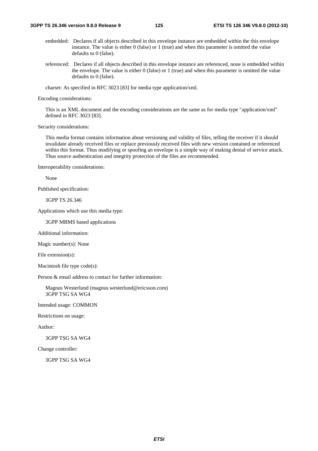- embedded: Declares if all objects described in this envelope instance are embedded within the this envelope instance. The value is either 0 (false) or 1 (true) and when this parameter is omitted the value defaults to 0 (false).
- referenced: Declares if all objects described in this envelope instance are referenced, none is embedded within the envelope. The value is either 0 (false) or 1 (true) and when this parameter is omitted the value defaults to 0 (false).

charset: As specified in RFC 3023 [83] for media type application/xml.

Encoding considerations:

This is an XML document and the encoding considerations are the same as for media type "application/xml" defined in RFC 3023 [83].

Security considerations:

This media format contains information about versioning and validity of files, telling the receiver if it should invalidate already received files or replace previously received files with new version contained or referenced within this format. Thus modifying or spoofing an envelope is a simple way of making denial of service attack. Thus source authentication and integrity protection of the files are recommended.

Interoperability considerations:

None

Published specification:

3GPP TS 26.346

Applications which use this media type:

3GPP MBMS based applications

Additional information:

Magic number(s): None

File extension(s):

Macintosh file type code(s):

Person & email address to contact for further information:

Magnus Westerlund (magnus.westerlund@ericsson.com) 3GPP TSG SA WG4

Intended usage: COMMON

Restrictions on usage:

Author:

3GPP TSG SA WG4

Change controller:

3GPP TSG SA WG4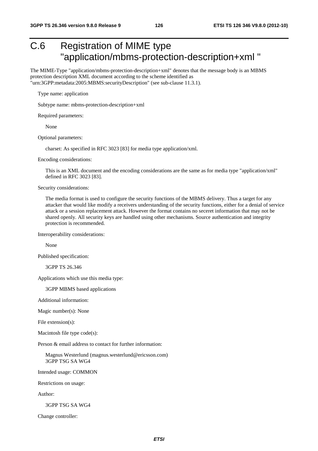# C.6 Registration of MIME type "application/mbms-protection-description+xml "

The MIME-Type "application/mbms-protection-description+xml" denotes that the message body is an MBMS protection description XML document according to the scheme identified as "urn:3GPP:metadata:2005:MBMS:securityDescription" (see sub-clause 11.3.1).

Type name: application

Subtype name: mbms-protection-description+xml

Required parameters:

None

Optional parameters:

charset: As specified in RFC 3023 [83] for media type application/xml.

Encoding considerations:

This is an XML document and the encoding considerations are the same as for media type "application/xml" defined in RFC 3023 [83].

Security considerations:

The media format is used to configure the security functions of the MBMS delivery. Thus a target for any attacker that would like modify a receivers understanding of the security functions, either for a denial of service attack or a session replacement attack. However the format contains no seceret information that may not be shared openly. All security keys are handled using other mechanisms. Source authentication and integrity protection is recommended.

Interoperability considerations:

None

Published specification:

3GPP TS 26.346

Applications which use this media type:

3GPP MBMS based applications

Additional information:

Magic number(s): None

File extension(s):

Macintosh file type code(s):

Person & email address to contact for further information:

Magnus Westerlund (magnus.westerlund@ericsson.com) 3GPP TSG SA WG4

Intended usage: COMMON

Restrictions on usage:

Author:

3GPP TSG SA WG4

Change controller: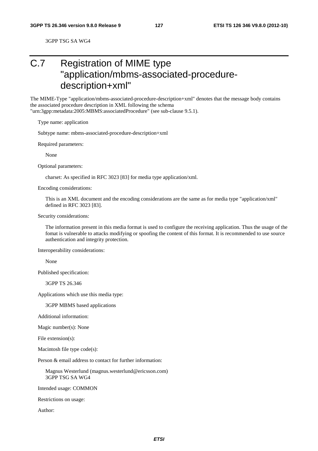3GPP TSG SA WG4

# C.7 Registration of MIME type "application/mbms-associated-proceduredescription+xml"

The MIME-Type "application/mbms-associated-procedure-description+xml" denotes that the message body contains the associated procedure description in XML following the schema

"urn:3gpp:metadata:2005:MBMS:associatedProcedure" (see sub-clause 9.5.1).

Type name: application

Subtype name: mbms-associated-procedure-description+xml

Required parameters:

None

Optional parameters:

charset: As specified in RFC 3023 [83] for media type application/xml.

Encoding considerations:

This is an XML document and the encoding considerations are the same as for media type "application/xml" defined in RFC 3023 [83].

Security considerations:

The information present in this media format is used to configure the receiving application. Thus the usage of the fomat is vulnerable to attacks modifying or spoofing the content of this format. It is recommended to use source authentication and integrity protection.

Interoperability considerations:

None

Published specification:

3GPP TS 26.346

Applications which use this media type:

3GPP MBMS based applications

Additional information:

Magic number(s): None

File extension(s):

Macintosh file type code(s):

Person & email address to contact for further information:

Magnus Westerlund (magnus.westerlund@ericsson.com) 3GPP TSG SA WG4

Intended usage: COMMON

Restrictions on usage:

Author: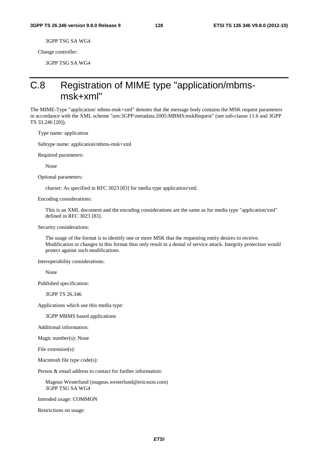3GPP TSG SA WG4

Change controller:

3GPP TSG SA WG4

## C.8 Registration of MIME type "application/mbmsmsk+xml"

The MIME-Type "application/ mbms-msk+xml" denotes that the message body contains the MSK request parameters in accordance with the XML scheme "urn:3GPP:metadata:2005:MBMS:mskRequest" (see sub-clause 11.6 and 3GPP TS 33.246 [20]).

Type name: application

Subtype name: application/mbms-msk+xml

Required parameters:

None

Optional parameters:

charset: As specified in RFC 3023 [83] for media type application/xml.

Encoding considerations:

This is an XML document and the encoding considerations are the same as for media type "application/xml" defined in RFC 3023 [83].

Security considerations:

The usage of the format is to identify one or more MSK that the requesting entity desires to receive. Modification or changes to this format thus only result in a denial of service attack. Integrity protection would protect against such modifications.

Interoperability considerations:

None

Published specification:

3GPP TS 26.346

Applications which use this media type:

3GPP MBMS based applications

Additional information:

Magic number(s): None

File extension(s):

Macintosh file type code(s):

Person & email address to contact for further information:

Magnus Westerlund (magnus.westerlund@ericsson.com) 3GPP TSG SA WG4

Intended usage: COMMON

Restrictions on usage: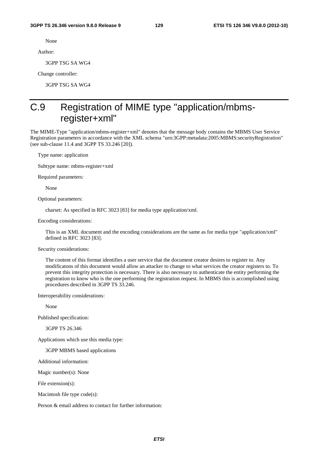None

Author:

3GPP TSG SA WG4

Change controller:

3GPP TSG SA WG4

# C.9 Registration of MIME type "application/mbmsregister+xml"

The MIME-Type "application/mbms-register+xml" denotes that the message body contains the MBMS User Service Registration parameters in accordance with the XML schema "urn:3GPP:metadata:2005:MBMS:securityRegistration" (see sub-clause 11.4 and 3GPP TS 33.246 [20]).

Type name: application

Subtype name: mbms-register+xml

Required parameters:

None

Optional parameters:

charset: As specified in RFC 3023 [83] for media type application/xml.

Encoding considerations:

This is an XML document and the encoding considerations are the same as for media type "application/xml" defined in RFC 3023 [83].

Security considerations:

The content of this format identifies a user service that the document creator desires to register to. Any modificatons of this document would allow an attacker to change to what services the creator registers to. To prevent this integrity protection is necessary. There is also necessary to authenticate the entity performing the registration to know who is the one performing the registration request. In MBMS this is accomplished using procedures described in 3GPP TS 33.246.

Interoperability considerations:

None

Published specification:

3GPP TS 26.346

Applications which use this media type:

3GPP MBMS based applications

Additional information:

Magic number(s): None

File extension(s):

Macintosh file type code(s):

Person & email address to contact for further information: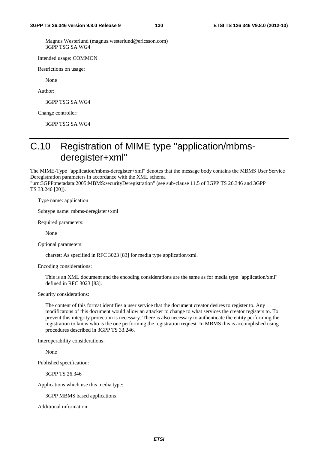Magnus Westerlund (magnus.westerlund@ericsson.com) 3GPP TSG SA WG4

Intended usage: COMMON

Restrictions on usage:

None

Author:

3GPP TSG SA WG4

Change controller:

3GPP TSG SA WG4

## C.10 Registration of MIME type "application/mbmsderegister+xml"

The MIME-Type "application/mbms-deregister+xml" denotes that the message body contains the MBMS User Service Deregistration parameters in accordance with the XML schema

"urn:3GPP:metadata:2005:MBMS:securityDeregistration" (see sub-clause 11.5 of 3GPP TS 26.346 and 3GPP TS 33.246 [20]).

Type name: application

Subtype name: mbms-deregister+xml

Required parameters:

None

Optional parameters:

charset: As specified in RFC 3023 [83] for media type application/xml.

Encoding considerations:

This is an XML document and the encoding considerations are the same as for media type "application/xml" defined in RFC 3023 [83].

Security considerations:

The content of this format identifies a user service that the document creator desires to register to. Any modificatons of this document would allow an attacker to change to what services the creator registers to. To prevent this integrity protection is necessary. There is also necessary to authenticate the entity performing the registration to know who is the one performing the registration request. In MBMS this is accomplished using procedures described in 3GPP TS 33.246.

Interoperability considerations:

None

Published specification:

3GPP TS 26.346

Applications which use this media type:

3GPP MBMS based applications

Additional information: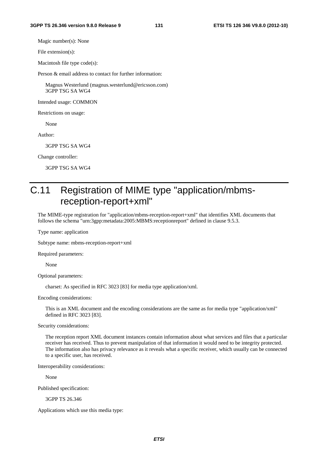Magic number(s): None

File extension(s):

Macintosh file type code(s):

Person & email address to contact for further information:

Magnus Westerlund (magnus.westerlund@ericsson.com) 3GPP TSG SA WG4

Intended usage: COMMON

Restrictions on usage:

None

Author:

3GPP TSG SA WG4

Change controller:

3GPP TSG SA WG4

# C.11 Registration of MIME type "application/mbmsreception-report+xml"

The MIME-type registration for "application/mbms-reception-report+xml" that identifies XML documents that follows the schema "urn:3gpp:metadata:2005:MBMS:receptionreport" defined in clause 9.5.3.

Type name: application

Subtype name: mbms-reception-report+xml

Required parameters:

None

Optional parameters:

charset: As specified in RFC 3023 [83] for media type application/xml.

Encoding considerations:

This is an XML document and the encoding considerations are the same as for media type "application/xml" defined in RFC 3023 [83].

Security considerations:

The reception report XML document instances contain information about what services and files that a particular receiver has received. Thus to prevent manipulation of that information it would need to be integrity protected. The information also has privacy relevance as it reveals what a specific receiver, which usually can be connected to a specific user, has received.

Interoperability considerations:

None

Published specification:

3GPP TS 26.346

Applications which use this media type: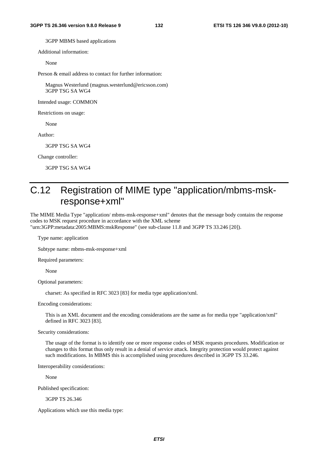3GPP MBMS based applications

Additional information:

None

Person & email address to contact for further information:

Magnus Westerlund (magnus.westerlund@ericsson.com) 3GPP TSG SA WG4

Intended usage: COMMON

Restrictions on usage:

None

Author:

3GPP TSG SA WG4

Change controller:

3GPP TSG SA WG4

# C.12 Registration of MIME type "application/mbms-mskresponse+xml"

The MIME Media Type "application/ mbms-msk-response+xml" denotes that the message body contains the response codes to MSK request procedure in accordance with the XML scheme "urn:3GPP:metadata:2005:MBMS:mskResponse" (see sub-clause 11.8 and 3GPP TS 33.246 [20]).

Type name: application

Subtype name: mbms-msk-response+xml

Required parameters:

None

Optional parameters:

charset: As specified in RFC 3023 [83] for media type application/xml.

Encoding considerations:

This is an XML document and the encoding considerations are the same as for media type "application/xml" defined in RFC 3023 [83].

Security considerations:

The usage of the format is to identify one or more response codes of MSK requests procedures. Modification or changes to this format thus only result in a denial of service attack. Integrity protection would protect against such modifications. In MBMS this is accomplished using procedures described in 3GPP TS 33.246.

Interoperability considerations:

None

Published specification:

3GPP TS 26.346

Applications which use this media type: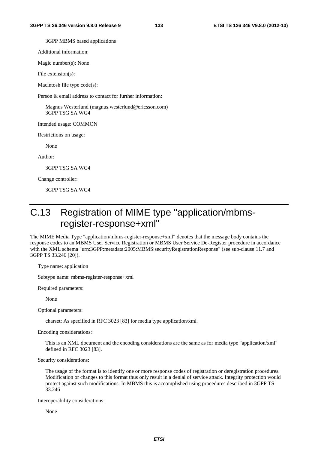3GPP MBMS based applications

Additional information:

Magic number(s): None

File extension(s):

Macintosh file type code(s):

Person & email address to contact for further information:

Magnus Westerlund (magnus.westerlund@ericsson.com) 3GPP TSG SA WG4

Intended usage: COMMON

Restrictions on usage:

None

Author:

3GPP TSG SA WG4

Change controller:

3GPP TSG SA WG4

# C.13 Registration of MIME type "application/mbmsregister-response+xml"

The MIME Media Type "application/mbms-register-response+xml" denotes that the message body contains the response codes to an MBMS User Service Registration or MBMS User Service De-Register procedure in accordance with the XML schema "urn:3GPP:metadata:2005:MBMS:securityRegistrationResponse" (see sub-clause 11.7 and 3GPP TS 33.246 [20]).

Type name: application

Subtype name: mbms-register-response+xml

Required parameters:

None

Optional parameters:

charset: As specified in RFC 3023 [83] for media type application/xml.

Encoding considerations:

This is an XML document and the encoding considerations are the same as for media type "application/xml" defined in RFC 3023 [83].

Security considerations:

The usage of the format is to identify one or more response codes of registration or deregistration procedures. Modification or changes to this format thus only result in a denial of service attack. Integrity protection would protect against such modifications. In MBMS this is accomplished using procedures described in 3GPP TS 33.246

Interoperability considerations:

None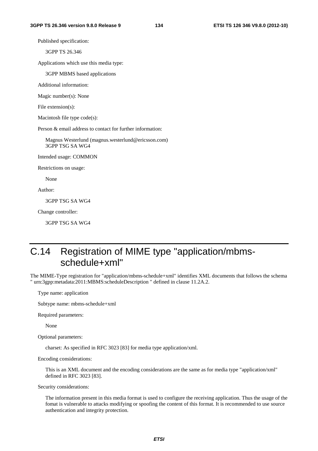Published specification:

3GPP TS 26.346

Applications which use this media type:

3GPP MBMS based applications

Additional information:

Magic number(s): None

File extension(s):

Macintosh file type code(s):

Person & email address to contact for further information:

Magnus Westerlund (magnus.westerlund@ericsson.com) 3GPP TSG SA WG4

Intended usage: COMMON

Restrictions on usage:

None

Author:

3GPP TSG SA WG4

Change controller:

3GPP TSG SA WG4

# C.14 Registration of MIME type "application/mbmsschedule+xml"

The MIME-Type registration for "application/mbms-schedule+xml" identifies XML documents that follows the schema " urn:3gpp:metadata:2011:MBMS:scheduleDescription " defined in clause 11.2A.2.

Type name: application

Subtype name: mbms-schedule+xml

Required parameters:

None

Optional parameters:

charset: As specified in RFC 3023 [83] for media type application/xml.

Encoding considerations:

This is an XML document and the encoding considerations are the same as for media type "application/xml" defined in RFC 3023 [83].

Security considerations:

The information present in this media format is used to configure the receiving application. Thus the usage of the fomat is vulnerable to attacks modifying or spoofing the content of this format. It is recommended to use source authentication and integrity protection.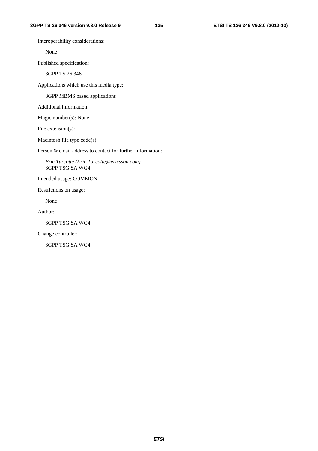Interoperability considerations:

None

Published specification:

3GPP TS 26.346

Applications which use this media type:

3GPP MBMS based applications

Additional information:

Magic number(s): None

File extension(s):

Macintosh file type code(s):

Person & email address to contact for further information:

*Eric Turcotte (Eric.Turcotte@ericsson.com)* 3GPP TSG SA WG4

Intended usage: COMMON

Restrictions on usage:

None

Author:

3GPP TSG SA WG4

Change controller:

3GPP TSG SA WG4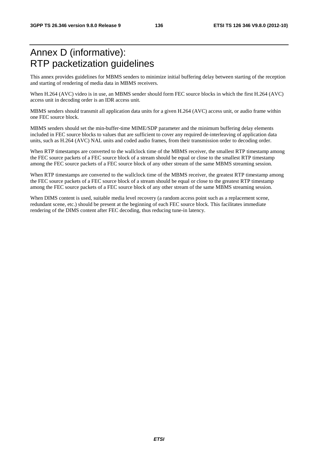## Annex D (informative): RTP packetization guidelines

This annex provides guidelines for MBMS senders to minimize initial buffering delay between starting of the reception and starting of rendering of media data in MBMS receivers.

When H.264 (AVC) video is in use, an MBMS sender should form FEC source blocks in which the first H.264 (AVC) access unit in decoding order is an IDR access unit.

MBMS senders should transmit all application data units for a given H.264 (AVC) access unit, or audio frame within one FEC source block.

MBMS senders should set the min-buffer-time MIME/SDP parameter and the minimum buffering delay elements included in FEC source blocks to values that are sufficient to cover any required de-interleaving of application data units, such as H.264 (AVC) NAL units and coded audio frames, from their transmission order to decoding order.

When RTP timestamps are converted to the wallclock time of the MBMS receiver, the smallest RTP timestamp among the FEC source packets of a FEC source block of a stream should be equal or close to the smallest RTP timestamp among the FEC source packets of a FEC source block of any other stream of the same MBMS streaming session.

When RTP timestamps are converted to the wallclock time of the MBMS receiver, the greatest RTP timestamp among the FEC source packets of a FEC source block of a stream should be equal or close to the greatest RTP timestamp among the FEC source packets of a FEC source block of any other stream of the same MBMS streaming session.

When DIMS content is used, suitable media level recovery (a random access point such as a replacement scene, redundant scene, etc.) should be present at the beginning of each FEC source block. This facilitates immediate rendering of the DIMS content after FEC decoding, thus reducing tune-in latency.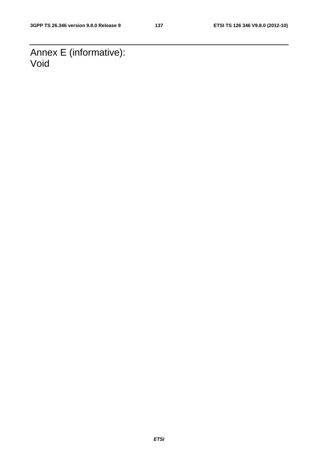Annex E (informative): Void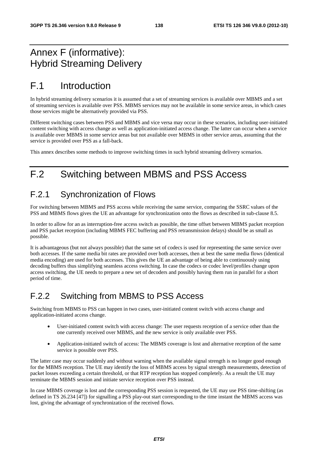## Annex F (informative): Hybrid Streaming Delivery

# F.1 Introduction

In hybrid streaming delivery scenarios it is assumed that a set of streaming services is available over MBMS and a set of streaming services is available over PSS. MBMS services may not be available in some service areas, in which cases those services might be alternatively provided via PSS.

Different switching cases between PSS and MBMS and vice versa may occur in these scenarios, including user-initiated content switching with access change as well as application-initiated access change. The latter can occur when a service is available over MBMS in some service areas but not available over MBMS in other service areas, assuming that the service is provided over PSS as a fall-back.

This annex describes some methods to improve switching times in such hybrid streaming delivery scenarios.

## F.2 Switching between MBMS and PSS Access

### F.2.1 Synchronization of Flows

For switching between MBMS and PSS access while receiving the same service, comparing the SSRC values of the PSS and MBMS flows gives the UE an advantage for synchronization onto the flows as described in sub-clause 8.5.

In order to allow for an as interruption-free access switch as possible, the time offset between MBMS packet reception and PSS packet reception (including MBMS FEC buffering and PSS retransmission delays) should be as small as possible.

It is advantageous (but not always possible) that the same set of codecs is used for representing the same service over both accesses. If the same media bit rates are provided over both accesses, then at best the same media flows (identical media encoding) are used for both accesses. This gives the UE an advantage of being able to continuously using decoding buffers thus simplifying seamless access switching. In case the codecs or codec level/profiles change upon access switching, the UE needs to prepare a new set of decoders and possibly having them run in parallel for a short period of time.

### F.2.2 Switching from MBMS to PSS Access

Switching from MBMS to PSS can happen in two cases, user-initiated content switch with access change and application-initiated access change.

- User-initiated content switch with access change: The user requests reception of a service other than the one currently received over MBMS, and the new service is only available over PSS.
- Application-initiated switch of access: The MBMS coverage is lost and alternative reception of the same service is possible over PSS.

The latter case may occur suddenly and without warning when the available signal strength is no longer good enough for the MBMS reception. The UE may identify the loss of MBMS access by signal strength measurements, detection of packet losses exceeding a certain threshold, or that RTP reception has stopped completely. As a result the UE may terminate the MBMS session and initiate service reception over PSS instead.

In case MBMS coverage is lost and the corresponding PSS session is requested, the UE may use PSS time-shifting (as defined in TS 26.234 [47]) for signalling a PSS play-out start corresponding to the time instant the MBMS access was lost, giving the advantage of synchronization of the received flows.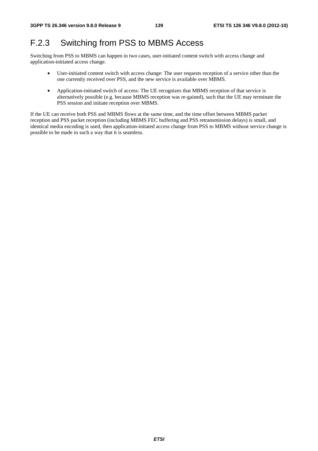## F.2.3 Switching from PSS to MBMS Access

Switching from PSS to MBMS can happen in two cases, user-initiated content switch with access change and application-initiated access change.

- User-initiated content switch with access change: The user requests reception of a service other than the one currently received over PSS, and the new service is available over MBMS.
- Application-initiated switch of access: The UE recognizes that MBMS reception of that service is alternatively possible (e.g. because MBMS reception was re-gained), such that the UE may terminate the PSS session and initiate reception over MBMS.

If the UE can receive both PSS and MBMS flows at the same time, and the time offset between MBMS packet reception and PSS packet reception (including MBMS FEC buffering and PSS retransmission delays) is small, and identical media encoding is used, then application-initated access change from PSS to MBMS without service change is possible to be made in such a way that it is seamless.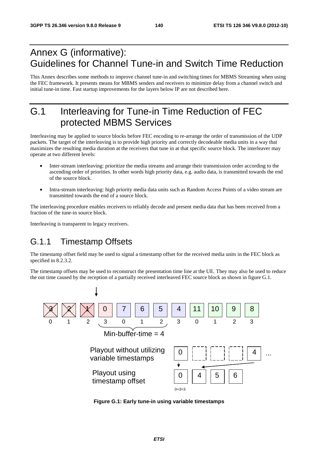## Annex G (informative): Guidelines for Channel Tune-in and Switch Time Reduction

This Annex describes some methods to improve channel tune-in and switching times for MBMS Streaming when using the FEC framework. It presents means for MBMS senders and receivers to minimize delay from a channel switch and initial tune-in time. Fast startup improvements for the layers below IP are not described here.

# G.1 Interleaving for Tune-in Time Reduction of FEC protected MBMS Services

Interleaving may be applied to source blocks before FEC encoding to re-arrange the order of transmission of the UDP packets. The target of the interleaving is to provide high priority and correctly decodeable media units in a way that maximizes the resulting media duration at the receivers that tune in at that specific source block. The interleaver may operate at two different levels:

- Inter-stream interleaving: prioritize the media streams and arrange their transmission order according to the ascending order of priorities. In other words high priority data, e.g. audio data, is transmitted towards the end of the source block.
- Intra-stream interleaving: high priority media data units such as Random Access Points of a video stream are transmitted towards the end of a source block.

The interleaving procedure enables receivers to reliably decode and present media data that has been received from a fraction of the tune-in source block.

Interleaving is transparent to legacy receivers.

### G.1.1 Timestamp Offsets

The timestamp offset field may be used to signal a timestamp offset for the received media units in the FEC block as specified in 8.2.3.2.

The timestamp offsets may be used to reconstruct the presentation time line at the UE. They may also be used to reduce the out time caused by the reception of a partially received interleaved FEC source block as shown in figure G.1.



**Figure G.1: Early tune-in using variable timestamps**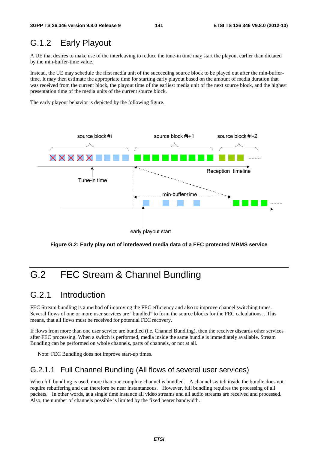### G.1.2 Early Playout

A UE that desires to make use of the interleaving to reduce the tune-in time may start the playout earlier than dictated by the min-buffer-time value.

Instead, the UE may schedule the first media unit of the succeeding source block to be played out after the min-buffertime. It may then estimate the appropriate time for starting early playout based on the amount of media duration that was received from the current block, the playout time of the earliest media unit of the next source block, and the highest presentation time of the media units of the current source block.

The early playout behavior is depicted by the following figure.



**Figure G.2: Early play out of interleaved media data of a FEC protected MBMS service** 

# G.2 FEC Stream & Channel Bundling

### G.2.1 Introduction

FEC Stream bundling is a method of improving the FEC efficiency and also to improve channel switching times. Several flows of one or more user services are "bundled" to form the source blocks for the FEC calculations. . This means, that all flows must be received for potential FEC recovery.

If flows from more than one user service are bundled (i.e. Channel Bundling), then the receiver discards other services after FEC processing. When a switch is performed, media inside the same bundle is immediately available. Stream Bundling can be performed on whole channels, parts of channels, or not at all.

Note: FEC Bundling does not improve start-up times.

#### G.2.1.1 Full Channel Bundling (All flows of several user services)

When full bundling is used, more than one complete channel is bundled. A channel switch inside the bundle does not require rebuffering and can therefore be near instantaneous. However, full bundling requires the processing of all packets. In other words, at a single time instance all video streams and all audio streams are received and processed. Also, the number of channels possible is limited by the fixed bearer bandwidth.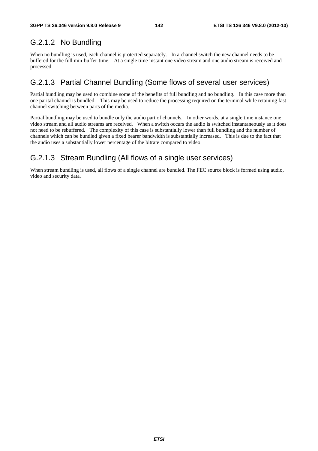### G.2.1.2 No Bundling

When no bundling is used, each channel is protected separately. In a channel switch the new channel needs to be buffered for the full min-buffer-time. At a single time instant one video stream and one audio stream is received and processed.

### G.2.1.3 Partial Channel Bundling (Some flows of several user services)

Partial bundling may be used to combine some of the benefits of full bundling and no bundling. In this case more than one parital channel is bundled. This may be used to reduce the processing required on the terminal while retaining fast channel switching between parts of the media.

Partial bundling may be used to bundle only the audio part of channels. In other words, at a single time instance one video stream and all audio streams are received. When a switch occurs the audio is switched instantaneously as it does not need to be rebuffered. The complexity of this case is substantially lower than full bundling and the number of channels which can be bundled given a fixed bearer bandwidth is substantially increased. This is due to the fact that the audio uses a substantially lower percentage of the bitrate compared to video.

### G.2.1.3 Stream Bundling (All flows of a single user services)

When stream bundling is used, all flows of a single channel are bundled. The FEC source block is formed using audio, video and security data.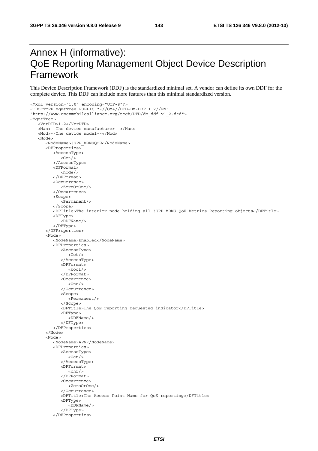# Annex H (informative): QoE Reporting Management Object Device Description Framework

This Device Description Framework (DDF) is the standardized minimal set. A vendor can define its own DDF for the complete device. This DDF can include more features than this minimal standardized version.

```
<?xml version="1.0" encoding="UTF-8"?> 
<!DOCTYPE MgmtTree PUBLIC "-//OMA//DTD-DM-DDF 1.2//EN" 
"http://www.openmobilealliance.org/tech/DTD/dm_ddf-v1_2.dtd"> 
<MgmtTree> 
    <VerDTD>1.2</VerDTD> 
    <Man>--The device manufacturer--</Man> 
    <Mod>--The device model--</Mod> 
    <Node> 
       <NodeName>3GPP_MBMSQOE</NodeName> 
       <DFProperties> 
           <AccessType> 
             <Get/> 
           </AccessType> 
           <DFFormat> 
              <node/> 
           </DFFormat> 
           <Occurrence> 
              <ZeroOrOne/> 
           </Occurrence> 
           <Scope> 
              <Permanent/> 
           </Scope> 
           <DFTitle>The interior node holding all 3GPP MBMS QoE Metrics Reporting objects</DFTitle> 
           <DFType> 
              <DDFName/> 
           </DFType> 
       </DFProperties> 
       <Node> 
           <NodeName>Enabled</NodeName> 
           <DFProperties> 
              <AccessType> 
                 <Get/> 
              </AccessType> 
              <DFFormat> 
                <boo1/>
              </DFFormat> 
              <Occurrence> 
                 <One/>
              </Occurrence> 
              <Scope> 
                  <Permanent/> 
              </Scope> 
              <DFTitle>The QoE reporting requested indicator</DFTitle> 
              <DFType> 
                 <DDFName/> 
              </DFType> 
           </DFProperties> 
       </Node> 
       <Node> 
           <NodeName>APN</NodeName> 
           <DFProperties> 
              <AccessType> 
                <Get/> </AccessType> 
              <DFFormat> 
                <chr/ </DFFormat> 
              <Occurrence> 
                  <ZeroOrOne/> 
              </Occurrence> 
              <DFTitle>The Access Point Name for QoE reporting</DFTitle> 
              <DFType> 
                 <DDFName/> 
              </DFType> 
           </DFProperties>
```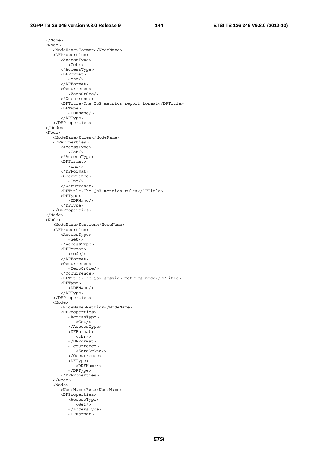</Node> <Node> <NodeName>Format</NodeName> <DFProperties> <AccessType> <Get/> </AccessType> <DFFormat>  $<$ chr $/$  </DFFormat> <Occurrence> <ZeroOrOne/> </Occurrence> <DFTitle>The QoE metrics report format</DFTitle> <DFType> <DDFName/> </DFType> </DFProperties> </Node> <Node> <NodeName>Rules</NodeName> <DFProperties> <AccessType> <Get/> </AccessType> <DFFormat>  $<$ chr $/$  </DFFormat> <Occurrence>  $<$ One/ $>$  </Occurrence> <DFTitle>The QoE metrics rules</DFTitle> <DFType> <DDFName/> </DFType> </DFProperties> </Node> <Node> <NodeName>Session</NodeName> <DFProperties> <AccessType> <Get/> </AccessType> <DFFormat> <node/> </DFFormat> <Occurrence> <ZeroOrOne/> </Occurrence> <DFTitle>The QoE session metrics node</DFTitle> <DFType> <DDFName/> </DFType> </DFProperties> <Node> <NodeName>Metrics</NodeName> <DFProperties> <AccessType>  $<$ Get $/$ > </AccessType> <DFFormat>  $<$ chr $/$  </DFFormat> <Occurrence> <ZeroOrOne/> </Occurrence> <DFType> <DDFName/> </DFType> </DFProperties> </Node> <Node> <NodeName>Ext</NodeName> <DFProperties> <AccessType>  $<$ Get $/$ > </AccessType> <DFFormat>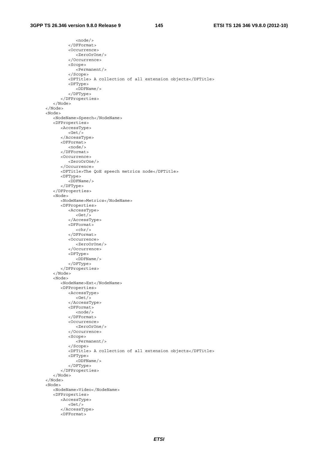<node/> </DFFormat> <Occurrence> <ZeroOrOne/> </Occurrence> <Scope> <Permanent/> </Scope> <DFTitle> A collection of all extension objects</DFTitle> <DFType> <DDFName/> </DFType> </DFProperties> </Node> </Node> <Node> <NodeName>Speech</NodeName> <DFProperties> <AccessType> <Get/> </AccessType> <DFFormat> <node/> </DFFormat> <Occurrence> <ZeroOrOne/> </Occurrence> <DFTitle>The QoE speech metrics node</DFTitle> <DFType> <DDFName/> </DFType> </DFProperties> <Node> <NodeName>Metrics</NodeName> <DFProperties> <AccessType> <Get/> </AccessType> <DFFormat>  $<$ chr $/$ > </DFFormat> <Occurrence> <ZeroOrOne/> </Occurrence> <DFType> <DDFName/> </DFType> </DFProperties> </Node> <Node> <NodeName>Ext</NodeName> <DFProperties> <AccessType>  $<$ Get $/$ > </AccessType> <DFFormat> <node/> </DFFormat> <Occurrence> <ZeroOrOne/> </Occurrence> <Scope> <Permanent/> </Scope> <DFTitle> A collection of all extension objects</DFTitle> <DFType> <DDFName/> </DFType> </DFProperties> </Node> </Node> <Node> <NodeName>Video</NodeName> <DFProperties> <AccessType>  $<$  </AccessType> <DFFormat>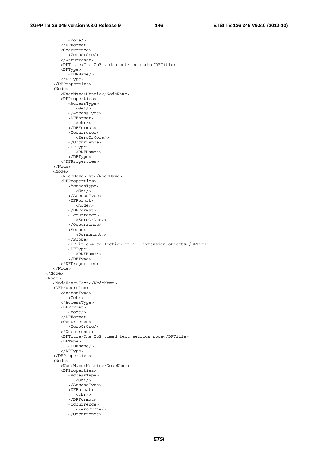<node/> </DFFormat> <Occurrence> <ZeroOrOne/> </Occurrence> <DFTitle>The QoE video metrics node</DFTitle> <DFType> <DDFName/> </DFType> </DFProperties> <Node> <NodeName>Metric</NodeName> <DFProperties> <AccessType> <Get/> </AccessType> <DFFormat>  $<$ chr $/$  </DFFormat> <Occurrence> <ZeroOrMore/> </Occurrence> <DFType> <DDFName/> </DFType> </DFProperties> </Node> <Node> <NodeName>Ext</NodeName> <DFProperties> <AccessType>  $<****det**/b<sup>2</sup>**$  </AccessType> <DFFormat> <node/> </DFFormat> <Occurrence> <ZeroOrOne/> </Occurrence> <Scope> <Permanent/> </Scope> <DFTitle>A collection of all extension objects</DFTitle> <DFType> <DDFName/> </DFType> </DFProperties> </Node> </Node> <Node> <NodeName>Text</NodeName> <DFProperties> <AccessType>  $<$ Get $/$ > </AccessType> <DFFormat> <node/> </DFFormat> <Occurrence> <ZeroOrOne/> </Occurrence> <DFTitle>The QoE timed text metrics node</DFTitle> <DFType> <DDFName/> </DFType> </DFProperties> <Node> <NodeName>Metric</NodeName> <DFProperties> <AccessType>  $<$ Get $/$ > </AccessType> <DFFormat>  $<$ chr $/$  </DFFormat> <Occurrence> <ZeroOrOne/> </Occurrence>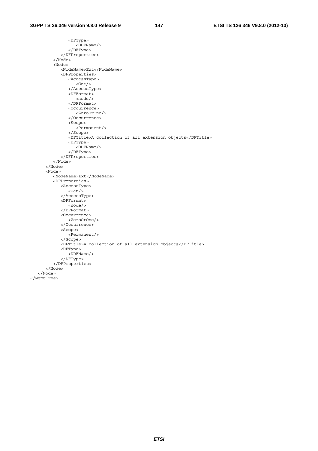<DFType> <DDFName/> </DFType> </DFProperties> </Node> <Node> <NodeName>Ext</NodeName> <DFProperties> <AccessType> <Get/> </AccessType> <DFFormat> <node/> </DFFormat> <Occurrence> <ZeroOrOne/> </Occurrence> <Scope> <Permanent/> </Scope> <DFTitle>A collection of all extension objects</DFTitle> <DFType> <DDFName/> </DFType> </DFProperties> </Node> </Node> <Node> <NodeName>Ext</NodeName> <DFProperties> <AccessType> <Get/> </AccessType> <DFFormat> <node/> </DFFormat> <Occurrence> <ZeroOrOne/> </Occurrence> <Scope> <Permanent/> </Scope> <DFTitle>A collection of all extension objects</DFTitle> <DFType> <DDFName/> </DFType> </DFProperties> </Node> </Node> </MgmtTree>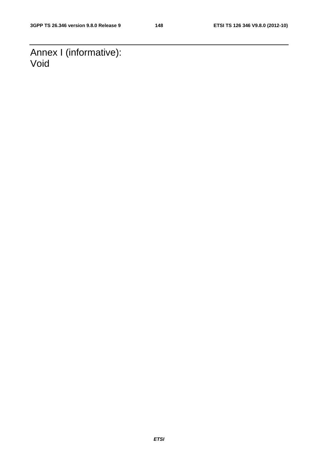Annex I (informative): Void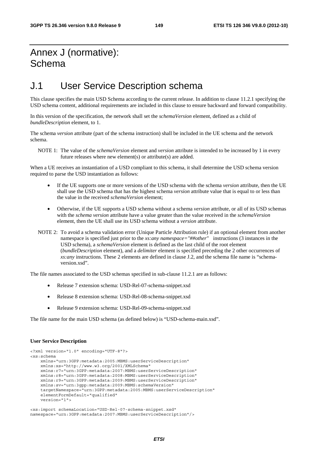## Annex J (normative): Schema

## J.1 User Service Description schema

This clause specifies the main USD Schema according to the current release. In addition to clause 11.2.1 specifying the USD schema content, additional requirements are included in this clause to ensure backward and forward compatibility.

In this version of the specification, the network shall set the *schemaVersion* element, defined as a child of *bundleDescription* element, to 1.

The schema *version* attribute (part of the schema instruction) shall be included in the UE schema and the network schema.

NOTE 1: The value of the *schemaVersion* element and *version* attribute is intended to be increased by 1 in every future releases where new element(s) or attribute(s) are added.

When a UE receives an instantiation of a USD compliant to this schema, it shall determine the USD schema version required to parse the USD instantiation as follows:

- If the UE supports one or more versions of the USD schema with the schema *version* attribute, then the UE shall use the USD schema that has the highest schema *version* attribute value that is equal to or less than the value in the received *schemaVersion* element;
- Otherwise, if the UE supports a USD schema without a schema *version* attribute, or all of its USD schemas with the *schema version* attribute have a value greater than the value received in the *schemaVersion* element, then the UE shall use its USD schema without a *version* attribute.
- NOTE 2: To avoid a schema validation error (Unique Particle Attribution rule) if an optional element from another namespace is specified just prior to the *xs:any namespace="##other"* instructions (3 instances in the USD schema), a *schemaVersion* element is defined as the last child of the root element (*bundleDescription* element), and a *delimiter* element is specified preceding the 2 other occurrences of *xs:any* instructions. These 2 elements are defined in clause J.2, and the schema file name is "schemaversion.xsd".

The file names associated to the USD schemas specified in sub-clause 11.2.1 are as follows:

- Release 7 extension schema: USD-Rel-07-schema-snippet.xsd
- Release 8 extension schema: USD-Rel-08-schema-snippet.xsd
- Release 9 extension schema: USD-Rel-09-schema-snippet.xsd

The file name for the main USD schema (as defined below) is "USD-schema-main.xsd".

#### **User Service Description**

```
<?xml version="1.0" encoding="UTF-8"?> 
<xs:schema 
     xmlns="urn:3GPP:metadata:2005:MBMS:userServiceDescription" 
     xmlns:xs="http://www.w3.org/2001/XMLSchema" 
     xmlns:r7="urn:3GPP:metadata:2007:MBMS:userServiceDescription" 
     xmlns:r8="urn:3GPP:metadata:2008:MBMS:userServiceDescription" 
     xmlns:r9="urn:3GPP:metadata:2009:MBMS:userServiceDescription" 
     xmlns:sv="urn:3gpp:metadata:2009:MBMS:schemaVersion" 
     targetNamespace="urn:3GPP:metadata:2005:MBMS:userServiceDescription" 
     elementFormDefault="qualified" 
     version="1">
```

```
<xs:import schemaLocation="USD-Rel-07-schema-snippet.xsd" 
namespace="urn:3GPP:metadata:2007:MBMS:userServiceDescription"/>
```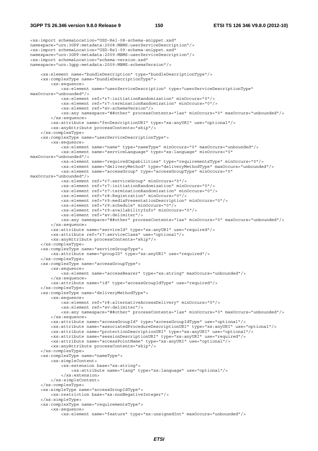#### **3GPP TS 26.346 version 9.8.0 Release 9 150 ETSI TS 126 346 V9.8.0 (2012-10)**

```
<xs:import schemaLocation="USD-Rel-08-schema-snippet.xsd" 
namespace="urn:3GPP:metadata:2008:MBMS:userServiceDescription"/> 
<xs:import schemaLocation="USD-Rel-09-schema-snippet.xsd" 
namespace="urn:3GPP:metadata:2009:MBMS:userServiceDescription"/> 
<xs:import schemaLocation="schema-version.xsd" 
namespace="urn:3gpp:metadata:2009:MBMS:schemaVersion"/> 
     <xs:element name="bundleDescription" type="bundleDescriptionType"/> 
     <xs:complexType name="bundleDescriptionType"> 
         <xs:sequence> 
             <xs:element name="userServiceDescription" type="userServiceDescriptionType" 
maxOccurs="unbounded"/> 
             <xs:element ref="r7:initiationRandomization" minOccurs="0"/> 
             <xs:element ref="r7:terminationRandomization" minOccurs="0"/> 
             <xs:element ref="sv:schemaVersion"/> 
             <xs:any namespace="##other" processContents="lax" minOccurs="0" maxOccurs="unbounded"/> 
         </xs:sequence> 
         <xs:attribute name="fecDescriptionURI" type="xs:anyURI" use="optional"/> 
         <xs:anyAttribute processContents="skip"/> 
     </xs:complexType> 
     <xs:complexType name="userServiceDescriptionType"> 
         <xs:sequence> 
             <xs:element name="name" type="nameType" minOccurs="0" maxOccurs="unbounded"/> 
             <xs:element name="serviceLanguage" type="xs:language" minOccurs="0" 
maxOccurs="unbounded"/> 
             <xs:element name="requiredCapabilities" type="requirementsType" minOccurs="0"/> 
             <xs:element name="deliveryMethod" type="deliveryMethodType" maxOccurs="unbounded"/> 
             <xs:element name="accessGroup" type="accessGroupType" minOccurs="0" 
maxOccurs="unbounded"/> 
             <xs:element ref="r7:serviceGroup" minOccurs="0"/> 
             <xs:element ref="r7:initiationRandomization" minOccurs="0"/> 
             <xs:element ref="r7:terminationRandomization" minOccurs="0"/> 
             <xs:element ref="r8:Registration" minOccurs="0"/> 
             <xs:element ref="r9:mediaPresentationDescription" minOccurs="0"/> 
             <xs:element ref="r9:schedule" minOccurs="0"/> 
             <xs:element ref="r9:availabilityInfo" minOccurs="0"/> 
             <xs:element ref="sv:delimiter"/> 
             <xs:any namespace="##other" processContents="lax" minOccurs="0" maxOccurs="unbounded"/> 
         </xs:sequence> 
         <xs:attribute name="serviceId" type="xs:anyURI" use="required"/> 
         <xs:attribute ref="r7:serviceClass" use="optional"/> 
         <xs:anyAttribute processContents="skip"/> 
     </xs:complexType> 
     <xs:complexType name="serviceGroupType"> 
         <xs:attribute name="groupID" type="xs:anyURI" use="required"/> 
     </xs:complexType> 
     <xs:complexType name="accessGroupType"> 
         <xs:sequence> 
             <xs:element name="accessBearer" type="xs:string" maxOccurs="unbounded"/> 
         </xs:sequence> 
         <xs:attribute name="id" type="accessGroupIdType" use="required"/> 
     </xs:complexType> 
     <xs:complexType name="deliveryMethodType"> 
         <xs:sequence> 
             <xs:element ref="r8:alternativeAccessDelivery" minOccurs="0"/> 
             <xs:element ref="sv:delimiter"/> 
             <xs:any namespace="##other" processContents="lax" minOccurs="0" maxOccurs="unbounded"/> 
         </xs:sequence> 
         <xs:attribute name="accessGroupId" type="accessGroupIdType" use="optional"/> 
         <xs:attribute name="associatedProcedureDescriptionURI" type="xs:anyURI" use="optional"/> 
         <xs:attribute name="protectionDescriptionURI" type="xs:anyURI" use="optional"/> 
         <xs:attribute name="sessionDescriptionURI" type="xs:anyURI" use="required"/> 
         <xs:attribute name="accessPointName" type="xs:anyURI" use="optional"/> 
         <xs:anyAttribute processContents="skip"/> 
     </xs:complexType> 
     <xs:complexType name="nameType"> 
         <xs:simpleContent> 
             <xs:extension base="xs:string"> 
                 <xs:attribute name="lang" type="xs:language" use="optional"/> 
             </xs:extension> 
         </xs:simpleContent> 
     </xs:complexType> 
     <xs:simpleType name="accessGroupIdType"> 
         <xs:restriction base="xs:nonNegativeInteger"/> 
     </xs:simpleType> 
     <xs:complexType name="requirementsType"> 
         <xs:sequence> 
             <xs:element name="feature" type="xs:unsignedInt" maxOccurs="unbounded"/>
```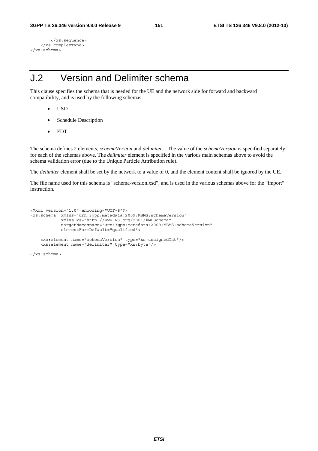```
 </xs:sequence> 
     </xs:complexType> 
</xs:schema>
```
## J.2 Version and Delimiter schema

This clause specifies the schema that is needed for the UE and the network side for forward and backward compatibility, and is used by the following schemas:

- USD
- Schedule Description
- FDT

The schema defines 2 elements, *schemaVersion* and *delimiter*. The value of the *schemaVersion* is specified separately for each of the schemas above. The *delimiter* element is specified in the various main schemas above to avoid the schema validation error (due to the Unique Particle Attribution rule).

The *delimiter* element shall be set by the network to a value of 0, and the element content shall be ignored by the UE.

The file name used for this schema is "schema-version.xsd", and is used in the various schemas above for the "import" instruction.

```
<?xml version="1.0" encoding="UTF-8"?> 
<xs:schema xmlns="urn:3gpp:metadata:2009:MBMS:schemaVersion" 
 xmlns:xs="http://www.w3.org/2001/XMLSchema" 
 targetNamespace="urn:3gpp:metadata:2009:MBMS:schemaVersion" 
            elementFormDefault="qualified"> 
    <xs:element name="schemaVersion" type="xs:unsignedInt"/> 
    <xs:element name="delimiter" type="xs:byte"/>
```
</xs:schema>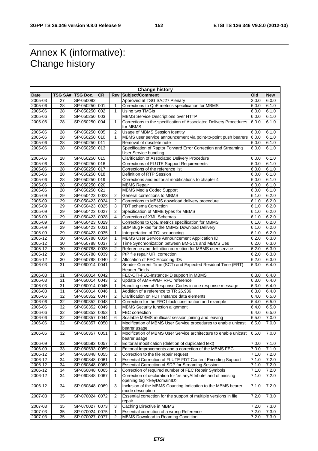## Annex K (informative): Change history

| <b>Change history</b> |                 |                         |           |                |                                                                                  |       |            |
|-----------------------|-----------------|-------------------------|-----------|----------------|----------------------------------------------------------------------------------|-------|------------|
| <b>Date</b>           |                 | <b>TSG SA# TSG Doc.</b> | <b>CR</b> |                | Rev Subject/Comment                                                              | Old   | <b>New</b> |
| 2005-03               | 27              | SP-050082               |           |                | Approved at TSG SA#27 Plenary                                                    | 2.0.0 | 6.0.0      |
| 2005-06               | 28              | SP-050250 001           |           | 1              | Corrections to QoE metrics specification for MBMS                                | 6.0.0 | 6.1.0      |
| $2005 - 06$           | 28              | SP-050250 002           |           | 1              | Using two TMGIs                                                                  | 6.0.0 | 6.1.0      |
| 2005-06               | 28              | SP-050250 003           |           |                | MBMS Service Descriptions over HTTP                                              | 6.0.0 | 6.1.0      |
| 2005-06               | 28              | SP-050250 004           |           | 1              | Corrections to the specification of Associated Delivery Procedures<br>for MBMS   | 6.0.0 | 6.1.0      |
| 2005-06               | 28              | SP-050250 005           |           | 2              | <b>Usage of MBMS Session Identity</b>                                            | 6.0.0 | 6.1.0      |
| 2005-06               | 28              | SP-050250 010           |           | 1              | MBMS user service announcement via point-to-point push bearers                   | 6.0.0 | 6.1.0      |
| 2005-06               | 28              | SP-050250 011           |           |                | Removal of obsolete note                                                         | 6.0.0 | 6.1.0      |
| 2005-06               | 28              | SP-050250 013           |           |                | Specification of Raptor Forward Error Correction and Streaming                   | 6.0.0 | 6.1.0      |
|                       |                 |                         |           |                | User Service bundling                                                            |       |            |
| 2005-06               | 28              | SP-050250 015           |           |                | Clarification of Associated Delivery Procedure                                   | 6.0.0 | 6.1.0      |
| 2005-06               | $\overline{28}$ | SP-050250 016           |           |                | Corrections of FLUTE Support Requirements                                        | 6.0.0 | 6.1.0      |
| 2005-06               | 28              | SP-050250 017           |           |                | Corrections of the reference list                                                | 6.0.0 | 6.1.0      |
| 2005-06               | 28              | SP-050250 018           |           |                | Definition of RTP Session                                                        | 6.0.0 | 6.1.0      |
| 2005-06               | 28              | SP-050250 019           |           |                | Corrections and editorial modifications to chapter 4                             | 6.0.0 | 6.1.0      |
| 2005-06               | 28              | SP-050250 020           |           |                | <b>MBMS Repair</b>                                                               | 6.0.0 | 6.1.0      |
| 2005-06               | $\overline{28}$ | SP-050250 021           |           |                | <b>MBMS Media Codec Support</b>                                                  | 6.0.0 | 6.1.0      |
| 2005-09               | 29              | SP-050423 0023          |           | $\overline{2}$ | General corrections to MBMS                                                      | 6.1.0 | 6.2.0      |
| 2005-09               | 29              | SP-050423 0024          |           | 2              | Corrections to MBMS download delivery procedure                                  | 6.1.0 | 6.2.0      |
| 2005-09               | 29              | SP-050423 0025          |           | 3              | FDT schema Correction                                                            | 6.1.0 | 6.2.0      |
| 2005-09               | 29              | SP-050423 0027          |           | $\overline{2}$ | Specification of MIME types for MBMS                                             | 6.1.0 | 6.2.0      |
| 2005-09               | 29              | SP-050423 0028          |           | 4              | Correction of XML Schemas                                                        | 6.1.0 | 6.2.0      |
| 2005-09               | 29              | SP-050423 0029          |           |                | Corrections to QoE metrics specification for MBMS                                | 6.1.0 | 6.2.0      |
| $2005 - 09$           | 29              | SP-050423 0031          |           | $\overline{2}$ | SDP Bug Fixes for the MBMS Download Delivery                                     | 6.1.0 | 6.2.0      |
| 2005-09               | 29              | SP-050423 0035          |           | 1              | Interpretation of TOI sequencing                                                 | 6.1.0 | 6.2.0      |
| 2005-12               | 30              | SP-050788 0034          |           | 1              | MBMS User Service Announcement Application ID                                    | 6.2.0 | 6.3.0      |
| 2005-12               | 30              | SP-050788 0037          |           | 3              | Time Synchronization between BM-SCs and MBMS Ues                                 | 6.2.0 | 6.3.0      |
| 2005-12               | 30              | SP-050788 0038          |           | 2              | Reference and definition correction for MBMS user service                        | 6.2.0 | 6.3.0      |
| 2005-12               | 30              | SP-050788 0039          |           | 2              | PtP file repair URI correction                                                   | 6.2.0 | 6.3.0      |
| 2005-12               | 30              | SP-050788 0040          |           |                | Allocation of FEC Encoding IDs                                                   | 6.2.0 | 6.3.0      |
| 2006-03               | 31              | SP-060014 0041          |           |                | Sender Current Time (SCT) and Expected Residual Time (ERT)                       | 6.3.0 | 6.4.0      |
|                       |                 |                         |           |                | <b>Header Fields</b>                                                             |       |            |
| 2006-03               | 31              | SP-060014 0042          |           |                | FEC-OTI-FEC-Instance-ID support in MBMS                                          | 6.3.0 | 6.4.0      |
| 2006-03               | 31              | SP-060014 0043          |           | 2              | Update of AMR-WB+ RFC reference                                                  | 6.3.0 | 6.4.0      |
| 2006-03               | 31              | SP-060014 0045          |           | 1              | Handling several Response Codes in one response message                          | 6.3.0 | 6.4.0      |
| 2006-03               | 31              | SP-060014 0046          |           | 1              | Addition of a reference to TR 26.936                                             | 6.3.0 | 6.4.0      |
| 2006-06               | 32              | SP-060352 0047          |           | 2              | Clarification on FDT Instance data elements                                      | 6.4.0 | 6.5.0      |
| 2006-06               | $\overline{32}$ | SP-060352 0048          |           | 1              | Correction for the FEC block construction and example                            | 6.4.0 | 6.5.0      |
| $2006 - 06$           | 32              | SP-060352 0049          |           | 1              | <b>MBMS Security function alignment</b>                                          | 6.4.0 | 6.5.0      |
| 2006-06               | 32              | SP-060352 0053          |           | 1              | <b>FEC</b> correction                                                            | 6.4.0 | 6.5.0      |
| 2006-06               | $\overline{32}$ | SP-060357 0044          |           | 6              | Scalable MBMS multicast session joining and leaving                              | 6.5.0 | 7.0.0      |
| 2006-06               | 32              | SP-060357 0050          |           | 1              | Modification of MBMS User Service procedures to enable unicast<br>bearer usage   | 6.5.0 | 7.0.0      |
| 2006-06               | 32              | SP-060357 0051          |           | 1              | Modification of MBMS User Service architecture to enable unicast<br>bearer usage | 6.5.0 | 7.0.0      |
| 2006-09               | 33              | SP-060593 0057          |           | 2              | Editorial modification (deletion of duplicated text)                             | 7.0.0 | 7.1.0      |
| 2006-09               | 33              | SP-060593 0059          |           | 1              | Editorial Improvements and a correction of the MBMS FEC                          | 7.0.0 | 7.1.0      |
| 2006-12               | 34              | SP-060848 0055          |           | 2              | Correction to the file repair request                                            | 7.1.0 | 7.2.0      |
| 2006-12               | 34              | SP-060848 0061          |           | 1              | Essential Correction of FLUTE FDT Content Encoding Support                       | 7.1.0 | 7.2.0      |
| 2006-12               | 34              | SP-060848 0063          |           | 1              | Essential Correction of SDP for Streaming Session                                | 7.1.0 | 7.2.0      |
| 2006-12               | 34              | SP-060848 0065          |           | 2              | Correction of required number of FEC Repair Symbols                              | 7.1.0 | 7.2.0      |
| 2006-12               | 34              | SP-060848 0067          |           | 1              | Correction of declaration for 'xs:anyAttribute' and of missing                   | 7.1.0 | 7.2.0      |
|                       |                 |                         |           |                | opening tag ' <keydomainid>'</keydomainid>                                       |       |            |
| 2006-12               | 34              | SP-060848 0069          |           | 3              | Inclusion of the MBMS Counting Indication to the MBMS bearer<br>mode description | 7.1.0 | 7.2.0      |
| 2007-03               | 35              | SP-070024 0072          |           | 2              | Essential correction for the support of multiple versions in file<br>repair      | 7.2.0 | 7.3.0      |
| 2007-03               | 35              | SP-070027 0073          |           | 3              | Caching Directive in MBMS                                                        | 7.2.0 | 7.3.0      |
| 2007-03               | 35              | SP-070024 0075          |           | 1              | Essential correction of a wrong Reference                                        | 7.2.0 | 7.3.0      |
| 2007-03               | 35              | SP-070027 0077          |           | 2              | MBMS Download in Roaming Condition                                               | 7.2.0 | 7.3.0      |
|                       |                 |                         |           |                |                                                                                  |       |            |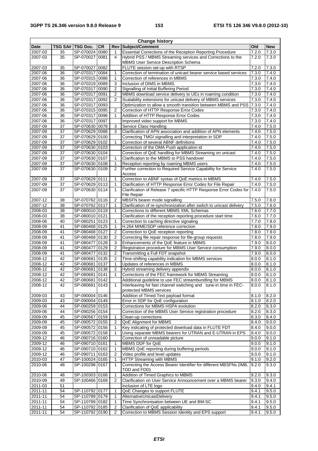| <b>Change history</b> |          |                                  |           |                |                                                                                                                       |                |                             |
|-----------------------|----------|----------------------------------|-----------|----------------|-----------------------------------------------------------------------------------------------------------------------|----------------|-----------------------------|
| <b>Date</b>           |          | TSG SA#   TSG Doc.               | <b>CR</b> | Rev            | Subject/Comment                                                                                                       | Old            | <b>New</b>                  |
| 2007-03               | 35       | SP-070024 0080                   |           | 1              | Essential Corrections of the Reception Reporting Procedure                                                            | 7.2.0          | 7.3.0                       |
| 2007-03               | 35       | SP-070027 0081                   |           | 4              | Hybrid PSS / MBMS Streaming services and Corrections to the                                                           | 7.2.0          | 7.3.0                       |
|                       | 35       | SP-070027 0082                   |           |                | MBMS User Service Description Schema<br>FLUTE session set-up with RTSP                                                | 7.2.0          | 7.3.0                       |
| 2007-03<br>2007-06    | 36       | SP-070317 0084                   |           | 1              | Correction of termination of unicast bearer service based services                                                    | 7.3.0          | 7.4.0                       |
| 2007-06               | 36       | SP-070315 0086                   |           | $\mathbf{1}$   | Correction of references in MBMS                                                                                      | 7.3.0          | 7.4.0                       |
| 2007-06               | 36       | SP-070319 0089                   |           | 3              | Inclusion of DIMS in MBMS                                                                                             | 7.3.0          | 7.4.0                       |
| 2007-06               | 36       | SP-070317 0090                   |           | $\overline{2}$ | Signalling of Initial Buffering Period                                                                                | 7.3.0          | 7.4.0                       |
| 2007-06               | 36       | SP-070317 0091                   |           | $\overline{2}$ | MBMS download service delivery to UEs in roaming condition                                                            | 7.3.0          | 7.4.0                       |
| 2007-06               | 36       | SP-070317 0092                   |           | 2              | Scalability extensions for unicast delivery of MBMS services                                                          | 7.3.0          | 7.4.0                       |
| 2007-06               | 36       | SP-070317 0093                   |           |                | Optimization to allow a smooth transition between MBMS and PSS                                                        | 7.3.0          | 7.4.0                       |
| 2007-06               | 36       | SP-070315 0095                   |           | 2              | Correction of HTTP Response Error Codes                                                                               | 7.3.0          | 7.4.0                       |
| 2007-06               | 36       | SP-070317 0096                   |           | 1              | Addition of HTTP Response Error Codes                                                                                 | 7.3.0          | 7.4.0                       |
| 2007-06               | 36       | SP-070317 0097                   |           |                | Improved video support for MBMS                                                                                       | 7.3.0          | 7.4.0                       |
| 2007-09               | 37       | SP-070630 0078                   |           | 3              | Service Class Handling                                                                                                | 7.4.0          | 7.5.0                       |
| 2007-09<br>2007-09    | 37<br>37 | SP-070629 0088<br>SP-070629 0100 |           | 3              | Clarification of APN association and addition of APN elements<br>Correcting TMGI signalling and interpretation in SDP | 7.4.0<br>7.4.0 | 7.5.0<br>7.5.0              |
| 2007-09               | 37       | SP-070629 0102                   |           | $\mathbf{1}$   | Correction of several ABNF definitions                                                                                | 7.4.0          | 7.5.0                       |
| 2007-09               | 37       | SP-070630 0103                   |           |                | Correction of the OMA Push application id                                                                             | 7.4.0          | 7.5.0                       |
| 2007-09               | 37       | SP-070630 0104                   |           |                | Correction of QoE handling for MBMS Streaming on unicast                                                              | 7.4.0          | 7.5.0                       |
| 2007-09               | 37       | SP-070630 0107                   |           | 1              | Clarification to the MBMS to PSS handover                                                                             | 7.4.0          | 7.5.0                       |
| 2007-09               | 37       | SP-070630 0108                   |           | 1              | Reception reporting by roaming MBMS users                                                                             | 7.4.0          | 7.5.0                       |
| 2007-09               | 37       | SP-070630 0109                   |           | 2              | Further correction to Required Service Capability for Service                                                         | 7.4.0          | 7.5.0                       |
|                       |          |                                  |           |                | Access                                                                                                                |                |                             |
| 2007-09               | 37       | SP-070629 0111                   |           | 1              | Correction to ABNF syntax of QoE metrics in MBMS                                                                      | 7.4.0          | 7.5.0                       |
| 2007-09               | 37       | SP-070629 0113                   |           | 1              | Clarification of HTTP Response Error Codes for File Repair                                                            | 7.4.0          | 7.5.0                       |
| 2007-09               | 37       | SP-070630 0114                   |           | 1              | Clarification of Release 7 specific HTTP Response Error Codes for                                                     | 7.4.0          | 7.5.0                       |
| 2007-12               | 38       | SP-070762 0116                   |           | $\overline{2}$ | <b>File Repair</b><br>MBSFN bearer mode signalling                                                                    | 7.5.0          | 7.6.0                       |
| 2007-12               | 38       | SP-070762 0117                   |           | 1              | Clarification of re-synchronization after switch to unicast delivery                                                  | 7.5.0          | 7.6.0                       |
| 2008-03               | 38       | SP-080010 0119                   |           | 1              | Corrections to different MBMS XML Schemas                                                                             | 7.6.0          | 7.7.0                       |
| 2008-03               | 38       | SP-080010 0121                   |           |                | Clarification of the reception reporting procedure start time                                                         | 7.6.0          | 7.7.0                       |
| 2008-06               | 40       | SP-080251 0123                   |           | 1              | Correction to caching directive signaling                                                                             | 7.7.0          | 7.8.0                       |
| 2008-09               | 41       | SP-080468 0125                   |           | 1              | H.264 MIME/SDP reference correction                                                                                   | 7.8.0          | 7.9.0                       |
| 2008-09               | 41       | SP-080468 0127                   |           | $\overline{2}$ | Correction to QoE reception reporting                                                                                 | 7.8.0          | 7.9.0                       |
| 2008-09               | 41       | SP-080468 0130                   |           | $\overline{2}$ | Correcting file repair response for file-group requests                                                               | 7.8.0          | 7.9.0                       |
| 2008-09               | 41       | SP-080477 0128                   |           | 3              | Enhancements of the QoE feature in MBMS                                                                               | 7.9.0          | 8.0.0                       |
| 2008-09               | 41       | SP-080477                        | 0129      | $\overline{2}$ | Registration procedure for MBMS User Service consumption                                                              | 7.9.0          | 8.0.0                       |
| 2008-09               | 41       | SP-080477 0132                   |           | $\overline{2}$ | Transmitting a Full FDT snapshot                                                                                      | 7.9.0          | 8.0.0                       |
| 2008-12               | 42       | SP-080681 0135                   |           | $\overline{2}$ | Time-shifting capability indication for MBMS services                                                                 | 8.0.0          | 8.1.0                       |
| 2008-12               | 42<br>42 | SP-080681 0137                   |           | 1              | Updates of references in MBMS                                                                                         | 8.0.0          | 8.1.0<br>$\overline{8.1.0}$ |
| 2008-12<br>2008-12    | 42       | SP-080681<br>SP-080681 0141      | 0138      | 2<br>1         | Hybrid streaming delivery appendix<br>Corrections of the FEC framework for MBMS Streaming                             | 8.0.0<br>8.0.0 | 8.1.0                       |
| 2008-12               | 42       | SP-080681   0142                 |           |                | Additional guideline to use FEC streambundling for MBMS                                                               | 8.0.0          | 8.1.0                       |
| 2008-12               | 42       | SP-080681 0143                   |           | 1              | Interleaving for fast channel switching and tune-in time in FEC-                                                      | 8.0.0          | 8.1.0                       |
|                       |          |                                  |           |                | protected MBMS services                                                                                               |                |                             |
| 2009-03               | 43       | SP-090004 0146                   |           |                | Addition of Timed Text payload format                                                                                 | 8.1.0          | 8.2.0                       |
| 2009-03               | 43       | SP-090004 0149                   |           |                | Error in SDP for QoE configuration                                                                                    | 8.1.0          | 8.2.0                       |
| 2009-06               | 44       | SP-090259 0153                   |           |                | Corrections for MBMS HSPA evolution                                                                                   | 8.2.0          | 8.3.0                       |
| 2009-06               | 44       | SP-090256 0154                   |           |                | Correction of the MBMS User Service registration procedure                                                            | 8.2.0          | 8.3.0                       |
| 2009-09               | 45       | SP-090567 0159                   |           | 1              | Clean-up corrections                                                                                                  | 8.3.0          | 8.4.0                       |
| 2009-09               | 45       | SP-090572 0155                   |           | $\overline{2}$ | QoE Alignment for MBMS                                                                                                | 8.4.0          | 9.0.0                       |
| 2009-09<br>2009-09    | 45<br>45 | SP-090572 0156<br>SP-090572 0158 |           | 1              | Key indicating of protected download data in FLUTE FDT<br>Using separate MBMS bearers for UTRAN and E-UTRAN in EPS    | 8.4.0          | 9.0.0                       |
| 2009-12               | 46       | SP-090716 0160                   |           | 1              | Correction of unreadable picture                                                                                      | 8.4.0<br>9.0.0 | 9.0.0<br>9.1.0              |
| 2009-12               | 46       | SP-090710 0161                   |           | 1              | MBMS DDF for QoE                                                                                                      | 9.0.0          | 9.1.0                       |
| 2009-12               | 46       | SP-090710 0162                   |           | 1              | MBMS QoE reporting during buffering periods                                                                           | 9.0.0          | 9.1.0                       |
| 2009-12               | 46       | SP-090711 0163                   |           | 2              | Video profile and level updates                                                                                       | 9.0.0          | 9.1.0                       |
| 2010-03               | 47       | SP-100024 0165                   |           | 1              | HTTP Streaming with MBMS                                                                                              | 9.1.0          | 9.2.0                       |
| 2010-06               | 48       | SP-100298 0167                   |           | 1              | Correcting the Access Bearer Identifier for different MBSFNs (IMB,<br>TDD and FDD)                                    | 9.2.0          | 9.3.0                       |
| 2010-06               | 48       | SP-100303 0168                   |           | 1              | Addition of Timed Graphics to MBMS                                                                                    | 9.2.0          | 9.3.0                       |
| 2010-09               | 49       | SP-100466 0169                   |           | $\overline{2}$ | Clarification on User Service Announcement over a MBMS bearer                                                         | 9.3.0          | 9.4.0                       |
| 2011-03               | 51       |                                  |           |                | Inclusion of LTE logo                                                                                                 | 9.4.0          | 9.4.1                       |
| 2011-11               | 54       | SP-110792 0177                   |           | 1              | QoE Changes to support FLUTE                                                                                          | 9.4.1          | 9.5.0                       |
| 2011-11               | 54       | SP-110789 0179                   |           | 1              | AlternativeUnicastDelivery                                                                                            | 9.4.1          | 9.5.0                       |
| 2011-11               | 54       | SP-110789 0182                   |           | 1              | Time Synchronisation between UE and BM-SC                                                                             | 9.4.1          | 9.5.0                       |
| 2011-11               | 54       | SP-110792 0185                   |           | 2              | Clarification of QoE applicability                                                                                    | 9.4.1          | 9.5.0                       |
| 2011-11               | 54       | SP-110792 0190                   |           | $\overline{2}$ | Correction to MBMS Session Identity and EPS support                                                                   | 9.4.1          | 9.5.0                       |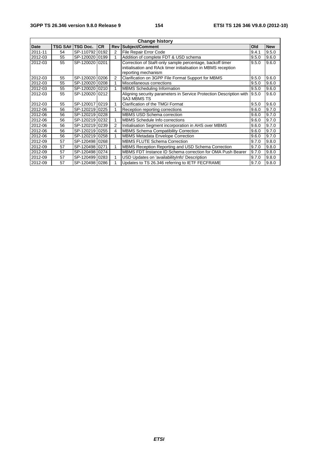| <b>Change history</b> |    |                    |           |                |                                                                     |       |            |
|-----------------------|----|--------------------|-----------|----------------|---------------------------------------------------------------------|-------|------------|
| <b>Date</b>           |    | TSG SA#   TSG Doc. | <b>CR</b> |                | <b>Rev Subject/Comment</b>                                          | Old   | <b>New</b> |
| 2011-11               | 54 | SP-110792 0192     |           | 2              | File Repair Error Code                                              | 9.4.1 | 9.5.0      |
| 2012-03               | 55 | SP-120020 0199     |           |                | Addition of complete FDT & USD schema                               | 9.5.0 | 9.6.0      |
| 2012-03               | 55 | SP-120020 0201     |           |                | Correction of StaR-only sample percentage, backoff timer            | 9.5.0 | 9.6.0      |
|                       |    |                    |           |                | initialisation and RAck timer initialisation in MBMS reception      |       |            |
|                       |    |                    |           |                | reporting mechanism                                                 |       |            |
| 2012-03               | 55 | SP-120020 0206     |           | $\overline{2}$ | Clarification on 3GPP File Format Support for MBMS                  | 9.5.0 | 9.6.0      |
| 2012-03               | 55 | SP-120020 0208     |           |                | Miscellaneous corrections                                           | 9.5.0 | 9.6.0      |
| 2012-03               | 55 | SP-120020 0210     |           |                | <b>MBMS</b> Scheduling Information                                  | 9.5.0 | 9.6.0      |
| 2012-03               | 55 | SP-12002010212     |           |                | Aligning security parameters in Service Protection Description with | 9.5.0 | 9.6.0      |
|                       |    |                    |           |                | <b>SA3 MBMS TS</b>                                                  |       |            |
| 2012-03               | 55 | SP-120017 0219     |           |                | <b>Clarification of the TMGI Format</b>                             | 9.5.0 | 9.6.0      |
| 2012-06               | 56 | SP-120219 0225     |           |                | Reception reporting corrections                                     | 9.6.0 | 9.7.0      |
| 2012-06               | 56 | SP-120219 0228     |           |                | <b>MBMS USD Schema correction</b>                                   | 9.6.0 | 9.7.0      |
| 2012-06               | 56 | SP-120219 0232     |           |                | MBMS Schedule Info corrections                                      | 9.6.0 | 9.7.0      |
| 2012-06               | 56 | SP-120219 0239     |           | 2              | Initialisation Segment incorporation in AHS over MBMS               | 9.6.0 | 9.7.0      |
| 2012-06               | 56 | SP-120219 0255     |           | 4              | MBMS Schema Compatibility Correction                                | 9.6.0 | 9.7.0      |
| 2012-06               | 56 | SP-120219 0258     |           |                | <b>MBMS Metadata Envelope Correction</b>                            | 9.6.0 | 9.7.0      |
| 2012-09               | 57 | SP-120498 0268     |           |                | <b>MBMS FLUTE Schema Correction</b>                                 | 9.7.0 | 9.8.0      |
| 2012-09               | 57 | SP-120498 0271     |           |                | MBMS Reception Reporting and USD Schema Correction                  | 9.7.0 | 9.8.0      |
| 2012-09               | 57 | SP-120498 0274     |           |                | MBMS FDT Instance ID Schema correction for OMA Push Bearer          | 9.7.0 | 9.8.0      |
| 2012-09               | 57 | SP-120499 0283     |           |                | USD Updates on 'availabilityInfo' Description                       | 9.7.0 | 9.8.0      |
| 2012-09               | 57 | SP-120498 0286     |           |                | Updates to TS 26.346 referring to IETF FECFRAME                     | 9.7.0 | 9.8.0      |